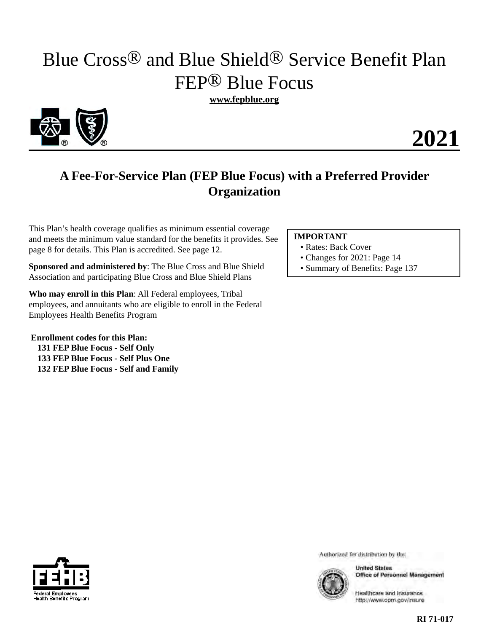# Blue Cross® and Blue Shield® Service Benefit Plan FEP® Blue Focus

**www.fepblue.org** 



## **2021**

## **A Fee-For-Service Plan (FEP Blue Focus) with a Preferred Provider Organization**

This Plan's health coverage qualifies as minimum essential coverage and meets the minimum value standard for the benefits it provides. See page 8 for details. This Plan is accredited. See page 12.

**Sponsored and administered by**: The Blue Cross and Blue Shield Association and participating Blue Cross and Blue Shield Plans

**Who may enroll in this Plan**: All Federal employees, Tribal employees, and annuitants who are eligible to enroll in the Federal Employees Health Benefits Program

**Enrollment codes for this Plan: 131 FEP Blue Focus - Self Only 133 FEP Blue Focus - Self Plus One 132 FEP Blue Focus - Self and Family** 

### **IMPORTANT**

- Rates: Back Cover
- Changes for 2021: Page 14
- Summary of Benefits: Page 137



Authorized for distribution by the:



**United States Office of Personnel Management** 

Healthcare and Insurance http://www.opm.gov/insure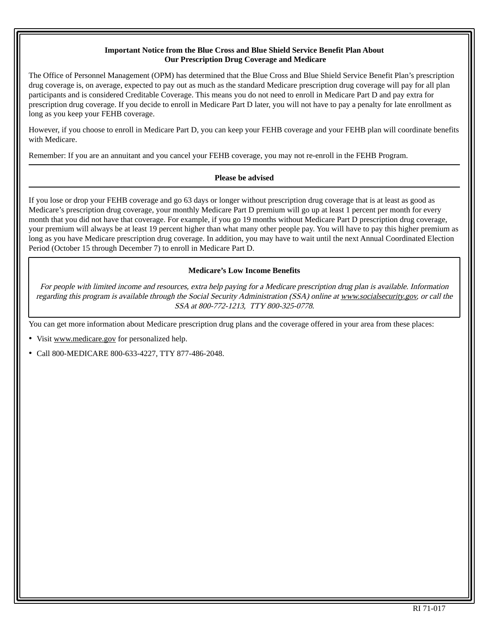### **Important Notice from the Blue Cross and Blue Shield Service Benefit Plan About Our Prescription Drug Coverage and Medicare**

The Office of Personnel Management (OPM) has determined that the Blue Cross and Blue Shield Service Benefit Plan's prescription drug coverage is, on average, expected to pay out as much as the standard Medicare prescription drug coverage will pay for all plan participants and is considered Creditable Coverage. This means you do not need to enroll in Medicare Part D and pay extra for prescription drug coverage. If you decide to enroll in Medicare Part D later, you will not have to pay a penalty for late enrollment as long as you keep your FEHB coverage.

However, if you choose to enroll in Medicare Part D, you can keep your FEHB coverage and your FEHB plan will coordinate benefits with Medicare.

Remember: If you are an annuitant and you cancel your FEHB coverage, you may not re-enroll in the FEHB Program.

#### **Please be advised**

If you lose or drop your FEHB coverage and go 63 days or longer without prescription drug coverage that is at least as good as Medicare's prescription drug coverage, your monthly Medicare Part D premium will go up at least 1 percent per month for every month that you did not have that coverage. For example, if you go 19 months without Medicare Part D prescription drug coverage, your premium will always be at least 19 percent higher than what many other people pay. You will have to pay this higher premium as long as you have Medicare prescription drug coverage. In addition, you may have to wait until the next Annual Coordinated Election Period (October 15 through December 7) to enroll in Medicare Part D.

### **Medicare's Low Income Benefits**

For people with limited income and resources, extra help paying for a Medicare prescription drug plan is available. Information regarding this program is available through the Social Security Administration (SSA) online at www.socialsecurity.gov, or call the SSA at 800-772-1213, TTY 800-325-0778.

You can get more information about Medicare prescription drug plans and the coverage offered in your area from these places:

• Visit www.medicare.gov for personalized help.

• Call 800-MEDICARE 800-633-4227, TTY 877-486-2048.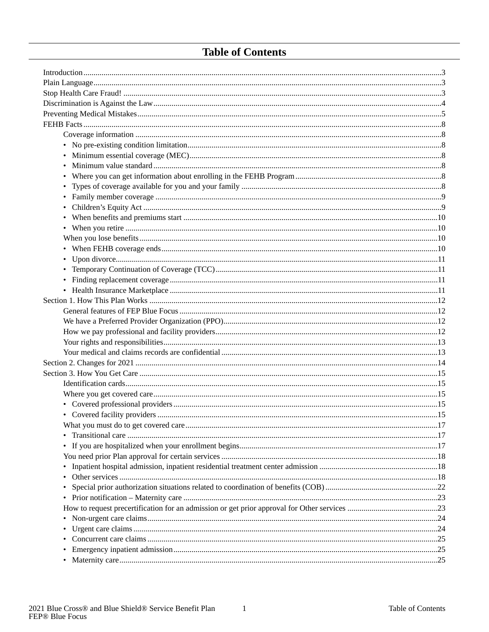### **Table of Contents**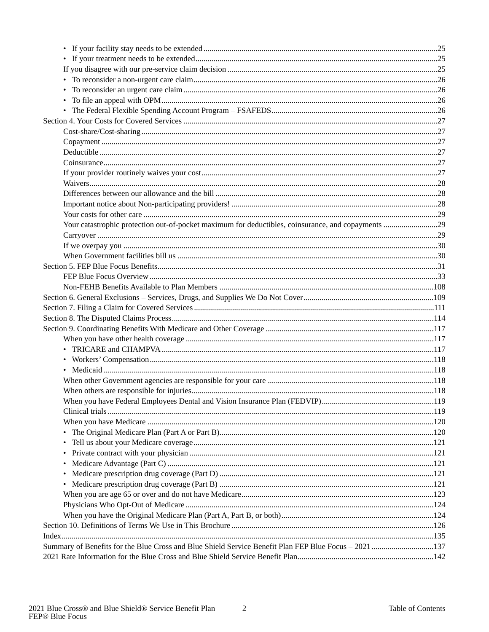| Summary of Benefits for the Blue Cross and Blue Shield Service Benefit Plan FEP Blue Focus - 2021 137 |  |
|-------------------------------------------------------------------------------------------------------|--|
|                                                                                                       |  |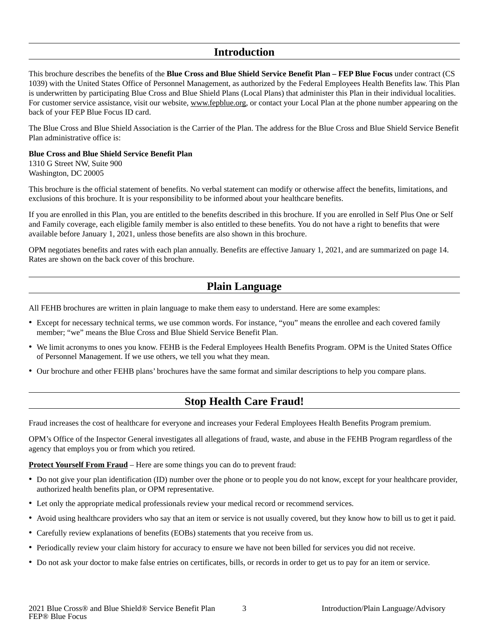### **Introduction**

<span id="page-4-0"></span>This brochure describes the benefits of the **Blue Cross and Blue Shield Service Benefit Plan – FEP Blue Focus** under contract (CS 1039) with the United States Office of Personnel Management, as authorized by the Federal Employees Health Benefits law. This Plan is underwritten by participating Blue Cross and Blue Shield Plans (Local Plans) that administer this Plan in their individual localities. For customer service assistance, visit our website, www.fepblue.org, or contact your Local Plan at the phone number appearing on the back of your FEP Blue Focus ID card.

The Blue Cross and Blue Shield Association is the Carrier of the Plan. The address for the Blue Cross and Blue Shield Service Benefit Plan administrative office is:

### **Blue Cross and Blue Shield Service Benefit Plan**

1310 G Street NW, Suite 900 Washington, DC 20005

This brochure is the official statement of benefits. No verbal statement can modify or otherwise affect the benefits, limitations, and exclusions of this brochure. It is your responsibility to be informed about your healthcare benefits.

If you are enrolled in this Plan, you are entitled to the benefits described in this brochure. If you are enrolled in Self Plus One or Self and Family coverage, each eligible family member is also entitled to these benefits. You do not have a right to benefits that were available before January 1, 2021, unless those benefits are also shown in this brochure.

OPM negotiates benefits and rates with each plan annually. Benefits are effective January 1, 2021, and are summarized on page 14. Rates are shown on the back cover of this brochure.

### **Plain Language**

<span id="page-4-1"></span>All FEHB brochures are written in plain language to make them easy to understand. Here are some examples:

- Except for necessary technical terms, we use common words. For instance, "you" means the enrollee and each covered family member; "we" means the Blue Cross and Blue Shield Service Benefit Plan.
- We limit acronyms to ones you know. FEHB is the Federal Employees Health Benefits Program. OPM is the United States Office of Personnel Management. If we use others, we tell you what they mean.
- Our brochure and other FEHB plans' brochures have the same format and similar descriptions to help you compare plans.

### **Stop Health Care Fraud!**

<span id="page-4-2"></span>Fraud increases the cost of healthcare for everyone and increases your Federal Employees Health Benefits Program premium.

OPM's Office of the Inspector General investigates all allegations of fraud, waste, and abuse in the FEHB Program regardless of the agency that employs you or from which you retired.

**Protect Yourself From Fraud** – Here are some things you can do to prevent fraud:

- Do not give your plan identification (ID) number over the phone or to people you do not know, except for your healthcare provider, authorized health benefits plan, or OPM representative.
- Let only the appropriate medical professionals review your medical record or recommend services.
- Avoid using healthcare providers who say that an item or service is not usually covered, but they know how to bill us to get it paid.
- Carefully review explanations of benefits (EOBs) statements that you receive from us.
- Periodically review your claim history for accuracy to ensure we have not been billed for services you did not receive.
- Do not ask your doctor to make false entries on certificates, bills, or records in order to get us to pay for an item or service.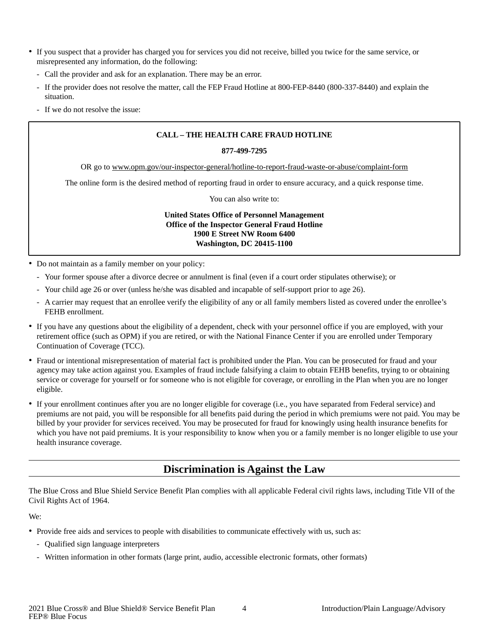- If you suspect that a provider has charged you for services you did not receive, billed you twice for the same service, or misrepresented any information, do the following:
	- Call the provider and ask for an explanation. There may be an error.
	- If the provider does not resolve the matter, call the FEP Fraud Hotline at 800-FEP-8440 (800-337-8440) and explain the situation.
	- If we do not resolve the issue:

### **CALL – THE HEALTH CARE FRAUD HOTLINE**

#### **877-499-7295**

OR go to www.opm.gov/our-inspector-general/hotline-to-report-fraud-waste-or-abuse/complaint-form

The online form is the desired method of reporting fraud in order to ensure accuracy, and a quick response time.

You can also write to:

**United States Office of Personnel Management Office of the Inspector General Fraud Hotline 1900 E Street NW Room 6400 Washington, DC 20415-1100**

- Do not maintain as a family member on your policy:
	- Your former spouse after a divorce decree or annulment is final (even if a court order stipulates otherwise); or
	- Your child age 26 or over (unless he/she was disabled and incapable of self-support prior to age 26).
	- A carrier may request that an enrollee verify the eligibility of any or all family members listed as covered under the enrollee's FEHB enrollment.
- If you have any questions about the eligibility of a dependent, check with your personnel office if you are employed, with your retirement office (such as OPM) if you are retired, or with the National Finance Center if you are enrolled under Temporary Continuation of Coverage (TCC).
- Fraud or intentional misrepresentation of material fact is prohibited under the Plan. You can be prosecuted for fraud and your agency may take action against you. Examples of fraud include falsifying a claim to obtain FEHB benefits, trying to or obtaining service or coverage for yourself or for someone who is not eligible for coverage, or enrolling in the Plan when you are no longer eligible.
- If your enrollment continues after you are no longer eligible for coverage (i.e., you have separated from Federal service) and premiums are not paid, you will be responsible for all benefits paid during the period in which premiums were not paid. You may be billed by your provider for services received. You may be prosecuted for fraud for knowingly using health insurance benefits for which you have not paid premiums. It is your responsibility to know when you or a family member is no longer eligible to use your health insurance coverage.

### **Discrimination is Against the Law**

<span id="page-5-0"></span>The Blue Cross and Blue Shield Service Benefit Plan complies with all applicable Federal civil rights laws, including Title VII of the Civil Rights Act of 1964.

We:

- Provide free aids and services to people with disabilities to communicate effectively with us, such as:
	- Qualified sign language interpreters
	- Written information in other formats (large print, audio, accessible electronic formats, other formats)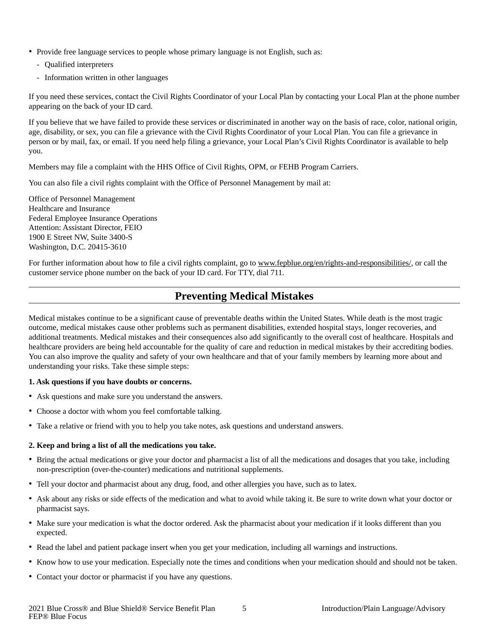- Provide free language services to people whose primary language is not English, such as:
	- Qualified interpreters
	- Information written in other languages

If you need these services, contact the Civil Rights Coordinator of your Local Plan by contacting your Local Plan at the phone number appearing on the back of your ID card.

If you believe that we have failed to provide these services or discriminated in another way on the basis of race, color, national origin, age, disability, or sex, you can file a grievance with the Civil Rights Coordinator of your Local Plan. You can file a grievance in person or by mail, fax, or email. If you need help filing a grievance, your Local Plan's Civil Rights Coordinator is available to help you.

Members may file a complaint with the HHS Office of Civil Rights, OPM, or FEHB Program Carriers.

You can also file a civil rights complaint with the Office of Personnel Management by mail at:

Office of Personnel Management Healthcare and Insurance Federal Employee Insurance Operations Attention: Assistant Director, FEIO 1900 E Street NW, Suite 3400-S Washington, D.C. 20415-3610

For further information about how to file a civil rights complaint, go to www.fepblue.org/en/rights-and-responsibilities/, or call the customer service phone number on the back of your ID card. For TTY, dial 711.

### **Preventing Medical Mistakes**

<span id="page-6-0"></span>Medical mistakes continue to be a significant cause of preventable deaths within the United States. While death is the most tragic outcome, medical mistakes cause other problems such as permanent disabilities, extended hospital stays, longer recoveries, and additional treatments. Medical mistakes and their consequences also add significantly to the overall cost of healthcare. Hospitals and healthcare providers are being held accountable for the quality of care and reduction in medical mistakes by their accrediting bodies. You can also improve the quality and safety of your own healthcare and that of your family members by learning more about and understanding your risks. Take these simple steps:

### **1. Ask questions if you have doubts or concerns.**

- Ask questions and make sure you understand the answers.
- Choose a doctor with whom you feel comfortable talking.
- Take a relative or friend with you to help you take notes, ask questions and understand answers.

### **2. Keep and bring a list of all the medications you take.**

- Bring the actual medications or give your doctor and pharmacist a list of all the medications and dosages that you take, including non-prescription (over-the-counter) medications and nutritional supplements.
- Tell your doctor and pharmacist about any drug, food, and other allergies you have, such as to latex.
- Ask about any risks or side effects of the medication and what to avoid while taking it. Be sure to write down what your doctor or pharmacist says.
- Make sure your medication is what the doctor ordered. Ask the pharmacist about your medication if it looks different than you expected.
- Read the label and patient package insert when you get your medication, including all warnings and instructions.
- Know how to use your medication. Especially note the times and conditions when your medication should and should not be taken.
- Contact your doctor or pharmacist if you have any questions.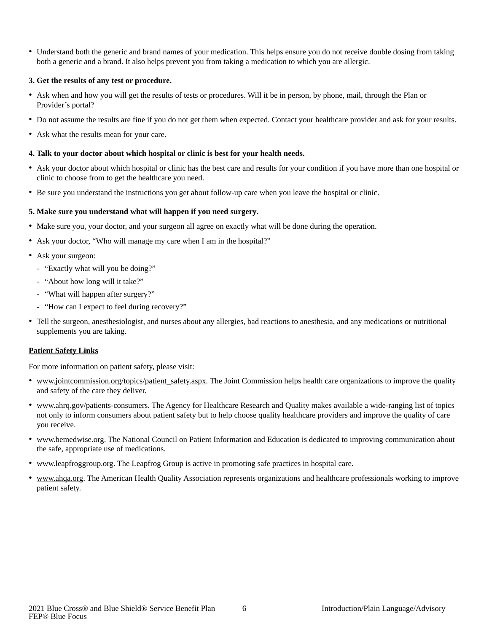• Understand both the generic and brand names of your medication. This helps ensure you do not receive double dosing from taking both a generic and a brand. It also helps prevent you from taking a medication to which you are allergic.

### **3. Get the results of any test or procedure.**

- Ask when and how you will get the results of tests or procedures. Will it be in person, by phone, mail, through the Plan or Provider's portal?
- Do not assume the results are fine if you do not get them when expected. Contact your healthcare provider and ask for your results.
- Ask what the results mean for your care.

#### **4. Talk to your doctor about which hospital or clinic is best for your health needs.**

- Ask your doctor about which hospital or clinic has the best care and results for your condition if you have more than one hospital or clinic to choose from to get the healthcare you need.
- Be sure you understand the instructions you get about follow-up care when you leave the hospital or clinic.

#### **5. Make sure you understand what will happen if you need surgery.**

- Make sure you, your doctor, and your surgeon all agree on exactly what will be done during the operation.
- Ask your doctor, "Who will manage my care when I am in the hospital?"
- Ask your surgeon:
	- "Exactly what will you be doing?"
	- "About how long will it take?"
	- "What will happen after surgery?"
	- "How can I expect to feel during recovery?"
- Tell the surgeon, anesthesiologist, and nurses about any allergies, bad reactions to anesthesia, and any medications or nutritional supplements you are taking.

#### **Patient Safety Links**

For more information on patient safety, please visit:

- www.jointcommission.org/topics/patient\_safety.aspx. The Joint Commission helps health care organizations to improve the quality and safety of the care they deliver.
- www.ahrq.gov/patients-consumers. The Agency for Healthcare Research and Quality makes available a wide-ranging list of topics not only to inform consumers about patient safety but to help choose quality healthcare providers and improve the quality of care you receive.
- www.bemedwise.org. The National Council on Patient Information and Education is dedicated to improving communication about the safe, appropriate use of medications.
- www.leapfroggroup.org. The Leapfrog Group is active in promoting safe practices in hospital care.
- • www.ahqa.org. The American Health Quality Association represents organizations and healthcare professionals working to improve patient safety.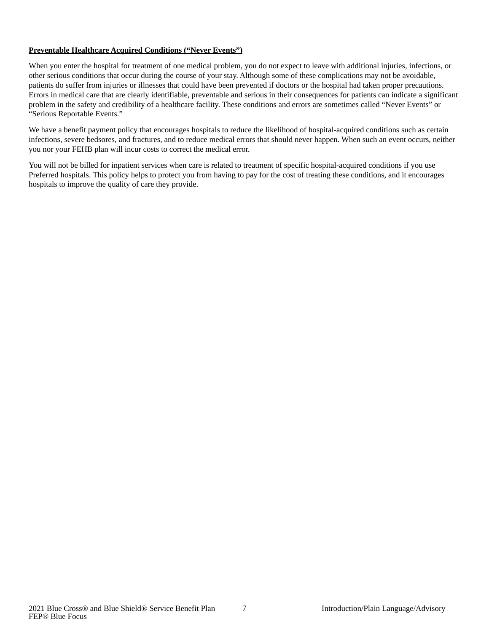### **Preventable Healthcare Acquired Conditions ("Never Events")**

When you enter the hospital for treatment of one medical problem, you do not expect to leave with additional injuries, infections, or other serious conditions that occur during the course of your stay. Although some of these complications may not be avoidable, patients do suffer from injuries or illnesses that could have been prevented if doctors or the hospital had taken proper precautions. Errors in medical care that are clearly identifiable, preventable and serious in their consequences for patients can indicate a significant problem in the safety and credibility of a healthcare facility. These conditions and errors are sometimes called "Never Events" or "Serious Reportable Events."

We have a benefit payment policy that encourages hospitals to reduce the likelihood of hospital-acquired conditions such as certain infections, severe bedsores, and fractures, and to reduce medical errors that should never happen. When such an event occurs, neither you nor your FEHB plan will incur costs to correct the medical error.

You will not be billed for inpatient services when care is related to treatment of specific hospital-acquired conditions if you use Preferred hospitals. This policy helps to protect you from having to pay for the cost of treating these conditions, and it encourages hospitals to improve the quality of care they provide.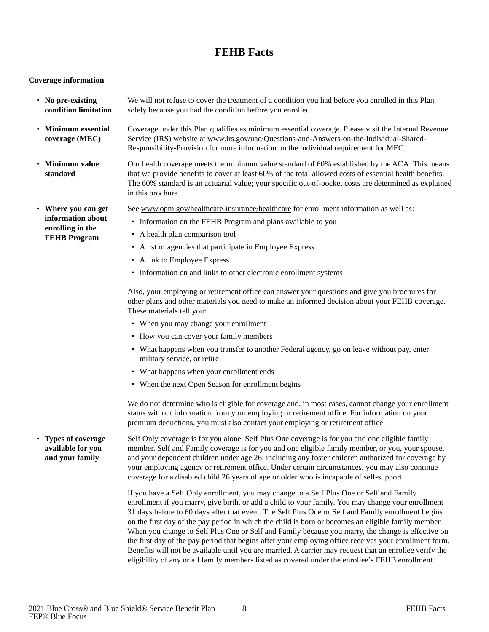### **FEHB Facts**

### <span id="page-9-0"></span>**Coverage information**

<span id="page-9-4"></span><span id="page-9-3"></span><span id="page-9-2"></span><span id="page-9-1"></span>

| • No pre-existing<br>condition limitation                                           | We will not refuse to cover the treatment of a condition you had before you enrolled in this Plan<br>solely because you had the condition before you enrolled.                                                                                                                                                                                                                                                                                                                                                                                                                                                                                                                                                                                                                                                                                                                                                  |  |
|-------------------------------------------------------------------------------------|-----------------------------------------------------------------------------------------------------------------------------------------------------------------------------------------------------------------------------------------------------------------------------------------------------------------------------------------------------------------------------------------------------------------------------------------------------------------------------------------------------------------------------------------------------------------------------------------------------------------------------------------------------------------------------------------------------------------------------------------------------------------------------------------------------------------------------------------------------------------------------------------------------------------|--|
| • Minimum essential<br>coverage (MEC)                                               | Coverage under this Plan qualifies as minimum essential coverage. Please visit the Internal Revenue<br>Service (IRS) website at www.irs.gov/uac/Questions-and-Answers-on-the-Individual-Shared-<br>Responsibility-Provision for more information on the individual requirement for MEC.                                                                                                                                                                                                                                                                                                                                                                                                                                                                                                                                                                                                                         |  |
| • Minimum value<br>standard                                                         | Our health coverage meets the minimum value standard of 60% established by the ACA. This means<br>that we provide benefits to cover at least 60% of the total allowed costs of essential health benefits.<br>The 60% standard is an actuarial value; your specific out-of-pocket costs are determined as explained<br>in this brochure.                                                                                                                                                                                                                                                                                                                                                                                                                                                                                                                                                                         |  |
| • Where you can get<br>information about<br>enrolling in the<br><b>FEHB</b> Program | See www.opm.gov/healthcare-insurance/healthcare for enrollment information as well as:<br>• Information on the FEHB Program and plans available to you<br>• A health plan comparison tool<br>• A list of agencies that participate in Employee Express<br>• A link to Employee Express<br>• Information on and links to other electronic enrollment systems<br>Also, your employing or retirement office can answer your questions and give you brochures for<br>other plans and other materials you need to make an informed decision about your FEHB coverage.<br>These materials tell you:<br>• When you may change your enrollment<br>• How you can cover your family members<br>• What happens when you transfer to another Federal agency, go on leave without pay, enter<br>military service, or retire<br>• What happens when your enrollment ends<br>• When the next Open Season for enrollment begins |  |
|                                                                                     | We do not determine who is eligible for coverage and, in most cases, cannot change your enrollment<br>status without information from your employing or retirement office. For information on your<br>premium deductions, you must also contact your employing or retirement office.                                                                                                                                                                                                                                                                                                                                                                                                                                                                                                                                                                                                                            |  |
| • Types of coverage<br>available for you<br>and your family                         | Self Only coverage is for you alone. Self Plus One coverage is for you and one eligible family<br>member. Self and Family coverage is for you and one eligible family member, or you, your spouse,<br>and your dependent children under age 26, including any foster children authorized for coverage by<br>your employing agency or retirement office. Under certain circumstances, you may also continue<br>coverage for a disabled child 26 years of age or older who is incapable of self-support.                                                                                                                                                                                                                                                                                                                                                                                                          |  |
|                                                                                     | If you have a Self Only enrollment, you may change to a Self Plus One or Self and Family<br>enrollment if you marry, give birth, or add a child to your family. You may change your enrollment<br>31 days before to 60 days after that event. The Self Plus One or Self and Family enrollment begins<br>on the first day of the pay period in which the child is born or becomes an eligible family member.<br>When you change to Self Plus One or Self and Family because you marry, the change is effective on<br>the first day of the pay period that begins after your employing office receives your enrollment form.<br>Benefits will not be available until you are married. A carrier may request that an enrollee verify the<br>eligibility of any or all family members listed as covered under the enrollee's FEHB enrollment.                                                                       |  |

<span id="page-9-5"></span>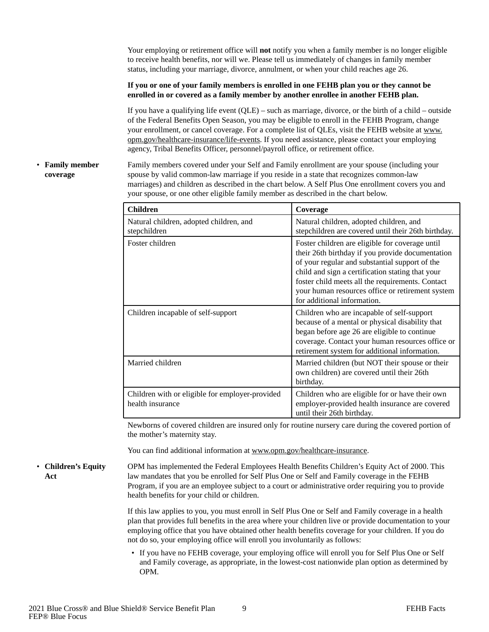Your employing or retirement office will **not** notify you when a family member is no longer eligible to receive health benefits, nor will we. Please tell us immediately of changes in family member status, including your marriage, divorce, annulment, or when your child reaches age 26.

### **If you or one of your family members is enrolled in one FEHB plan you or they cannot be enrolled in or covered as a family member by another enrollee in another FEHB plan.**

If you have a qualifying life event  $(OLE)$  – such as marriage, divorce, or the birth of a child – outside of the Federal Benefits Open Season, you may be eligible to enroll in the FEHB Program, change your enrollment, or cancel coverage. For a complete list of QLEs, visit the FEHB website at www. opm.gov/healthcare-insurance/life-events. If you need assistance, please contact your employing agency, Tribal Benefits Officer, personnel/payroll office, or retirement office.

#### <span id="page-10-0"></span>• **Family member coverage**

Family members covered under your Self and Family enrollment are your spouse (including your spouse by valid common-law marriage if you reside in a state that recognizes common-law marriages) and children as described in the chart below. A Self Plus One enrollment covers you and your spouse, or one other eligible family member as described in the chart below.

| <b>Children</b>                                                     | Coverage                                                                                                                                                                                                                                                                                                                                         |
|---------------------------------------------------------------------|--------------------------------------------------------------------------------------------------------------------------------------------------------------------------------------------------------------------------------------------------------------------------------------------------------------------------------------------------|
| Natural children, adopted children, and<br>stepchildren             | Natural children, adopted children, and<br>stepchildren are covered until their 26th birthday.                                                                                                                                                                                                                                                   |
| Foster children                                                     | Foster children are eligible for coverage until<br>their 26th birthday if you provide documentation<br>of your regular and substantial support of the<br>child and sign a certification stating that your<br>foster child meets all the requirements. Contact<br>your human resources office or retirement system<br>for additional information. |
| Children incapable of self-support                                  | Children who are incapable of self-support<br>because of a mental or physical disability that<br>began before age 26 are eligible to continue<br>coverage. Contact your human resources office or<br>retirement system for additional information.                                                                                               |
| Married children                                                    | Married children (but NOT their spouse or their<br>own children) are covered until their 26th<br>birthday.                                                                                                                                                                                                                                       |
| Children with or eligible for employer-provided<br>health insurance | Children who are eligible for or have their own<br>employer-provided health insurance are covered<br>until their 26th birthday.                                                                                                                                                                                                                  |

Newborns of covered children are insured only for routine nursery care during the covered portion of the mother's maternity stay.

You can find additional information at www.opm.gov/healthcare-insurance.

<span id="page-10-1"></span>• **Children's Equity Act**

OPM has implemented the Federal Employees Health Benefits Children's Equity Act of 2000. This law mandates that you be enrolled for Self Plus One or Self and Family coverage in the FEHB Program, if you are an employee subject to a court or administrative order requiring you to provide health benefits for your child or children.

If this law applies to you, you must enroll in Self Plus One or Self and Family coverage in a health plan that provides full benefits in the area where your children live or provide documentation to your employing office that you have obtained other health benefits coverage for your children. If you do not do so, your employing office will enroll you involuntarily as follows:

• If you have no FEHB coverage, your employing office will enroll you for Self Plus One or Self and Family coverage, as appropriate, in the lowest-cost nationwide plan option as determined by OPM.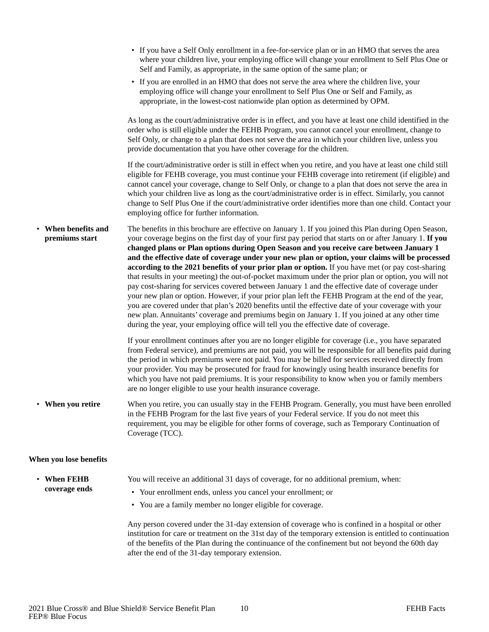<span id="page-11-0"></span>

|                                       | • If you have a Self Only enrollment in a fee-for-service plan or in an HMO that serves the area<br>where your children live, your employing office will change your enrollment to Self Plus One or<br>Self and Family, as appropriate, in the same option of the same plan; or                                                                                                                                                                                                                                                                                                                                                                                                                                                                                                                                                                                                                                                                                                                                                                                                                                                          |
|---------------------------------------|------------------------------------------------------------------------------------------------------------------------------------------------------------------------------------------------------------------------------------------------------------------------------------------------------------------------------------------------------------------------------------------------------------------------------------------------------------------------------------------------------------------------------------------------------------------------------------------------------------------------------------------------------------------------------------------------------------------------------------------------------------------------------------------------------------------------------------------------------------------------------------------------------------------------------------------------------------------------------------------------------------------------------------------------------------------------------------------------------------------------------------------|
|                                       | • If you are enrolled in an HMO that does not serve the area where the children live, your<br>employing office will change your enrollment to Self Plus One or Self and Family, as<br>appropriate, in the lowest-cost nationwide plan option as determined by OPM.                                                                                                                                                                                                                                                                                                                                                                                                                                                                                                                                                                                                                                                                                                                                                                                                                                                                       |
|                                       | As long as the court/administrative order is in effect, and you have at least one child identified in the<br>order who is still eligible under the FEHB Program, you cannot cancel your enrollment, change to<br>Self Only, or change to a plan that does not serve the area in which your children live, unless you<br>provide documentation that you have other coverage for the children.                                                                                                                                                                                                                                                                                                                                                                                                                                                                                                                                                                                                                                                                                                                                             |
|                                       | If the court/administrative order is still in effect when you retire, and you have at least one child still<br>eligible for FEHB coverage, you must continue your FEHB coverage into retirement (if eligible) and<br>cannot cancel your coverage, change to Self Only, or change to a plan that does not serve the area in<br>which your children live as long as the court/administrative order is in effect. Similarly, you cannot<br>change to Self Plus One if the court/administrative order identifies more than one child. Contact your<br>employing office for further information.                                                                                                                                                                                                                                                                                                                                                                                                                                                                                                                                              |
| • When benefits and<br>premiums start | The benefits in this brochure are effective on January 1. If you joined this Plan during Open Season,<br>your coverage begins on the first day of your first pay period that starts on or after January 1. If you<br>changed plans or Plan options during Open Season and you receive care between January 1<br>and the effective date of coverage under your new plan or option, your claims will be processed<br>according to the 2021 benefits of your prior plan or option. If you have met (or pay cost-sharing<br>that results in your meeting) the out-of-pocket maximum under the prior plan or option, you will not<br>pay cost-sharing for services covered between January 1 and the effective date of coverage under<br>your new plan or option. However, if your prior plan left the FEHB Program at the end of the year,<br>you are covered under that plan's 2020 benefits until the effective date of your coverage with your<br>new plan. Annuitants' coverage and premiums begin on January 1. If you joined at any other time<br>during the year, your employing office will tell you the effective date of coverage. |
|                                       | If your enrollment continues after you are no longer eligible for coverage (i.e., you have separated<br>from Federal service), and premiums are not paid, you will be responsible for all benefits paid during<br>the period in which premiums were not paid. You may be billed for services received directly from<br>your provider. You may be prosecuted for fraud for knowingly using health insurance benefits for<br>which you have not paid premiums. It is your responsibility to know when you or family members<br>are no longer eligible to use your health insurance coverage.                                                                                                                                                                                                                                                                                                                                                                                                                                                                                                                                               |
| • When you retire                     | When you retire, you can usually stay in the FEHB Program. Generally, you must have been enrolled<br>in the FEHB Program for the last five years of your Federal service. If you do not meet this<br>requirement, you may be eligible for other forms of coverage, such as Temporary Continuation of<br>Coverage (TCC).                                                                                                                                                                                                                                                                                                                                                                                                                                                                                                                                                                                                                                                                                                                                                                                                                  |
| When you lose benefits                |                                                                                                                                                                                                                                                                                                                                                                                                                                                                                                                                                                                                                                                                                                                                                                                                                                                                                                                                                                                                                                                                                                                                          |

### <span id="page-11-2"></span><span id="page-11-1"></span>• **When FEHB coverage ends**

You will receive an additional 31 days of coverage, for no additional premium, when:

- Your enrollment ends, unless you cancel your enrollment; or
- You are a family member no longer eligible for coverage.

Any person covered under the 31-day extension of coverage who is confined in a hospital or other institution for care or treatment on the 31st day of the temporary extension is entitled to continuation of the benefits of the Plan during the continuance of the confinement but not beyond the 60th day after the end of the 31-day temporary extension.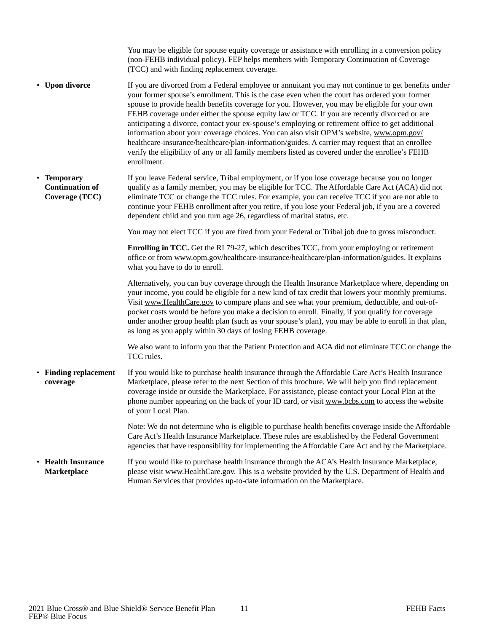<span id="page-12-3"></span><span id="page-12-2"></span><span id="page-12-1"></span><span id="page-12-0"></span>

|                                                         | You may be eligible for spouse equity coverage or assistance with enrolling in a conversion policy<br>(non-FEHB individual policy). FEP helps members with Temporary Continuation of Coverage<br>(TCC) and with finding replacement coverage.                                                                                                                                                                                                                                                                                                                                                                                                                                                                                                                                                                              |
|---------------------------------------------------------|----------------------------------------------------------------------------------------------------------------------------------------------------------------------------------------------------------------------------------------------------------------------------------------------------------------------------------------------------------------------------------------------------------------------------------------------------------------------------------------------------------------------------------------------------------------------------------------------------------------------------------------------------------------------------------------------------------------------------------------------------------------------------------------------------------------------------|
| • Upon divorce                                          | If you are divorced from a Federal employee or annuitant you may not continue to get benefits under<br>your former spouse's enrollment. This is the case even when the court has ordered your former<br>spouse to provide health benefits coverage for you. However, you may be eligible for your own<br>FEHB coverage under either the spouse equity law or TCC. If you are recently divorced or are<br>anticipating a divorce, contact your ex-spouse's employing or retirement office to get additional<br>information about your coverage choices. You can also visit OPM's website, www.opm.gov/<br>healthcare-insurance/healthcare/plan-information/guides. A carrier may request that an enrollee<br>verify the eligibility of any or all family members listed as covered under the enrollee's FEHB<br>enrollment. |
| • Temporary<br><b>Continuation of</b><br>Coverage (TCC) | If you leave Federal service, Tribal employment, or if you lose coverage because you no longer<br>qualify as a family member, you may be eligible for TCC. The Affordable Care Act (ACA) did not<br>eliminate TCC or change the TCC rules. For example, you can receive TCC if you are not able to<br>continue your FEHB enrollment after you retire, if you lose your Federal job, if you are a covered<br>dependent child and you turn age 26, regardless of marital status, etc.                                                                                                                                                                                                                                                                                                                                        |
|                                                         | You may not elect TCC if you are fired from your Federal or Tribal job due to gross misconduct.                                                                                                                                                                                                                                                                                                                                                                                                                                                                                                                                                                                                                                                                                                                            |
|                                                         | <b>Enrolling in TCC.</b> Get the RI 79-27, which describes TCC, from your employing or retirement<br>office or from www.opm.gov/healthcare-insurance/healthcare/plan-information/guides. It explains<br>what you have to do to enroll.                                                                                                                                                                                                                                                                                                                                                                                                                                                                                                                                                                                     |
|                                                         | Alternatively, you can buy coverage through the Health Insurance Marketplace where, depending on<br>your income, you could be eligible for a new kind of tax credit that lowers your monthly premiums.<br>Visit www.HealthCare.gov to compare plans and see what your premium, deductible, and out-of-<br>pocket costs would be before you make a decision to enroll. Finally, if you qualify for coverage<br>under another group health plan (such as your spouse's plan), you may be able to enroll in that plan,<br>as long as you apply within 30 days of losing FEHB coverage.                                                                                                                                                                                                                                        |
|                                                         | We also want to inform you that the Patient Protection and ACA did not eliminate TCC or change the<br>TCC rules.                                                                                                                                                                                                                                                                                                                                                                                                                                                                                                                                                                                                                                                                                                           |
| • Finding replacement<br>coverage                       | If you would like to purchase health insurance through the Affordable Care Act's Health Insurance<br>Marketplace, please refer to the next Section of this brochure. We will help you find replacement<br>coverage inside or outside the Marketplace. For assistance, please contact your Local Plan at the<br>phone number appearing on the back of your ID card, or visit www.bcbs.com to access the website<br>of your Local Plan.                                                                                                                                                                                                                                                                                                                                                                                      |
|                                                         | Note: We do not determine who is eligible to purchase health benefits coverage inside the Affordable<br>Care Act's Health Insurance Marketplace. These rules are established by the Federal Government<br>agencies that have responsibility for implementing the Affordable Care Act and by the Marketplace.                                                                                                                                                                                                                                                                                                                                                                                                                                                                                                               |
| • Health Insurance<br><b>Marketplace</b>                | If you would like to purchase health insurance through the ACA's Health Insurance Marketplace,<br>please visit www.HealthCare.gov. This is a website provided by the U.S. Department of Health and<br>Human Services that provides up-to-date information on the Marketplace.                                                                                                                                                                                                                                                                                                                                                                                                                                                                                                                                              |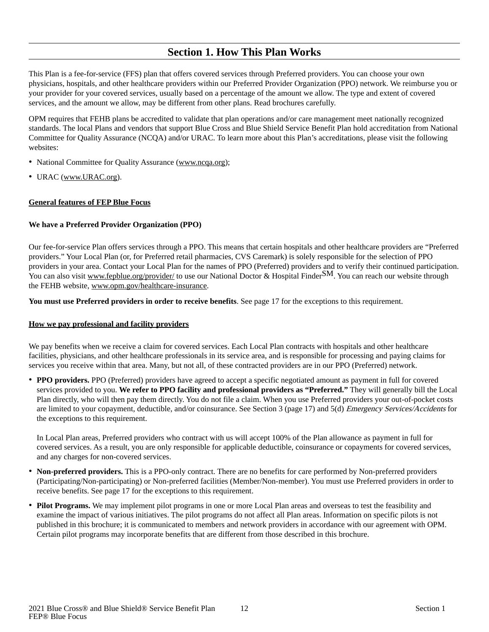### **Section 1. How This Plan Works**

<span id="page-13-0"></span>This Plan is a fee-for-service (FFS) plan that offers covered services through Preferred providers. You can choose your own physicians, hospitals, and other healthcare providers within our Preferred Provider Organization (PPO) network. We reimburse you or your provider for your covered services, usually based on a percentage of the amount we allow. The type and extent of covered services, and the amount we allow, may be different from other plans. Read brochures carefully.

OPM requires that FEHB plans be accredited to validate that plan operations and/or care management meet nationally recognized standards. The local Plans and vendors that support Blue Cross and Blue Shield Service Benefit Plan hold accreditation from National Committee for Quality Assurance (NCQA) and/or URAC. To learn more about this Plan's accreditations, please visit the following websites:

- National Committee for Quality Assurance (www.ncqa.org);
- URAC  $(\underline{www.URAC.org})$ .

### **General features of FEP Blue Focus**

### **We have a Preferred Provider Organization (PPO)**

Our fee-for-service Plan offers services through a PPO. This means that certain hospitals and other healthcare providers are "Preferred providers." Your Local Plan (or, for Preferred retail pharmacies, CVS Caremark) is solely responsible for the selection of PPO providers in your area. Contact your Local Plan for the names of PPO (Preferred) providers and to verify their continued participation. You can also visit www.fepblue.org/provider/ to use our National Doctor & Hospital FinderSM. You can reach our website through the FEHB website, www.opm.gov/healthcare-insurance.

**You must use Preferred providers in order to receive benefits**. See page 17 for the exceptions to this requirement.

### **How we pay professional and facility providers**

We pay benefits when we receive a claim for covered services. Each Local Plan contracts with hospitals and other healthcare facilities, physicians, and other healthcare professionals in its service area, and is responsible for processing and paying claims for services you receive within that area. Many, but not all, of these contracted providers are in our PPO (Preferred) network.

• **PPO providers.** PPO (Preferred) providers have agreed to accept a specific negotiated amount as payment in full for covered services provided to you. **We refer to PPO facility and professional providers as "Preferred."** They will generally bill the Local Plan directly, who will then pay them directly. You do not file a claim. When you use Preferred providers your out-of-pocket costs are limited to your copayment, deductible, and/or coinsurance. See Section 3 (page 17) and 5(d) Emergency Services/Accidents for the exceptions to this requirement.

In Local Plan areas, Preferred providers who contract with us will accept 100% of the Plan allowance as payment in full for covered services. As a result, you are only responsible for applicable deductible, coinsurance or copayments for covered services, and any charges for non-covered services.

- **Non-preferred providers.** This is a PPO-only contract. There are no benefits for care performed by Non-preferred providers (Participating/Non-participating) or Non-preferred facilities (Member/Non-member). You must use Preferred providers in order to receive benefits. See page 17 for the exceptions to this requirement.
- **Pilot Programs.** We may implement pilot programs in one or more Local Plan areas and overseas to test the feasibility and examine the impact of various initiatives. The pilot programs do not affect all Plan areas. Information on specific pilots is not published in this brochure; it is communicated to members and network providers in accordance with our agreement with OPM. Certain pilot programs may incorporate benefits that are different from those described in this brochure.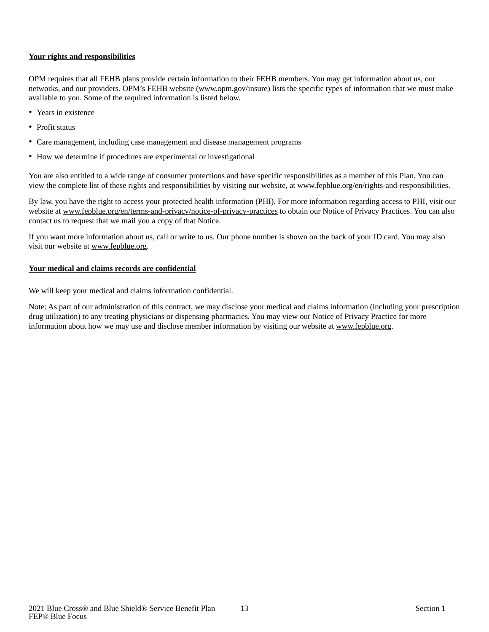### **Your rights and responsibilities**

OPM requires that all FEHB plans provide certain information to their FEHB members. You may get information about us, our networks, and our providers. OPM's FEHB website (www.opm.gov/insure) lists the specific types of information that we must make available to you. Some of the required information is listed below.

- Years in existence
- Profit status
- Care management, including case management and disease management programs
- How we determine if procedures are experimental or investigational

You are also entitled to a wide range of consumer protections and have specific responsibilities as a member of this Plan. You can view the complete list of these rights and responsibilities by visiting our website, at www.fepblue.org/en/rights-and-responsibilities.

By law, you have the right to access your protected health information (PHI). For more information regarding access to PHI, visit our website at www.fepblue.org/en/terms-and-privacy/notice-of-privacy-practices to obtain our Notice of Privacy Practices. You can also contact us to request that we mail you a copy of that Notice.

If you want more information about us, call or write to us. Our phone number is shown on the back of your ID card. You may also visit our website at www.fepblue.org.

### **Your medical and claims records are confidential**

We will keep your medical and claims information confidential.

Note: As part of our administration of this contract, we may disclose your medical and claims information (including your prescription drug utilization) to any treating physicians or dispensing pharmacies. You may view our Notice of Privacy Practice for more information about how we may use and disclose member information by visiting our website at www.fepblue.org.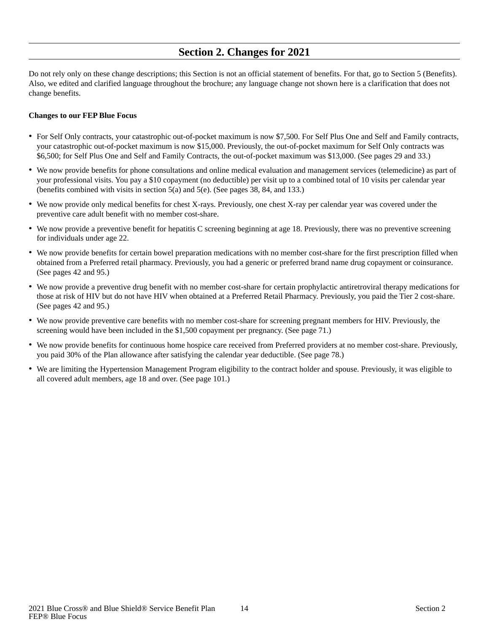### **Section 2. Changes for 2021**

<span id="page-15-0"></span>Do not rely only on these change descriptions; this Section is not an official statement of benefits. For that, go to Section 5 (Benefits). Also, we edited and clarified language throughout the brochure; any language change not shown here is a clarification that does not change benefits.

#### **Changes to our FEP Blue Focus**

- For Self Only contracts, your catastrophic out-of-pocket maximum is now \$7,500. For Self Plus One and Self and Family contracts, your catastrophic out-of-pocket maximum is now \$15,000. Previously, the out-of-pocket maximum for Self Only contracts was \$6,500; for Self Plus One and Self and Family Contracts, the out-of-pocket maximum was \$13,000. (See pages 29 and 33.)
- We now provide benefits for phone consultations and online medical evaluation and management services (telemedicine) as part of your professional visits. You pay a \$10 copayment (no deductible) per visit up to a combined total of 10 visits per calendar year (benefits combined with visits in section 5(a) and 5(e). (See pages 38, 84, and 133.)
- We now provide only medical benefits for chest X-rays. Previously, one chest X-ray per calendar year was covered under the preventive care adult benefit with no member cost-share.
- We now provide a preventive benefit for hepatitis C screening beginning at age 18. Previously, there was no preventive screening for individuals under age 22.
- We now provide benefits for certain bowel preparation medications with no member cost-share for the first prescription filled when obtained from a Preferred retail pharmacy. Previously, you had a generic or preferred brand name drug copayment or coinsurance. (See pages 42 and 95.)
- We now provide a preventive drug benefit with no member cost-share for certain prophylactic antiretroviral therapy medications for those at risk of HIV but do not have HIV when obtained at a Preferred Retail Pharmacy. Previously, you paid the Tier 2 cost-share. (See pages 42 and 95.)
- We now provide preventive care benefits with no member cost-share for screening pregnant members for HIV. Previously, the screening would have been included in the \$1,500 copayment per pregnancy. (See page 71.)
- We now provide benefits for continuous home hospice care received from Preferred providers at no member cost-share. Previously, you paid 30% of the Plan allowance after satisfying the calendar year deductible. (See page 78.)
- We are limiting the Hypertension Management Program eligibility to the contract holder and spouse. Previously, it was eligible to all covered adult members, age 18 and over. (See page 101.)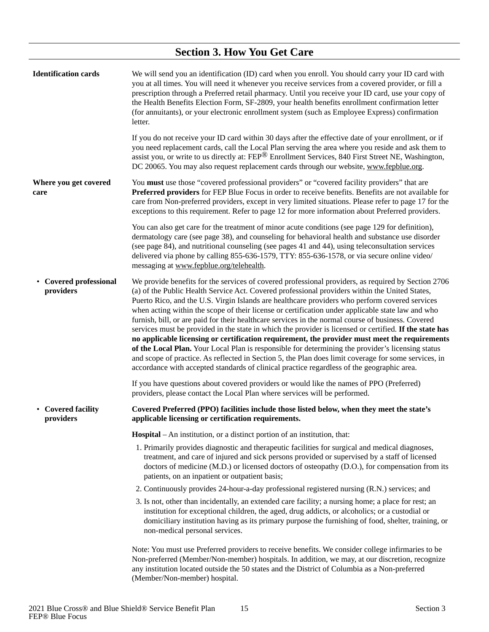<span id="page-16-4"></span><span id="page-16-3"></span><span id="page-16-2"></span><span id="page-16-1"></span><span id="page-16-0"></span>

|                                          | <b>Section 3. How You Get Care</b>                                                                                                                                                                                                                                                                                                                                                                                                                                                                                                                                                                                                                                                                                                                                                                                                                                                                                                                                                                                                        |
|------------------------------------------|-------------------------------------------------------------------------------------------------------------------------------------------------------------------------------------------------------------------------------------------------------------------------------------------------------------------------------------------------------------------------------------------------------------------------------------------------------------------------------------------------------------------------------------------------------------------------------------------------------------------------------------------------------------------------------------------------------------------------------------------------------------------------------------------------------------------------------------------------------------------------------------------------------------------------------------------------------------------------------------------------------------------------------------------|
| <b>Identification cards</b>              | We will send you an identification (ID) card when you enroll. You should carry your ID card with<br>you at all times. You will need it whenever you receive services from a covered provider, or fill a<br>prescription through a Preferred retail pharmacy. Until you receive your ID card, use your copy of<br>the Health Benefits Election Form, SF-2809, your health benefits enrollment confirmation letter<br>(for annuitants), or your electronic enrollment system (such as Employee Express) confirmation<br>letter.                                                                                                                                                                                                                                                                                                                                                                                                                                                                                                             |
|                                          | If you do not receive your ID card within 30 days after the effective date of your enrollment, or if<br>you need replacement cards, call the Local Plan serving the area where you reside and ask them to<br>assist you, or write to us directly at: FEP <sup>®</sup> Enrollment Services, 840 First Street NE, Washington,<br>DC 20065. You may also request replacement cards through our website, www.fepblue.org.                                                                                                                                                                                                                                                                                                                                                                                                                                                                                                                                                                                                                     |
| Where you get covered<br>care            | You must use those "covered professional providers" or "covered facility providers" that are<br>Preferred providers for FEP Blue Focus in order to receive benefits. Benefits are not available for<br>care from Non-preferred providers, except in very limited situations. Please refer to page 17 for the<br>exceptions to this requirement. Refer to page 12 for more information about Preferred providers.                                                                                                                                                                                                                                                                                                                                                                                                                                                                                                                                                                                                                          |
|                                          | You can also get care for the treatment of minor acute conditions (see page 129 for definition),<br>dermatology care (see page 38), and counseling for behavioral health and substance use disorder<br>(see page 84), and nutritional counseling (see pages 41 and 44), using teleconsultation services<br>delivered via phone by calling 855-636-1579, TTY: 855-636-1578, or via secure online video/<br>messaging at www.fepblue.org/telehealth.                                                                                                                                                                                                                                                                                                                                                                                                                                                                                                                                                                                        |
| <b>Covered professional</b><br>providers | We provide benefits for the services of covered professional providers, as required by Section 2706<br>(a) of the Public Health Service Act. Covered professional providers within the United States,<br>Puerto Rico, and the U.S. Virgin Islands are healthcare providers who perform covered services<br>when acting within the scope of their license or certification under applicable state law and who<br>furnish, bill, or are paid for their healthcare services in the normal course of business. Covered<br>services must be provided in the state in which the provider is licensed or certified. If the state has<br>no applicable licensing or certification requirement, the provider must meet the requirements<br>of the Local Plan. Your Local Plan is responsible for determining the provider's licensing status<br>and scope of practice. As reflected in Section 5, the Plan does limit coverage for some services, in<br>accordance with accepted standards of clinical practice regardless of the geographic area. |
|                                          | If you have questions about covered providers or would like the names of PPO (Preferred)<br>providers, please contact the Local Plan where services will be performed.                                                                                                                                                                                                                                                                                                                                                                                                                                                                                                                                                                                                                                                                                                                                                                                                                                                                    |
| <b>Covered facility</b><br>providers     | Covered Preferred (PPO) facilities include those listed below, when they meet the state's<br>applicable licensing or certification requirements.                                                                                                                                                                                                                                                                                                                                                                                                                                                                                                                                                                                                                                                                                                                                                                                                                                                                                          |
|                                          | <b>Hospital</b> – An institution, or a distinct portion of an institution, that:                                                                                                                                                                                                                                                                                                                                                                                                                                                                                                                                                                                                                                                                                                                                                                                                                                                                                                                                                          |
|                                          | 1. Primarily provides diagnostic and therapeutic facilities for surgical and medical diagnoses,<br>treatment, and care of injured and sick persons provided or supervised by a staff of licensed<br>doctors of medicine (M.D.) or licensed doctors of osteopathy (D.O.), for compensation from its<br>patients, on an inpatient or outpatient basis;                                                                                                                                                                                                                                                                                                                                                                                                                                                                                                                                                                                                                                                                                      |
|                                          | 2. Continuously provides 24-hour-a-day professional registered nursing (R.N.) services; and                                                                                                                                                                                                                                                                                                                                                                                                                                                                                                                                                                                                                                                                                                                                                                                                                                                                                                                                               |
|                                          | 3. Is not, other than incidentally, an extended care facility; a nursing home; a place for rest; an<br>institution for exceptional children, the aged, drug addicts, or alcoholics; or a custodial or<br>domiciliary institution having as its primary purpose the furnishing of food, shelter, training, or<br>non-medical personal services.                                                                                                                                                                                                                                                                                                                                                                                                                                                                                                                                                                                                                                                                                            |
|                                          | Note: You must use Preferred providers to receive benefits. We consider college infirmaries to be<br>Non-preferred (Member/Non-member) hospitals. In addition, we may, at our discretion, recognize<br>any institution located outside the 50 states and the District of Columbia as a Non-preferred<br>(Member/Non-member) hospital.                                                                                                                                                                                                                                                                                                                                                                                                                                                                                                                                                                                                                                                                                                     |

 $\overline{a}$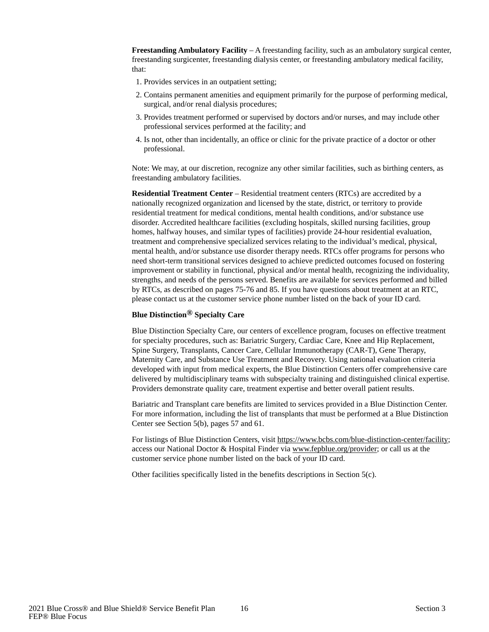**Freestanding Ambulatory Facility** – A freestanding facility, such as an ambulatory surgical center, freestanding surgicenter, freestanding dialysis center, or freestanding ambulatory medical facility, that:

- 1. Provides services in an outpatient setting;
- 2. Contains permanent amenities and equipment primarily for the purpose of performing medical, surgical, and/or renal dialysis procedures;
- 3. Provides treatment performed or supervised by doctors and/or nurses, and may include other professional services performed at the facility; and
- 4. Is not, other than incidentally, an office or clinic for the private practice of a doctor or other professional.

Note: We may, at our discretion, recognize any other similar facilities, such as birthing centers, as freestanding ambulatory facilities.

**Residential Treatment Center** – Residential treatment centers (RTCs) are accredited by a nationally recognized organization and licensed by the state, district, or territory to provide residential treatment for medical conditions, mental health conditions, and/or substance use disorder. Accredited healthcare facilities (excluding hospitals, skilled nursing facilities, group homes, halfway houses, and similar types of facilities) provide 24-hour residential evaluation, treatment and comprehensive specialized services relating to the individual's medical, physical, mental health, and/or substance use disorder therapy needs. RTCs offer programs for persons who need short-term transitional services designed to achieve predicted outcomes focused on fostering improvement or stability in functional, physical and/or mental health, recognizing the individuality, strengths, and needs of the persons served. Benefits are available for services performed and billed by RTCs, as described on pages 75-76 and 85. If you have questions about treatment at an RTC, please contact us at the customer service phone number listed on the back of your ID card.

### **Blue Distinction® Specialty Care**

Blue Distinction Specialty Care, our centers of excellence program, focuses on effective treatment for specialty procedures, such as: Bariatric Surgery, Cardiac Care, Knee and Hip Replacement, Spine Surgery, Transplants, Cancer Care, Cellular Immunotherapy (CAR-T), Gene Therapy, Maternity Care, and Substance Use Treatment and Recovery. Using national evaluation criteria developed with input from medical experts, the Blue Distinction Centers offer comprehensive care delivered by multidisciplinary teams with subspecialty training and distinguished clinical expertise. Providers demonstrate quality care, treatment expertise and better overall patient results.

Bariatric and Transplant care benefits are limited to services provided in a Blue Distinction Center. For more information, including the list of transplants that must be performed at a Blue Distinction Center see Section 5(b), pages 57 and 61.

For listings of Blue Distinction Centers, visit https://www.bcbs.com/blue-distinction-center/facility; access our National Doctor & Hospital Finder via www.fepblue.org/provider; or call us at the customer service phone number listed on the back of your ID card.

Other facilities specifically listed in the benefits descriptions in Section 5(c).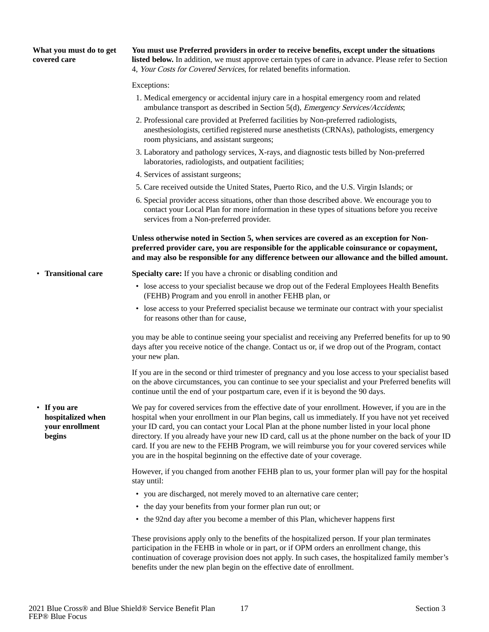<span id="page-18-1"></span><span id="page-18-0"></span>

| What you must do to get<br>covered care                        | You must use Preferred providers in order to receive benefits, except under the situations<br>listed below. In addition, we must approve certain types of care in advance. Please refer to Section<br>4, Your Costs for Covered Services, for related benefits information.                                                                                                                                                                                                                                                                                                                      |
|----------------------------------------------------------------|--------------------------------------------------------------------------------------------------------------------------------------------------------------------------------------------------------------------------------------------------------------------------------------------------------------------------------------------------------------------------------------------------------------------------------------------------------------------------------------------------------------------------------------------------------------------------------------------------|
|                                                                | Exceptions:                                                                                                                                                                                                                                                                                                                                                                                                                                                                                                                                                                                      |
|                                                                | 1. Medical emergency or accidental injury care in a hospital emergency room and related<br>ambulance transport as described in Section 5(d), <i>Emergency Services/Accidents</i> ;                                                                                                                                                                                                                                                                                                                                                                                                               |
|                                                                | 2. Professional care provided at Preferred facilities by Non-preferred radiologists,<br>anesthesiologists, certified registered nurse anesthetists (CRNAs), pathologists, emergency<br>room physicians, and assistant surgeons;                                                                                                                                                                                                                                                                                                                                                                  |
|                                                                | 3. Laboratory and pathology services, X-rays, and diagnostic tests billed by Non-preferred<br>laboratories, radiologists, and outpatient facilities;                                                                                                                                                                                                                                                                                                                                                                                                                                             |
|                                                                | 4. Services of assistant surgeons;                                                                                                                                                                                                                                                                                                                                                                                                                                                                                                                                                               |
|                                                                | 5. Care received outside the United States, Puerto Rico, and the U.S. Virgin Islands; or                                                                                                                                                                                                                                                                                                                                                                                                                                                                                                         |
|                                                                | 6. Special provider access situations, other than those described above. We encourage you to<br>contact your Local Plan for more information in these types of situations before you receive<br>services from a Non-preferred provider.                                                                                                                                                                                                                                                                                                                                                          |
|                                                                | Unless otherwise noted in Section 5, when services are covered as an exception for Non-<br>preferred provider care, you are responsible for the applicable coinsurance or copayment,<br>and may also be responsible for any difference between our allowance and the billed amount.                                                                                                                                                                                                                                                                                                              |
| • Transitional care                                            | Specialty care: If you have a chronic or disabling condition and                                                                                                                                                                                                                                                                                                                                                                                                                                                                                                                                 |
|                                                                | • lose access to your specialist because we drop out of the Federal Employees Health Benefits<br>(FEHB) Program and you enroll in another FEHB plan, or                                                                                                                                                                                                                                                                                                                                                                                                                                          |
|                                                                | • lose access to your Preferred specialist because we terminate our contract with your specialist<br>for reasons other than for cause,                                                                                                                                                                                                                                                                                                                                                                                                                                                           |
|                                                                | you may be able to continue seeing your specialist and receiving any Preferred benefits for up to 90<br>days after you receive notice of the change. Contact us or, if we drop out of the Program, contact<br>your new plan.                                                                                                                                                                                                                                                                                                                                                                     |
|                                                                | If you are in the second or third trimester of pregnancy and you lose access to your specialist based<br>on the above circumstances, you can continue to see your specialist and your Preferred benefits will<br>continue until the end of your postpartum care, even if it is beyond the 90 days.                                                                                                                                                                                                                                                                                               |
| • If you are<br>hospitalized when<br>your enrollment<br>begins | We pay for covered services from the effective date of your enrollment. However, if you are in the<br>hospital when your enrollment in our Plan begins, call us immediately. If you have not yet received<br>your ID card, you can contact your Local Plan at the phone number listed in your local phone<br>directory. If you already have your new ID card, call us at the phone number on the back of your ID<br>card. If you are new to the FEHB Program, we will reimburse you for your covered services while<br>you are in the hospital beginning on the effective date of your coverage. |
|                                                                | However, if you changed from another FEHB plan to us, your former plan will pay for the hospital<br>stay until:                                                                                                                                                                                                                                                                                                                                                                                                                                                                                  |
|                                                                | • you are discharged, not merely moved to an alternative care center;                                                                                                                                                                                                                                                                                                                                                                                                                                                                                                                            |
|                                                                | • the day your benefits from your former plan run out; or                                                                                                                                                                                                                                                                                                                                                                                                                                                                                                                                        |
|                                                                | • the 92nd day after you become a member of this Plan, whichever happens first                                                                                                                                                                                                                                                                                                                                                                                                                                                                                                                   |
|                                                                | These provisions apply only to the benefits of the hospitalized person. If your plan terminates                                                                                                                                                                                                                                                                                                                                                                                                                                                                                                  |

<span id="page-18-2"></span>participation in the FEHB in whole or in part, or if OPM orders an enrollment change, this continuation of coverage provision does not apply. In such cases, the hospitalized family member's benefits under the new plan begin on the effective date of enrollment.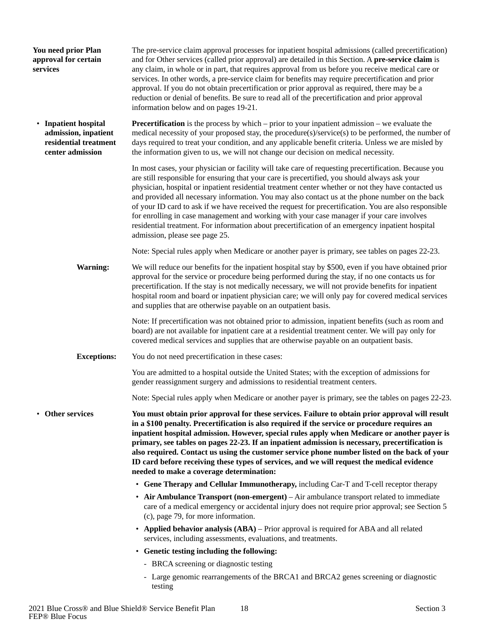<span id="page-19-2"></span><span id="page-19-1"></span><span id="page-19-0"></span>

| You need prior Plan<br>approval for certain<br>services                                   | The pre-service claim approval processes for inpatient hospital admissions (called precertification)<br>and for Other services (called prior approval) are detailed in this Section. A pre-service claim is<br>any claim, in whole or in part, that requires approval from us before you receive medical care or<br>services. In other words, a pre-service claim for benefits may require precertification and prior<br>approval. If you do not obtain precertification or prior approval as required, there may be a<br>reduction or denial of benefits. Be sure to read all of the precertification and prior approval<br>information below and on pages 19-21.                                                                                          |
|-------------------------------------------------------------------------------------------|-------------------------------------------------------------------------------------------------------------------------------------------------------------------------------------------------------------------------------------------------------------------------------------------------------------------------------------------------------------------------------------------------------------------------------------------------------------------------------------------------------------------------------------------------------------------------------------------------------------------------------------------------------------------------------------------------------------------------------------------------------------|
| • Inpatient hospital<br>admission, inpatient<br>residential treatment<br>center admission | <b>Precertification</b> is the process by which $-$ prior to your inpatient admission $-$ we evaluate the<br>medical necessity of your proposed stay, the procedure(s)/service(s) to be performed, the number of<br>days required to treat your condition, and any applicable benefit criteria. Unless we are misled by<br>the information given to us, we will not change our decision on medical necessity.                                                                                                                                                                                                                                                                                                                                               |
|                                                                                           | In most cases, your physician or facility will take care of requesting precertification. Because you<br>are still responsible for ensuring that your care is precertified, you should always ask your<br>physician, hospital or inpatient residential treatment center whether or not they have contacted us<br>and provided all necessary information. You may also contact us at the phone number on the back<br>of your ID card to ask if we have received the request for precertification. You are also responsible<br>for enrolling in case management and working with your case manager if your care involves<br>residential treatment. For information about precertification of an emergency inpatient hospital<br>admission, please see page 25. |
|                                                                                           | Note: Special rules apply when Medicare or another payer is primary, see tables on pages 22-23.                                                                                                                                                                                                                                                                                                                                                                                                                                                                                                                                                                                                                                                             |
| <b>Warning:</b>                                                                           | We will reduce our benefits for the inpatient hospital stay by \$500, even if you have obtained prior<br>approval for the service or procedure being performed during the stay, if no one contacts us for<br>precertification. If the stay is not medically necessary, we will not provide benefits for inpatient<br>hospital room and board or inpatient physician care; we will only pay for covered medical services<br>and supplies that are otherwise payable on an outpatient basis.                                                                                                                                                                                                                                                                  |
|                                                                                           | Note: If precertification was not obtained prior to admission, inpatient benefits (such as room and<br>board) are not available for inpatient care at a residential treatment center. We will pay only for<br>covered medical services and supplies that are otherwise payable on an outpatient basis.                                                                                                                                                                                                                                                                                                                                                                                                                                                      |
| <b>Exceptions:</b>                                                                        | You do not need precertification in these cases:                                                                                                                                                                                                                                                                                                                                                                                                                                                                                                                                                                                                                                                                                                            |
|                                                                                           | You are admitted to a hospital outside the United States; with the exception of admissions for<br>gender reassignment surgery and admissions to residential treatment centers.                                                                                                                                                                                                                                                                                                                                                                                                                                                                                                                                                                              |
|                                                                                           | Note: Special rules apply when Medicare or another payer is primary, see the tables on pages 22-23.                                                                                                                                                                                                                                                                                                                                                                                                                                                                                                                                                                                                                                                         |
| <b>Other services</b>                                                                     | You must obtain prior approval for these services. Failure to obtain prior approval will result<br>in a \$100 penalty. Precertification is also required if the service or procedure requires an<br>inpatient hospital admission. However, special rules apply when Medicare or another payer is<br>primary, see tables on pages 22-23. If an inpatient admission is necessary, precertification is<br>also required. Contact us using the customer service phone number listed on the back of your<br>ID card before receiving these types of services, and we will request the medical evidence<br>needed to make a coverage determination:                                                                                                               |
|                                                                                           | • Gene Therapy and Cellular Immunotherapy, including Car-T and T-cell receptor therapy                                                                                                                                                                                                                                                                                                                                                                                                                                                                                                                                                                                                                                                                      |
|                                                                                           | • Air Ambulance Transport (non-emergent) – Air ambulance transport related to immediate<br>care of a medical emergency or accidental injury does not require prior approval; see Section 5<br>(c), page 79, for more information.                                                                                                                                                                                                                                                                                                                                                                                                                                                                                                                           |
|                                                                                           | • Applied behavior analysis (ABA) – Prior approval is required for ABA and all related<br>services, including assessments, evaluations, and treatments.                                                                                                                                                                                                                                                                                                                                                                                                                                                                                                                                                                                                     |
|                                                                                           | • Genetic testing including the following:                                                                                                                                                                                                                                                                                                                                                                                                                                                                                                                                                                                                                                                                                                                  |
|                                                                                           | - BRCA screening or diagnostic testing                                                                                                                                                                                                                                                                                                                                                                                                                                                                                                                                                                                                                                                                                                                      |
|                                                                                           | - Large genomic rearrangements of the BRCA1 and BRCA2 genes screening or diagnostic<br>testing                                                                                                                                                                                                                                                                                                                                                                                                                                                                                                                                                                                                                                                              |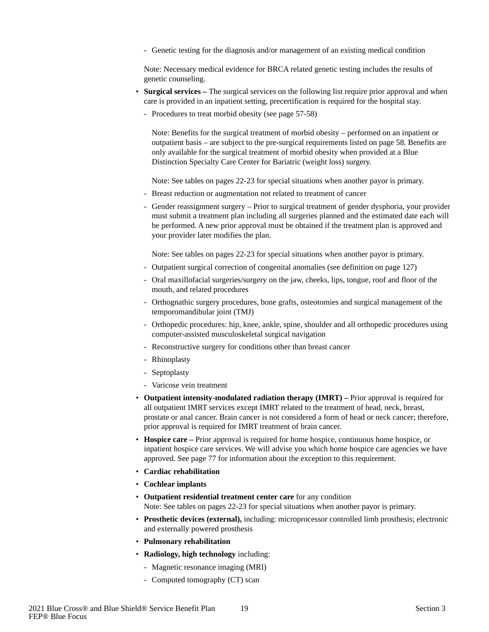- Genetic testing for the diagnosis and/or management of an existing medical condition

Note: Necessary medical evidence for BRCA related genetic testing includes the results of genetic counseling.

- **Surgical services** The surgical services on the following list require prior approval and when care is provided in an inpatient setting, precertification is required for the hospital stay.
	- Procedures to treat morbid obesity (see page 57-58)

Note: Benefits for the surgical treatment of morbid obesity – performed on an inpatient or outpatient basis – are subject to the pre-surgical requirements listed on page 58. Benefits are only available for the surgical treatment of morbid obesity when provided at a Blue Distinction Specialty Care Center for Bariatric (weight loss) surgery.

Note: See tables on pages 22-23 for special situations when another payor is primary.

- Breast reduction or augmentation not related to treatment of cancer
- Gender reassignment surgery Prior to surgical treatment of gender dysphoria, your provider must submit a treatment plan including all surgeries planned and the estimated date each will be performed. A new prior approval must be obtained if the treatment plan is approved and your provider later modifies the plan.

Note: See tables on pages 22-23 for special situations when another payor is primary.

- Outpatient surgical correction of congenital anomalies (see definition on page 127)
- Oral maxillofacial surgeries/surgery on the jaw, cheeks, lips, tongue, roof and floor of the mouth, and related procedures
- Orthognathic surgery procedures, bone grafts, osteotomies and surgical management of the temporomandibular joint (TMJ)
- Orthopedic procedures: hip, knee, ankle, spine, shoulder and all orthopedic procedures using computer-assisted musculoskeletal surgical navigation
- Reconstructive surgery for conditions other than breast cancer
- Rhinoplasty
- Septoplasty
- Varicose vein treatment
- **Outpatient intensity-modulated radiation therapy (IMRT)** Prior approval is required for all outpatient IMRT services except IMRT related to the treatment of head, neck, breast, prostate or anal cancer. Brain cancer is not considered a form of head or neck cancer; therefore, prior approval is required for IMRT treatment of brain cancer.
- **Hospice care** Prior approval is required for home hospice, continuous home hospice, or inpatient hospice care services. We will advise you which home hospice care agencies we have approved. See page 77 for information about the exception to this requirement.
- **Cardiac rehabilitation**
- **Cochlear implants**
- **Outpatient residential treatment center care** for any condition Note: See tables on pages 22-23 for special situations when another payor is primary.
- **Prosthetic devices (external),** including: microprocessor controlled limb prosthesis; electronic and externally powered prosthesis
- **Pulmonary rehabilitation**
- **Radiology, high technology** including:
	- Magnetic resonance imaging (MRI)
	- Computed tomography (CT) scan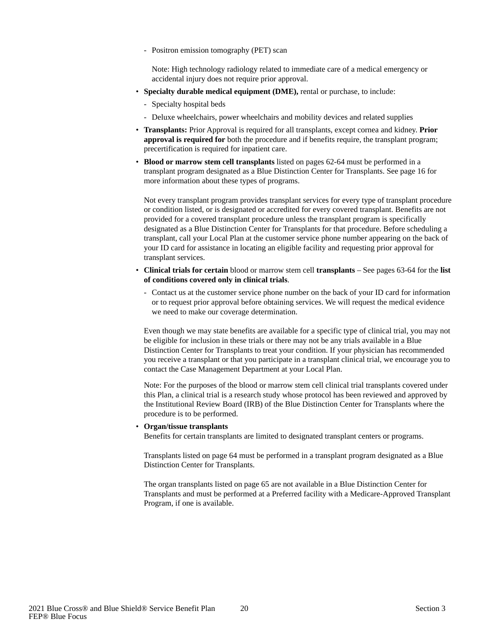- Positron emission tomography (PET) scan

Note: High technology radiology related to immediate care of a medical emergency or accidental injury does not require prior approval.

- **Specialty durable medical equipment (DME),** rental or purchase, to include:
	- Specialty hospital beds
	- Deluxe wheelchairs, power wheelchairs and mobility devices and related supplies
- **Transplants:** Prior Approval is required for all transplants, except cornea and kidney. **Prior approval is required for** both the procedure and if benefits require, the transplant program; precertification is required for inpatient care.
- **Blood or marrow stem cell transplants** listed on pages 62-64 must be performed in a transplant program designated as a Blue Distinction Center for Transplants. See page 16 for more information about these types of programs.

Not every transplant program provides transplant services for every type of transplant procedure or condition listed, or is designated or accredited for every covered transplant. Benefits are not provided for a covered transplant procedure unless the transplant program is specifically designated as a Blue Distinction Center for Transplants for that procedure. Before scheduling a transplant, call your Local Plan at the customer service phone number appearing on the back of your ID card for assistance in locating an eligible facility and requesting prior approval for transplant services.

- **Clinical trials for certain** blood or marrow stem cell **transplants** See pages 63-64 for the **list of conditions covered only in clinical trials**.
	- Contact us at the customer service phone number on the back of your ID card for information or to request prior approval before obtaining services. We will request the medical evidence we need to make our coverage determination.

Even though we may state benefits are available for a specific type of clinical trial, you may not be eligible for inclusion in these trials or there may not be any trials available in a Blue Distinction Center for Transplants to treat your condition. If your physician has recommended you receive a transplant or that you participate in a transplant clinical trial, we encourage you to contact the Case Management Department at your Local Plan.

Note: For the purposes of the blood or marrow stem cell clinical trial transplants covered under this Plan, a clinical trial is a research study whose protocol has been reviewed and approved by the Institutional Review Board (IRB) of the Blue Distinction Center for Transplants where the procedure is to be performed.

#### • **Organ/tissue transplants**

Benefits for certain transplants are limited to designated transplant centers or programs.

Transplants listed on page 64 must be performed in a transplant program designated as a Blue Distinction Center for Transplants.

The organ transplants listed on page 65 are not available in a Blue Distinction Center for Transplants and must be performed at a Preferred facility with a Medicare-Approved Transplant Program, if one is available.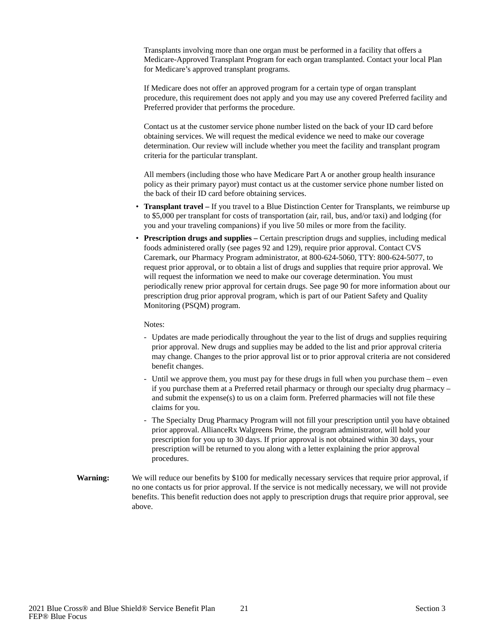Transplants involving more than one organ must be performed in a facility that offers a Medicare-Approved Transplant Program for each organ transplanted. Contact your local Plan for Medicare's approved transplant programs.

If Medicare does not offer an approved program for a certain type of organ transplant procedure, this requirement does not apply and you may use any covered Preferred facility and Preferred provider that performs the procedure.

Contact us at the customer service phone number listed on the back of your ID card before obtaining services. We will request the medical evidence we need to make our coverage determination. Our review will include whether you meet the facility and transplant program criteria for the particular transplant.

All members (including those who have Medicare Part A or another group health insurance policy as their primary payor) must contact us at the customer service phone number listed on the back of their ID card before obtaining services.

- **Transplant travel** If you travel to a Blue Distinction Center for Transplants, we reimburse up to \$5,000 per transplant for costs of transportation (air, rail, bus, and/or taxi) and lodging (for you and your traveling companions) if you live 50 miles or more from the facility.
- **Prescription drugs and supplies** Certain prescription drugs and supplies, including medical foods administered orally (see pages 92 and 129), require prior approval. Contact CVS Caremark, our Pharmacy Program administrator, at 800-624-5060, TTY: 800-624-5077, to request prior approval, or to obtain a list of drugs and supplies that require prior approval. We will request the information we need to make our coverage determination. You must periodically renew prior approval for certain drugs. See page 90 for more information about our prescription drug prior approval program, which is part of our Patient Safety and Quality Monitoring (PSQM) program.

#### Notes:

- Updates are made periodically throughout the year to the list of drugs and supplies requiring prior approval. New drugs and supplies may be added to the list and prior approval criteria may change. Changes to the prior approval list or to prior approval criteria are not considered benefit changes.
- Until we approve them, you must pay for these drugs in full when you purchase them even if you purchase them at a Preferred retail pharmacy or through our specialty drug pharmacy – and submit the expense(s) to us on a claim form. Preferred pharmacies will not file these claims for you.
- The Specialty Drug Pharmacy Program will not fill your prescription until you have obtained prior approval. AllianceRx Walgreens Prime, the program administrator, will hold your prescription for you up to 30 days. If prior approval is not obtained within 30 days, your prescription will be returned to you along with a letter explaining the prior approval procedures.
- We will reduce our benefits by \$100 for medically necessary services that require prior approval, if no one contacts us for prior approval. If the service is not medically necessary, we will not provide benefits. This benefit reduction does not apply to prescription drugs that require prior approval, see above. **Warning:**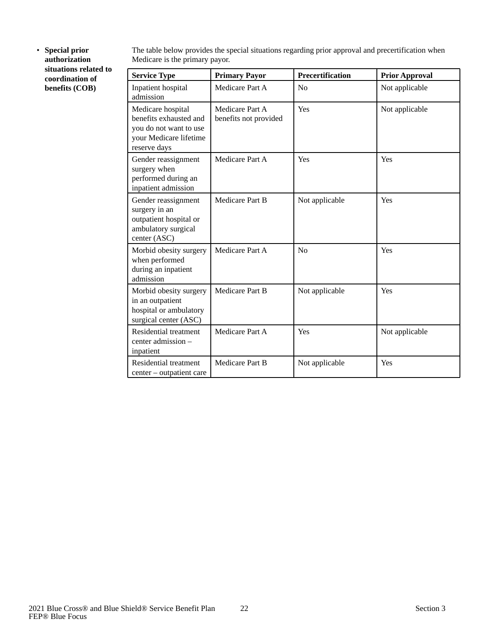<span id="page-23-0"></span>• **Special prior authorization situations related to coordination of benefits (COB)**

The table below provides the special situations regarding prior approval and precertification when Medicare is the primary payor.

| <b>Service Type</b>                                                                                             | <b>Primary Payor</b>                     | <b>Precertification</b> | <b>Prior Approval</b> |
|-----------------------------------------------------------------------------------------------------------------|------------------------------------------|-------------------------|-----------------------|
| Inpatient hospital<br>admission                                                                                 | Medicare Part A                          | No                      | Not applicable        |
| Medicare hospital<br>benefits exhausted and<br>you do not want to use<br>your Medicare lifetime<br>reserve days | Medicare Part A<br>benefits not provided | Yes                     | Not applicable        |
| Gender reassignment<br>surgery when<br>performed during an<br>inpatient admission                               | Medicare Part A                          | Yes                     | Yes                   |
| Gender reassignment<br>surgery in an<br>outpatient hospital or<br>ambulatory surgical<br>center (ASC)           | Medicare Part B                          | Not applicable          | Yes                   |
| Morbid obesity surgery<br>when performed<br>during an inpatient<br>admission                                    | Medicare Part A                          | No                      | Yes                   |
| Morbid obesity surgery<br>in an outpatient<br>hospital or ambulatory<br>surgical center (ASC)                   | Medicare Part B                          | Not applicable          | Yes                   |
| Residential treatment<br>center admission -<br>inpatient                                                        | Medicare Part A                          | Yes                     | Not applicable        |
| Residential treatment<br>center – outpatient care                                                               | Medicare Part B                          | Not applicable          | Yes                   |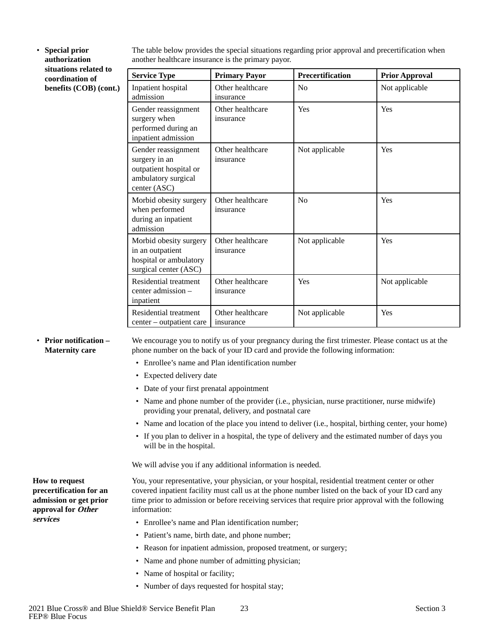• **Special prior authorization situations related to coordination of benefits (COB) (cont.)** The table below provides the special situations regarding prior approval and precertification when another healthcare insurance is the primary payor.

| <b>Service Type</b>                                                                                   | <b>Primary Payor</b>          | <b>Precertification</b> | <b>Prior Approval</b> |
|-------------------------------------------------------------------------------------------------------|-------------------------------|-------------------------|-----------------------|
| Inpatient hospital<br>admission                                                                       | Other healthcare<br>insurance | No                      | Not applicable        |
| Gender reassignment<br>surgery when<br>performed during an<br>inpatient admission                     | Other healthcare<br>insurance | Yes                     | Yes                   |
| Gender reassignment<br>surgery in an<br>outpatient hospital or<br>ambulatory surgical<br>center (ASC) | Other healthcare<br>insurance | Not applicable          | Yes                   |
| Morbid obesity surgery<br>when performed<br>during an inpatient<br>admission                          | Other healthcare<br>insurance | No                      | Yes                   |
| Morbid obesity surgery<br>in an outpatient<br>hospital or ambulatory<br>surgical center (ASC)         | Other healthcare<br>insurance | Not applicable          | Yes                   |
| Residential treatment<br>center admission –<br>inpatient                                              | Other healthcare<br>insurance | Yes                     | Not applicable        |
| Residential treatment<br>center – outpatient care                                                     | Other healthcare<br>insurance | Not applicable          | Yes                   |

<span id="page-24-0"></span>• **Prior notification – Maternity care**

<span id="page-24-1"></span>**How to request precertification for an admission or get prior approval for Other** 

**services**

We encourage you to notify us of your pregnancy during the first trimester. Please contact us at the phone number on the back of your ID card and provide the following information:

- Enrollee's name and Plan identification number
- Expected delivery date
- Date of your first prenatal appointment
- Name and phone number of the provider (i.e., physician, nurse practitioner, nurse midwife) providing your prenatal, delivery, and postnatal care
- Name and location of the place you intend to deliver (i.e., hospital, birthing center, your home)
- If you plan to deliver in a hospital, the type of delivery and the estimated number of days you will be in the hospital.

We will advise you if any additional information is needed.

You, your representative, your physician, or your hospital, residential treatment center or other covered inpatient facility must call us at the phone number listed on the back of your ID card any time prior to admission or before receiving services that require prior approval with the following information:

- Enrollee's name and Plan identification number;
- Patient's name, birth date, and phone number;
- Reason for inpatient admission, proposed treatment, or surgery;
- Name and phone number of admitting physician;
- Name of hospital or facility;
- Number of days requested for hospital stay;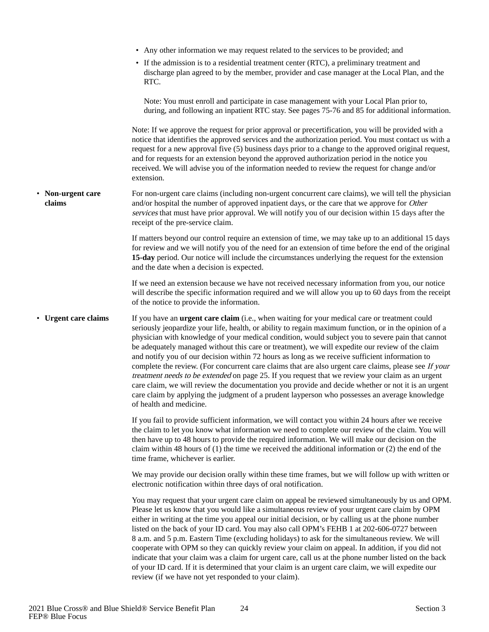<span id="page-25-1"></span><span id="page-25-0"></span>

|                             | • Any other information we may request related to the services to be provided; and                                                                                                                                                                                                                                                                                                                                                                                                                                                                                                                                                                                                                                                                                                                                                                                                                                                                                    |
|-----------------------------|-----------------------------------------------------------------------------------------------------------------------------------------------------------------------------------------------------------------------------------------------------------------------------------------------------------------------------------------------------------------------------------------------------------------------------------------------------------------------------------------------------------------------------------------------------------------------------------------------------------------------------------------------------------------------------------------------------------------------------------------------------------------------------------------------------------------------------------------------------------------------------------------------------------------------------------------------------------------------|
|                             | • If the admission is to a residential treatment center (RTC), a preliminary treatment and<br>discharge plan agreed to by the member, provider and case manager at the Local Plan, and the<br>RTC.                                                                                                                                                                                                                                                                                                                                                                                                                                                                                                                                                                                                                                                                                                                                                                    |
|                             | Note: You must enroll and participate in case management with your Local Plan prior to,<br>during, and following an inpatient RTC stay. See pages 75-76 and 85 for additional information.                                                                                                                                                                                                                                                                                                                                                                                                                                                                                                                                                                                                                                                                                                                                                                            |
|                             | Note: If we approve the request for prior approval or precertification, you will be provided with a<br>notice that identifies the approved services and the authorization period. You must contact us with a<br>request for a new approval five (5) business days prior to a change to the approved original request,<br>and for requests for an extension beyond the approved authorization period in the notice you<br>received. We will advise you of the information needed to review the request for change and/or<br>extension.                                                                                                                                                                                                                                                                                                                                                                                                                                 |
| • Non-urgent care<br>claims | For non-urgent care claims (including non-urgent concurrent care claims), we will tell the physician<br>and/or hospital the number of approved inpatient days, or the care that we approve for Other<br>services that must have prior approval. We will notify you of our decision within 15 days after the<br>receipt of the pre-service claim.                                                                                                                                                                                                                                                                                                                                                                                                                                                                                                                                                                                                                      |
|                             | If matters beyond our control require an extension of time, we may take up to an additional 15 days<br>for review and we will notify you of the need for an extension of time before the end of the original<br>15-day period. Our notice will include the circumstances underlying the request for the extension<br>and the date when a decision is expected.                                                                                                                                                                                                                                                                                                                                                                                                                                                                                                                                                                                                        |
|                             | If we need an extension because we have not received necessary information from you, our notice<br>will describe the specific information required and we will allow you up to 60 days from the receipt<br>of the notice to provide the information.                                                                                                                                                                                                                                                                                                                                                                                                                                                                                                                                                                                                                                                                                                                  |
| • Urgent care claims        | If you have an <b>urgent care claim</b> (i.e., when waiting for your medical care or treatment could<br>seriously jeopardize your life, health, or ability to regain maximum function, or in the opinion of a<br>physician with knowledge of your medical condition, would subject you to severe pain that cannot<br>be adequately managed without this care or treatment), we will expedite our review of the claim<br>and notify you of our decision within 72 hours as long as we receive sufficient information to<br>complete the review. (For concurrent care claims that are also urgent care claims, please see If your<br>treatment needs to be extended on page 25. If you request that we review your claim as an urgent<br>care claim, we will review the documentation you provide and decide whether or not it is an urgent<br>care claim by applying the judgment of a prudent layperson who possesses an average knowledge<br>of health and medicine. |
|                             | If you fail to provide sufficient information, we will contact you within 24 hours after we receive<br>the claim to let you know what information we need to complete our review of the claim. You will<br>then have up to 48 hours to provide the required information. We will make our decision on the<br>claim within 48 hours of $(1)$ the time we received the additional information or $(2)$ the end of the<br>time frame, whichever is earlier.                                                                                                                                                                                                                                                                                                                                                                                                                                                                                                              |
|                             | We may provide our decision orally within these time frames, but we will follow up with written or<br>electronic notification within three days of oral notification.                                                                                                                                                                                                                                                                                                                                                                                                                                                                                                                                                                                                                                                                                                                                                                                                 |
|                             | You may request that your urgent care claim on appeal be reviewed simultaneously by us and OPM.<br>Please let us know that you would like a simultaneous review of your urgent care claim by OPM<br>either in writing at the time you appeal our initial decision, or by calling us at the phone number<br>listed on the back of your ID card. You may also call OPM's FEHB 1 at 202-606-0727 between<br>8 a.m. and 5 p.m. Eastern Time (excluding holidays) to ask for the simultaneous review. We will<br>cooperate with OPM so they can quickly review your claim on appeal. In addition, if you did not<br>indicate that your claim was a claim for urgent care, call us at the phone number listed on the back<br>of your ID card. If it is determined that your claim is an urgent care claim, we will expedite our<br>review (if we have not yet responded to your claim).                                                                                     |
|                             |                                                                                                                                                                                                                                                                                                                                                                                                                                                                                                                                                                                                                                                                                                                                                                                                                                                                                                                                                                       |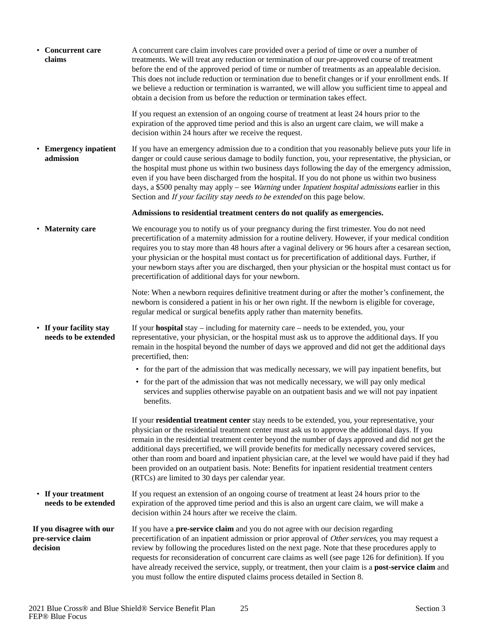<span id="page-26-5"></span><span id="page-26-4"></span><span id="page-26-3"></span><span id="page-26-2"></span><span id="page-26-1"></span><span id="page-26-0"></span>

| • Concurrent care<br>claims                               |                       | A concurrent care claim involves care provided over a period of time or over a number of<br>treatments. We will treat any reduction or termination of our pre-approved course of treatment<br>before the end of the approved period of time or number of treatments as an appealable decision.<br>This does not include reduction or termination due to benefit changes or if your enrollment ends. If<br>we believe a reduction or termination is warranted, we will allow you sufficient time to appeal and<br>obtain a decision from us before the reduction or termination takes effect.                                                                               |
|-----------------------------------------------------------|-----------------------|----------------------------------------------------------------------------------------------------------------------------------------------------------------------------------------------------------------------------------------------------------------------------------------------------------------------------------------------------------------------------------------------------------------------------------------------------------------------------------------------------------------------------------------------------------------------------------------------------------------------------------------------------------------------------|
|                                                           |                       | If you request an extension of an ongoing course of treatment at least 24 hours prior to the<br>expiration of the approved time period and this is also an urgent care claim, we will make a<br>decision within 24 hours after we receive the request.                                                                                                                                                                                                                                                                                                                                                                                                                     |
| admission                                                 | • Emergency inpatient | If you have an emergency admission due to a condition that you reasonably believe puts your life in<br>danger or could cause serious damage to bodily function, you, your representative, the physician, or<br>the hospital must phone us within two business days following the day of the emergency admission,<br>even if you have been discharged from the hospital. If you do not phone us within two business<br>days, a \$500 penalty may apply – see Warning under Inpatient hospital admissions earlier in this<br>Section and If your facility stay needs to be extended on this page below.                                                                      |
|                                                           |                       | Admissions to residential treatment centers do not qualify as emergencies.                                                                                                                                                                                                                                                                                                                                                                                                                                                                                                                                                                                                 |
| • Maternity care                                          |                       | We encourage you to notify us of your pregnancy during the first trimester. You do not need<br>precertification of a maternity admission for a routine delivery. However, if your medical condition<br>requires you to stay more than 48 hours after a vaginal delivery or 96 hours after a cesarean section,<br>your physician or the hospital must contact us for precertification of additional days. Further, if<br>your newborn stays after you are discharged, then your physician or the hospital must contact us for<br>precertification of additional days for your newborn.                                                                                      |
|                                                           |                       | Note: When a newborn requires definitive treatment during or after the mother's confinement, the<br>newborn is considered a patient in his or her own right. If the newborn is eligible for coverage,<br>regular medical or surgical benefits apply rather than maternity benefits.                                                                                                                                                                                                                                                                                                                                                                                        |
| • If your facility stay                                   | needs to be extended  | If your <b>hospital</b> stay $-$ including for maternity care $-$ needs to be extended, you, your<br>representative, your physician, or the hospital must ask us to approve the additional days. If you<br>remain in the hospital beyond the number of days we approved and did not get the additional days<br>precertified, then:                                                                                                                                                                                                                                                                                                                                         |
|                                                           |                       | • for the part of the admission that was medically necessary, we will pay inpatient benefits, but                                                                                                                                                                                                                                                                                                                                                                                                                                                                                                                                                                          |
|                                                           |                       | • for the part of the admission that was not medically necessary, we will pay only medical<br>services and supplies otherwise payable on an outpatient basis and we will not pay inpatient<br>benefits.                                                                                                                                                                                                                                                                                                                                                                                                                                                                    |
|                                                           |                       | If your residential treatment center stay needs to be extended, you, your representative, your<br>physician or the residential treatment center must ask us to approve the additional days. If you<br>remain in the residential treatment center beyond the number of days approved and did not get the<br>additional days precertified, we will provide benefits for medically necessary covered services,<br>other than room and board and inpatient physician care, at the level we would have paid if they had<br>been provided on an outpatient basis. Note: Benefits for inpatient residential treatment centers<br>(RTCs) are limited to 30 days per calendar year. |
| • If your treatment                                       | needs to be extended  | If you request an extension of an ongoing course of treatment at least 24 hours prior to the<br>expiration of the approved time period and this is also an urgent care claim, we will make a<br>decision within 24 hours after we receive the claim.                                                                                                                                                                                                                                                                                                                                                                                                                       |
| If you disagree with our<br>pre-service claim<br>decision |                       | If you have a <b>pre-service claim</b> and you do not agree with our decision regarding<br>precertification of an inpatient admission or prior approval of Other services, you may request a<br>review by following the procedures listed on the next page. Note that these procedures apply to<br>requests for reconsideration of concurrent care claims as well (see page 126 for definition). If you<br>have already received the service, supply, or treatment, then your claim is a <b>post-service claim</b> and<br>you must follow the entire disputed claims process detailed in Section 8.                                                                        |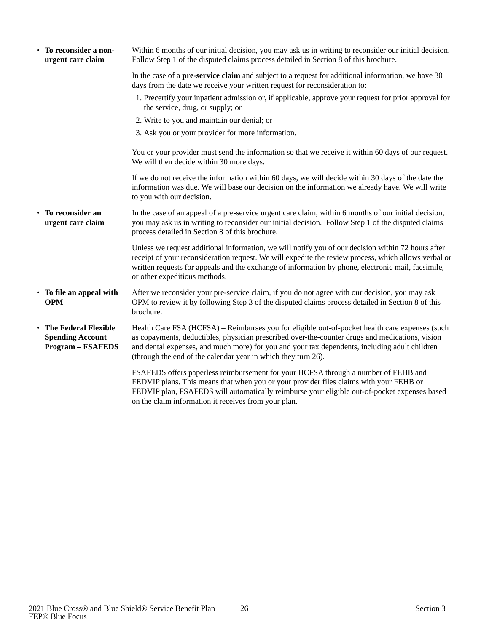<span id="page-27-3"></span><span id="page-27-2"></span><span id="page-27-1"></span><span id="page-27-0"></span>

| • To reconsider a non-<br>urgent care claim                                   | Within 6 months of our initial decision, you may ask us in writing to reconsider our initial decision.<br>Follow Step 1 of the disputed claims process detailed in Section 8 of this brochure.                                                                                                                                                                      |
|-------------------------------------------------------------------------------|---------------------------------------------------------------------------------------------------------------------------------------------------------------------------------------------------------------------------------------------------------------------------------------------------------------------------------------------------------------------|
|                                                                               | In the case of a <b>pre-service claim</b> and subject to a request for additional information, we have 30<br>days from the date we receive your written request for reconsideration to:                                                                                                                                                                             |
|                                                                               | 1. Precertify your inpatient admission or, if applicable, approve your request for prior approval for<br>the service, drug, or supply; or                                                                                                                                                                                                                           |
|                                                                               | 2. Write to you and maintain our denial; or                                                                                                                                                                                                                                                                                                                         |
|                                                                               | 3. Ask you or your provider for more information.                                                                                                                                                                                                                                                                                                                   |
|                                                                               | You or your provider must send the information so that we receive it within 60 days of our request.<br>We will then decide within 30 more days.                                                                                                                                                                                                                     |
|                                                                               | If we do not receive the information within 60 days, we will decide within 30 days of the date the<br>information was due. We will base our decision on the information we already have. We will write<br>to you with our decision.                                                                                                                                 |
| To reconsider an<br>$\bullet$<br>urgent care claim                            | In the case of an appeal of a pre-service urgent care claim, within 6 months of our initial decision,<br>you may ask us in writing to reconsider our initial decision. Follow Step 1 of the disputed claims<br>process detailed in Section 8 of this brochure.                                                                                                      |
|                                                                               | Unless we request additional information, we will notify you of our decision within 72 hours after<br>receipt of your reconsideration request. We will expedite the review process, which allows verbal or<br>written requests for appeals and the exchange of information by phone, electronic mail, facsimile,<br>or other expeditious methods.                   |
| • To file an appeal with<br><b>OPM</b>                                        | After we reconsider your pre-service claim, if you do not agree with our decision, you may ask<br>OPM to review it by following Step 3 of the disputed claims process detailed in Section 8 of this<br>brochure.                                                                                                                                                    |
| • The Federal Flexible<br><b>Spending Account</b><br><b>Program - FSAFEDS</b> | Health Care FSA (HCFSA) – Reimburses you for eligible out-of-pocket health care expenses (such<br>as copayments, deductibles, physician prescribed over-the-counter drugs and medications, vision<br>and dental expenses, and much more) for you and your tax dependents, including adult children<br>(through the end of the calendar year in which they turn 26). |
|                                                                               | FSAFEDS offers paperless reimbursement for your HCFSA through a number of FEHB and<br>FEDVIP plans. This means that when you or your provider files claims with your FEHB or<br>FEDVIP plan, FSAFEDS will automatically reimburse your eligible out-of-pocket expenses based<br>on the claim information it receives from your plan.                                |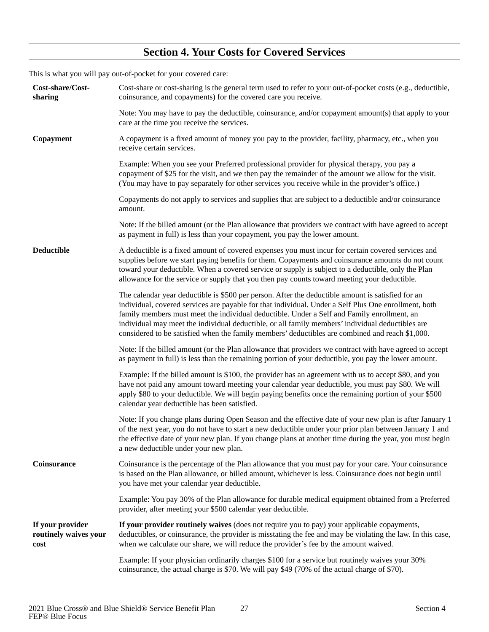### **Section 4. Your Costs for Covered Services**

<span id="page-28-0"></span>This is what you will pay out-of-pocket for your covered care:

<span id="page-28-5"></span><span id="page-28-4"></span><span id="page-28-3"></span><span id="page-28-2"></span><span id="page-28-1"></span>

| Cost-share/Cost-<br>sharing                       | Cost-share or cost-sharing is the general term used to refer to your out-of-pocket costs (e.g., deductible,<br>coinsurance, and copayments) for the covered care you receive.                                                                                                                                                                                                                                                                                                                                  |
|---------------------------------------------------|----------------------------------------------------------------------------------------------------------------------------------------------------------------------------------------------------------------------------------------------------------------------------------------------------------------------------------------------------------------------------------------------------------------------------------------------------------------------------------------------------------------|
|                                                   | Note: You may have to pay the deductible, coinsurance, and/or copayment amount(s) that apply to your<br>care at the time you receive the services.                                                                                                                                                                                                                                                                                                                                                             |
| Copayment                                         | A copayment is a fixed amount of money you pay to the provider, facility, pharmacy, etc., when you<br>receive certain services.                                                                                                                                                                                                                                                                                                                                                                                |
|                                                   | Example: When you see your Preferred professional provider for physical therapy, you pay a<br>copayment of \$25 for the visit, and we then pay the remainder of the amount we allow for the visit.<br>(You may have to pay separately for other services you receive while in the provider's office.)                                                                                                                                                                                                          |
|                                                   | Copayments do not apply to services and supplies that are subject to a deductible and/or coinsurance<br>amount.                                                                                                                                                                                                                                                                                                                                                                                                |
|                                                   | Note: If the billed amount (or the Plan allowance that providers we contract with have agreed to accept<br>as payment in full) is less than your copayment, you pay the lower amount.                                                                                                                                                                                                                                                                                                                          |
| <b>Deductible</b>                                 | A deductible is a fixed amount of covered expenses you must incur for certain covered services and<br>supplies before we start paying benefits for them. Copayments and coinsurance amounts do not count<br>toward your deductible. When a covered service or supply is subject to a deductible, only the Plan<br>allowance for the service or supply that you then pay counts toward meeting your deductible.                                                                                                 |
|                                                   | The calendar year deductible is \$500 per person. After the deductible amount is satisfied for an<br>individual, covered services are payable for that individual. Under a Self Plus One enrollment, both<br>family members must meet the individual deductible. Under a Self and Family enrollment, an<br>individual may meet the individual deductible, or all family members' individual deductibles are<br>considered to be satisfied when the family members' deductibles are combined and reach \$1,000. |
|                                                   | Note: If the billed amount (or the Plan allowance that providers we contract with have agreed to accept<br>as payment in full) is less than the remaining portion of your deductible, you pay the lower amount.                                                                                                                                                                                                                                                                                                |
|                                                   | Example: If the billed amount is \$100, the provider has an agreement with us to accept \$80, and you<br>have not paid any amount toward meeting your calendar year deductible, you must pay \$80. We will<br>apply \$80 to your deductible. We will begin paying benefits once the remaining portion of your \$500<br>calendar year deductible has been satisfied.                                                                                                                                            |
|                                                   | Note: If you change plans during Open Season and the effective date of your new plan is after January 1<br>of the next year, you do not have to start a new deductible under your prior plan between January 1 and<br>the effective date of your new plan. If you change plans at another time during the year, you must begin<br>a new deductible under your new plan.                                                                                                                                        |
| Coinsurance                                       | Coinsurance is the percentage of the Plan allowance that you must pay for your care. Your coinsurance<br>is based on the Plan allowance, or billed amount, whichever is less. Coinsurance does not begin until<br>you have met your calendar year deductible.                                                                                                                                                                                                                                                  |
|                                                   | Example: You pay 30% of the Plan allowance for durable medical equipment obtained from a Preferred<br>provider, after meeting your \$500 calendar year deductible.                                                                                                                                                                                                                                                                                                                                             |
| If your provider<br>routinely waives your<br>cost | If your provider routinely waives (does not require you to pay) your applicable copayments,<br>deductibles, or coinsurance, the provider is misstating the fee and may be violating the law. In this case,<br>when we calculate our share, we will reduce the provider's fee by the amount waived.                                                                                                                                                                                                             |
|                                                   | Example: If your physician ordinarily charges \$100 for a service but routinely waives your 30%<br>coinsurance, the actual charge is \$70. We will pay \$49 (70% of the actual charge of \$70).                                                                                                                                                                                                                                                                                                                |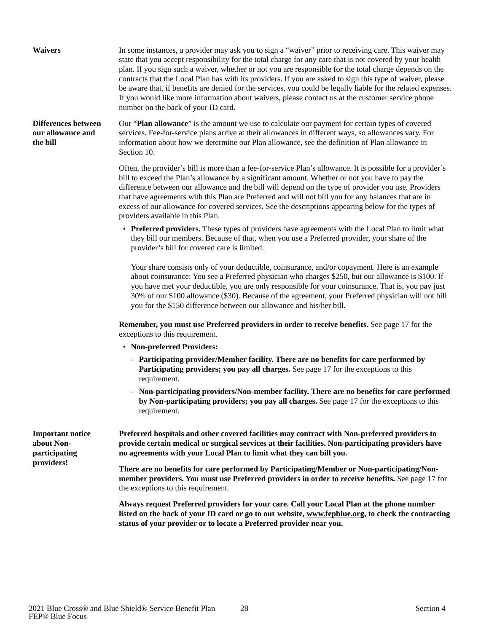<span id="page-29-1"></span><span id="page-29-0"></span>In some instances, a provider may ask you to sign a "waiver" prior to receiving care. This waiver may state that you accept responsibility for the total charge for any care that is not covered by your health plan. If you sign such a waiver, whether or not you are responsible for the total charge depends on the contracts that the Local Plan has with its providers. If you are asked to sign this type of waiver, please be aware that, if benefits are denied for the services, you could be legally liable for the related expenses. If you would like more information about waivers, please contact us at the customer service phone number on the back of your ID card. **Waivers** Our "**Plan allowance**" is the amount we use to calculate our payment for certain types of covered services. Fee-for-service plans arrive at their allowances in different ways, so allowances vary. For information about how we determine our Plan allowance, see the definition of Plan allowance in Section 10. Often, the provider's bill is more than a fee-for-service Plan's allowance. It is possible for a provider's bill to exceed the Plan's allowance by a significant amount. Whether or not you have to pay the difference between our allowance and the bill will depend on the type of provider you use. Providers that have agreements with this Plan are Preferred and will not bill you for any balances that are in excess of our allowance for covered services. See the descriptions appearing below for the types of providers available in this Plan. • **Preferred providers.** These types of providers have agreements with the Local Plan to limit what they bill our members. Because of that, when you use a Preferred provider, your share of the provider's bill for covered care is limited. Your share consists only of your deductible, coinsurance, and/or copayment. Here is an example about coinsurance: You see a Preferred physician who charges \$250, but our allowance is \$100. If you have met your deductible, you are only responsible for your coinsurance. That is, you pay just 30% of our \$100 allowance (\$30). Because of the agreement, your Preferred physician will not bill you for the \$150 difference between our allowance and his/her bill. **Remember, you must use Preferred providers in order to receive benefits.** See page 17 for the exceptions to this requirement. • **Non-preferred Providers:** - **Participating provider/Member facility. There are no benefits for care performed by Participating providers; you pay all charges.** See page 17 for the exceptions to this requirement. - **Non-participating providers/Non-member facility. There are no benefits for care performed by Non-participating providers; you pay all charges.** See page 17 for the exceptions to this requirement. **Differences between our allowance and the bill Preferred hospitals and other covered facilities may contract with Non-preferred providers to provide certain medical or surgical services at their facilities. Non-participating providers have no agreements with your Local Plan to limit what they can bill you. There are no benefits for care performed by Participating/Member or Non-participating/Nonmember providers. You must use Preferred providers in order to receive benefits.** See page 17 for the exceptions to this requirement. **Important notice about Nonparticipating providers!**

> <span id="page-29-2"></span>**Always request Preferred providers for your care. Call your Local Plan at the phone number listed on the back of your ID card or go to our website, www.fepblue.org, to check the contracting status of your provider or to locate a Preferred provider near you.**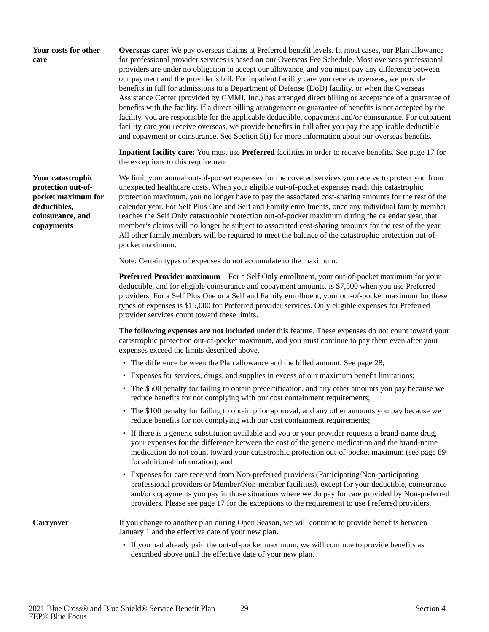#### <span id="page-30-0"></span>**Your costs for other care**

**Overseas care:** We pay overseas claims at Preferred benefit levels. In most cases, our Plan allowance for professional provider services is based on our Overseas Fee Schedule. Most overseas professional providers are under no obligation to accept our allowance, and you must pay any difference between our payment and the provider's bill. For inpatient facility care you receive overseas, we provide benefits in full for admissions to a Department of Defense (DoD) facility, or when the Overseas Assistance Center (provided by GMMI, Inc.) has arranged direct billing or acceptance of a guarantee of benefits with the facility. If a direct billing arrangement or guarantee of benefits is not accepted by the facility, you are responsible for the applicable deductible, copayment and/or coinsurance. For outpatient facility care you receive overseas, we provide benefits in full after you pay the applicable deductible and copayment or coinsurance. See Section 5(i) for more information about our overseas benefits.

**Inpatient facility care:** You must use **Preferred** facilities in order to receive benefits. See page 17 for the exceptions to this requirement.

We limit your annual out-of-pocket expenses for the covered services you receive to protect you from unexpected healthcare costs. When your eligible out-of-pocket expenses reach this catastrophic protection maximum, you no longer have to pay the associated cost-sharing amounts for the rest of the calendar year. For Self Plus One and Self and Family enrollments, once any individual family member reaches the Self Only catastrophic protection out-of-pocket maximum during the calendar year, that member's claims will no longer be subject to associated cost-sharing amounts for the rest of the year. All other family members will be required to meet the balance of the catastrophic protection out-ofpocket maximum.

Note: Certain types of expenses do not accumulate to the maximum.

**Preferred Provider maximum** – For a Self Only enrollment, your out-of-pocket maximum for your deductible, and for eligible coinsurance and copayment amounts, is \$7,500 when you use Preferred providers. For a Self Plus One or a Self and Family enrollment, your out-of-pocket maximum for these types of expenses is \$15,000 for Preferred provider services. Only eligible expenses for Preferred provider services count toward these limits.

**The following expenses are not included** under this feature. These expenses do not count toward your catastrophic protection out-of-pocket maximum, and you must continue to pay them even after your expenses exceed the limits described above.

- The difference between the Plan allowance and the billed amount. See page 28;
- Expenses for services, drugs, and supplies in excess of our maximum benefit limitations;
- The \$500 penalty for failing to obtain precertification, and any other amounts you pay because we reduce benefits for not complying with our cost containment requirements;
- The \$100 penalty for failing to obtain prior approval, and any other amounts you pay because we reduce benefits for not complying with our cost containment requirements;
- If there is a generic substitution available and you or your provider requests a brand-name drug, your expenses for the difference between the cost of the generic medication and the brand-name medication do not count toward your catastrophic protection out-of-pocket maximum (see page 89 for additional information); and
- Expenses for care received from Non-preferred providers (Participating/Non-participating professional providers or Member/Non-member facilities), except for your deductible, coinsurance and/or copayments you pay in those situations where we do pay for care provided by Non-preferred providers. Please see page 17 for the exceptions to the requirement to use Preferred providers.

<span id="page-30-2"></span>**Carryover**

If you change to another plan during Open Season, we will continue to provide benefits between January 1 and the effective date of your new plan.

• If you had already paid the out-of-pocket maximum, we will continue to provide benefits as described above until the effective date of your new plan.

<span id="page-30-1"></span>**Your catastrophic protection out-ofpocket maximum for deductibles, coinsurance, and copayments**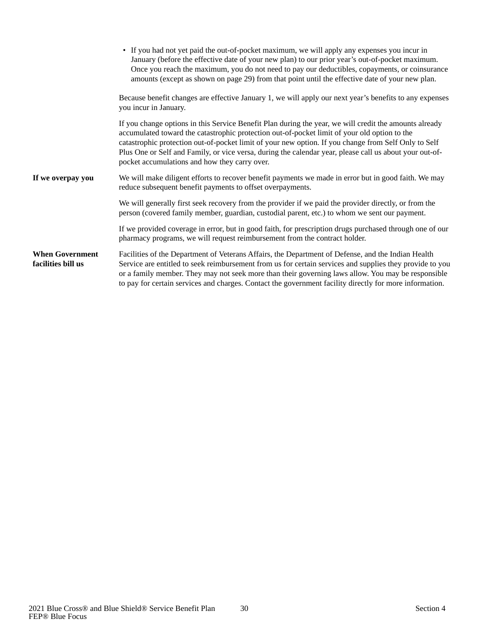<span id="page-31-1"></span><span id="page-31-0"></span>

|                                              | • If you had not yet paid the out-of-pocket maximum, we will apply any expenses you incur in<br>January (before the effective date of your new plan) to our prior year's out-of-pocket maximum.<br>Once you reach the maximum, you do not need to pay our deductibles, copayments, or coinsurance<br>amounts (except as shown on page 29) from that point until the effective date of your new plan.                                                                       |
|----------------------------------------------|----------------------------------------------------------------------------------------------------------------------------------------------------------------------------------------------------------------------------------------------------------------------------------------------------------------------------------------------------------------------------------------------------------------------------------------------------------------------------|
|                                              | Because benefit changes are effective January 1, we will apply our next year's benefits to any expenses<br>you incur in January.                                                                                                                                                                                                                                                                                                                                           |
|                                              | If you change options in this Service Benefit Plan during the year, we will credit the amounts already<br>accumulated toward the catastrophic protection out-of-pocket limit of your old option to the<br>catastrophic protection out-of-pocket limit of your new option. If you change from Self Only to Self<br>Plus One or Self and Family, or vice versa, during the calendar year, please call us about your out-of-<br>pocket accumulations and how they carry over. |
| If we overpay you                            | We will make diligent efforts to recover benefit payments we made in error but in good faith. We may<br>reduce subsequent benefit payments to offset overpayments.                                                                                                                                                                                                                                                                                                         |
|                                              | We will generally first seek recovery from the provider if we paid the provider directly, or from the<br>person (covered family member, guardian, custodial parent, etc.) to whom we sent our payment.                                                                                                                                                                                                                                                                     |
|                                              | If we provided coverage in error, but in good faith, for prescription drugs purchased through one of our<br>pharmacy programs, we will request reimbursement from the contract holder.                                                                                                                                                                                                                                                                                     |
| <b>When Government</b><br>facilities bill us | Facilities of the Department of Veterans Affairs, the Department of Defense, and the Indian Health<br>Service are entitled to seek reimbursement from us for certain services and supplies they provide to you<br>or a family member. They may not seek more than their governing laws allow. You may be responsible<br>to pay for certain services and charges. Contact the government facility directly for more information.                                            |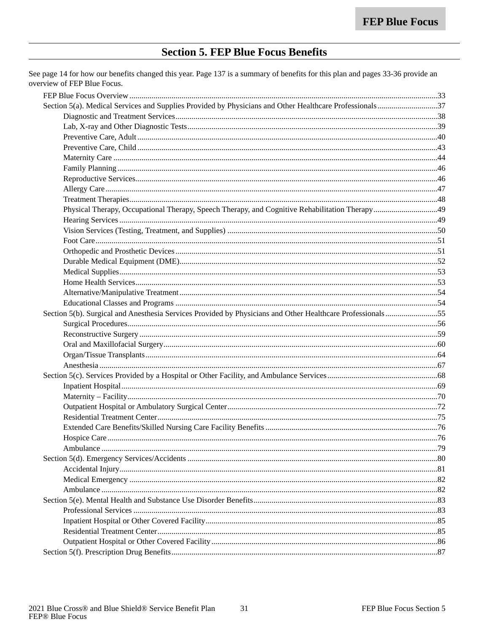### **Section 5. FEP Blue Focus Benefits**

<span id="page-32-0"></span>See page 14 for how our benefits changed this year. Page 137 is a summary of benefits for this plan and pages 33-36 provide an overview of FEP Blue Focus.

| Section 5(b). Surgical and Anesthesia Services Provided by Physicians and Other Healthcare Professionals55 |  |
|------------------------------------------------------------------------------------------------------------|--|
|                                                                                                            |  |
|                                                                                                            |  |
|                                                                                                            |  |
|                                                                                                            |  |
|                                                                                                            |  |
|                                                                                                            |  |
|                                                                                                            |  |
|                                                                                                            |  |
|                                                                                                            |  |
|                                                                                                            |  |
|                                                                                                            |  |
|                                                                                                            |  |
|                                                                                                            |  |
|                                                                                                            |  |
|                                                                                                            |  |
|                                                                                                            |  |
|                                                                                                            |  |
|                                                                                                            |  |
|                                                                                                            |  |
|                                                                                                            |  |
|                                                                                                            |  |
|                                                                                                            |  |
|                                                                                                            |  |
|                                                                                                            |  |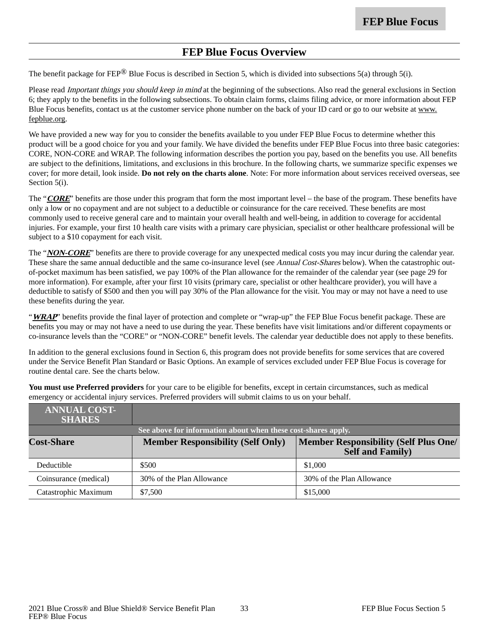### **FEP Blue Focus Overview**

<span id="page-34-0"></span>The benefit package for FEP<sup>®</sup> Blue Focus is described in Section 5, which is divided into subsections 5(a) through 5(i).

Please read *Important things you should keep in mind* at the beginning of the subsections. Also read the general exclusions in Section 6; they apply to the benefits in the following subsections. To obtain claim forms, claims filing advice, or more information about FEP Blue Focus benefits, contact us at the customer service phone number on the back of your ID card or go to our website at www. fepblue.org.

We have provided a new way for you to consider the benefits available to you under FEP Blue Focus to determine whether this product will be a good choice for you and your family. We have divided the benefits under FEP Blue Focus into three basic categories: CORE, NON-CORE and WRAP. The following information describes the portion you pay, based on the benefits you use. All benefits are subject to the definitions, limitations, and exclusions in this brochure. In the following charts, we summarize specific expenses we cover; for more detail, look inside. **Do not rely on the charts alone**. Note: For more information about services received overseas, see Section 5(i).

The "**CORE**" benefits are those under this program that form the most important level – the base of the program. These benefits have only a low or no copayment and are not subject to a deductible or coinsurance for the care received. These benefits are most commonly used to receive general care and to maintain your overall health and well-being, in addition to coverage for accidental injuries. For example, your first 10 health care visits with a primary care physician, specialist or other healthcare professional will be subject to a \$10 copayment for each visit.

The "**NON-CORE**" benefits are there to provide coverage for any unexpected medical costs you may incur during the calendar year. These share the same annual deductible and the same co-insurance level (see Annual Cost-Shares below). When the catastrophic outof-pocket maximum has been satisfied, we pay 100% of the Plan allowance for the remainder of the calendar year (see page 29 for more information). For example, after your first 10 visits (primary care, specialist or other healthcare provider), you will have a deductible to satisfy of \$500 and then you will pay 30% of the Plan allowance for the visit. You may or may not have a need to use these benefits during the year.

"**WRAP**" benefits provide the final layer of protection and complete or "wrap-up" the FEP Blue Focus benefit package. These are benefits you may or may not have a need to use during the year. These benefits have visit limitations and/or different copayments or co-insurance levels than the "CORE" or "NON-CORE" benefit levels. The calendar year deductible does not apply to these benefits.

In addition to the general exclusions found in Section 6, this program does not provide benefits for some services that are covered under the Service Benefit Plan Standard or Basic Options. An example of services excluded under FEP Blue Focus is coverage for routine dental care. See the charts below.

**You must use Preferred providers** for your care to be eligible for benefits, except in certain circumstances, such as medical emergency or accidental injury services. Preferred providers will submit claims to us on your behalf.

| <b>ANNUAL COST-</b><br><b>SHARES</b>                          |                                          |                                                                         |
|---------------------------------------------------------------|------------------------------------------|-------------------------------------------------------------------------|
| See above for information about when these cost-shares apply. |                                          |                                                                         |
| <b>Cost-Share</b>                                             | <b>Member Responsibility (Self Only)</b> | <b>Member Responsibility (Self Plus One/</b><br><b>Self and Family)</b> |
| Deductible                                                    | \$500                                    | \$1,000                                                                 |
| Coinsurance (medical)                                         | 30% of the Plan Allowance                | 30% of the Plan Allowance                                               |
| Catastrophic Maximum                                          | \$7,500                                  | \$15,000                                                                |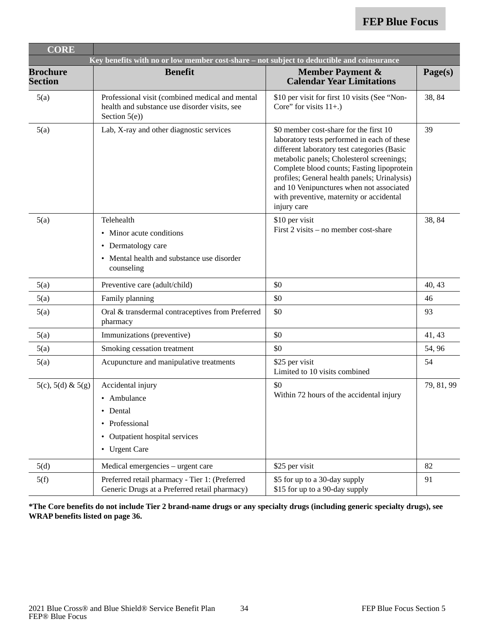| <b>CORE</b>                       |                                                                                                                          |                                                                                                                                                                                                                                                                                                                                                                                        |            |
|-----------------------------------|--------------------------------------------------------------------------------------------------------------------------|----------------------------------------------------------------------------------------------------------------------------------------------------------------------------------------------------------------------------------------------------------------------------------------------------------------------------------------------------------------------------------------|------------|
|                                   | Key benefits with no or low member cost-share – not subject to deductible and coinsurance                                |                                                                                                                                                                                                                                                                                                                                                                                        |            |
| <b>Brochure</b><br><b>Section</b> | <b>Benefit</b>                                                                                                           | <b>Member Payment &amp;</b><br><b>Calendar Year Limitations</b>                                                                                                                                                                                                                                                                                                                        | Page(s)    |
| 5(a)                              | Professional visit (combined medical and mental<br>health and substance use disorder visits, see<br>Section $5(e)$ )     | \$10 per visit for first 10 visits (See "Non-<br>Core" for visits $11+$ .)                                                                                                                                                                                                                                                                                                             | 38, 84     |
| 5(a)                              | Lab, X-ray and other diagnostic services                                                                                 | \$0 member cost-share for the first 10<br>laboratory tests performed in each of these<br>different laboratory test categories (Basic<br>metabolic panels; Cholesterol screenings;<br>Complete blood counts; Fasting lipoprotein<br>profiles; General health panels; Urinalysis)<br>and 10 Venipunctures when not associated<br>with preventive, maternity or accidental<br>injury care | 39         |
| 5(a)                              | Telehealth<br>• Minor acute conditions<br>• Dermatology care<br>• Mental health and substance use disorder<br>counseling | \$10 per visit<br>First 2 visits – no member cost-share                                                                                                                                                                                                                                                                                                                                | 38, 84     |
| 5(a)                              | Preventive care (adult/child)                                                                                            | \$0                                                                                                                                                                                                                                                                                                                                                                                    | 40, 43     |
| 5(a)                              | Family planning                                                                                                          | \$0                                                                                                                                                                                                                                                                                                                                                                                    | 46         |
| 5(a)                              | Oral & transdermal contraceptives from Preferred<br>pharmacy                                                             | \$0                                                                                                                                                                                                                                                                                                                                                                                    | 93         |
| 5(a)                              | Immunizations (preventive)                                                                                               | \$0                                                                                                                                                                                                                                                                                                                                                                                    | 41, 43     |
| 5(a)                              | Smoking cessation treatment                                                                                              | \$0                                                                                                                                                                                                                                                                                                                                                                                    | 54, 96     |
| 5(a)                              | Acupuncture and manipulative treatments                                                                                  | \$25 per visit<br>Limited to 10 visits combined                                                                                                                                                                                                                                                                                                                                        | 54         |
| $5(c), 5(d) \& 5(g)$              | Accidental injury<br>• Ambulance<br>• Dental<br>• Professional<br>• Outpatient hospital services<br>• Urgent Care        | \$0<br>Within 72 hours of the accidental injury                                                                                                                                                                                                                                                                                                                                        | 79, 81, 99 |
| 5(d)                              | Medical emergencies – urgent care                                                                                        | \$25 per visit                                                                                                                                                                                                                                                                                                                                                                         | 82         |
| 5(f)                              | Preferred retail pharmacy - Tier 1: (Preferred<br>Generic Drugs at a Preferred retail pharmacy)                          | \$5 for up to a 30-day supply<br>\$15 for up to a 90-day supply                                                                                                                                                                                                                                                                                                                        | 91         |

**\*The Core benefits do not include Tier 2 brand-name drugs or any specialty drugs (including generic specialty drugs), see WRAP benefits listed on page 36.**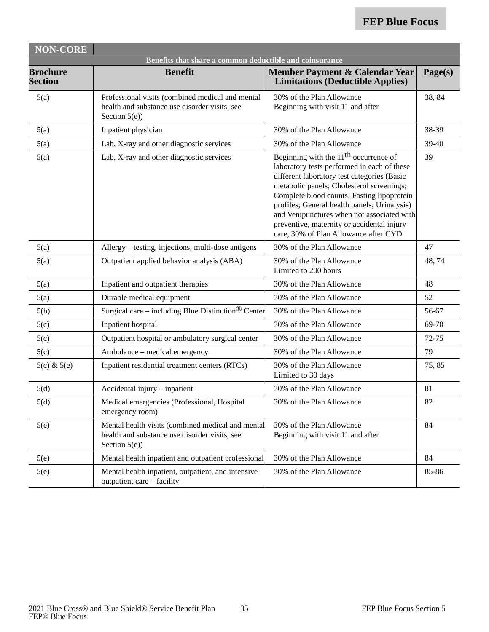| <b>NON-CORE</b>                                         |                                                                                                                        |                                                                                                                                                                                                                                                                                                                                                                                                                       |           |  |
|---------------------------------------------------------|------------------------------------------------------------------------------------------------------------------------|-----------------------------------------------------------------------------------------------------------------------------------------------------------------------------------------------------------------------------------------------------------------------------------------------------------------------------------------------------------------------------------------------------------------------|-----------|--|
| Benefits that share a common deductible and coinsurance |                                                                                                                        |                                                                                                                                                                                                                                                                                                                                                                                                                       |           |  |
| <b>Brochure</b><br><b>Section</b>                       | <b>Benefit</b>                                                                                                         | Member Payment & Calendar Year<br><b>Limitations (Deductible Applies)</b>                                                                                                                                                                                                                                                                                                                                             | Page(s)   |  |
| 5(a)                                                    | Professional visits (combined medical and mental<br>health and substance use disorder visits, see<br>Section $5(e)$ )  | 30% of the Plan Allowance<br>Beginning with visit 11 and after                                                                                                                                                                                                                                                                                                                                                        | 38, 84    |  |
| 5(a)                                                    | Inpatient physician                                                                                                    | 30% of the Plan Allowance                                                                                                                                                                                                                                                                                                                                                                                             | 38-39     |  |
| 5(a)                                                    | Lab, X-ray and other diagnostic services                                                                               | 30% of the Plan Allowance                                                                                                                                                                                                                                                                                                                                                                                             | 39-40     |  |
| 5(a)                                                    | Lab, X-ray and other diagnostic services                                                                               | Beginning with the $11th$ occurrence of<br>laboratory tests performed in each of these<br>different laboratory test categories (Basic<br>metabolic panels; Cholesterol screenings;<br>Complete blood counts; Fasting lipoprotein<br>profiles; General health panels; Urinalysis)<br>and Venipunctures when not associated with<br>preventive, maternity or accidental injury<br>care, 30% of Plan Allowance after CYD | 39        |  |
| 5(a)                                                    | Allergy – testing, injections, multi-dose antigens                                                                     | 30% of the Plan Allowance                                                                                                                                                                                                                                                                                                                                                                                             | 47        |  |
| 5(a)                                                    | Outpatient applied behavior analysis (ABA)                                                                             | 30% of the Plan Allowance<br>Limited to 200 hours                                                                                                                                                                                                                                                                                                                                                                     | 48, 74    |  |
| 5(a)                                                    | Inpatient and outpatient therapies                                                                                     | 30% of the Plan Allowance                                                                                                                                                                                                                                                                                                                                                                                             | 48        |  |
| 5(a)                                                    | Durable medical equipment                                                                                              | 30% of the Plan Allowance                                                                                                                                                                                                                                                                                                                                                                                             | 52        |  |
| 5(b)                                                    | Surgical care - including Blue Distinction <sup>®</sup> Center                                                         | 30% of the Plan Allowance                                                                                                                                                                                                                                                                                                                                                                                             | 56-67     |  |
| 5(c)                                                    | Inpatient hospital                                                                                                     | 30% of the Plan Allowance                                                                                                                                                                                                                                                                                                                                                                                             | 69-70     |  |
| 5(c)                                                    | Outpatient hospital or ambulatory surgical center                                                                      | 30% of the Plan Allowance                                                                                                                                                                                                                                                                                                                                                                                             | $72 - 75$ |  |
| 5(c)                                                    | Ambulance - medical emergency                                                                                          | 30% of the Plan Allowance                                                                                                                                                                                                                                                                                                                                                                                             | 79        |  |
| $5(c)$ & $5(e)$                                         | Inpatient residential treatment centers (RTCs)                                                                         | 30% of the Plan Allowance<br>Limited to 30 days                                                                                                                                                                                                                                                                                                                                                                       | 75,85     |  |
| 5(d)                                                    | Accidental injury - inpatient                                                                                          | 30% of the Plan Allowance                                                                                                                                                                                                                                                                                                                                                                                             | 81        |  |
| 5(d)                                                    | Medical emergencies (Professional, Hospital<br>emergency room)                                                         | 30% of the Plan Allowance                                                                                                                                                                                                                                                                                                                                                                                             | 82        |  |
| 5(e)                                                    | Mental health visits (combined medical and mental<br>health and substance use disorder visits, see<br>Section $5(e)$ ) | 30% of the Plan Allowance<br>Beginning with visit 11 and after                                                                                                                                                                                                                                                                                                                                                        | 84        |  |
| 5(e)                                                    | Mental health inpatient and outpatient professional                                                                    | 30% of the Plan Allowance                                                                                                                                                                                                                                                                                                                                                                                             | 84        |  |
| 5(e)                                                    | Mental health inpatient, outpatient, and intensive<br>outpatient care - facility                                       | 30% of the Plan Allowance                                                                                                                                                                                                                                                                                                                                                                                             | 85-86     |  |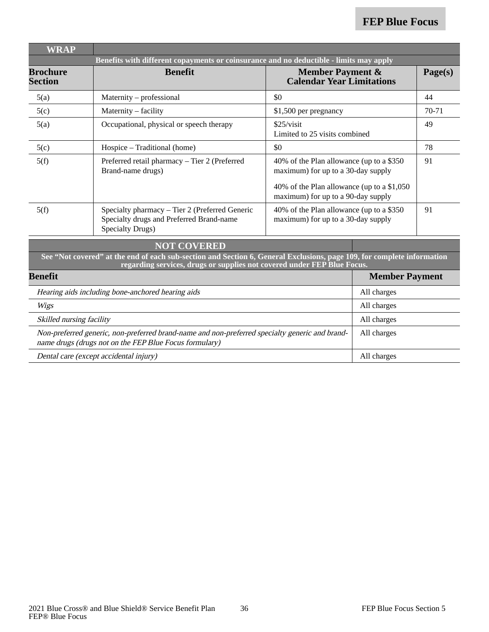| <b>WRAP</b>                                                                                                                                                             |                                                                                                                                                                                                   |                                                                                   |                       |         |
|-------------------------------------------------------------------------------------------------------------------------------------------------------------------------|---------------------------------------------------------------------------------------------------------------------------------------------------------------------------------------------------|-----------------------------------------------------------------------------------|-----------------------|---------|
|                                                                                                                                                                         | Benefits with different copayments or coinsurance and no deductible - limits may apply                                                                                                            |                                                                                   |                       |         |
| <b>Brochure</b><br><b>Section</b>                                                                                                                                       | <b>Benefit</b>                                                                                                                                                                                    | <b>Member Payment &amp;</b><br><b>Calendar Year Limitations</b>                   |                       | Page(s) |
| 5(a)                                                                                                                                                                    | Maternity – professional                                                                                                                                                                          | \$0                                                                               |                       | 44      |
| 5(c)                                                                                                                                                                    | Maternity - facility                                                                                                                                                                              | \$1,500 per pregnancy                                                             |                       | $70-71$ |
| 5(a)                                                                                                                                                                    | Occupational, physical or speech therapy                                                                                                                                                          | \$25/visit<br>Limited to 25 visits combined                                       |                       | 49      |
| 5(c)                                                                                                                                                                    | Hospice – Traditional (home)                                                                                                                                                                      | \$0                                                                               |                       | 78      |
| 5(f)                                                                                                                                                                    | Preferred retail pharmacy - Tier 2 (Preferred<br>Brand-name drugs)                                                                                                                                | 40% of the Plan allowance (up to a \$350<br>maximum) for up to a 30-day supply    |                       | 91      |
|                                                                                                                                                                         |                                                                                                                                                                                                   | 40% of the Plan allowance (up to a \$1,050)<br>maximum) for up to a 90-day supply |                       |         |
| 5(f)                                                                                                                                                                    | Specialty pharmacy - Tier 2 (Preferred Generic<br>Specialty drugs and Preferred Brand-name<br><b>Specialty Drugs)</b>                                                                             | 40% of the Plan allowance (up to a \$350<br>maximum) for up to a 30-day supply    |                       | 91      |
|                                                                                                                                                                         | <b>NOT COVERED</b>                                                                                                                                                                                |                                                                                   |                       |         |
|                                                                                                                                                                         | See "Not covered" at the end of each sub-section and Section 6, General Exclusions, page 109, for complete information<br>regarding services, drugs or supplies not covered under FEP Blue Focus. |                                                                                   |                       |         |
| <b>Benefit</b>                                                                                                                                                          |                                                                                                                                                                                                   |                                                                                   | <b>Member Payment</b> |         |
|                                                                                                                                                                         | Hearing aids including bone-anchored hearing aids                                                                                                                                                 |                                                                                   | All charges           |         |
| All charges<br>Wigs                                                                                                                                                     |                                                                                                                                                                                                   |                                                                                   |                       |         |
| Skilled nursing facility<br>All charges                                                                                                                                 |                                                                                                                                                                                                   |                                                                                   |                       |         |
| Non-preferred generic, non-preferred brand-name and non-preferred specialty generic and brand-<br>All charges<br>name drugs (drugs not on the FEP Blue Focus formulary) |                                                                                                                                                                                                   |                                                                                   |                       |         |
| All charges<br>Dental care (except accidental injury)                                                                                                                   |                                                                                                                                                                                                   |                                                                                   |                       |         |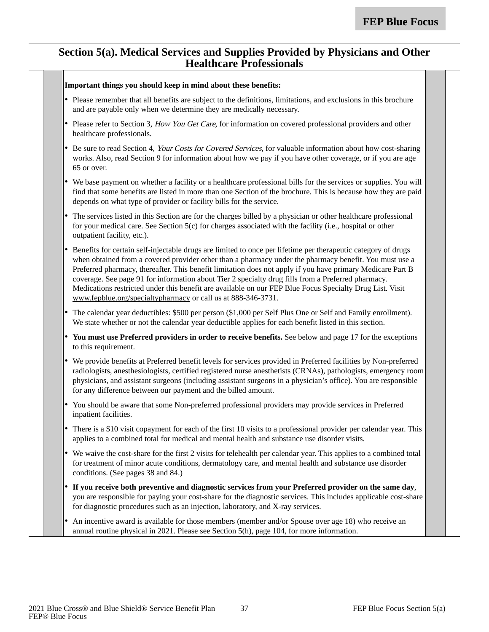#### **Section 5(a). Medical Services and Supplies Provided by Physicians and Other Healthcare Professionals**

|           | Important things you should keep in mind about these benefits:                                                                                                                                                                                                                                                                                                                                                                                                                                                                                                                                                           |
|-----------|--------------------------------------------------------------------------------------------------------------------------------------------------------------------------------------------------------------------------------------------------------------------------------------------------------------------------------------------------------------------------------------------------------------------------------------------------------------------------------------------------------------------------------------------------------------------------------------------------------------------------|
|           | • Please remember that all benefits are subject to the definitions, limitations, and exclusions in this brochure<br>and are payable only when we determine they are medically necessary.                                                                                                                                                                                                                                                                                                                                                                                                                                 |
|           | • Please refer to Section 3, How You Get Care, for information on covered professional providers and other<br>healthcare professionals.                                                                                                                                                                                                                                                                                                                                                                                                                                                                                  |
|           | • Be sure to read Section 4, Your Costs for Covered Services, for valuable information about how cost-sharing<br>works. Also, read Section 9 for information about how we pay if you have other coverage, or if you are age<br>65 or over.                                                                                                                                                                                                                                                                                                                                                                               |
|           | • We base payment on whether a facility or a healthcare professional bills for the services or supplies. You will<br>find that some benefits are listed in more than one Section of the brochure. This is because how they are paid<br>depends on what type of provider or facility bills for the service.                                                                                                                                                                                                                                                                                                               |
| $\bullet$ | The services listed in this Section are for the charges billed by a physician or other healthcare professional<br>for your medical care. See Section 5(c) for charges associated with the facility (i.e., hospital or other<br>outpatient facility, etc.).                                                                                                                                                                                                                                                                                                                                                               |
|           | Benefits for certain self-injectable drugs are limited to once per lifetime per therapeutic category of drugs<br>when obtained from a covered provider other than a pharmacy under the pharmacy benefit. You must use a<br>Preferred pharmacy, thereafter. This benefit limitation does not apply if you have primary Medicare Part B<br>coverage. See page 91 for information about Tier 2 specialty drug fills from a Preferred pharmacy.<br>Medications restricted under this benefit are available on our FEP Blue Focus Specialty Drug List. Visit<br>www.fepblue.org/specialtypharmacy or call us at 888-346-3731. |
|           | • The calendar year deductibles: \$500 per person (\$1,000 per Self Plus One or Self and Family enrollment).<br>We state whether or not the calendar year deductible applies for each benefit listed in this section.                                                                                                                                                                                                                                                                                                                                                                                                    |
|           | • You must use Preferred providers in order to receive benefits. See below and page 17 for the exceptions<br>to this requirement.                                                                                                                                                                                                                                                                                                                                                                                                                                                                                        |
|           | • We provide benefits at Preferred benefit levels for services provided in Preferred facilities by Non-preferred<br>radiologists, anesthesiologists, certified registered nurse anesthetists (CRNAs), pathologists, emergency room<br>physicians, and assistant surgeons (including assistant surgeons in a physician's office). You are responsible<br>for any difference between our payment and the billed amount.                                                                                                                                                                                                    |
| $\bullet$ | You should be aware that some Non-preferred professional providers may provide services in Preferred<br>inpatient facilities.                                                                                                                                                                                                                                                                                                                                                                                                                                                                                            |
|           | • There is a \$10 visit copayment for each of the first 10 visits to a professional provider per calendar year. This<br>applies to a combined total for medical and mental health and substance use disorder visits.                                                                                                                                                                                                                                                                                                                                                                                                     |
|           | • We waive the cost-share for the first 2 visits for telehealth per calendar year. This applies to a combined total<br>for treatment of minor acute conditions, dermatology care, and mental health and substance use disorder<br>conditions. (See pages 38 and 84.)                                                                                                                                                                                                                                                                                                                                                     |
|           | If you receive both preventive and diagnostic services from your Preferred provider on the same day,<br>you are responsible for paying your cost-share for the diagnostic services. This includes applicable cost-share<br>for diagnostic procedures such as an injection, laboratory, and X-ray services.                                                                                                                                                                                                                                                                                                               |
| ٠         | An incentive award is available for those members (member and/or Spouse over age 18) who receive an<br>annual routine physical in 2021. Please see Section 5(h), page 104, for more information.                                                                                                                                                                                                                                                                                                                                                                                                                         |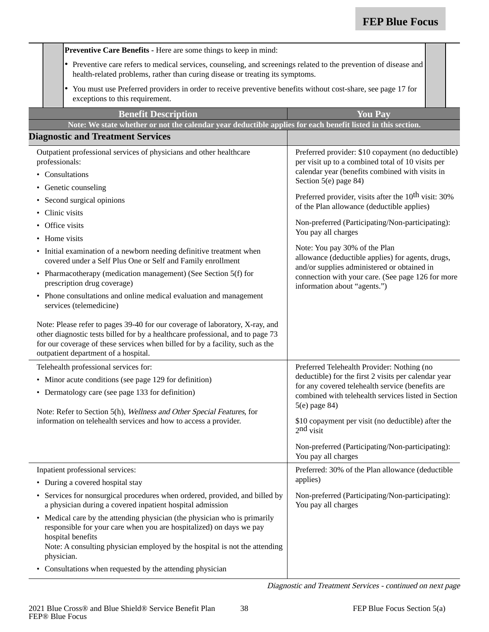|           |                                                                                                                                                                                                    | Preventive Care Benefits - Here are some things to keep in mind:                                                                                                                                                                                                                                                                                                                                                                                                                                      |                                                                                                                                                                                                                                                                                                                                                                                                                                                                                                                                                                                                            |  |
|-----------|----------------------------------------------------------------------------------------------------------------------------------------------------------------------------------------------------|-------------------------------------------------------------------------------------------------------------------------------------------------------------------------------------------------------------------------------------------------------------------------------------------------------------------------------------------------------------------------------------------------------------------------------------------------------------------------------------------------------|------------------------------------------------------------------------------------------------------------------------------------------------------------------------------------------------------------------------------------------------------------------------------------------------------------------------------------------------------------------------------------------------------------------------------------------------------------------------------------------------------------------------------------------------------------------------------------------------------------|--|
|           | • Preventive care refers to medical services, counseling, and screenings related to the prevention of disease and<br>health-related problems, rather than curing disease or treating its symptoms. |                                                                                                                                                                                                                                                                                                                                                                                                                                                                                                       |                                                                                                                                                                                                                                                                                                                                                                                                                                                                                                                                                                                                            |  |
|           |                                                                                                                                                                                                    | You must use Preferred providers in order to receive preventive benefits without cost-share, see page 17 for<br>٠<br>exceptions to this requirement.                                                                                                                                                                                                                                                                                                                                                  |                                                                                                                                                                                                                                                                                                                                                                                                                                                                                                                                                                                                            |  |
|           |                                                                                                                                                                                                    | <b>Benefit Description</b>                                                                                                                                                                                                                                                                                                                                                                                                                                                                            | <b>You Pay</b>                                                                                                                                                                                                                                                                                                                                                                                                                                                                                                                                                                                             |  |
|           |                                                                                                                                                                                                    | Note: We state whether or not the calendar year deductible applies for each benefit listed in this section.                                                                                                                                                                                                                                                                                                                                                                                           |                                                                                                                                                                                                                                                                                                                                                                                                                                                                                                                                                                                                            |  |
|           |                                                                                                                                                                                                    | <b>Diagnostic and Treatment Services</b>                                                                                                                                                                                                                                                                                                                                                                                                                                                              |                                                                                                                                                                                                                                                                                                                                                                                                                                                                                                                                                                                                            |  |
| $\bullet$ | professionals:<br>Office visits<br>Home visits                                                                                                                                                     | Outpatient professional services of physicians and other healthcare<br>• Consultations<br>• Genetic counseling<br>Second surgical opinions<br>Clinic visits<br>• Initial examination of a newborn needing definitive treatment when<br>covered under a Self Plus One or Self and Family enrollment<br>• Pharmacotherapy (medication management) (See Section 5(f) for<br>prescription drug coverage)<br>• Phone consultations and online medical evaluation and management<br>services (telemedicine) | Preferred provider: \$10 copayment (no deductible)<br>per visit up to a combined total of 10 visits per<br>calendar year (benefits combined with visits in<br>Section 5(e) page 84)<br>Preferred provider, visits after the 10 <sup>th</sup> visit: 30%<br>of the Plan allowance (deductible applies)<br>Non-preferred (Participating/Non-participating):<br>You pay all charges<br>Note: You pay 30% of the Plan<br>allowance (deductible applies) for agents, drugs,<br>and/or supplies administered or obtained in<br>connection with your care. (See page 126 for more<br>information about "agents.") |  |
|           |                                                                                                                                                                                                    | Note: Please refer to pages 39-40 for our coverage of laboratory, X-ray, and<br>other diagnostic tests billed for by a healthcare professional, and to page 73<br>for our coverage of these services when billed for by a facility, such as the<br>outpatient department of a hospital.                                                                                                                                                                                                               |                                                                                                                                                                                                                                                                                                                                                                                                                                                                                                                                                                                                            |  |
|           |                                                                                                                                                                                                    | Telehealth professional services for:                                                                                                                                                                                                                                                                                                                                                                                                                                                                 | Preferred Telehealth Provider: Nothing (no                                                                                                                                                                                                                                                                                                                                                                                                                                                                                                                                                                 |  |
|           | • Minor acute conditions (see page 129 for definition)                                                                                                                                             |                                                                                                                                                                                                                                                                                                                                                                                                                                                                                                       | deductible) for the first 2 visits per calendar year<br>for any covered telehealth service (benefits are                                                                                                                                                                                                                                                                                                                                                                                                                                                                                                   |  |
|           |                                                                                                                                                                                                    | • Dermatology care (see page 133 for definition)                                                                                                                                                                                                                                                                                                                                                                                                                                                      | combined with telehealth services listed in Section                                                                                                                                                                                                                                                                                                                                                                                                                                                                                                                                                        |  |
|           |                                                                                                                                                                                                    | Note: Refer to Section 5(h), Wellness and Other Special Features, for                                                                                                                                                                                                                                                                                                                                                                                                                                 | 5(e) page 84)                                                                                                                                                                                                                                                                                                                                                                                                                                                                                                                                                                                              |  |
|           |                                                                                                                                                                                                    | information on telehealth services and how to access a provider.                                                                                                                                                                                                                                                                                                                                                                                                                                      | \$10 copayment per visit (no deductible) after the<br>$2nd$ visit                                                                                                                                                                                                                                                                                                                                                                                                                                                                                                                                          |  |
|           |                                                                                                                                                                                                    |                                                                                                                                                                                                                                                                                                                                                                                                                                                                                                       | Non-preferred (Participating/Non-participating):<br>You pay all charges                                                                                                                                                                                                                                                                                                                                                                                                                                                                                                                                    |  |
|           |                                                                                                                                                                                                    | Inpatient professional services:                                                                                                                                                                                                                                                                                                                                                                                                                                                                      | Preferred: 30% of the Plan allowance (deductible                                                                                                                                                                                                                                                                                                                                                                                                                                                                                                                                                           |  |
|           |                                                                                                                                                                                                    | • During a covered hospital stay                                                                                                                                                                                                                                                                                                                                                                                                                                                                      | applies)                                                                                                                                                                                                                                                                                                                                                                                                                                                                                                                                                                                                   |  |
|           |                                                                                                                                                                                                    | Services for nonsurgical procedures when ordered, provided, and billed by<br>a physician during a covered inpatient hospital admission                                                                                                                                                                                                                                                                                                                                                                | Non-preferred (Participating/Non-participating):<br>You pay all charges                                                                                                                                                                                                                                                                                                                                                                                                                                                                                                                                    |  |
|           | physician.                                                                                                                                                                                         | • Medical care by the attending physician (the physician who is primarily<br>responsible for your care when you are hospitalized) on days we pay<br>hospital benefits<br>Note: A consulting physician employed by the hospital is not the attending                                                                                                                                                                                                                                                   |                                                                                                                                                                                                                                                                                                                                                                                                                                                                                                                                                                                                            |  |
|           |                                                                                                                                                                                                    | • Consultations when requested by the attending physician                                                                                                                                                                                                                                                                                                                                                                                                                                             |                                                                                                                                                                                                                                                                                                                                                                                                                                                                                                                                                                                                            |  |

Diagnostic and Treatment Services - continued on next page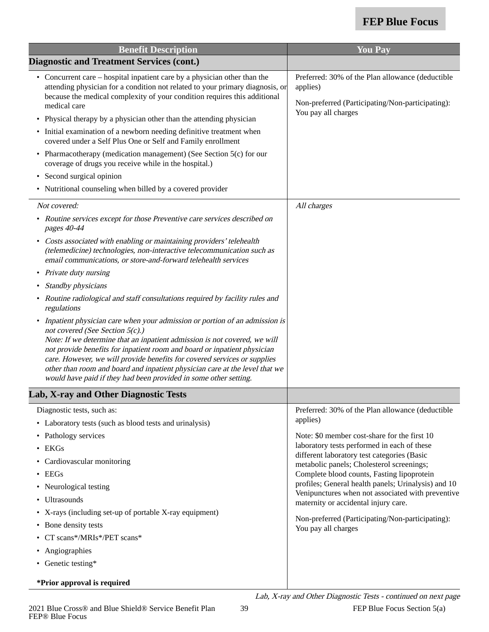| <b>Benefit Description</b>                                                                                                                                                                                                                                                                                                                                                                                                                                                                                                                                                                                                                                                                                                                                                                                                                                                                                                                                                                 | <b>You Pay</b>                                                                                                                                                                                                                                                                                                                                                                                                                                                                                                                       |
|--------------------------------------------------------------------------------------------------------------------------------------------------------------------------------------------------------------------------------------------------------------------------------------------------------------------------------------------------------------------------------------------------------------------------------------------------------------------------------------------------------------------------------------------------------------------------------------------------------------------------------------------------------------------------------------------------------------------------------------------------------------------------------------------------------------------------------------------------------------------------------------------------------------------------------------------------------------------------------------------|--------------------------------------------------------------------------------------------------------------------------------------------------------------------------------------------------------------------------------------------------------------------------------------------------------------------------------------------------------------------------------------------------------------------------------------------------------------------------------------------------------------------------------------|
| <b>Diagnostic and Treatment Services (cont.)</b>                                                                                                                                                                                                                                                                                                                                                                                                                                                                                                                                                                                                                                                                                                                                                                                                                                                                                                                                           |                                                                                                                                                                                                                                                                                                                                                                                                                                                                                                                                      |
| • Concurrent care – hospital inpatient care by a physician other than the<br>attending physician for a condition not related to your primary diagnosis, or<br>because the medical complexity of your condition requires this additional<br>medical care<br>• Physical therapy by a physician other than the attending physician<br>• Initial examination of a newborn needing definitive treatment when<br>covered under a Self Plus One or Self and Family enrollment<br>• Pharmacotherapy (medication management) (See Section 5(c) for our<br>coverage of drugs you receive while in the hospital.)<br>• Second surgical opinion<br>• Nutritional counseling when billed by a covered provider                                                                                                                                                                                                                                                                                          | Preferred: 30% of the Plan allowance (deductible<br>applies)<br>Non-preferred (Participating/Non-participating):<br>You pay all charges                                                                                                                                                                                                                                                                                                                                                                                              |
|                                                                                                                                                                                                                                                                                                                                                                                                                                                                                                                                                                                                                                                                                                                                                                                                                                                                                                                                                                                            |                                                                                                                                                                                                                                                                                                                                                                                                                                                                                                                                      |
| Not covered:<br>• Routine services except for those Preventive care services described on<br>pages 40-44<br>• Costs associated with enabling or maintaining providers' telehealth<br>(telemedicine) technologies, non-interactive telecommunication such as<br>email communications, or store-and-forward telehealth services<br>• Private duty nursing<br>• Standby physicians<br>• Routine radiological and staff consultations required by facility rules and<br>regulations<br>• Inpatient physician care when your admission or portion of an admission is<br>not covered (See Section 5(c).)<br>Note: If we determine that an inpatient admission is not covered, we will<br>not provide benefits for inpatient room and board or inpatient physician<br>care. However, we will provide benefits for covered services or supplies<br>other than room and board and inpatient physician care at the level that we<br>would have paid if they had been provided in some other setting. | All charges                                                                                                                                                                                                                                                                                                                                                                                                                                                                                                                          |
| <b>Lab, X-ray and Other Diagnostic Tests</b>                                                                                                                                                                                                                                                                                                                                                                                                                                                                                                                                                                                                                                                                                                                                                                                                                                                                                                                                               |                                                                                                                                                                                                                                                                                                                                                                                                                                                                                                                                      |
| Diagnostic tests, such as:<br>• Laboratory tests (such as blood tests and urinalysis)<br>• Pathology services<br><b>EKGs</b><br>$\bullet$<br>Cardiovascular monitoring<br>$\cdot$ EEGs<br>• Neurological testing<br><b>Ultrasounds</b><br>• X-rays (including set-up of portable X-ray equipment)<br>• Bone density tests<br>CT scans*/MRIs*/PET scans*<br>Angiographies<br>• Genetic testing*<br>*Prior approval is required                                                                                                                                                                                                                                                                                                                                                                                                                                                                                                                                                              | Preferred: 30% of the Plan allowance (deductible<br>applies)<br>Note: \$0 member cost-share for the first 10<br>laboratory tests performed in each of these<br>different laboratory test categories (Basic<br>metabolic panels; Cholesterol screenings;<br>Complete blood counts, Fasting lipoprotein<br>profiles; General health panels; Urinalysis) and 10<br>Venipunctures when not associated with preventive<br>maternity or accidental injury care.<br>Non-preferred (Participating/Non-participating):<br>You pay all charges |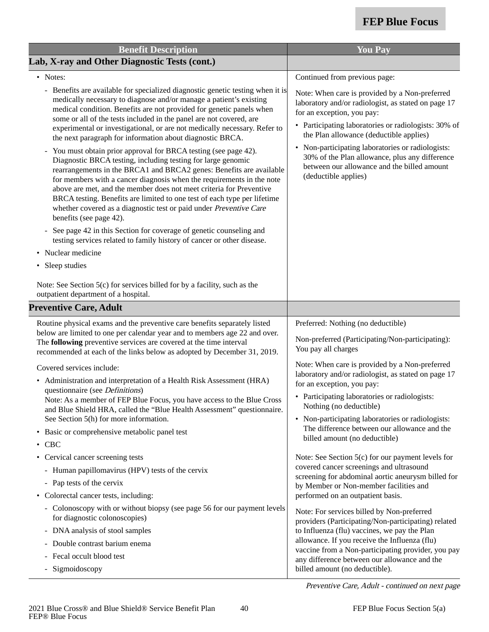| <b>Benefit Description</b>                                                                                                                                                                                                                                                                                                                                                                                                                                                                                                         | <b>You Pay</b>                                                                                                                                                                                                                         |
|------------------------------------------------------------------------------------------------------------------------------------------------------------------------------------------------------------------------------------------------------------------------------------------------------------------------------------------------------------------------------------------------------------------------------------------------------------------------------------------------------------------------------------|----------------------------------------------------------------------------------------------------------------------------------------------------------------------------------------------------------------------------------------|
| Lab, X-ray and Other Diagnostic Tests (cont.)                                                                                                                                                                                                                                                                                                                                                                                                                                                                                      |                                                                                                                                                                                                                                        |
| • Notes:                                                                                                                                                                                                                                                                                                                                                                                                                                                                                                                           | Continued from previous page:                                                                                                                                                                                                          |
| - Benefits are available for specialized diagnostic genetic testing when it is<br>medically necessary to diagnose and/or manage a patient's existing<br>medical condition. Benefits are not provided for genetic panels when<br>some or all of the tests included in the panel are not covered, are<br>experimental or investigational, or are not medically necessary. Refer to<br>the next paragraph for information about diagnostic BRCA.                                                                                      | Note: When care is provided by a Non-preferred<br>laboratory and/or radiologist, as stated on page 17<br>for an exception, you pay:<br>• Participating laboratories or radiologists: 30% of<br>the Plan allowance (deductible applies) |
| You must obtain prior approval for BRCA testing (see page 42).<br>Diagnostic BRCA testing, including testing for large genomic<br>rearrangements in the BRCA1 and BRCA2 genes: Benefits are available<br>for members with a cancer diagnosis when the requirements in the note<br>above are met, and the member does not meet criteria for Preventive<br>BRCA testing. Benefits are limited to one test of each type per lifetime<br>whether covered as a diagnostic test or paid under Preventive Care<br>benefits (see page 42). | • Non-participating laboratories or radiologists:<br>30% of the Plan allowance, plus any difference<br>between our allowance and the billed amount<br>(deductible applies)                                                             |
| - See page 42 in this Section for coverage of genetic counseling and<br>testing services related to family history of cancer or other disease.                                                                                                                                                                                                                                                                                                                                                                                     |                                                                                                                                                                                                                                        |
| Nuclear medicine                                                                                                                                                                                                                                                                                                                                                                                                                                                                                                                   |                                                                                                                                                                                                                                        |
| Sleep studies<br>$\bullet$                                                                                                                                                                                                                                                                                                                                                                                                                                                                                                         |                                                                                                                                                                                                                                        |
| Note: See Section 5(c) for services billed for by a facility, such as the<br>outpatient department of a hospital.                                                                                                                                                                                                                                                                                                                                                                                                                  |                                                                                                                                                                                                                                        |
| <b>Preventive Care, Adult</b>                                                                                                                                                                                                                                                                                                                                                                                                                                                                                                      |                                                                                                                                                                                                                                        |
| Routine physical exams and the preventive care benefits separately listed<br>below are limited to one per calendar year and to members age 22 and over.<br>The following preventive services are covered at the time interval<br>recommended at each of the links below as adopted by December 31, 2019.                                                                                                                                                                                                                           | Preferred: Nothing (no deductible)<br>Non-preferred (Participating/Non-participating):<br>You pay all charges                                                                                                                          |
| Covered services include:                                                                                                                                                                                                                                                                                                                                                                                                                                                                                                          | Note: When care is provided by a Non-preferred                                                                                                                                                                                         |
| • Administration and interpretation of a Health Risk Assessment (HRA)                                                                                                                                                                                                                                                                                                                                                                                                                                                              | laboratory and/or radiologist, as stated on page 17<br>for an exception, you pay:                                                                                                                                                      |
| questionnaire (see <i>Definitions</i> )<br>Note: As a member of FEP Blue Focus, you have access to the Blue Cross<br>and Blue Shield HRA, called the "Blue Health Assessment" questionnaire.<br>See Section 5(h) for more information.                                                                                                                                                                                                                                                                                             | • Participating laboratories or radiologists:<br>Nothing (no deductible)<br>• Non-participating laboratories or radiologists:                                                                                                          |
| Basic or comprehensive metabolic panel test<br>$\bullet$<br><b>CBC</b>                                                                                                                                                                                                                                                                                                                                                                                                                                                             | The difference between our allowance and the<br>billed amount (no deductible)                                                                                                                                                          |
| • Cervical cancer screening tests                                                                                                                                                                                                                                                                                                                                                                                                                                                                                                  | Note: See Section 5(c) for our payment levels for                                                                                                                                                                                      |
| - Human papillomavirus (HPV) tests of the cervix                                                                                                                                                                                                                                                                                                                                                                                                                                                                                   | covered cancer screenings and ultrasound                                                                                                                                                                                               |
| - Pap tests of the cervix                                                                                                                                                                                                                                                                                                                                                                                                                                                                                                          | screening for abdominal aortic aneurysm billed for                                                                                                                                                                                     |
| • Colorectal cancer tests, including:                                                                                                                                                                                                                                                                                                                                                                                                                                                                                              | by Member or Non-member facilities and<br>performed on an outpatient basis.                                                                                                                                                            |
| - Colonoscopy with or without biopsy (see page 56 for our payment levels<br>for diagnostic colonoscopies)                                                                                                                                                                                                                                                                                                                                                                                                                          | Note: For services billed by Non-preferred<br>providers (Participating/Non-participating) related                                                                                                                                      |
| - DNA analysis of stool samples                                                                                                                                                                                                                                                                                                                                                                                                                                                                                                    | to Influenza (flu) vaccines, we pay the Plan                                                                                                                                                                                           |
| - Double contrast barium enema                                                                                                                                                                                                                                                                                                                                                                                                                                                                                                     | allowance. If you receive the Influenza (flu)<br>vaccine from a Non-participating provider, you pay                                                                                                                                    |
| - Fecal occult blood test<br>Sigmoidoscopy                                                                                                                                                                                                                                                                                                                                                                                                                                                                                         | any difference between our allowance and the<br>billed amount (no deductible).                                                                                                                                                         |

Preventive Care, Adult - continued on next page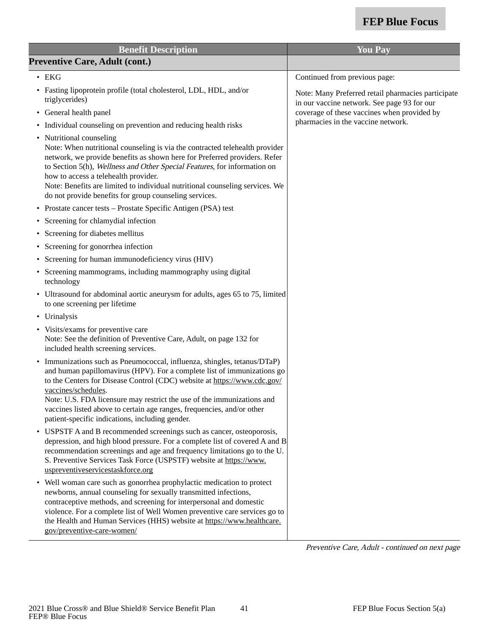| <b>Benefit Description</b>                                                                                                                                                                                                                                                                                                                                                                                                                                       | <b>You Pay</b>                                                                                    |
|------------------------------------------------------------------------------------------------------------------------------------------------------------------------------------------------------------------------------------------------------------------------------------------------------------------------------------------------------------------------------------------------------------------------------------------------------------------|---------------------------------------------------------------------------------------------------|
| <b>Preventive Care, Adult (cont.)</b>                                                                                                                                                                                                                                                                                                                                                                                                                            |                                                                                                   |
| $\bullet$ EKG                                                                                                                                                                                                                                                                                                                                                                                                                                                    | Continued from previous page:                                                                     |
| • Fasting lipoprotein profile (total cholesterol, LDL, HDL, and/or<br>triglycerides)                                                                                                                                                                                                                                                                                                                                                                             | Note: Many Preferred retail pharmacies participate<br>in our vaccine network. See page 93 for our |
| • General health panel                                                                                                                                                                                                                                                                                                                                                                                                                                           | coverage of these vaccines when provided by                                                       |
| • Individual counseling on prevention and reducing health risks                                                                                                                                                                                                                                                                                                                                                                                                  | pharmacies in the vaccine network.                                                                |
| • Nutritional counseling<br>Note: When nutritional counseling is via the contracted telehealth provider<br>network, we provide benefits as shown here for Preferred providers. Refer<br>to Section 5(h), Wellness and Other Special Features, for information on<br>how to access a telehealth provider.<br>Note: Benefits are limited to individual nutritional counseling services. We<br>do not provide benefits for group counseling services.               |                                                                                                   |
| Prostate cancer tests – Prostate Specific Antigen (PSA) test<br>٠                                                                                                                                                                                                                                                                                                                                                                                                |                                                                                                   |
| Screening for chlamydial infection                                                                                                                                                                                                                                                                                                                                                                                                                               |                                                                                                   |
| Screening for diabetes mellitus<br>٠                                                                                                                                                                                                                                                                                                                                                                                                                             |                                                                                                   |
| Screening for gonorrhea infection<br>٠                                                                                                                                                                                                                                                                                                                                                                                                                           |                                                                                                   |
| Screening for human immunodeficiency virus (HIV)                                                                                                                                                                                                                                                                                                                                                                                                                 |                                                                                                   |
| Screening mammograms, including mammography using digital<br>٠<br>technology                                                                                                                                                                                                                                                                                                                                                                                     |                                                                                                   |
| • Ultrasound for abdominal aortic aneurysm for adults, ages 65 to 75, limited<br>to one screening per lifetime                                                                                                                                                                                                                                                                                                                                                   |                                                                                                   |
| • Urinalysis                                                                                                                                                                                                                                                                                                                                                                                                                                                     |                                                                                                   |
| • Visits/exams for preventive care<br>Note: See the definition of Preventive Care, Adult, on page 132 for<br>included health screening services.                                                                                                                                                                                                                                                                                                                 |                                                                                                   |
| Immunizations such as Pneumococcal, influenza, shingles, tetanus/DTaP)<br>٠<br>and human papillomavirus (HPV). For a complete list of immunizations go<br>to the Centers for Disease Control (CDC) website at https://www.cdc.gov/<br>vaccines/schedules.<br>Note: U.S. FDA licensure may restrict the use of the immunizations and<br>vaccines listed above to certain age ranges, frequencies, and/or other<br>patient-specific indications, including gender. |                                                                                                   |
| USPSTF A and B recommended screenings such as cancer, osteoporosis,<br>depression, and high blood pressure. For a complete list of covered A and B<br>recommendation screenings and age and frequency limitations go to the U.<br>S. Preventive Services Task Force (USPSTF) website at https://www.<br>uspreventiveservicestaskforce.org                                                                                                                        |                                                                                                   |
| • Well woman care such as gonorrhea prophylactic medication to protect<br>newborns, annual counseling for sexually transmitted infections,<br>contraceptive methods, and screening for interpersonal and domestic<br>violence. For a complete list of Well Women preventive care services go to<br>the Health and Human Services (HHS) website at https://www.healthcare.<br>gov/preventive-care-women/                                                          |                                                                                                   |
|                                                                                                                                                                                                                                                                                                                                                                                                                                                                  | Preventive Care, Adult - continued on next page                                                   |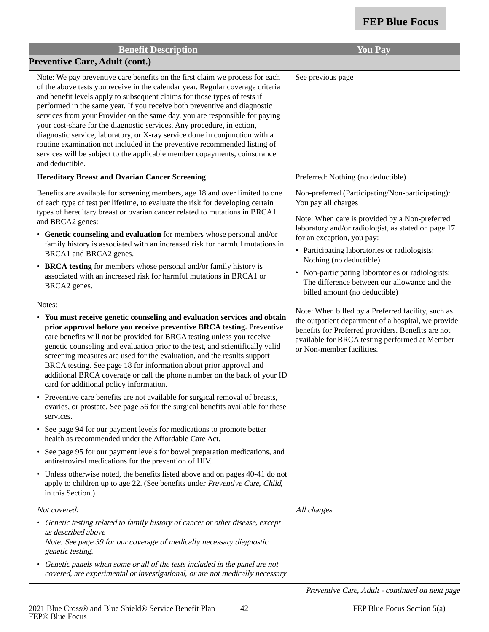| <b>Benefit Description</b>                                                                                                                                                                                                                                                                                                                                                                                                                                                                                                                                                                                                                                                                                                                                                                                                                                                                                                                                                                                                                                                                                                                                                                                                                                                                                                                                                                                                                                                                                                                                                                                                                                                                                                                                                                                                                  | <b>You Pay</b>                                                                                                                                                                                                                                                                                                                                                                                                                                                                                                                                                                                                                                                                   |
|---------------------------------------------------------------------------------------------------------------------------------------------------------------------------------------------------------------------------------------------------------------------------------------------------------------------------------------------------------------------------------------------------------------------------------------------------------------------------------------------------------------------------------------------------------------------------------------------------------------------------------------------------------------------------------------------------------------------------------------------------------------------------------------------------------------------------------------------------------------------------------------------------------------------------------------------------------------------------------------------------------------------------------------------------------------------------------------------------------------------------------------------------------------------------------------------------------------------------------------------------------------------------------------------------------------------------------------------------------------------------------------------------------------------------------------------------------------------------------------------------------------------------------------------------------------------------------------------------------------------------------------------------------------------------------------------------------------------------------------------------------------------------------------------------------------------------------------------|----------------------------------------------------------------------------------------------------------------------------------------------------------------------------------------------------------------------------------------------------------------------------------------------------------------------------------------------------------------------------------------------------------------------------------------------------------------------------------------------------------------------------------------------------------------------------------------------------------------------------------------------------------------------------------|
| <b>Preventive Care, Adult (cont.)</b>                                                                                                                                                                                                                                                                                                                                                                                                                                                                                                                                                                                                                                                                                                                                                                                                                                                                                                                                                                                                                                                                                                                                                                                                                                                                                                                                                                                                                                                                                                                                                                                                                                                                                                                                                                                                       |                                                                                                                                                                                                                                                                                                                                                                                                                                                                                                                                                                                                                                                                                  |
| Note: We pay preventive care benefits on the first claim we process for each<br>of the above tests you receive in the calendar year. Regular coverage criteria<br>and benefit levels apply to subsequent claims for those types of tests if<br>performed in the same year. If you receive both preventive and diagnostic<br>services from your Provider on the same day, you are responsible for paying<br>your cost-share for the diagnostic services. Any procedure, injection,<br>diagnostic service, laboratory, or X-ray service done in conjunction with a<br>routine examination not included in the preventive recommended listing of<br>services will be subject to the applicable member copayments, coinsurance<br>and deductible.                                                                                                                                                                                                                                                                                                                                                                                                                                                                                                                                                                                                                                                                                                                                                                                                                                                                                                                                                                                                                                                                                               | See previous page                                                                                                                                                                                                                                                                                                                                                                                                                                                                                                                                                                                                                                                                |
| <b>Hereditary Breast and Ovarian Cancer Screening</b>                                                                                                                                                                                                                                                                                                                                                                                                                                                                                                                                                                                                                                                                                                                                                                                                                                                                                                                                                                                                                                                                                                                                                                                                                                                                                                                                                                                                                                                                                                                                                                                                                                                                                                                                                                                       | Preferred: Nothing (no deductible)                                                                                                                                                                                                                                                                                                                                                                                                                                                                                                                                                                                                                                               |
| Benefits are available for screening members, age 18 and over limited to one<br>of each type of test per lifetime, to evaluate the risk for developing certain<br>types of hereditary breast or ovarian cancer related to mutations in BRCA1<br>and BRCA2 genes:<br>• Genetic counseling and evaluation for members whose personal and/or<br>family history is associated with an increased risk for harmful mutations in<br>BRCA1 and BRCA2 genes.<br>• BRCA testing for members whose personal and/or family history is<br>associated with an increased risk for harmful mutations in BRCA1 or<br>BRCA2 genes.<br>Notes:<br>• You must receive genetic counseling and evaluation services and obtain<br>prior approval before you receive preventive BRCA testing. Preventive<br>care benefits will not be provided for BRCA testing unless you receive<br>genetic counseling and evaluation prior to the test, and scientifically valid<br>screening measures are used for the evaluation, and the results support<br>BRCA testing. See page 18 for information about prior approval and<br>additional BRCA coverage or call the phone number on the back of your ID<br>card for additional policy information.<br>Preventive care benefits are not available for surgical removal of breasts,<br>ovaries, or prostate. See page 56 for the surgical benefits available for these<br>services.<br>• See page 94 for our payment levels for medications to promote better<br>health as recommended under the Affordable Care Act.<br>• See page 95 for our payment levels for bowel preparation medications, and<br>antiretroviral medications for the prevention of HIV.<br>• Unless otherwise noted, the benefits listed above and on pages 40-41 do not<br>apply to children up to age 22. (See benefits under Preventive Care, Child, | Non-preferred (Participating/Non-participating):<br>You pay all charges<br>Note: When care is provided by a Non-preferred<br>laboratory and/or radiologist, as stated on page 17<br>for an exception, you pay:<br>• Participating laboratories or radiologists:<br>Nothing (no deductible)<br>Non-participating laboratories or radiologists:<br>The difference between our allowance and the<br>billed amount (no deductible)<br>Note: When billed by a Preferred facility, such as<br>the outpatient department of a hospital, we provide<br>benefits for Preferred providers. Benefits are not<br>available for BRCA testing performed at Member<br>or Non-member facilities. |
| in this Section.)                                                                                                                                                                                                                                                                                                                                                                                                                                                                                                                                                                                                                                                                                                                                                                                                                                                                                                                                                                                                                                                                                                                                                                                                                                                                                                                                                                                                                                                                                                                                                                                                                                                                                                                                                                                                                           |                                                                                                                                                                                                                                                                                                                                                                                                                                                                                                                                                                                                                                                                                  |
| Not covered:                                                                                                                                                                                                                                                                                                                                                                                                                                                                                                                                                                                                                                                                                                                                                                                                                                                                                                                                                                                                                                                                                                                                                                                                                                                                                                                                                                                                                                                                                                                                                                                                                                                                                                                                                                                                                                | All charges                                                                                                                                                                                                                                                                                                                                                                                                                                                                                                                                                                                                                                                                      |
| • Genetic testing related to family history of cancer or other disease, except<br>as described above<br>Note: See page 39 for our coverage of medically necessary diagnostic<br>genetic testing.                                                                                                                                                                                                                                                                                                                                                                                                                                                                                                                                                                                                                                                                                                                                                                                                                                                                                                                                                                                                                                                                                                                                                                                                                                                                                                                                                                                                                                                                                                                                                                                                                                            |                                                                                                                                                                                                                                                                                                                                                                                                                                                                                                                                                                                                                                                                                  |
| • Genetic panels when some or all of the tests included in the panel are not<br>covered, are experimental or investigational, or are not medically necessary                                                                                                                                                                                                                                                                                                                                                                                                                                                                                                                                                                                                                                                                                                                                                                                                                                                                                                                                                                                                                                                                                                                                                                                                                                                                                                                                                                                                                                                                                                                                                                                                                                                                                |                                                                                                                                                                                                                                                                                                                                                                                                                                                                                                                                                                                                                                                                                  |

Preventive Care, Adult - continued on next page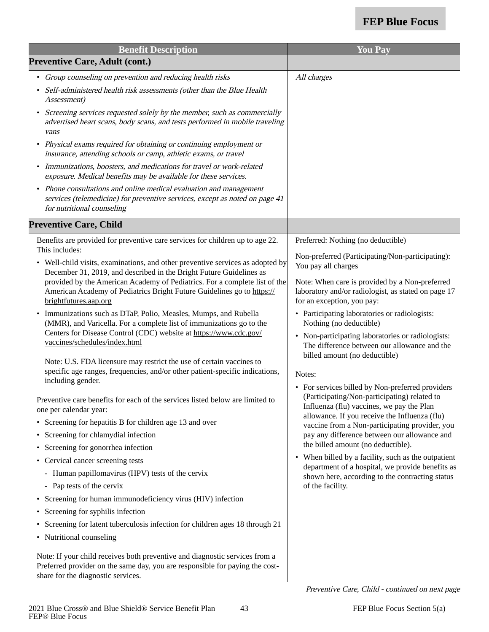| <b>Benefit Description</b>                                                                                                                                                                                                                                                                                                                                                                                                                                                                                                                                                                                                                                                                                                                                                                                                                                                                                                                                                                                                                                                                                                                                                                                                                                                                                                                                                                                                                                                                                                                                                                                                                                                              | <b>You Pay</b>                                                                                                                                                                                                                                                                                                                                                                                                                                                                                                                                                                                                                                                                                                                                                                                                                                                                                                                                                                                               |
|-----------------------------------------------------------------------------------------------------------------------------------------------------------------------------------------------------------------------------------------------------------------------------------------------------------------------------------------------------------------------------------------------------------------------------------------------------------------------------------------------------------------------------------------------------------------------------------------------------------------------------------------------------------------------------------------------------------------------------------------------------------------------------------------------------------------------------------------------------------------------------------------------------------------------------------------------------------------------------------------------------------------------------------------------------------------------------------------------------------------------------------------------------------------------------------------------------------------------------------------------------------------------------------------------------------------------------------------------------------------------------------------------------------------------------------------------------------------------------------------------------------------------------------------------------------------------------------------------------------------------------------------------------------------------------------------|--------------------------------------------------------------------------------------------------------------------------------------------------------------------------------------------------------------------------------------------------------------------------------------------------------------------------------------------------------------------------------------------------------------------------------------------------------------------------------------------------------------------------------------------------------------------------------------------------------------------------------------------------------------------------------------------------------------------------------------------------------------------------------------------------------------------------------------------------------------------------------------------------------------------------------------------------------------------------------------------------------------|
| <b>Preventive Care, Adult (cont.)</b>                                                                                                                                                                                                                                                                                                                                                                                                                                                                                                                                                                                                                                                                                                                                                                                                                                                                                                                                                                                                                                                                                                                                                                                                                                                                                                                                                                                                                                                                                                                                                                                                                                                   |                                                                                                                                                                                                                                                                                                                                                                                                                                                                                                                                                                                                                                                                                                                                                                                                                                                                                                                                                                                                              |
| • Group counseling on prevention and reducing health risks<br>• Self-administered health risk assessments (other than the Blue Health<br>Assessment)<br>Screening services requested solely by the member, such as commercially<br>$\bullet$<br>advertised heart scans, body scans, and tests performed in mobile traveling<br>vans<br>• Physical exams required for obtaining or continuing employment or<br>insurance, attending schools or camp, athletic exams, or travel<br>• Immunizations, boosters, and medications for travel or work-related<br>exposure. Medical benefits may be available for these services.<br>• Phone consultations and online medical evaluation and management<br>services (telemedicine) for preventive services, except as noted on page 41<br>for nutritional counseling                                                                                                                                                                                                                                                                                                                                                                                                                                                                                                                                                                                                                                                                                                                                                                                                                                                                            | All charges                                                                                                                                                                                                                                                                                                                                                                                                                                                                                                                                                                                                                                                                                                                                                                                                                                                                                                                                                                                                  |
| <b>Preventive Care, Child</b>                                                                                                                                                                                                                                                                                                                                                                                                                                                                                                                                                                                                                                                                                                                                                                                                                                                                                                                                                                                                                                                                                                                                                                                                                                                                                                                                                                                                                                                                                                                                                                                                                                                           |                                                                                                                                                                                                                                                                                                                                                                                                                                                                                                                                                                                                                                                                                                                                                                                                                                                                                                                                                                                                              |
| Benefits are provided for preventive care services for children up to age 22.<br>This includes:<br>• Well-child visits, examinations, and other preventive services as adopted by<br>December 31, 2019, and described in the Bright Future Guidelines as<br>provided by the American Academy of Pediatrics. For a complete list of the<br>American Academy of Pediatrics Bright Future Guidelines go to https://<br>brightfutures.aap.org<br>Immunizations such as DTaP, Polio, Measles, Mumps, and Rubella<br>$\bullet$<br>(MMR), and Varicella. For a complete list of immunizations go to the<br>Centers for Disease Control (CDC) website at https://www.cdc.gov/<br>vaccines/schedules/index.html<br>Note: U.S. FDA licensure may restrict the use of certain vaccines to<br>specific age ranges, frequencies, and/or other patient-specific indications,<br>including gender.<br>Preventive care benefits for each of the services listed below are limited to<br>one per calendar year:<br>• Screening for hepatitis B for children age 13 and over<br>• Screening for chlamydial infection<br>• Screening for gonorrhea infection<br>• Cervical cancer screening tests<br>- Human papillomavirus (HPV) tests of the cervix<br>- Pap tests of the cervix<br>• Screening for human immunodeficiency virus (HIV) infection<br>• Screening for syphilis infection<br>• Screening for latent tuberculosis infection for children ages 18 through 21<br>• Nutritional counseling<br>Note: If your child receives both preventive and diagnostic services from a<br>Preferred provider on the same day, you are responsible for paying the cost-<br>share for the diagnostic services. | Preferred: Nothing (no deductible)<br>Non-preferred (Participating/Non-participating):<br>You pay all charges<br>Note: When care is provided by a Non-preferred<br>laboratory and/or radiologist, as stated on page 17<br>for an exception, you pay:<br>• Participating laboratories or radiologists:<br>Nothing (no deductible)<br>• Non-participating laboratories or radiologists:<br>The difference between our allowance and the<br>billed amount (no deductible)<br>Notes:<br>• For services billed by Non-preferred providers<br>(Participating/Non-participating) related to<br>Influenza (flu) vaccines, we pay the Plan<br>allowance. If you receive the Influenza (flu)<br>vaccine from a Non-participating provider, you<br>pay any difference between our allowance and<br>the billed amount (no deductible).<br>• When billed by a facility, such as the outpatient<br>department of a hospital, we provide benefits as<br>shown here, according to the contracting status<br>of the facility. |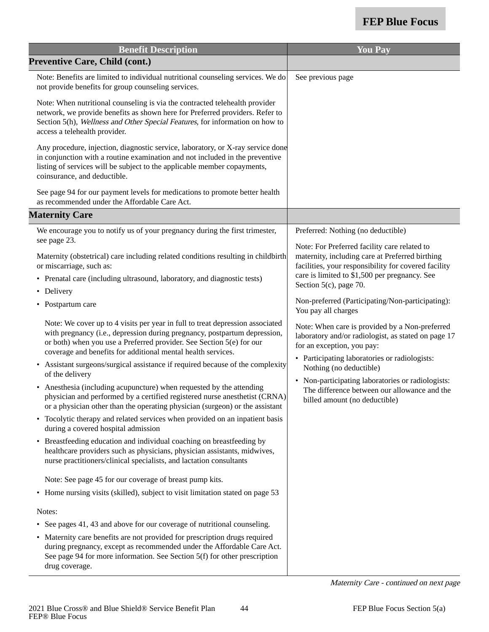| <b>Benefit Description</b>                                                                                                                                                                                                                                                                         | <b>You Pay</b>                                                                                                                                          |
|----------------------------------------------------------------------------------------------------------------------------------------------------------------------------------------------------------------------------------------------------------------------------------------------------|---------------------------------------------------------------------------------------------------------------------------------------------------------|
| <b>Preventive Care, Child (cont.)</b>                                                                                                                                                                                                                                                              |                                                                                                                                                         |
| Note: Benefits are limited to individual nutritional counseling services. We do<br>not provide benefits for group counseling services.                                                                                                                                                             | See previous page                                                                                                                                       |
| Note: When nutritional counseling is via the contracted telehealth provider<br>network, we provide benefits as shown here for Preferred providers. Refer to<br>Section 5(h), Wellness and Other Special Features, for information on how to<br>access a telehealth provider.                       |                                                                                                                                                         |
| Any procedure, injection, diagnostic service, laboratory, or X-ray service done<br>in conjunction with a routine examination and not included in the preventive<br>listing of services will be subject to the applicable member copayments,<br>coinsurance, and deductible.                        |                                                                                                                                                         |
| See page 94 for our payment levels for medications to promote better health<br>as recommended under the Affordable Care Act.                                                                                                                                                                       |                                                                                                                                                         |
| <b>Maternity Care</b>                                                                                                                                                                                                                                                                              |                                                                                                                                                         |
| We encourage you to notify us of your pregnancy during the first trimester,                                                                                                                                                                                                                        | Preferred: Nothing (no deductible)                                                                                                                      |
| see page 23.<br>Maternity (obstetrical) care including related conditions resulting in childbirth<br>or miscarriage, such as:                                                                                                                                                                      | Note: For Preferred facility care related to<br>maternity, including care at Preferred birthing<br>facilities, your responsibility for covered facility |
| • Prenatal care (including ultrasound, laboratory, and diagnostic tests)                                                                                                                                                                                                                           | care is limited to \$1,500 per pregnancy. See<br>Section 5(c), page 70.                                                                                 |
| • Delivery                                                                                                                                                                                                                                                                                         |                                                                                                                                                         |
| • Postpartum care                                                                                                                                                                                                                                                                                  | Non-preferred (Participating/Non-participating):<br>You pay all charges                                                                                 |
| Note: We cover up to 4 visits per year in full to treat depression associated<br>with pregnancy (i.e., depression during pregnancy, postpartum depression,<br>or both) when you use a Preferred provider. See Section 5(e) for our<br>coverage and benefits for additional mental health services. | Note: When care is provided by a Non-preferred<br>laboratory and/or radiologist, as stated on page 17<br>for an exception, you pay:                     |
| Assistant surgeons/surgical assistance if required because of the complexity<br>of the delivery                                                                                                                                                                                                    | • Participating laboratories or radiologists:<br>Nothing (no deductible)                                                                                |
| Anesthesia (including acupuncture) when requested by the attending<br>physician and performed by a certified registered nurse anesthetist (CRNA)<br>or a physician other than the operating physician (surgeon) or the assistant                                                                   | • Non-participating laboratories or radiologists:<br>The difference between our allowance and the<br>billed amount (no deductible)                      |
| • Tocolytic therapy and related services when provided on an inpatient basis<br>during a covered hospital admission                                                                                                                                                                                |                                                                                                                                                         |
| Breastfeeding education and individual coaching on breastfeeding by<br>$\bullet$<br>healthcare providers such as physicians, physician assistants, midwives,<br>nurse practitioners/clinical specialists, and lactation consultants                                                                |                                                                                                                                                         |
| Note: See page 45 for our coverage of breast pump kits.                                                                                                                                                                                                                                            |                                                                                                                                                         |
| • Home nursing visits (skilled), subject to visit limitation stated on page 53                                                                                                                                                                                                                     |                                                                                                                                                         |
| Notes:                                                                                                                                                                                                                                                                                             |                                                                                                                                                         |
| See pages 41, 43 and above for our coverage of nutritional counseling.<br>$\bullet$                                                                                                                                                                                                                |                                                                                                                                                         |
| Maternity care benefits are not provided for prescription drugs required<br>during pregnancy, except as recommended under the Affordable Care Act.<br>See page 94 for more information. See Section 5(f) for other prescription<br>drug coverage.                                                  |                                                                                                                                                         |

Maternity Care - continued on next page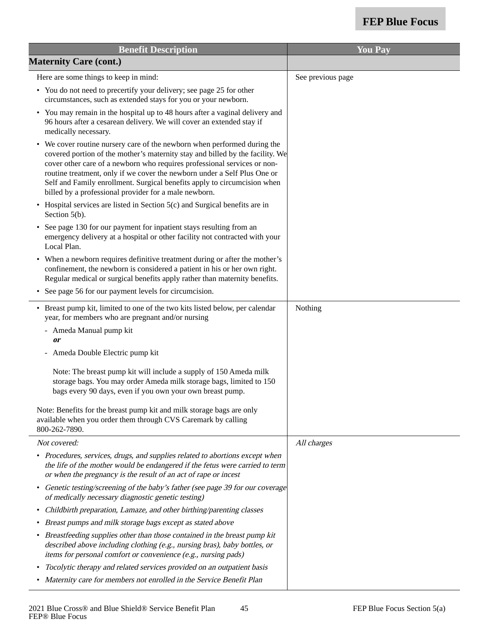| <b>Benefit Description</b>                                                                                                                                                                                                                                                                                                   | <b>You Pay</b>    |
|------------------------------------------------------------------------------------------------------------------------------------------------------------------------------------------------------------------------------------------------------------------------------------------------------------------------------|-------------------|
| <b>Maternity Care (cont.)</b>                                                                                                                                                                                                                                                                                                |                   |
| Here are some things to keep in mind:                                                                                                                                                                                                                                                                                        | See previous page |
| • You do not need to precertify your delivery; see page 25 for other<br>circumstances, such as extended stays for you or your newborn.                                                                                                                                                                                       |                   |
| You may remain in the hospital up to 48 hours after a vaginal delivery and<br>$\bullet$<br>96 hours after a cesarean delivery. We will cover an extended stay if<br>medically necessary.                                                                                                                                     |                   |
| We cover routine nursery care of the newborn when performed during the<br>$\bullet$<br>covered portion of the mother's maternity stay and billed by the facility. We<br>cover other care of a newborn who requires professional services or non-<br>routine treatment, only if we cover the newborn under a Self Plus One or |                   |
| Self and Family enrollment. Surgical benefits apply to circumcision when<br>billed by a professional provider for a male newborn.                                                                                                                                                                                            |                   |
| • Hospital services are listed in Section 5(c) and Surgical benefits are in<br>Section 5(b).                                                                                                                                                                                                                                 |                   |
| See page 130 for our payment for inpatient stays resulting from an<br>$\bullet$<br>emergency delivery at a hospital or other facility not contracted with your<br>Local Plan.                                                                                                                                                |                   |
| • When a newborn requires definitive treatment during or after the mother's<br>confinement, the newborn is considered a patient in his or her own right.<br>Regular medical or surgical benefits apply rather than maternity benefits.                                                                                       |                   |
| See page 56 for our payment levels for circumcision.                                                                                                                                                                                                                                                                         |                   |
| • Breast pump kit, limited to one of the two kits listed below, per calendar<br>year, for members who are pregnant and/or nursing                                                                                                                                                                                            | Nothing           |
| - Ameda Manual pump kit<br><i>or</i>                                                                                                                                                                                                                                                                                         |                   |
| - Ameda Double Electric pump kit                                                                                                                                                                                                                                                                                             |                   |
| Note: The breast pump kit will include a supply of 150 Ameda milk<br>storage bags. You may order Ameda milk storage bags, limited to 150<br>bags every 90 days, even if you own your own breast pump.                                                                                                                        |                   |
| Note: Benefits for the breast pump kit and milk storage bags are only<br>available when you order them through CVS Caremark by calling<br>800-262-7890.                                                                                                                                                                      |                   |
| Not covered:                                                                                                                                                                                                                                                                                                                 | All charges       |
| • Procedures, services, drugs, and supplies related to abortions except when<br>the life of the mother would be endangered if the fetus were carried to term<br>or when the pregnancy is the result of an act of rape or incest                                                                                              |                   |
| Genetic testing/screening of the baby's father (see page 39 for our coverage<br>$\bullet$<br>of medically necessary diagnostic genetic testing)                                                                                                                                                                              |                   |
| Childbirth preparation, Lamaze, and other birthing/parenting classes<br>$\bullet$                                                                                                                                                                                                                                            |                   |
| Breast pumps and milk storage bags except as stated above                                                                                                                                                                                                                                                                    |                   |
| Breastfeeding supplies other than those contained in the breast pump kit<br>$\bullet$<br>described above including clothing (e.g., nursing bras), baby bottles, or<br>items for personal comfort or convenience (e.g., nursing pads)                                                                                         |                   |
| Tocolytic therapy and related services provided on an outpatient basis<br>$\bullet$                                                                                                                                                                                                                                          |                   |
| • Maternity care for members not enrolled in the Service Benefit Plan                                                                                                                                                                                                                                                        |                   |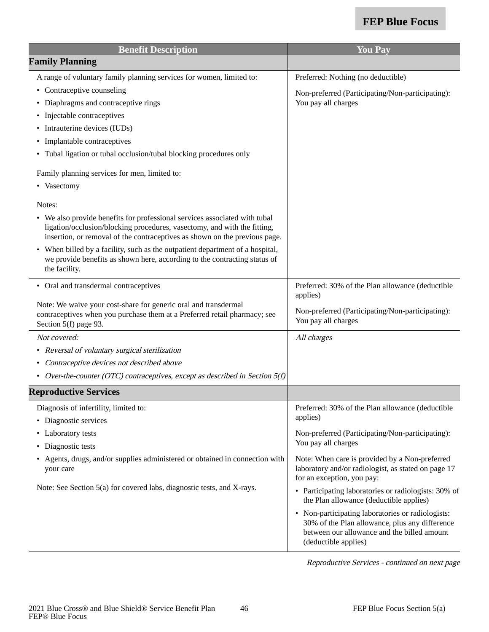| <b>Benefit Description</b>                                                                                                                                                                                                           | <b>You Pay</b>                                                                                                                                                             |
|--------------------------------------------------------------------------------------------------------------------------------------------------------------------------------------------------------------------------------------|----------------------------------------------------------------------------------------------------------------------------------------------------------------------------|
| <b>Family Planning</b>                                                                                                                                                                                                               |                                                                                                                                                                            |
| A range of voluntary family planning services for women, limited to:                                                                                                                                                                 | Preferred: Nothing (no deductible)                                                                                                                                         |
| Contraceptive counseling                                                                                                                                                                                                             | Non-preferred (Participating/Non-participating):                                                                                                                           |
| Diaphragms and contraceptive rings                                                                                                                                                                                                   | You pay all charges                                                                                                                                                        |
| Injectable contraceptives                                                                                                                                                                                                            |                                                                                                                                                                            |
| Intrauterine devices (IUDs)                                                                                                                                                                                                          |                                                                                                                                                                            |
| Implantable contraceptives                                                                                                                                                                                                           |                                                                                                                                                                            |
| • Tubal ligation or tubal occlusion/tubal blocking procedures only                                                                                                                                                                   |                                                                                                                                                                            |
| Family planning services for men, limited to:                                                                                                                                                                                        |                                                                                                                                                                            |
| • Vasectomy                                                                                                                                                                                                                          |                                                                                                                                                                            |
| Notes:                                                                                                                                                                                                                               |                                                                                                                                                                            |
| • We also provide benefits for professional services associated with tubal<br>ligation/occlusion/blocking procedures, vasectomy, and with the fitting,<br>insertion, or removal of the contraceptives as shown on the previous page. |                                                                                                                                                                            |
| When billed by a facility, such as the outpatient department of a hospital,<br>we provide benefits as shown here, according to the contracting status of<br>the facility.                                                            |                                                                                                                                                                            |
| • Oral and transdermal contraceptives                                                                                                                                                                                                | Preferred: 30% of the Plan allowance (deductible<br>applies)                                                                                                               |
| Note: We waive your cost-share for generic oral and transdermal<br>contraceptives when you purchase them at a Preferred retail pharmacy; see<br>Section 5(f) page 93.                                                                | Non-preferred (Participating/Non-participating):<br>You pay all charges                                                                                                    |
| Not covered:                                                                                                                                                                                                                         | All charges                                                                                                                                                                |
| Reversal of voluntary surgical sterilization<br>$\bullet$                                                                                                                                                                            |                                                                                                                                                                            |
| Contraceptive devices not described above                                                                                                                                                                                            |                                                                                                                                                                            |
| Over-the-counter (OTC) contraceptives, except as described in Section $5(f)$<br>$\bullet$                                                                                                                                            |                                                                                                                                                                            |
| <b>Reproductive Services</b>                                                                                                                                                                                                         |                                                                                                                                                                            |
| Diagnosis of infertility, limited to:                                                                                                                                                                                                | Preferred: 30% of the Plan allowance (deductible                                                                                                                           |
| • Diagnostic services                                                                                                                                                                                                                | applies)                                                                                                                                                                   |
| Laboratory tests                                                                                                                                                                                                                     | Non-preferred (Participating/Non-participating):                                                                                                                           |
| Diagnostic tests                                                                                                                                                                                                                     | You pay all charges                                                                                                                                                        |
| Agents, drugs, and/or supplies administered or obtained in connection with<br>your care                                                                                                                                              | Note: When care is provided by a Non-preferred<br>laboratory and/or radiologist, as stated on page 17<br>for an exception, you pay:                                        |
| Note: See Section 5(a) for covered labs, diagnostic tests, and X-rays.                                                                                                                                                               | • Participating laboratories or radiologists: 30% of<br>the Plan allowance (deductible applies)                                                                            |
|                                                                                                                                                                                                                                      | • Non-participating laboratories or radiologists:<br>30% of the Plan allowance, plus any difference<br>between our allowance and the billed amount<br>(deductible applies) |

Reproductive Services - continued on next page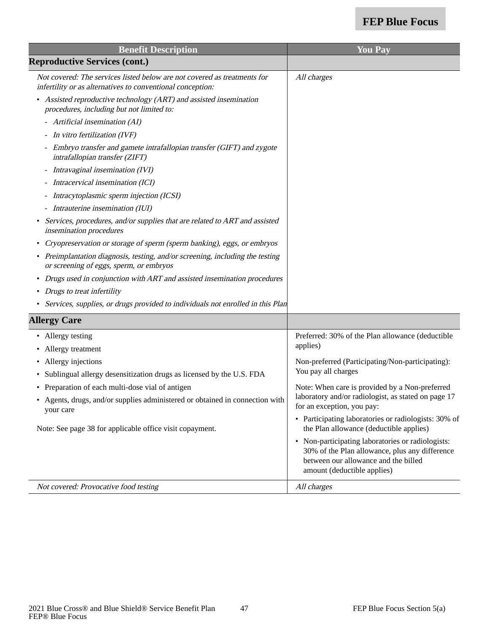| <b>Benefit Description</b>                                                                                                             | <b>You Pay</b>                                                                                                                                                             |
|----------------------------------------------------------------------------------------------------------------------------------------|----------------------------------------------------------------------------------------------------------------------------------------------------------------------------|
| <b>Reproductive Services (cont.)</b>                                                                                                   |                                                                                                                                                                            |
| Not covered: The services listed below are not covered as treatments for<br>infertility or as alternatives to conventional conception: | All charges                                                                                                                                                                |
| Assisted reproductive technology (ART) and assisted insemination<br>procedures, including but not limited to:                          |                                                                                                                                                                            |
| - Artificial insemination (AI)                                                                                                         |                                                                                                                                                                            |
| - In vitro fertilization (IVF)                                                                                                         |                                                                                                                                                                            |
| - Embryo transfer and gamete intrafallopian transfer (GIFT) and zygote<br>intrafallopian transfer (ZIFT)                               |                                                                                                                                                                            |
| - Intravaginal insemination (IVI)                                                                                                      |                                                                                                                                                                            |
| Intracervical insemination (ICI)                                                                                                       |                                                                                                                                                                            |
| Intracytoplasmic sperm injection (ICSI)                                                                                                |                                                                                                                                                                            |
| Intrauterine insemination (IUI)                                                                                                        |                                                                                                                                                                            |
| Services, procedures, and/or supplies that are related to ART and assisted<br>$\bullet$<br>insemination procedures                     |                                                                                                                                                                            |
| Cryopreservation or storage of sperm (sperm banking), eggs, or embryos                                                                 |                                                                                                                                                                            |
| Preimplantation diagnosis, testing, and/or screening, including the testing<br>or screening of eggs, sperm, or embryos                 |                                                                                                                                                                            |
| Drugs used in conjunction with ART and assisted insemination procedures<br>$\bullet$                                                   |                                                                                                                                                                            |
| • Drugs to treat infertility                                                                                                           |                                                                                                                                                                            |
| Services, supplies, or drugs provided to individuals not enrolled in this Plan                                                         |                                                                                                                                                                            |
| <b>Allergy Care</b>                                                                                                                    |                                                                                                                                                                            |
| • Allergy testing                                                                                                                      | Preferred: 30% of the Plan allowance (deductible                                                                                                                           |
| Allergy treatment                                                                                                                      | applies)                                                                                                                                                                   |
| Allergy injections<br>٠                                                                                                                | Non-preferred (Participating/Non-participating):                                                                                                                           |
| • Sublingual allergy desensitization drugs as licensed by the U.S. FDA                                                                 | You pay all charges                                                                                                                                                        |
| • Preparation of each multi-dose vial of antigen                                                                                       | Note: When care is provided by a Non-preferred                                                                                                                             |
| Agents, drugs, and/or supplies administered or obtained in connection with<br>your care                                                | laboratory and/or radiologist, as stated on page 17<br>for an exception, you pay:                                                                                          |
| Note: See page 38 for applicable office visit copayment.                                                                               | • Participating laboratories or radiologists: 30% of<br>the Plan allowance (deductible applies)                                                                            |
|                                                                                                                                        | • Non-participating laboratories or radiologists:<br>30% of the Plan allowance, plus any difference<br>between our allowance and the billed<br>amount (deductible applies) |
| Not covered: Provocative food testing                                                                                                  | All charges                                                                                                                                                                |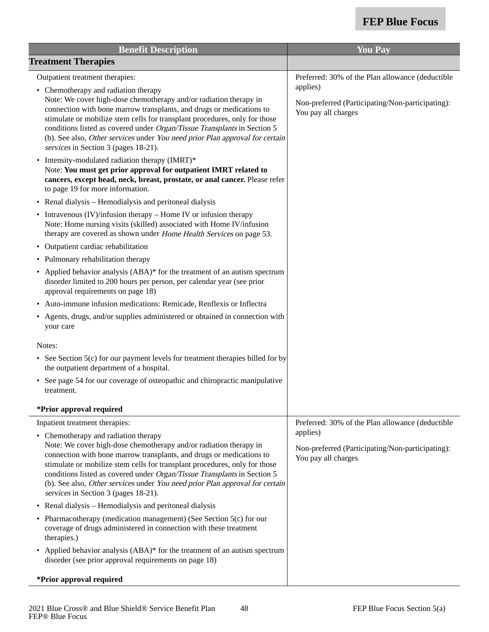| <b>Benefit Description</b>                                                                                                                                                                                                                                                                                                                                                                                                                                                                                                                                                                                                                                                                                                                                                                                                                                                                                                                                                                                                                                                                                   | <b>You Pay</b>                                                                                                                          |
|--------------------------------------------------------------------------------------------------------------------------------------------------------------------------------------------------------------------------------------------------------------------------------------------------------------------------------------------------------------------------------------------------------------------------------------------------------------------------------------------------------------------------------------------------------------------------------------------------------------------------------------------------------------------------------------------------------------------------------------------------------------------------------------------------------------------------------------------------------------------------------------------------------------------------------------------------------------------------------------------------------------------------------------------------------------------------------------------------------------|-----------------------------------------------------------------------------------------------------------------------------------------|
| <b>Treatment Therapies</b>                                                                                                                                                                                                                                                                                                                                                                                                                                                                                                                                                                                                                                                                                                                                                                                                                                                                                                                                                                                                                                                                                   |                                                                                                                                         |
| Outpatient treatment therapies:<br>• Chemotherapy and radiation therapy<br>Note: We cover high-dose chemotherapy and/or radiation therapy in<br>connection with bone marrow transplants, and drugs or medications to<br>stimulate or mobilize stem cells for transplant procedures, only for those<br>conditions listed as covered under Organ/Tissue Transplants in Section 5<br>(b). See also, Other services under You need prior Plan approval for certain<br>services in Section 3 (pages 18-21).<br>Intensity-modulated radiation therapy (IMRT)*<br>$\bullet$<br>Note: You must get prior approval for outpatient IMRT related to<br>cancers, except head, neck, breast, prostate, or anal cancer. Please refer<br>to page 19 for more information.<br>Renal dialysis - Hemodialysis and peritoneal dialysis<br>$\bullet$<br>Intravenous $(IV)/$ infusion therapy – Home IV or infusion therapy<br>٠<br>Note: Home nursing visits (skilled) associated with Home IV/infusion<br>therapy are covered as shown under Home Health Services on page 53.<br>Outpatient cardiac rehabilitation<br>$\bullet$ | Preferred: 30% of the Plan allowance (deductible<br>applies)<br>Non-preferred (Participating/Non-participating):<br>You pay all charges |
| • Pulmonary rehabilitation therapy<br>Applied behavior analysis (ABA)* for the treatment of an autism spectrum<br>$\bullet$<br>disorder limited to 200 hours per person, per calendar year (see prior<br>approval requirements on page 18)<br>Auto-immune infusion medications: Remicade, Renflexis or Inflectra<br>Agents, drugs, and/or supplies administered or obtained in connection with<br>your care<br>Notes:<br>• See Section 5(c) for our payment levels for treatment therapies billed for by<br>the outpatient department of a hospital.<br>See page 54 for our coverage of osteopathic and chiropractic manipulative<br>treatment.                                                                                                                                                                                                                                                                                                                                                                                                                                                              |                                                                                                                                         |
| *Prior approval required<br>Inpatient treatment therapies:<br>• Chemotherapy and radiation therapy<br>Note: We cover high-dose chemotherapy and/or radiation therapy in<br>connection with bone marrow transplants, and drugs or medications to<br>stimulate or mobilize stem cells for transplant procedures, only for those<br>conditions listed as covered under Organ/Tissue Transplants in Section 5<br>(b). See also, Other services under You need prior Plan approval for certain<br>services in Section 3 (pages 18-21).<br>Renal dialysis - Hemodialysis and peritoneal dialysis<br>$\bullet$<br>Pharmacotherapy (medication management) (See Section 5(c) for our<br>$\bullet$<br>coverage of drugs administered in connection with these treatment<br>therapies.)<br>Applied behavior analysis (ABA)* for the treatment of an autism spectrum<br>$\bullet$<br>disorder (see prior approval requirements on page 18)<br>*Prior approval required                                                                                                                                                  | Preferred: 30% of the Plan allowance (deductible<br>applies)<br>Non-preferred (Participating/Non-participating):<br>You pay all charges |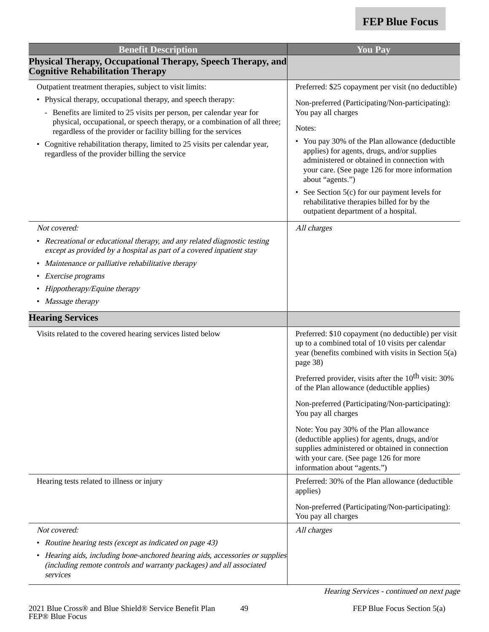| <b>Benefit Description</b>                                                                                                                                                                                            | <b>You Pay</b>                                                                                                                                                                                                         |
|-----------------------------------------------------------------------------------------------------------------------------------------------------------------------------------------------------------------------|------------------------------------------------------------------------------------------------------------------------------------------------------------------------------------------------------------------------|
| Physical Therapy, Occupational Therapy, Speech Therapy, and<br><b>Cognitive Rehabilitation Therapy</b>                                                                                                                |                                                                                                                                                                                                                        |
| Outpatient treatment therapies, subject to visit limits:                                                                                                                                                              | Preferred: \$25 copayment per visit (no deductible)                                                                                                                                                                    |
| • Physical therapy, occupational therapy, and speech therapy:                                                                                                                                                         | Non-preferred (Participating/Non-participating):                                                                                                                                                                       |
| - Benefits are limited to 25 visits per person, per calendar year for<br>physical, occupational, or speech therapy, or a combination of all three;<br>regardless of the provider or facility billing for the services | You pay all charges<br>Notes:                                                                                                                                                                                          |
| • Cognitive rehabilitation therapy, limited to 25 visits per calendar year,<br>regardless of the provider billing the service                                                                                         | • You pay 30% of the Plan allowance (deductible<br>applies) for agents, drugs, and/or supplies<br>administered or obtained in connection with<br>your care. (See page 126 for more information<br>about "agents.")     |
|                                                                                                                                                                                                                       | • See Section 5(c) for our payment levels for<br>rehabilitative therapies billed for by the<br>outpatient department of a hospital.                                                                                    |
| Not covered:                                                                                                                                                                                                          | All charges                                                                                                                                                                                                            |
| • Recreational or educational therapy, and any related diagnostic testing<br>except as provided by a hospital as part of a covered inpatient stay                                                                     |                                                                                                                                                                                                                        |
| • Maintenance or palliative rehabilitative therapy                                                                                                                                                                    |                                                                                                                                                                                                                        |
| • Exercise programs                                                                                                                                                                                                   |                                                                                                                                                                                                                        |
| • Hippotherapy/Equine therapy                                                                                                                                                                                         |                                                                                                                                                                                                                        |
| • Massage therapy                                                                                                                                                                                                     |                                                                                                                                                                                                                        |
| <b>Hearing Services</b>                                                                                                                                                                                               |                                                                                                                                                                                                                        |
| Visits related to the covered hearing services listed below                                                                                                                                                           | Preferred: \$10 copayment (no deductible) per visit<br>up to a combined total of 10 visits per calendar<br>year (benefits combined with visits in Section 5(a)<br>page 38)                                             |
|                                                                                                                                                                                                                       | Preferred provider, visits after the 10 <sup>th</sup> visit: 30%<br>of the Plan allowance (deductible applies)                                                                                                         |
|                                                                                                                                                                                                                       | Non-preferred (Participating/Non-participating):<br>You pay all charges                                                                                                                                                |
|                                                                                                                                                                                                                       | Note: You pay 30% of the Plan allowance<br>(deductible applies) for agents, drugs, and/or<br>supplies administered or obtained in connection<br>with your care. (See page 126 for more<br>information about "agents.") |
| Hearing tests related to illness or injury                                                                                                                                                                            | Preferred: 30% of the Plan allowance (deductible<br>applies)                                                                                                                                                           |
|                                                                                                                                                                                                                       | Non-preferred (Participating/Non-participating):<br>You pay all charges                                                                                                                                                |
| Not covered:                                                                                                                                                                                                          | All charges                                                                                                                                                                                                            |
| • Routine hearing tests (except as indicated on page 43)                                                                                                                                                              |                                                                                                                                                                                                                        |
| • Hearing aids, including bone-anchored hearing aids, accessories or supplies<br>(including remote controls and warranty packages) and all associated<br>services                                                     |                                                                                                                                                                                                                        |

Hearing Services - continued on next page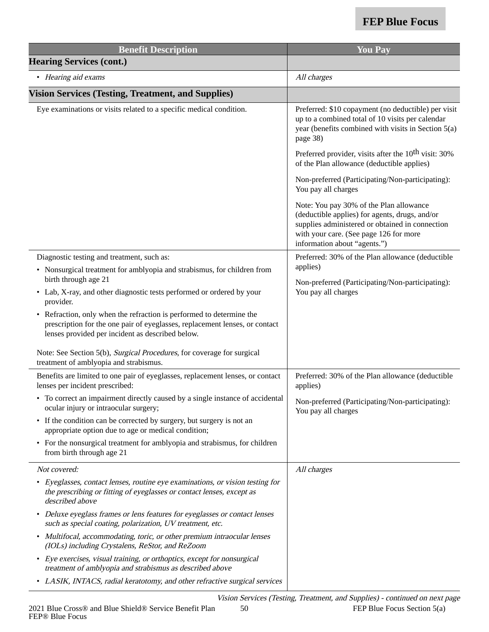| <b>Benefit Description</b>                                                                                                                                                                              | <b>You Pay</b>                                                                                                                                                                                                         |
|---------------------------------------------------------------------------------------------------------------------------------------------------------------------------------------------------------|------------------------------------------------------------------------------------------------------------------------------------------------------------------------------------------------------------------------|
| <b>Hearing Services (cont.)</b>                                                                                                                                                                         |                                                                                                                                                                                                                        |
| • Hearing aid exams                                                                                                                                                                                     | All charges                                                                                                                                                                                                            |
| <b>Vision Services (Testing, Treatment, and Supplies)</b>                                                                                                                                               |                                                                                                                                                                                                                        |
| Eye examinations or visits related to a specific medical condition.                                                                                                                                     | Preferred: \$10 copayment (no deductible) per visit<br>up to a combined total of 10 visits per calendar<br>year (benefits combined with visits in Section 5(a)<br>page 38)                                             |
|                                                                                                                                                                                                         | Preferred provider, visits after the 10 <sup>th</sup> visit: 30%<br>of the Plan allowance (deductible applies)                                                                                                         |
|                                                                                                                                                                                                         | Non-preferred (Participating/Non-participating):<br>You pay all charges                                                                                                                                                |
|                                                                                                                                                                                                         | Note: You pay 30% of the Plan allowance<br>(deductible applies) for agents, drugs, and/or<br>supplies administered or obtained in connection<br>with your care. (See page 126 for more<br>information about "agents.") |
| Diagnostic testing and treatment, such as:                                                                                                                                                              | Preferred: 30% of the Plan allowance (deductible                                                                                                                                                                       |
| • Nonsurgical treatment for amblyopia and strabismus, for children from<br>birth through age 21                                                                                                         | applies)                                                                                                                                                                                                               |
| • Lab, X-ray, and other diagnostic tests performed or ordered by your<br>provider.                                                                                                                      | Non-preferred (Participating/Non-participating):<br>You pay all charges                                                                                                                                                |
| • Refraction, only when the refraction is performed to determine the<br>prescription for the one pair of eyeglasses, replacement lenses, or contact<br>lenses provided per incident as described below. |                                                                                                                                                                                                                        |
| Note: See Section 5(b), Surgical Procedures, for coverage for surgical<br>treatment of amblyopia and strabismus.                                                                                        |                                                                                                                                                                                                                        |
| Benefits are limited to one pair of eyeglasses, replacement lenses, or contact<br>lenses per incident prescribed:                                                                                       | Preferred: 30% of the Plan allowance (deductible<br>applies)                                                                                                                                                           |
| To correct an impairment directly caused by a single instance of accidental<br>ocular injury or intraocular surgery;                                                                                    | Non-preferred (Participating/Non-participating):<br>You pay all charges                                                                                                                                                |
| If the condition can be corrected by surgery, but surgery is not an<br>$\bullet$<br>appropriate option due to age or medical condition;                                                                 |                                                                                                                                                                                                                        |
| • For the nonsurgical treatment for amblyopia and strabismus, for children<br>from birth through age 21                                                                                                 |                                                                                                                                                                                                                        |
| Not covered:                                                                                                                                                                                            | All charges                                                                                                                                                                                                            |
| • Eyeglasses, contact lenses, routine eye examinations, or vision testing for<br>the prescribing or fitting of eyeglasses or contact lenses, except as<br>described above                               |                                                                                                                                                                                                                        |
| • Deluxe eyeglass frames or lens features for eyeglasses or contact lenses<br>such as special coating, polarization, UV treatment, etc.                                                                 |                                                                                                                                                                                                                        |
| Multifocal, accommodating, toric, or other premium intraocular lenses<br>$\bullet$<br>(IOLs) including Crystalens, ReStor, and ReZoom                                                                   |                                                                                                                                                                                                                        |
| • Eye exercises, visual training, or orthoptics, except for nonsurgical<br>treatment of amblyopia and strabismus as described above                                                                     |                                                                                                                                                                                                                        |
| • LASIK, INTACS, radial keratotomy, and other refractive surgical services                                                                                                                              |                                                                                                                                                                                                                        |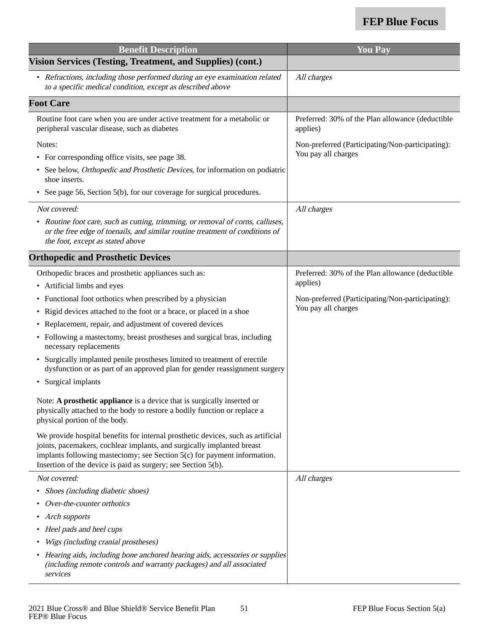| <b>Benefit Description</b>                                                                                                                                                                                                                                                                              | <b>You Pay</b>                                               |
|---------------------------------------------------------------------------------------------------------------------------------------------------------------------------------------------------------------------------------------------------------------------------------------------------------|--------------------------------------------------------------|
| Vision Services (Testing, Treatment, and Supplies) (cont.)                                                                                                                                                                                                                                              |                                                              |
| • Refractions, including those performed during an eye examination related<br>to a specific medical condition, except as described above                                                                                                                                                                | All charges                                                  |
| <b>Foot Care</b>                                                                                                                                                                                                                                                                                        |                                                              |
| Routine foot care when you are under active treatment for a metabolic or<br>peripheral vascular disease, such as diabetes                                                                                                                                                                               | Preferred: 30% of the Plan allowance (deductible<br>applies) |
| Notes:                                                                                                                                                                                                                                                                                                  | Non-preferred (Participating/Non-participating):             |
| • For corresponding office visits, see page 38.                                                                                                                                                                                                                                                         | You pay all charges                                          |
| • See below, Orthopedic and Prosthetic Devices, for information on podiatric<br>shoe inserts.                                                                                                                                                                                                           |                                                              |
| • See page 56, Section 5(b), for our coverage for surgical procedures.                                                                                                                                                                                                                                  |                                                              |
| Not covered:                                                                                                                                                                                                                                                                                            | All charges                                                  |
| • Routine foot care, such as cutting, trimming, or removal of corns, calluses,<br>or the free edge of toenails, and similar routine treatment of conditions of<br>the foot, except as stated above                                                                                                      |                                                              |
| <b>Orthopedic and Prosthetic Devices</b>                                                                                                                                                                                                                                                                |                                                              |
| Orthopedic braces and prosthetic appliances such as:                                                                                                                                                                                                                                                    | Preferred: 30% of the Plan allowance (deductible             |
| • Artificial limbs and eyes                                                                                                                                                                                                                                                                             | applies)                                                     |
| • Functional foot orthotics when prescribed by a physician                                                                                                                                                                                                                                              | Non-preferred (Participating/Non-participating):             |
| • Rigid devices attached to the foot or a brace, or placed in a shoe                                                                                                                                                                                                                                    | You pay all charges                                          |
| • Replacement, repair, and adjustment of covered devices                                                                                                                                                                                                                                                |                                                              |
| • Following a mastectomy, breast prostheses and surgical bras, including<br>necessary replacements                                                                                                                                                                                                      |                                                              |
| Surgically implanted penile prostheses limited to treatment of erectile<br>dysfunction or as part of an approved plan for gender reassignment surgery                                                                                                                                                   |                                                              |
| Surgical implants<br>$\bullet$                                                                                                                                                                                                                                                                          |                                                              |
| Note: A prosthetic appliance is a device that is surgically inserted or<br>physically attached to the body to restore a bodily function or replace a<br>physical portion of the body.                                                                                                                   |                                                              |
| We provide hospital benefits for internal prosthetic devices, such as artificial<br>joints, pacemakers, cochlear implants, and surgically implanted breast<br>implants following mastectomy; see Section 5(c) for payment information.<br>Insertion of the device is paid as surgery; see Section 5(b). |                                                              |
| Not covered:                                                                                                                                                                                                                                                                                            | All charges                                                  |
| • Shoes (including diabetic shoes)                                                                                                                                                                                                                                                                      |                                                              |
| Over-the-counter orthotics                                                                                                                                                                                                                                                                              |                                                              |
| • Arch supports                                                                                                                                                                                                                                                                                         |                                                              |
| Heel pads and heel cups                                                                                                                                                                                                                                                                                 |                                                              |
| Wigs (including cranial prostheses)                                                                                                                                                                                                                                                                     |                                                              |
| • Hearing aids, including bone anchored hearing aids, accessories or supplies<br>(including remote controls and warranty packages) and all associated<br>services                                                                                                                                       |                                                              |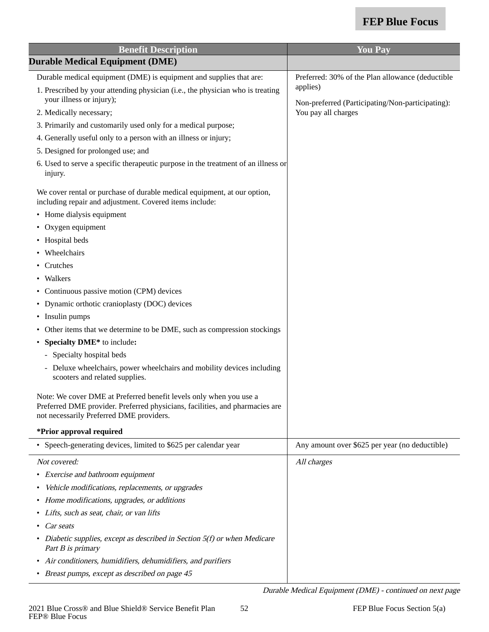Durable Medical Equipment (DME) - continued on next page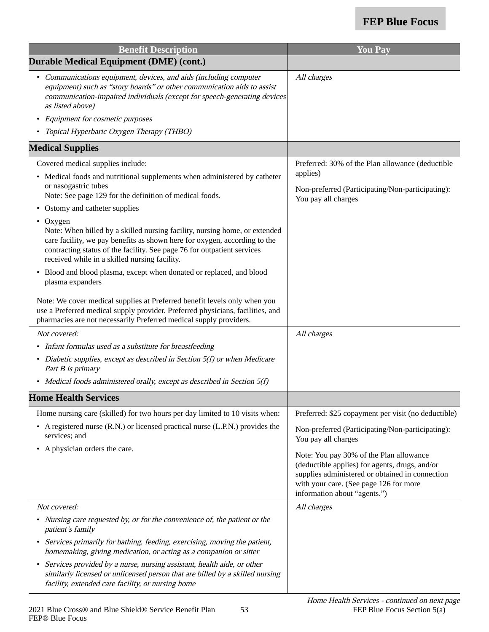| <b>Benefit Description</b>                                                                                                                                                                                                                                                                      | <b>You Pay</b>                                                                                                                                                                                                         |
|-------------------------------------------------------------------------------------------------------------------------------------------------------------------------------------------------------------------------------------------------------------------------------------------------|------------------------------------------------------------------------------------------------------------------------------------------------------------------------------------------------------------------------|
| <b>Durable Medical Equipment (DME) (cont.)</b>                                                                                                                                                                                                                                                  |                                                                                                                                                                                                                        |
| • Communications equipment, devices, and aids (including computer<br>equipment) such as "story boards" or other communication aids to assist<br>communication-impaired individuals (except for speech-generating devices<br>as listed above)                                                    | All charges                                                                                                                                                                                                            |
| • Equipment for cosmetic purposes                                                                                                                                                                                                                                                               |                                                                                                                                                                                                                        |
| Topical Hyperbaric Oxygen Therapy (THBO)                                                                                                                                                                                                                                                        |                                                                                                                                                                                                                        |
| <b>Medical Supplies</b>                                                                                                                                                                                                                                                                         |                                                                                                                                                                                                                        |
| Covered medical supplies include:                                                                                                                                                                                                                                                               | Preferred: 30% of the Plan allowance (deductible                                                                                                                                                                       |
| • Medical foods and nutritional supplements when administered by catheter                                                                                                                                                                                                                       | applies)                                                                                                                                                                                                               |
| or nasogastric tubes<br>Note: See page 129 for the definition of medical foods.                                                                                                                                                                                                                 | Non-preferred (Participating/Non-participating):<br>You pay all charges                                                                                                                                                |
| • Ostomy and catheter supplies                                                                                                                                                                                                                                                                  |                                                                                                                                                                                                                        |
| • Oxygen<br>Note: When billed by a skilled nursing facility, nursing home, or extended<br>care facility, we pay benefits as shown here for oxygen, according to the<br>contracting status of the facility. See page 76 for outpatient services<br>received while in a skilled nursing facility. |                                                                                                                                                                                                                        |
| • Blood and blood plasma, except when donated or replaced, and blood<br>plasma expanders                                                                                                                                                                                                        |                                                                                                                                                                                                                        |
| Note: We cover medical supplies at Preferred benefit levels only when you<br>use a Preferred medical supply provider. Preferred physicians, facilities, and<br>pharmacies are not necessarily Preferred medical supply providers.                                                               |                                                                                                                                                                                                                        |
| Not covered:                                                                                                                                                                                                                                                                                    | All charges                                                                                                                                                                                                            |
| • Infant formulas used as a substitute for breastfeeding                                                                                                                                                                                                                                        |                                                                                                                                                                                                                        |
| • Diabetic supplies, except as described in Section $5(f)$ or when Medicare<br>Part B is primary                                                                                                                                                                                                |                                                                                                                                                                                                                        |
| • Medical foods administered orally, except as described in Section 5(f)                                                                                                                                                                                                                        |                                                                                                                                                                                                                        |
| <b>Home Health Services</b>                                                                                                                                                                                                                                                                     |                                                                                                                                                                                                                        |
| Home nursing care (skilled) for two hours per day limited to 10 visits when:                                                                                                                                                                                                                    | Preferred: \$25 copayment per visit (no deductible)                                                                                                                                                                    |
| • A registered nurse $(R.N.)$ or licensed practical nurse $(L.P.N.)$ provides the<br>services; and                                                                                                                                                                                              | Non-preferred (Participating/Non-participating):<br>You pay all charges                                                                                                                                                |
| • A physician orders the care.                                                                                                                                                                                                                                                                  | Note: You pay 30% of the Plan allowance<br>(deductible applies) for agents, drugs, and/or<br>supplies administered or obtained in connection<br>with your care. (See page 126 for more<br>information about "agents.") |
| Not covered:                                                                                                                                                                                                                                                                                    | All charges                                                                                                                                                                                                            |
| • Nursing care requested by, or for the convenience of, the patient or the<br>patient's family                                                                                                                                                                                                  |                                                                                                                                                                                                                        |
| • Services primarily for bathing, feeding, exercising, moving the patient,<br>homemaking, giving medication, or acting as a companion or sitter                                                                                                                                                 |                                                                                                                                                                                                                        |
| • Services provided by a nurse, nursing assistant, health aide, or other<br>similarly licensed or unlicensed person that are billed by a skilled nursing<br>facility, extended care facility, or nursing home                                                                                   |                                                                                                                                                                                                                        |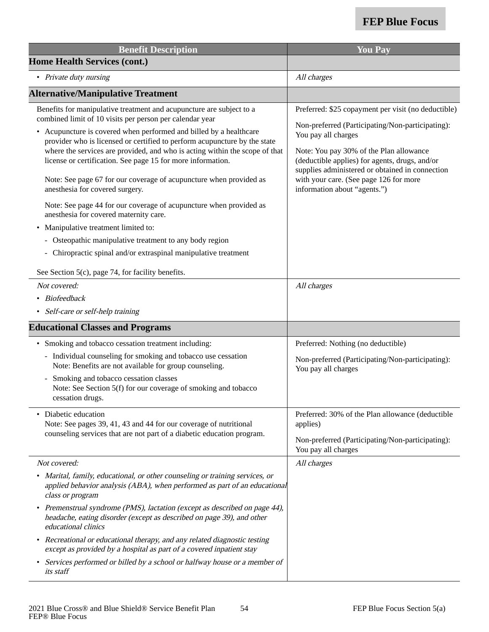| <b>Benefit Description</b>                                                                                                                                                                                                                                                                                                                                                                                                                                                                                                                                                                                                                                                                                                                                                                                                                     | <b>You Pay</b>                                                                                                                                                                                                                                                                                                                                           |
|------------------------------------------------------------------------------------------------------------------------------------------------------------------------------------------------------------------------------------------------------------------------------------------------------------------------------------------------------------------------------------------------------------------------------------------------------------------------------------------------------------------------------------------------------------------------------------------------------------------------------------------------------------------------------------------------------------------------------------------------------------------------------------------------------------------------------------------------|----------------------------------------------------------------------------------------------------------------------------------------------------------------------------------------------------------------------------------------------------------------------------------------------------------------------------------------------------------|
| <b>Home Health Services (cont.)</b>                                                                                                                                                                                                                                                                                                                                                                                                                                                                                                                                                                                                                                                                                                                                                                                                            |                                                                                                                                                                                                                                                                                                                                                          |
| • Private duty nursing                                                                                                                                                                                                                                                                                                                                                                                                                                                                                                                                                                                                                                                                                                                                                                                                                         | All charges                                                                                                                                                                                                                                                                                                                                              |
| <b>Alternative/Manipulative Treatment</b>                                                                                                                                                                                                                                                                                                                                                                                                                                                                                                                                                                                                                                                                                                                                                                                                      |                                                                                                                                                                                                                                                                                                                                                          |
| Benefits for manipulative treatment and acupuncture are subject to a<br>combined limit of 10 visits per person per calendar year<br>Acupuncture is covered when performed and billed by a healthcare<br>$\bullet$<br>provider who is licensed or certified to perform acupuncture by the state<br>where the services are provided, and who is acting within the scope of that<br>license or certification. See page 15 for more information.<br>Note: See page 67 for our coverage of acupuncture when provided as<br>anesthesia for covered surgery.<br>Note: See page 44 for our coverage of acupuncture when provided as<br>anesthesia for covered maternity care.<br>Manipulative treatment limited to:<br>٠<br>- Osteopathic manipulative treatment to any body region<br>- Chiropractic spinal and/or extraspinal manipulative treatment | Preferred: \$25 copayment per visit (no deductible)<br>Non-preferred (Participating/Non-participating):<br>You pay all charges<br>Note: You pay 30% of the Plan allowance<br>(deductible applies) for agents, drugs, and/or<br>supplies administered or obtained in connection<br>with your care. (See page 126 for more<br>information about "agents.") |
| See Section 5(c), page 74, for facility benefits.<br>Not covered:<br><b>Biofeedback</b><br>• Self-care or self-help training                                                                                                                                                                                                                                                                                                                                                                                                                                                                                                                                                                                                                                                                                                                   | All charges                                                                                                                                                                                                                                                                                                                                              |
| <b>Educational Classes and Programs</b>                                                                                                                                                                                                                                                                                                                                                                                                                                                                                                                                                                                                                                                                                                                                                                                                        |                                                                                                                                                                                                                                                                                                                                                          |
| • Smoking and tobacco cessation treatment including:<br>- Individual counseling for smoking and tobacco use cessation<br>Note: Benefits are not available for group counseling.<br>Smoking and tobacco cessation classes<br>Note: See Section 5(f) for our coverage of smoking and tobacco<br>cessation drugs.                                                                                                                                                                                                                                                                                                                                                                                                                                                                                                                                 | Preferred: Nothing (no deductible)<br>Non-preferred (Participating/Non-participating):<br>You pay all charges                                                                                                                                                                                                                                            |
| • Diabetic education<br>Note: See pages 39, 41, 43 and 44 for our coverage of nutritional<br>counseling services that are not part of a diabetic education program.                                                                                                                                                                                                                                                                                                                                                                                                                                                                                                                                                                                                                                                                            | Preferred: 30% of the Plan allowance (deductible<br>applies)<br>Non-preferred (Participating/Non-participating):<br>You pay all charges                                                                                                                                                                                                                  |
| Not covered:                                                                                                                                                                                                                                                                                                                                                                                                                                                                                                                                                                                                                                                                                                                                                                                                                                   | All charges                                                                                                                                                                                                                                                                                                                                              |
| Marital, family, educational, or other counseling or training services, or<br>$\bullet$<br>applied behavior analysis (ABA), when performed as part of an educational<br>class or program<br>• Premenstrual syndrome (PMS), lactation (except as described on page 44),<br>headache, eating disorder (except as described on page 39), and other<br>educational clinics<br>• Recreational or educational therapy, and any related diagnostic testing<br>except as provided by a hospital as part of a covered inpatient stay<br>Services performed or billed by a school or halfway house or a member of<br>$\bullet$<br>its staff                                                                                                                                                                                                              |                                                                                                                                                                                                                                                                                                                                                          |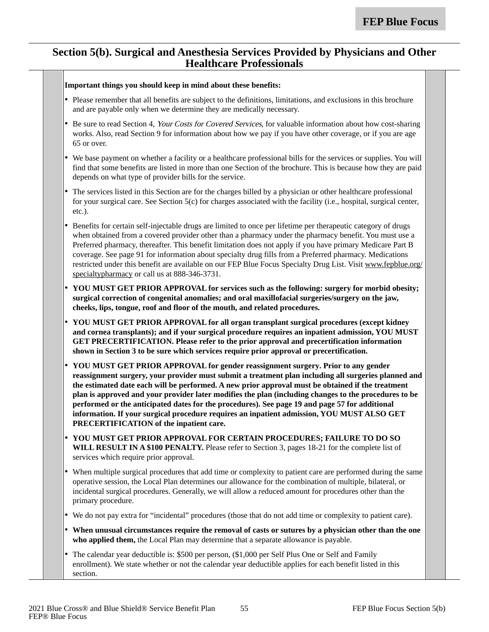#### **Section 5(b). Surgical and Anesthesia Services Provided by Physicians and Other Healthcare Professionals**

|        | Important things you should keep in mind about these benefits:                                                                                                                                                                                                                                                                                                                                                                                                                                                                                                                                                     |
|--------|--------------------------------------------------------------------------------------------------------------------------------------------------------------------------------------------------------------------------------------------------------------------------------------------------------------------------------------------------------------------------------------------------------------------------------------------------------------------------------------------------------------------------------------------------------------------------------------------------------------------|
|        | • Please remember that all benefits are subject to the definitions, limitations, and exclusions in this brochure<br>and are payable only when we determine they are medically necessary.                                                                                                                                                                                                                                                                                                                                                                                                                           |
|        | Be sure to read Section 4, Your Costs for Covered Services, for valuable information about how cost-sharing<br>works. Also, read Section 9 for information about how we pay if you have other coverage, or if you are age<br>65 or over.                                                                                                                                                                                                                                                                                                                                                                           |
|        | • We base payment on whether a facility or a healthcare professional bills for the services or supplies. You will<br>find that some benefits are listed in more than one Section of the brochure. This is because how they are paid<br>depends on what type of provider bills for the service.                                                                                                                                                                                                                                                                                                                     |
| ٠      | The services listed in this Section are for the charges billed by a physician or other healthcare professional<br>for your surgical care. See Section 5(c) for charges associated with the facility (i.e., hospital, surgical center,<br>etc.).                                                                                                                                                                                                                                                                                                                                                                    |
| ٠      | Benefits for certain self-injectable drugs are limited to once per lifetime per therapeutic category of drugs<br>when obtained from a covered provider other than a pharmacy under the pharmacy benefit. You must use a<br>Preferred pharmacy, thereafter. This benefit limitation does not apply if you have primary Medicare Part B<br>coverage. See page 91 for information about specialty drug fills from a Preferred pharmacy. Medications<br>restricted under this benefit are available on our FEP Blue Focus Specialty Drug List. Visit www.fepblue.org/<br>specialtypharmacy or call us at 888-346-3731. |
| ٠      | YOU MUST GET PRIOR APPROVAL for services such as the following: surgery for morbid obesity;<br>surgical correction of congenital anomalies; and oral maxillofacial surgeries/surgery on the jaw,<br>cheeks, lips, tongue, roof and floor of the mouth, and related procedures.                                                                                                                                                                                                                                                                                                                                     |
| ٠      | YOU MUST GET PRIOR APPROVAL for all organ transplant surgical procedures (except kidney<br>and cornea transplants); and if your surgical procedure requires an inpatient admission, YOU MUST<br>GET PRECERTIFICATION. Please refer to the prior approval and precertification information<br>shown in Section 3 to be sure which services require prior approval or precertification.                                                                                                                                                                                                                              |
| ٠      | YOU MUST GET PRIOR APPROVAL for gender reassignment surgery. Prior to any gender<br>reassignment surgery, your provider must submit a treatment plan including all surgeries planned and<br>the estimated date each will be performed. A new prior approval must be obtained if the treatment<br>plan is approved and your provider later modifies the plan (including changes to the procedures to be<br>performed or the anticipated dates for the procedures). See page 19 and page 57 for additional                                                                                                           |
|        | information. If your surgical procedure requires an inpatient admission, YOU MUST ALSO GET<br>PRECERTIFICATION of the inpatient care.                                                                                                                                                                                                                                                                                                                                                                                                                                                                              |
|        | • YOU MUST GET PRIOR APPROVAL FOR CERTAIN PROCEDURES; FAILURE TO DO SO<br>WILL RESULT IN A \$100 PENALTY. Please refer to Section 3, pages 18-21 for the complete list of<br>services which require prior approval.                                                                                                                                                                                                                                                                                                                                                                                                |
| ٠      | When multiple surgical procedures that add time or complexity to patient care are performed during the same<br>operative session, the Local Plan determines our allowance for the combination of multiple, bilateral, or<br>incidental surgical procedures. Generally, we will allow a reduced amount for procedures other than the<br>primary procedure.                                                                                                                                                                                                                                                          |
|        | We do not pay extra for "incidental" procedures (those that do not add time or complexity to patient care).                                                                                                                                                                                                                                                                                                                                                                                                                                                                                                        |
| ٠<br>٠ | When unusual circumstances require the removal of casts or sutures by a physician other than the one<br>who applied them, the Local Plan may determine that a separate allowance is payable.                                                                                                                                                                                                                                                                                                                                                                                                                       |
| ٠      | The calendar year deductible is: \$500 per person, (\$1,000 per Self Plus One or Self and Family<br>enrollment). We state whether or not the calendar year deductible applies for each benefit listed in this<br>section.                                                                                                                                                                                                                                                                                                                                                                                          |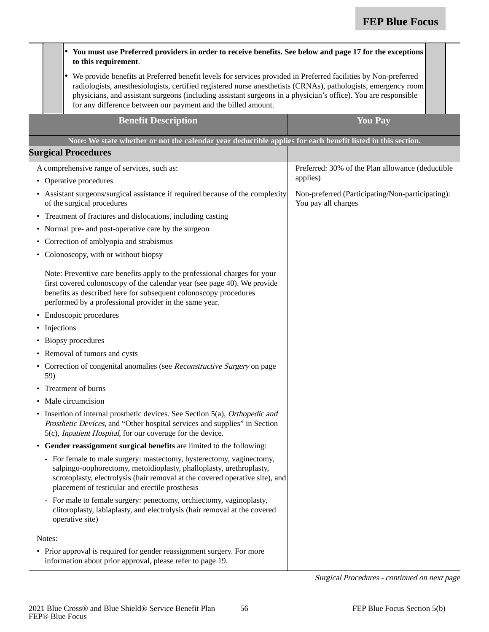|           |                                                                                                                                                                                                                                                                                     | You must use Preferred providers in order to receive benefits. See below and page 17 for the exceptions<br>٠<br>to this requirement.                                                                                                                                                                                                                                                                                  |                                                                         |
|-----------|-------------------------------------------------------------------------------------------------------------------------------------------------------------------------------------------------------------------------------------------------------------------------------------|-----------------------------------------------------------------------------------------------------------------------------------------------------------------------------------------------------------------------------------------------------------------------------------------------------------------------------------------------------------------------------------------------------------------------|-------------------------------------------------------------------------|
|           |                                                                                                                                                                                                                                                                                     | • We provide benefits at Preferred benefit levels for services provided in Preferred facilities by Non-preferred<br>radiologists, anesthesiologists, certified registered nurse anesthetists (CRNAs), pathologists, emergency room<br>physicians, and assistant surgeons (including assistant surgeons in a physician's office). You are responsible<br>for any difference between our payment and the billed amount. |                                                                         |
|           |                                                                                                                                                                                                                                                                                     | <b>Benefit Description</b>                                                                                                                                                                                                                                                                                                                                                                                            | <b>You Pay</b>                                                          |
|           |                                                                                                                                                                                                                                                                                     | Note: We state whether or not the calendar year deductible applies for each benefit listed in this section.                                                                                                                                                                                                                                                                                                           |                                                                         |
|           |                                                                                                                                                                                                                                                                                     | <b>Surgical Procedures</b>                                                                                                                                                                                                                                                                                                                                                                                            |                                                                         |
|           |                                                                                                                                                                                                                                                                                     | A comprehensive range of services, such as:                                                                                                                                                                                                                                                                                                                                                                           | Preferred: 30% of the Plan allowance (deductible                        |
| $\bullet$ |                                                                                                                                                                                                                                                                                     | Operative procedures                                                                                                                                                                                                                                                                                                                                                                                                  | applies)                                                                |
|           | • Assistant surgeons/surgical assistance if required because of the complexity<br>of the surgical procedures                                                                                                                                                                        |                                                                                                                                                                                                                                                                                                                                                                                                                       | Non-preferred (Participating/Non-participating):<br>You pay all charges |
| $\bullet$ |                                                                                                                                                                                                                                                                                     | Treatment of fractures and dislocations, including casting                                                                                                                                                                                                                                                                                                                                                            |                                                                         |
| $\bullet$ |                                                                                                                                                                                                                                                                                     | Normal pre- and post-operative care by the surgeon                                                                                                                                                                                                                                                                                                                                                                    |                                                                         |
|           |                                                                                                                                                                                                                                                                                     | Correction of amblyopia and strabismus                                                                                                                                                                                                                                                                                                                                                                                |                                                                         |
| ٠         |                                                                                                                                                                                                                                                                                     | Colonoscopy, with or without biopsy                                                                                                                                                                                                                                                                                                                                                                                   |                                                                         |
|           | Note: Preventive care benefits apply to the professional charges for your<br>first covered colonoscopy of the calendar year (see page 40). We provide<br>benefits as described here for subsequent colonoscopy procedures<br>performed by a professional provider in the same year. |                                                                                                                                                                                                                                                                                                                                                                                                                       |                                                                         |
| $\bullet$ |                                                                                                                                                                                                                                                                                     | Endoscopic procedures                                                                                                                                                                                                                                                                                                                                                                                                 |                                                                         |
| ٠         | Injections                                                                                                                                                                                                                                                                          |                                                                                                                                                                                                                                                                                                                                                                                                                       |                                                                         |
| $\bullet$ |                                                                                                                                                                                                                                                                                     | Biopsy procedures                                                                                                                                                                                                                                                                                                                                                                                                     |                                                                         |
| $\bullet$ |                                                                                                                                                                                                                                                                                     | Removal of tumors and cysts                                                                                                                                                                                                                                                                                                                                                                                           |                                                                         |
|           | 59)                                                                                                                                                                                                                                                                                 | • Correction of congenital anomalies (see Reconstructive Surgery on page                                                                                                                                                                                                                                                                                                                                              |                                                                         |
|           |                                                                                                                                                                                                                                                                                     | • Treatment of burns                                                                                                                                                                                                                                                                                                                                                                                                  |                                                                         |
|           |                                                                                                                                                                                                                                                                                     | Male circumcision                                                                                                                                                                                                                                                                                                                                                                                                     |                                                                         |
|           |                                                                                                                                                                                                                                                                                     | Insertion of internal prosthetic devices. See Section 5(a), Orthopedic and<br>Prosthetic Devices, and "Other hospital services and supplies" in Section<br>5(c), Inpatient Hospital, for our coverage for the device.                                                                                                                                                                                                 |                                                                         |
|           |                                                                                                                                                                                                                                                                                     | • Gender reassignment surgical benefits are limited to the following:                                                                                                                                                                                                                                                                                                                                                 |                                                                         |
|           |                                                                                                                                                                                                                                                                                     | - For female to male surgery: mastectomy, hysterectomy, vaginectomy,<br>salpingo-oophorectomy, metoidioplasty, phalloplasty, urethroplasty,<br>scrotoplasty, electrolysis (hair removal at the covered operative site), and<br>placement of testicular and erectile prosthesis                                                                                                                                        |                                                                         |
|           |                                                                                                                                                                                                                                                                                     | - For male to female surgery: penectomy, orchiectomy, vaginoplasty,<br>clitoroplasty, labiaplasty, and electrolysis (hair removal at the covered<br>operative site)                                                                                                                                                                                                                                                   |                                                                         |
|           | Notes:                                                                                                                                                                                                                                                                              |                                                                                                                                                                                                                                                                                                                                                                                                                       |                                                                         |
|           |                                                                                                                                                                                                                                                                                     | • Prior approval is required for gender reassignment surgery. For more<br>information about prior approval, please refer to page 19.                                                                                                                                                                                                                                                                                  |                                                                         |

Surgical Procedures - continued on next page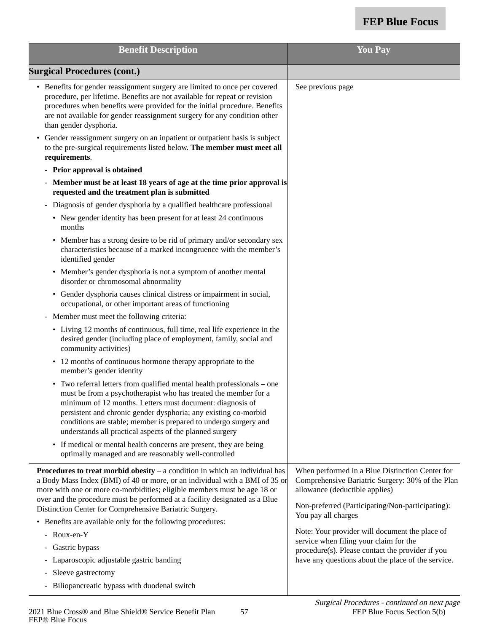| <b>Benefit Description</b>                                                                                                                                                                                                                                                                                                                                                                                                    | <b>You Pay</b>                                                                                                                                                                            |
|-------------------------------------------------------------------------------------------------------------------------------------------------------------------------------------------------------------------------------------------------------------------------------------------------------------------------------------------------------------------------------------------------------------------------------|-------------------------------------------------------------------------------------------------------------------------------------------------------------------------------------------|
| <b>Surgical Procedures (cont.)</b>                                                                                                                                                                                                                                                                                                                                                                                            |                                                                                                                                                                                           |
| • Benefits for gender reassignment surgery are limited to once per covered<br>procedure, per lifetime. Benefits are not available for repeat or revision<br>procedures when benefits were provided for the initial procedure. Benefits<br>are not available for gender reassignment surgery for any condition other<br>than gender dysphoria.<br>• Gender reassignment surgery on an inpatient or outpatient basis is subject | See previous page                                                                                                                                                                         |
| to the pre-surgical requirements listed below. The member must meet all<br>requirements.                                                                                                                                                                                                                                                                                                                                      |                                                                                                                                                                                           |
| - Prior approval is obtained                                                                                                                                                                                                                                                                                                                                                                                                  |                                                                                                                                                                                           |
| Member must be at least 18 years of age at the time prior approval is<br>requested and the treatment plan is submitted                                                                                                                                                                                                                                                                                                        |                                                                                                                                                                                           |
| - Diagnosis of gender dysphoria by a qualified healthcare professional                                                                                                                                                                                                                                                                                                                                                        |                                                                                                                                                                                           |
| • New gender identity has been present for at least 24 continuous<br>months                                                                                                                                                                                                                                                                                                                                                   |                                                                                                                                                                                           |
| Member has a strong desire to be rid of primary and/or secondary sex<br>$\bullet$<br>characteristics because of a marked incongruence with the member's<br>identified gender                                                                                                                                                                                                                                                  |                                                                                                                                                                                           |
| • Member's gender dysphoria is not a symptom of another mental<br>disorder or chromosomal abnormality                                                                                                                                                                                                                                                                                                                         |                                                                                                                                                                                           |
| Gender dysphoria causes clinical distress or impairment in social,<br>$\bullet$<br>occupational, or other important areas of functioning                                                                                                                                                                                                                                                                                      |                                                                                                                                                                                           |
| - Member must meet the following criteria:                                                                                                                                                                                                                                                                                                                                                                                    |                                                                                                                                                                                           |
| • Living 12 months of continuous, full time, real life experience in the<br>desired gender (including place of employment, family, social and<br>community activities)                                                                                                                                                                                                                                                        |                                                                                                                                                                                           |
| • 12 months of continuous hormone therapy appropriate to the<br>member's gender identity                                                                                                                                                                                                                                                                                                                                      |                                                                                                                                                                                           |
| • Two referral letters from qualified mental health professionals – one<br>must be from a psychotherapist who has treated the member for a<br>minimum of 12 months. Letters must document: diagnosis of<br>persistent and chronic gender dysphoria; any existing co-morbid<br>conditions are stable; member is prepared to undergo surgery and<br>understands all practical aspects of the planned surgery                    |                                                                                                                                                                                           |
| • If medical or mental health concerns are present, they are being<br>optimally managed and are reasonably well-controlled                                                                                                                                                                                                                                                                                                    |                                                                                                                                                                                           |
| <b>Procedures to treat morbid obesity</b> $-$ a condition in which an individual has<br>a Body Mass Index (BMI) of 40 or more, or an individual with a BMI of 35 or<br>more with one or more co-morbidities; eligible members must be age 18 or<br>over and the procedure must be performed at a facility designated as a Blue<br>Distinction Center for Comprehensive Bariatric Surgery.                                     | When performed in a Blue Distinction Center for<br>Comprehensive Bariatric Surgery: 30% of the Plan<br>allowance (deductible applies)<br>Non-preferred (Participating/Non-participating): |
| • Benefits are available only for the following procedures:                                                                                                                                                                                                                                                                                                                                                                   | You pay all charges                                                                                                                                                                       |
| Roux-en-Y                                                                                                                                                                                                                                                                                                                                                                                                                     | Note: Your provider will document the place of                                                                                                                                            |
| Gastric bypass                                                                                                                                                                                                                                                                                                                                                                                                                | service when filing your claim for the                                                                                                                                                    |
| Laparoscopic adjustable gastric banding                                                                                                                                                                                                                                                                                                                                                                                       | procedure(s). Please contact the provider if you<br>have any questions about the place of the service.                                                                                    |
| Sleeve gastrectomy                                                                                                                                                                                                                                                                                                                                                                                                            |                                                                                                                                                                                           |
| - Biliopancreatic bypass with duodenal switch                                                                                                                                                                                                                                                                                                                                                                                 |                                                                                                                                                                                           |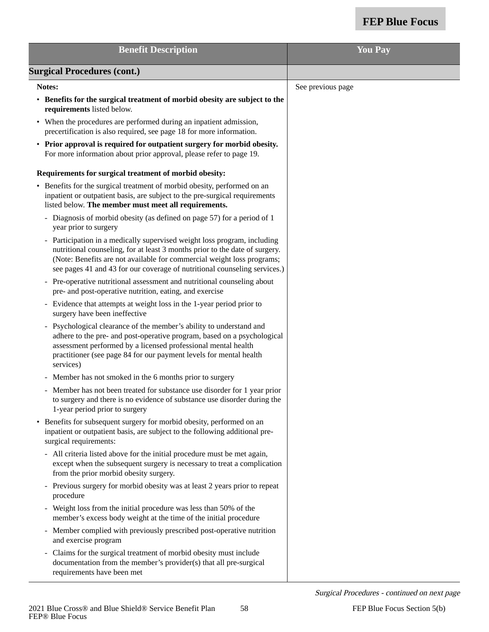| <b>Benefit Description</b>                                                                                                                                                                                                                                                                                     | <b>You Pay</b>    |
|----------------------------------------------------------------------------------------------------------------------------------------------------------------------------------------------------------------------------------------------------------------------------------------------------------------|-------------------|
| <b>Surgical Procedures (cont.)</b>                                                                                                                                                                                                                                                                             |                   |
| Notes:                                                                                                                                                                                                                                                                                                         | See previous page |
| • Benefits for the surgical treatment of morbid obesity are subject to the<br>requirements listed below.                                                                                                                                                                                                       |                   |
| • When the procedures are performed during an inpatient admission,<br>precertification is also required, see page 18 for more information.                                                                                                                                                                     |                   |
| • Prior approval is required for outpatient surgery for morbid obesity.<br>For more information about prior approval, please refer to page 19.                                                                                                                                                                 |                   |
| Requirements for surgical treatment of morbid obesity:                                                                                                                                                                                                                                                         |                   |
| • Benefits for the surgical treatment of morbid obesity, performed on an<br>inpatient or outpatient basis, are subject to the pre-surgical requirements<br>listed below. The member must meet all requirements.                                                                                                |                   |
| - Diagnosis of morbid obesity (as defined on page 57) for a period of 1<br>year prior to surgery                                                                                                                                                                                                               |                   |
| - Participation in a medically supervised weight loss program, including<br>nutritional counseling, for at least 3 months prior to the date of surgery.<br>(Note: Benefits are not available for commercial weight loss programs;<br>see pages 41 and 43 for our coverage of nutritional counseling services.) |                   |
| Pre-operative nutritional assessment and nutritional counseling about<br>pre- and post-operative nutrition, eating, and exercise                                                                                                                                                                               |                   |
| - Evidence that attempts at weight loss in the 1-year period prior to<br>surgery have been ineffective                                                                                                                                                                                                         |                   |
| - Psychological clearance of the member's ability to understand and<br>adhere to the pre- and post-operative program, based on a psychological<br>assessment performed by a licensed professional mental health<br>practitioner (see page 84 for our payment levels for mental health<br>services)             |                   |
| Member has not smoked in the 6 months prior to surgery                                                                                                                                                                                                                                                         |                   |
| - Member has not been treated for substance use disorder for 1 year prior<br>to surgery and there is no evidence of substance use disorder during the<br>1-year period prior to surgery                                                                                                                        |                   |
| • Benefits for subsequent surgery for morbid obesity, performed on an<br>inpatient or outpatient basis, are subject to the following additional pre-<br>surgical requirements:                                                                                                                                 |                   |
| - All criteria listed above for the initial procedure must be met again,<br>except when the subsequent surgery is necessary to treat a complication<br>from the prior morbid obesity surgery.                                                                                                                  |                   |
| - Previous surgery for morbid obesity was at least 2 years prior to repeat<br>procedure                                                                                                                                                                                                                        |                   |
| - Weight loss from the initial procedure was less than 50% of the<br>member's excess body weight at the time of the initial procedure                                                                                                                                                                          |                   |
| - Member complied with previously prescribed post-operative nutrition<br>and exercise program                                                                                                                                                                                                                  |                   |
| Claims for the surgical treatment of morbid obesity must include<br>-<br>documentation from the member's provider(s) that all pre-surgical<br>requirements have been met                                                                                                                                       |                   |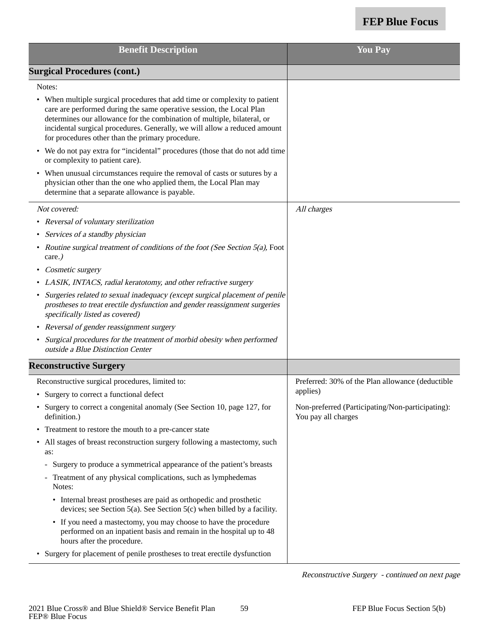| <b>Benefit Description</b>                                                                                                                                                                                                                                                                                                                                     | <b>You Pay</b>                                                          |
|----------------------------------------------------------------------------------------------------------------------------------------------------------------------------------------------------------------------------------------------------------------------------------------------------------------------------------------------------------------|-------------------------------------------------------------------------|
| <b>Surgical Procedures (cont.)</b>                                                                                                                                                                                                                                                                                                                             |                                                                         |
| Notes:                                                                                                                                                                                                                                                                                                                                                         |                                                                         |
| • When multiple surgical procedures that add time or complexity to patient<br>care are performed during the same operative session, the Local Plan<br>determines our allowance for the combination of multiple, bilateral, or<br>incidental surgical procedures. Generally, we will allow a reduced amount<br>for procedures other than the primary procedure. |                                                                         |
| • We do not pay extra for "incidental" procedures (those that do not add time<br>or complexity to patient care).                                                                                                                                                                                                                                               |                                                                         |
| • When unusual circumstances require the removal of casts or sutures by a<br>physician other than the one who applied them, the Local Plan may<br>determine that a separate allowance is payable.                                                                                                                                                              |                                                                         |
| Not covered:                                                                                                                                                                                                                                                                                                                                                   | All charges                                                             |
| • Reversal of voluntary sterilization                                                                                                                                                                                                                                                                                                                          |                                                                         |
| • Services of a standby physician                                                                                                                                                                                                                                                                                                                              |                                                                         |
| • Routine surgical treatment of conditions of the foot (See Section 5(a), Foot<br>care.)                                                                                                                                                                                                                                                                       |                                                                         |
| Cosmetic surgery<br>$\bullet$                                                                                                                                                                                                                                                                                                                                  |                                                                         |
| • LASIK, INTACS, radial keratotomy, and other refractive surgery                                                                                                                                                                                                                                                                                               |                                                                         |
| • Surgeries related to sexual inadequacy (except surgical placement of penile<br>prostheses to treat erectile dysfunction and gender reassignment surgeries<br>specifically listed as covered)                                                                                                                                                                 |                                                                         |
| • Reversal of gender reassignment surgery                                                                                                                                                                                                                                                                                                                      |                                                                         |
| • Surgical procedures for the treatment of morbid obesity when performed<br>outside a Blue Distinction Center                                                                                                                                                                                                                                                  |                                                                         |
| <b>Reconstructive Surgery</b>                                                                                                                                                                                                                                                                                                                                  |                                                                         |
| Reconstructive surgical procedures, limited to:                                                                                                                                                                                                                                                                                                                | Preferred: 30% of the Plan allowance (deductible                        |
| • Surgery to correct a functional defect                                                                                                                                                                                                                                                                                                                       | applies)                                                                |
| • Surgery to correct a congenital anomaly (See Section 10, page 127, for<br>definition.)                                                                                                                                                                                                                                                                       | Non-preferred (Participating/Non-participating):<br>You pay all charges |
| Treatment to restore the mouth to a pre-cancer state<br>$\bullet$                                                                                                                                                                                                                                                                                              |                                                                         |
| All stages of breast reconstruction surgery following a mastectomy, such<br>as:                                                                                                                                                                                                                                                                                |                                                                         |
| - Surgery to produce a symmetrical appearance of the patient's breasts                                                                                                                                                                                                                                                                                         |                                                                         |
| - Treatment of any physical complications, such as lymphedemas<br>Notes:                                                                                                                                                                                                                                                                                       |                                                                         |
| • Internal breast prostheses are paid as orthopedic and prosthetic<br>devices; see Section $5(a)$ . See Section $5(c)$ when billed by a facility.                                                                                                                                                                                                              |                                                                         |
| • If you need a mastectomy, you may choose to have the procedure<br>performed on an inpatient basis and remain in the hospital up to 48<br>hours after the procedure.                                                                                                                                                                                          |                                                                         |
| • Surgery for placement of penile prostheses to treat erectile dysfunction                                                                                                                                                                                                                                                                                     |                                                                         |

Reconstructive Surgery - continued on next page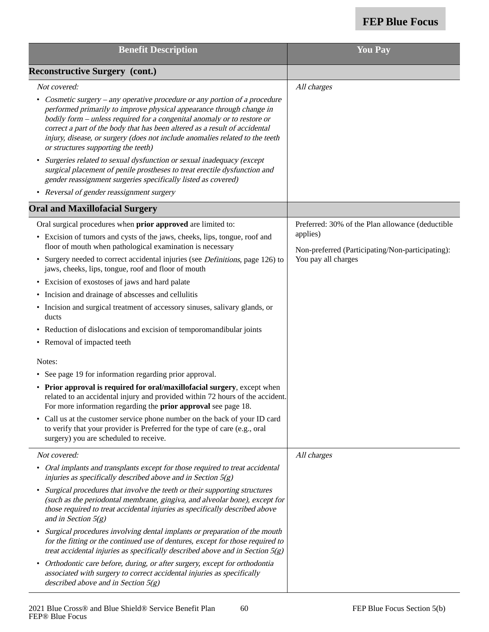| <b>Benefit Description</b>                                                                                                                                                                                                                                                                                                                                                                                                                    | <b>You Pay</b>                                               |
|-----------------------------------------------------------------------------------------------------------------------------------------------------------------------------------------------------------------------------------------------------------------------------------------------------------------------------------------------------------------------------------------------------------------------------------------------|--------------------------------------------------------------|
| <b>Reconstructive Surgery (cont.)</b>                                                                                                                                                                                                                                                                                                                                                                                                         |                                                              |
| Not covered:                                                                                                                                                                                                                                                                                                                                                                                                                                  | All charges                                                  |
| Cosmetic surgery – any operative procedure or any portion of a procedure<br>$\bullet$<br>performed primarily to improve physical appearance through change in<br>bodily form - unless required for a congenital anomaly or to restore or<br>correct a part of the body that has been altered as a result of accidental<br>injury, disease, or surgery (does not include anomalies related to the teeth<br>or structures supporting the teeth) |                                                              |
| Surgeries related to sexual dysfunction or sexual inadequacy (except<br>$\bullet$<br>surgical placement of penile prostheses to treat erectile dysfunction and<br>gender reassignment surgeries specifically listed as covered)                                                                                                                                                                                                               |                                                              |
| • Reversal of gender reassignment surgery                                                                                                                                                                                                                                                                                                                                                                                                     |                                                              |
| <b>Oral and Maxillofacial Surgery</b>                                                                                                                                                                                                                                                                                                                                                                                                         |                                                              |
| Oral surgical procedures when prior approved are limited to:                                                                                                                                                                                                                                                                                                                                                                                  | Preferred: 30% of the Plan allowance (deductible             |
| • Excision of tumors and cysts of the jaws, cheeks, lips, tongue, roof and<br>floor of mouth when pathological examination is necessary                                                                                                                                                                                                                                                                                                       | applies)<br>Non-preferred (Participating/Non-participating): |
| • Surgery needed to correct accidental injuries (see <i>Definitions</i> , page 126) to<br>jaws, cheeks, lips, tongue, roof and floor of mouth                                                                                                                                                                                                                                                                                                 | You pay all charges                                          |
| • Excision of exostoses of jaws and hard palate                                                                                                                                                                                                                                                                                                                                                                                               |                                                              |
| • Incision and drainage of abscesses and cellulitis                                                                                                                                                                                                                                                                                                                                                                                           |                                                              |
| • Incision and surgical treatment of accessory sinuses, salivary glands, or<br>ducts                                                                                                                                                                                                                                                                                                                                                          |                                                              |
| • Reduction of dislocations and excision of temporomandibular joints                                                                                                                                                                                                                                                                                                                                                                          |                                                              |
| • Removal of impacted teeth                                                                                                                                                                                                                                                                                                                                                                                                                   |                                                              |
| Notes:                                                                                                                                                                                                                                                                                                                                                                                                                                        |                                                              |
| • See page 19 for information regarding prior approval.                                                                                                                                                                                                                                                                                                                                                                                       |                                                              |
| • Prior approval is required for oral/maxillofacial surgery, except when<br>related to an accidental injury and provided within 72 hours of the accident.<br>For more information regarding the <b>prior approval</b> see page 18.                                                                                                                                                                                                            |                                                              |
| • Call us at the customer service phone number on the back of your ID card<br>to verify that your provider is Preferred for the type of care (e.g., oral<br>surgery) you are scheduled to receive.                                                                                                                                                                                                                                            |                                                              |
| Not covered:                                                                                                                                                                                                                                                                                                                                                                                                                                  | All charges                                                  |
| • Oral implants and transplants except for those required to treat accidental<br>injuries as specifically described above and in Section $5(g)$                                                                                                                                                                                                                                                                                               |                                                              |
| Surgical procedures that involve the teeth or their supporting structures<br>$\bullet$<br>(such as the periodontal membrane, gingiva, and alveolar bone), except for<br>those required to treat accidental injuries as specifically described above<br>and in Section $5(g)$                                                                                                                                                                  |                                                              |
| Surgical procedures involving dental implants or preparation of the mouth<br>$\bullet$<br>for the fitting or the continued use of dentures, except for those required to<br>treat accidental injuries as specifically described above and in Section $5(g)$                                                                                                                                                                                   |                                                              |
| Orthodontic care before, during, or after surgery, except for orthodontia<br>$\bullet$<br>associated with surgery to correct accidental injuries as specifically<br>described above and in Section $5(g)$                                                                                                                                                                                                                                     |                                                              |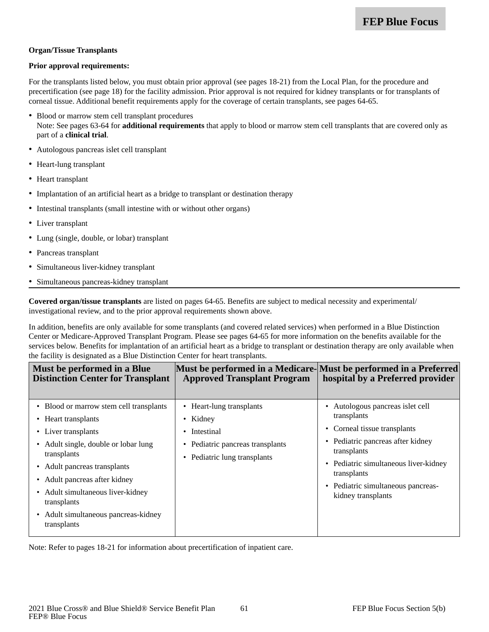#### **Organ/Tissue Transplants**

#### **Prior approval requirements:**

For the transplants listed below, you must obtain prior approval (see pages 18-21) from the Local Plan, for the procedure and precertification (see page 18) for the facility admission. Prior approval is not required for kidney transplants or for transplants of corneal tissue. Additional benefit requirements apply for the coverage of certain transplants, see pages 64-65.

- Blood or marrow stem cell transplant procedures Note: See pages 63-64 for **additional requirements** that apply to blood or marrow stem cell transplants that are covered only as part of a **clinical trial**.
- Autologous pancreas islet cell transplant
- Heart-lung transplant
- Heart transplant
- Implantation of an artificial heart as a bridge to transplant or destination therapy
- Intestinal transplants (small intestine with or without other organs)
- Liver transplant
- Lung (single, double, or lobar) transplant
- Pancreas transplant
- Simultaneous liver-kidney transplant
- Simultaneous pancreas-kidney transplant

**Covered organ/tissue transplants** are listed on pages 64-65. Benefits are subject to medical necessity and experimental/ investigational review, and to the prior approval requirements shown above.

In addition, benefits are only available for some transplants (and covered related services) when performed in a Blue Distinction Center or Medicare-Approved Transplant Program. Please see pages 64-65 for more information on the benefits available for the services below. Benefits for implantation of an artificial heart as a bridge to transplant or destination therapy are only available when the facility is designated as a Blue Distinction Center for heart transplants.

| Must be performed in a Blue<br><b>Distinction Center for Transplant</b>                                                                                                                                                                                                                                                             | Must be performed in a Medicare-Must be performed in a Preferred<br><b>Approved Transplant Program</b>                   | hospital by a Preferred provider                                                                                                                                                                                                                                         |
|-------------------------------------------------------------------------------------------------------------------------------------------------------------------------------------------------------------------------------------------------------------------------------------------------------------------------------------|--------------------------------------------------------------------------------------------------------------------------|--------------------------------------------------------------------------------------------------------------------------------------------------------------------------------------------------------------------------------------------------------------------------|
| • Blood or marrow stem cell transplants<br>• Heart transplants<br>• Liver transplants<br>• Adult single, double or lobar lung<br>transplants<br>• Adult pancreas transplants<br>Adult pancreas after kidney<br>$\bullet$<br>• Adult simultaneous liver-kidney<br>transplants<br>• Adult simultaneous pancreas-kidney<br>transplants | • Heart-lung transplants<br>• Kidney<br>• Intestinal<br>• Pediatric pancreas transplants<br>• Pediatric lung transplants | • Autologous pancreas islet cell<br>transplants<br>Corneal tissue transplants<br>٠<br>Pediatric pancreas after kidney<br>$\bullet$<br>transplants<br>Pediatric simultaneous liver-kidney<br>٠<br>transplants<br>• Pediatric simultaneous pancreas-<br>kidney transplants |

Note: Refer to pages 18-21 for information about precertification of inpatient care.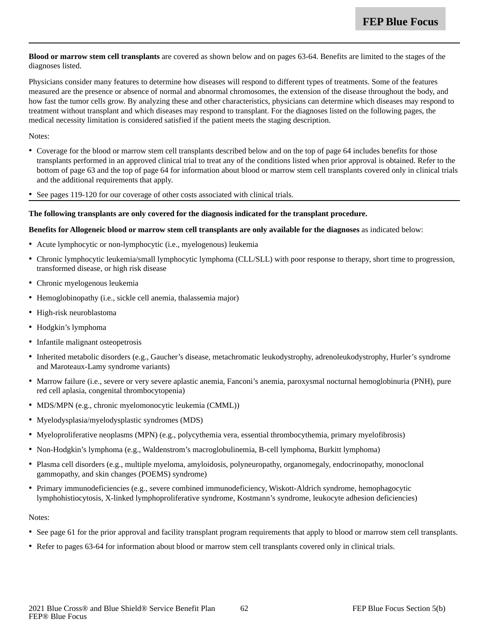**Blood or marrow stem cell transplants** are covered as shown below and on pages 63-64. Benefits are limited to the stages of the diagnoses listed.

Physicians consider many features to determine how diseases will respond to different types of treatments. Some of the features measured are the presence or absence of normal and abnormal chromosomes, the extension of the disease throughout the body, and how fast the tumor cells grow. By analyzing these and other characteristics, physicians can determine which diseases may respond to treatment without transplant and which diseases may respond to transplant. For the diagnoses listed on the following pages, the medical necessity limitation is considered satisfied if the patient meets the staging description.

Notes:

- Coverage for the blood or marrow stem cell transplants described below and on the top of page 64 includes benefits for those transplants performed in an approved clinical trial to treat any of the conditions listed when prior approval is obtained. Refer to the bottom of page 63 and the top of page 64 for information about blood or marrow stem cell transplants covered only in clinical trials and the additional requirements that apply.
- See pages 119-120 for our coverage of other costs associated with clinical trials.

#### **The following transplants are only covered for the diagnosis indicated for the transplant procedure.**

#### **Benefits for Allogeneic blood or marrow stem cell transplants are only available for the diagnoses** as indicated below:

- Acute lymphocytic or non-lymphocytic (i.e., myelogenous) leukemia
- Chronic lymphocytic leukemia/small lymphocytic lymphoma (CLL/SLL) with poor response to therapy, short time to progression, transformed disease, or high risk disease
- Chronic myelogenous leukemia
- Hemoglobinopathy (i.e., sickle cell anemia, thalassemia major)
- High-risk neuroblastoma
- Hodgkin's lymphoma
- Infantile malignant osteopetrosis
- Inherited metabolic disorders (e.g., Gaucher's disease, metachromatic leukodystrophy, adrenoleukodystrophy, Hurler's syndrome and Maroteaux-Lamy syndrome variants)
- Marrow failure (i.e., severe or very severe aplastic anemia, Fanconi's anemia, paroxysmal nocturnal hemoglobinuria (PNH), pure red cell aplasia, congenital thrombocytopenia)
- MDS/MPN (e.g., chronic myelomonocytic leukemia (CMML))
- Myelodysplasia/myelodysplastic syndromes (MDS)
- Myeloproliferative neoplasms (MPN) (e.g., polycythemia vera, essential thrombocythemia, primary myelofibrosis)
- Non-Hodgkin's lymphoma (e.g., Waldenstrom's macroglobulinemia, B-cell lymphoma, Burkitt lymphoma)
- Plasma cell disorders (e.g., multiple myeloma, amyloidosis, polyneuropathy, organomegaly, endocrinopathy, monoclonal gammopathy, and skin changes (POEMS) syndrome)
- Primary immunodeficiencies (e.g., severe combined immunodeficiency, Wiskott-Aldrich syndrome, hemophagocytic lymphohistiocytosis, X-linked lymphoproliferative syndrome, Kostmann's syndrome, leukocyte adhesion deficiencies)

#### Notes:

- See page 61 for the prior approval and facility transplant program requirements that apply to blood or marrow stem cell transplants.
- Refer to pages 63-64 for information about blood or marrow stem cell transplants covered only in clinical trials.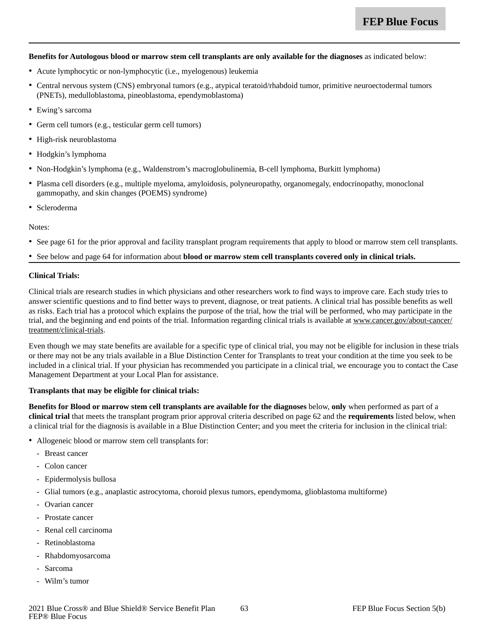#### **Benefits for Autologous blood or marrow stem cell transplants are only available for the diagnoses** as indicated below:

- Acute lymphocytic or non-lymphocytic (i.e., myelogenous) leukemia
- Central nervous system (CNS) embryonal tumors (e.g., atypical teratoid/rhabdoid tumor, primitive neuroectodermal tumors (PNETs), medulloblastoma, pineoblastoma, ependymoblastoma)
- Ewing's sarcoma
- Germ cell tumors (e.g., testicular germ cell tumors)
- High-risk neuroblastoma
- Hodgkin's lymphoma
- Non-Hodgkin's lymphoma (e.g., Waldenstrom's macroglobulinemia, B-cell lymphoma, Burkitt lymphoma)
- Plasma cell disorders (e.g., multiple myeloma, amyloidosis, polyneuropathy, organomegaly, endocrinopathy, monoclonal gammopathy, and skin changes (POEMS) syndrome)
- Scleroderma

Notes:

- See page 61 for the prior approval and facility transplant program requirements that apply to blood or marrow stem cell transplants.
- See below and page 64 for information about **blood or marrow stem cell transplants covered only in clinical trials.**

#### **Clinical Trials:**

Clinical trials are research studies in which physicians and other researchers work to find ways to improve care. Each study tries to answer scientific questions and to find better ways to prevent, diagnose, or treat patients. A clinical trial has possible benefits as well as risks. Each trial has a protocol which explains the purpose of the trial, how the trial will be performed, who may participate in the trial, and the beginning and end points of the trial. Information regarding clinical trials is available at www.cancer.gov/about-cancer/ treatment/clinical-trials.

Even though we may state benefits are available for a specific type of clinical trial, you may not be eligible for inclusion in these trials or there may not be any trials available in a Blue Distinction Center for Transplants to treat your condition at the time you seek to be included in a clinical trial. If your physician has recommended you participate in a clinical trial, we encourage you to contact the Case Management Department at your Local Plan for assistance.

#### **Transplants that may be eligible for clinical trials:**

**Benefits for Blood or marrow stem cell transplants are available for the diagnoses** below, **only** when performed as part of a **clinical trial** that meets the transplant program prior approval criteria described on page 62 and the **requirements** listed below, when a clinical trial for the diagnosis is available in a Blue Distinction Center; and you meet the criteria for inclusion in the clinical trial:

- Allogeneic blood or marrow stem cell transplants for:
	- Breast cancer
	- Colon cancer
	- Epidermolysis bullosa
	- Glial tumors (e.g., anaplastic astrocytoma, choroid plexus tumors, ependymoma, glioblastoma multiforme)
	- Ovarian cancer
	- Prostate cancer
	- Renal cell carcinoma
	- Retinoblastoma
	- Rhabdomyosarcoma
	- Sarcoma
	- Wilm's tumor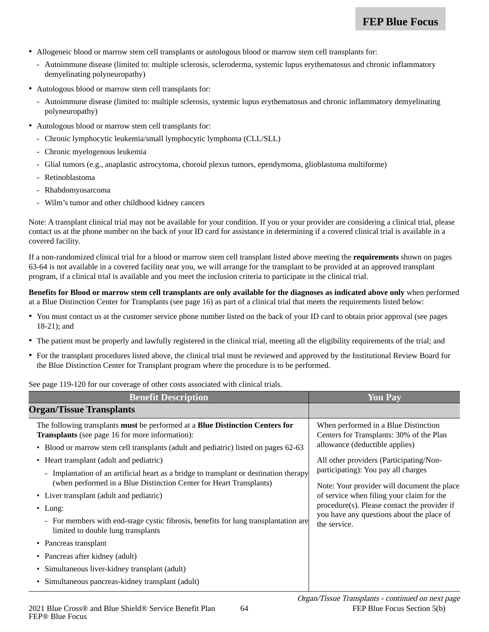- Allogeneic blood or marrow stem cell transplants or autologous blood or marrow stem cell transplants for:
	- Autoimmune disease (limited to: multiple sclerosis, scleroderma, systemic lupus erythematosus and chronic inflammatory demyelinating polyneuropathy)
- Autologous blood or marrow stem cell transplants for:
	- Autoimmune disease (limited to: multiple sclerosis, systemic lupus erythematosus and chronic inflammatory demyelinating polyneuropathy)
- Autologous blood or marrow stem cell transplants for:
	- Chronic lymphocytic leukemia/small lymphocytic lymphoma (CLL/SLL)
	- Chronic myelogenous leukemia
	- Glial tumors (e.g., anaplastic astrocytoma, choroid plexus tumors, ependymoma, glioblastoma multiforme)
	- Retinoblastoma
	- Rhabdomyosarcoma
	- Wilm's tumor and other childhood kidney cancers

Note: A transplant clinical trial may not be available for your condition. If you or your provider are considering a clinical trial, please contact us at the phone number on the back of your ID card for assistance in determining if a covered clinical trial is available in a covered facility.

If a non-randomized clinical trial for a blood or marrow stem cell transplant listed above meeting the **requirements** shown on pages 63-64 is not available in a covered facility near you, we will arrange for the transplant to be provided at an approved transplant program, if a clinical trial is available and you meet the inclusion criteria to participate in the clinical trial.

**Benefits for Blood or marrow stem cell transplants are only available for the diagnoses as indicated above only** when performed at a Blue Distinction Center for Transplants (see page 16) as part of a clinical trial that meets the requirements listed below:

- You must contact us at the customer service phone number listed on the back of your ID card to obtain prior approval (see pages 18-21); and
- The patient must be properly and lawfully registered in the clinical trial, meeting all the eligibility requirements of the trial; and
- For the transplant procedures listed above, the clinical trial must be reviewed and approved by the Institutional Review Board for the Blue Distinction Center for Transplant program where the procedure is to be performed.

See page 119-120 for our coverage of other costs associated with clinical trials.

| <b>Benefit Description</b>                                                                                                                                    | You Pav                                                                                                                                |
|---------------------------------------------------------------------------------------------------------------------------------------------------------------|----------------------------------------------------------------------------------------------------------------------------------------|
| <b>Organ/Tissue Transplants</b>                                                                                                                               |                                                                                                                                        |
| The following transplants must be performed at a <b>Blue Distinction Centers for</b><br><b>Transplants</b> (see page 16 for more information):                | When performed in a Blue Distinction<br>Centers for Transplants: 30% of the Plan<br>allowance (deductible applies)                     |
| • Blood or marrow stem cell transplants (adult and pediatric) listed on pages 62-63<br>• Heart transplant (adult and pediatric)                               | All other providers (Participating/Non-<br>participating): You pay all charges                                                         |
| - Implantation of an artificial heart as a bridge to transplant or destination therapy<br>(when performed in a Blue Distinction Center for Heart Transplants) | Note: Your provider will document the place                                                                                            |
| • Liver transplant (adult and pediatric)<br>• Lung:                                                                                                           | of service when filing your claim for the<br>procedure(s). Please contact the provider if<br>you have any questions about the place of |
| - For members with end-stage cystic fibrosis, benefits for lung transplantation are<br>limited to double lung transplants                                     | the service.                                                                                                                           |
| • Pancreas transplant                                                                                                                                         |                                                                                                                                        |
| • Pancreas after kidney (adult)                                                                                                                               |                                                                                                                                        |
| Simultaneous liver-kidney transplant (adult)<br>$\bullet$                                                                                                     |                                                                                                                                        |
| • Simultaneous pancreas-kidney transplant (adult)                                                                                                             |                                                                                                                                        |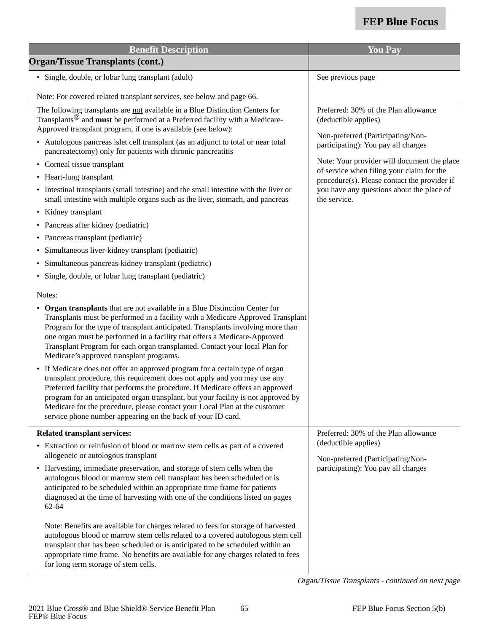| <b>Benefit Description</b>                                                                                                                                                                                                                                                                                                                                                                                                                                                    | <b>You Pay</b>                                                                            |  |
|-------------------------------------------------------------------------------------------------------------------------------------------------------------------------------------------------------------------------------------------------------------------------------------------------------------------------------------------------------------------------------------------------------------------------------------------------------------------------------|-------------------------------------------------------------------------------------------|--|
| <b>Organ/Tissue Transplants (cont.)</b>                                                                                                                                                                                                                                                                                                                                                                                                                                       |                                                                                           |  |
| · Single, double, or lobar lung transplant (adult)                                                                                                                                                                                                                                                                                                                                                                                                                            | See previous page                                                                         |  |
| Note: For covered related transplant services, see below and page 66.                                                                                                                                                                                                                                                                                                                                                                                                         |                                                                                           |  |
| The following transplants are not available in a Blue Distinction Centers for<br>Transplants <sup>®</sup> and <b>must</b> be performed at a Preferred facility with a Medicare-<br>Approved transplant program, if one is available (see below):                                                                                                                                                                                                                              | Preferred: 30% of the Plan allowance<br>(deductible applies)                              |  |
| • Autologous pancreas islet cell transplant (as an adjunct to total or near total<br>pancreatectomy) only for patients with chronic pancreatitis                                                                                                                                                                                                                                                                                                                              | Non-preferred (Participating/Non-<br>participating): You pay all charges                  |  |
| • Corneal tissue transplant                                                                                                                                                                                                                                                                                                                                                                                                                                                   | Note: Your provider will document the place                                               |  |
| • Heart-lung transplant                                                                                                                                                                                                                                                                                                                                                                                                                                                       | of service when filing your claim for the<br>procedure(s). Please contact the provider if |  |
| • Intestinal transplants (small intestine) and the small intestine with the liver or<br>small intestine with multiple organs such as the liver, stomach, and pancreas                                                                                                                                                                                                                                                                                                         | you have any questions about the place of<br>the service.                                 |  |
| • Kidney transplant                                                                                                                                                                                                                                                                                                                                                                                                                                                           |                                                                                           |  |
| • Pancreas after kidney (pediatric)                                                                                                                                                                                                                                                                                                                                                                                                                                           |                                                                                           |  |
| • Pancreas transplant (pediatric)                                                                                                                                                                                                                                                                                                                                                                                                                                             |                                                                                           |  |
| Simultaneous liver-kidney transplant (pediatric)<br>$\bullet$                                                                                                                                                                                                                                                                                                                                                                                                                 |                                                                                           |  |
| • Simultaneous pancreas-kidney transplant (pediatric)                                                                                                                                                                                                                                                                                                                                                                                                                         |                                                                                           |  |
| Single, double, or lobar lung transplant (pediatric)                                                                                                                                                                                                                                                                                                                                                                                                                          |                                                                                           |  |
| Notes:                                                                                                                                                                                                                                                                                                                                                                                                                                                                        |                                                                                           |  |
| • Organ transplants that are not available in a Blue Distinction Center for<br>Transplants must be performed in a facility with a Medicare-Approved Transplant<br>Program for the type of transplant anticipated. Transplants involving more than<br>one organ must be performed in a facility that offers a Medicare-Approved<br>Transplant Program for each organ transplanted. Contact your local Plan for<br>Medicare's approved transplant programs.                     |                                                                                           |  |
| • If Medicare does not offer an approved program for a certain type of organ<br>transplant procedure, this requirement does not apply and you may use any<br>Preferred facility that performs the procedure. If Medicare offers an approved<br>program for an anticipated organ transplant, but your facility is not approved by<br>Medicare for the procedure, please contact your Local Plan at the customer<br>service phone number appearing on the back of your ID card. |                                                                                           |  |
| <b>Related transplant services:</b>                                                                                                                                                                                                                                                                                                                                                                                                                                           | Preferred: 30% of the Plan allowance                                                      |  |
| • Extraction or reinfusion of blood or marrow stem cells as part of a covered<br>allogeneic or autologous transplant                                                                                                                                                                                                                                                                                                                                                          | (deductible applies)<br>Non-preferred (Participating/Non-                                 |  |
| • Harvesting, immediate preservation, and storage of stem cells when the<br>autologous blood or marrow stem cell transplant has been scheduled or is<br>anticipated to be scheduled within an appropriate time frame for patients<br>diagnosed at the time of harvesting with one of the conditions listed on pages<br>$62 - 64$                                                                                                                                              | participating): You pay all charges                                                       |  |
| Note: Benefits are available for charges related to fees for storage of harvested<br>autologous blood or marrow stem cells related to a covered autologous stem cell<br>transplant that has been scheduled or is anticipated to be scheduled within an<br>appropriate time frame. No benefits are available for any charges related to fees<br>for long term storage of stem cells.                                                                                           |                                                                                           |  |

Organ/Tissue Transplants - continued on next page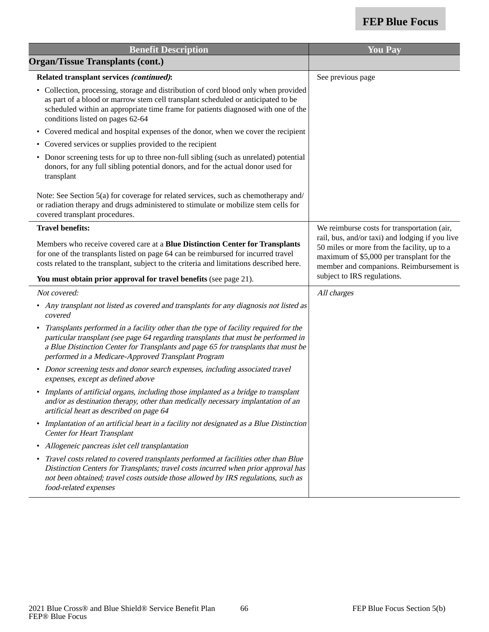| <b>Benefit Description</b>                                                                                                                                                                                                                                                                                                           | <b>You Pay</b>                                                                                                                                                                         |
|--------------------------------------------------------------------------------------------------------------------------------------------------------------------------------------------------------------------------------------------------------------------------------------------------------------------------------------|----------------------------------------------------------------------------------------------------------------------------------------------------------------------------------------|
| <b>Organ/Tissue Transplants (cont.)</b>                                                                                                                                                                                                                                                                                              |                                                                                                                                                                                        |
| Related transplant services (continued):                                                                                                                                                                                                                                                                                             | See previous page                                                                                                                                                                      |
| • Collection, processing, storage and distribution of cord blood only when provided<br>as part of a blood or marrow stem cell transplant scheduled or anticipated to be<br>scheduled within an appropriate time frame for patients diagnosed with one of the<br>conditions listed on pages 62-64                                     |                                                                                                                                                                                        |
| Covered medical and hospital expenses of the donor, when we cover the recipient<br>$\bullet$                                                                                                                                                                                                                                         |                                                                                                                                                                                        |
| • Covered services or supplies provided to the recipient                                                                                                                                                                                                                                                                             |                                                                                                                                                                                        |
| • Donor screening tests for up to three non-full sibling (such as unrelated) potential<br>donors, for any full sibling potential donors, and for the actual donor used for<br>transplant                                                                                                                                             |                                                                                                                                                                                        |
| Note: See Section 5(a) for coverage for related services, such as chemotherapy and/<br>or radiation therapy and drugs administered to stimulate or mobilize stem cells for<br>covered transplant procedures.                                                                                                                         |                                                                                                                                                                                        |
| <b>Travel benefits:</b>                                                                                                                                                                                                                                                                                                              | We reimburse costs for transportation (air,                                                                                                                                            |
| Members who receive covered care at a Blue Distinction Center for Transplants<br>for one of the transplants listed on page 64 can be reimbursed for incurred travel<br>costs related to the transplant, subject to the criteria and limitations described here.                                                                      | rail, bus, and/or taxi) and lodging if you live<br>50 miles or more from the facility, up to a<br>maximum of \$5,000 per transplant for the<br>member and companions. Reimbursement is |
| You must obtain prior approval for travel benefits (see page 21).                                                                                                                                                                                                                                                                    | subject to IRS regulations.                                                                                                                                                            |
| Not covered:                                                                                                                                                                                                                                                                                                                         | All charges                                                                                                                                                                            |
| • Any transplant not listed as covered and transplants for any diagnosis not listed as<br>covered                                                                                                                                                                                                                                    |                                                                                                                                                                                        |
| Transplants performed in a facility other than the type of facility required for the<br>$\bullet$<br>particular transplant (see page 64 regarding transplants that must be performed in<br>a Blue Distinction Center for Transplants and page 65 for transplants that must be<br>performed in a Medicare-Approved Transplant Program |                                                                                                                                                                                        |
| • Donor screening tests and donor search expenses, including associated travel<br>expenses, except as defined above                                                                                                                                                                                                                  |                                                                                                                                                                                        |
| • Implants of artificial organs, including those implanted as a bridge to transplant<br>and/or as destination therapy, other than medically necessary implantation of an<br>artificial heart as described on page 64                                                                                                                 |                                                                                                                                                                                        |
| Implantation of an artificial heart in a facility not designated as a Blue Distinction<br>$\bullet$<br><b>Center for Heart Transplant</b>                                                                                                                                                                                            |                                                                                                                                                                                        |
| Allogeneic pancreas islet cell transplantation                                                                                                                                                                                                                                                                                       |                                                                                                                                                                                        |
| Travel costs related to covered transplants performed at facilities other than Blue<br>Distinction Centers for Transplants; travel costs incurred when prior approval has<br>not been obtained; travel costs outside those allowed by IRS regulations, such as<br>food-related expenses                                              |                                                                                                                                                                                        |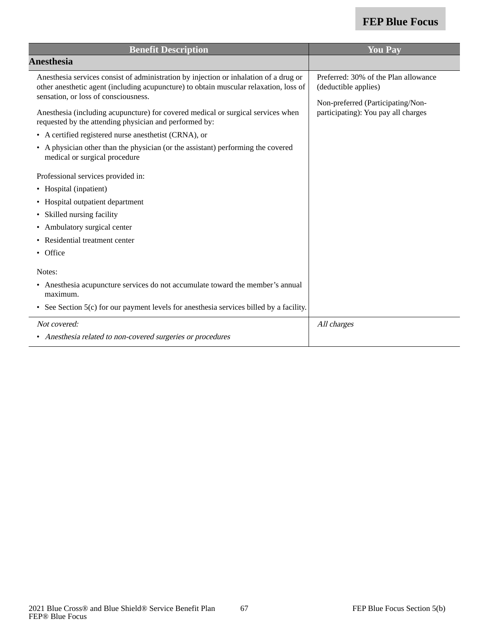| <b>Benefit Description</b>                                                                                                                                                                                                                                                                                                                                                                                                                                                                                                                                                                                                                                                              | <b>You Pay</b>                                                                                                                           |
|-----------------------------------------------------------------------------------------------------------------------------------------------------------------------------------------------------------------------------------------------------------------------------------------------------------------------------------------------------------------------------------------------------------------------------------------------------------------------------------------------------------------------------------------------------------------------------------------------------------------------------------------------------------------------------------------|------------------------------------------------------------------------------------------------------------------------------------------|
| <b>Anesthesia</b>                                                                                                                                                                                                                                                                                                                                                                                                                                                                                                                                                                                                                                                                       |                                                                                                                                          |
| Anesthesia services consist of administration by injection or inhalation of a drug or<br>other anesthetic agent (including acupuncture) to obtain muscular relaxation, loss of<br>sensation, or loss of consciousness.<br>Anesthesia (including acupuncture) for covered medical or surgical services when<br>requested by the attending physician and performed by:<br>• A certified registered nurse anesthetist (CRNA), or<br>• A physician other than the physician (or the assistant) performing the covered<br>medical or surgical procedure<br>Professional services provided in:<br>• Hospital (inpatient)<br>• Hospital outpatient department<br>Skilled nursing facility<br>٠ | Preferred: 30% of the Plan allowance<br>(deductible applies)<br>Non-preferred (Participating/Non-<br>participating): You pay all charges |
| • Ambulatory surgical center                                                                                                                                                                                                                                                                                                                                                                                                                                                                                                                                                                                                                                                            |                                                                                                                                          |
| • Residential treatment center<br>• Office                                                                                                                                                                                                                                                                                                                                                                                                                                                                                                                                                                                                                                              |                                                                                                                                          |
| Notes:                                                                                                                                                                                                                                                                                                                                                                                                                                                                                                                                                                                                                                                                                  |                                                                                                                                          |
| • Anesthesia acupuncture services do not accumulate toward the member's annual<br>maximum.<br>See Section 5(c) for our payment levels for anesthesia services billed by a facility.                                                                                                                                                                                                                                                                                                                                                                                                                                                                                                     |                                                                                                                                          |
| Not covered:<br>• Anesthesia related to non-covered surgeries or procedures                                                                                                                                                                                                                                                                                                                                                                                                                                                                                                                                                                                                             | All charges                                                                                                                              |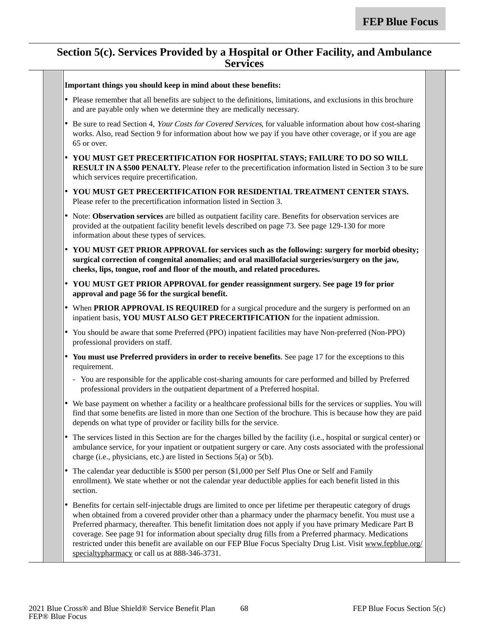#### **Section 5(c). Services Provided by a Hospital or Other Facility, and Ambulance Services**

|           | Important things you should keep in mind about these benefits:                                                                                                                                                                                                                                                                                                                                                                                                                                                                                                                                                     |
|-----------|--------------------------------------------------------------------------------------------------------------------------------------------------------------------------------------------------------------------------------------------------------------------------------------------------------------------------------------------------------------------------------------------------------------------------------------------------------------------------------------------------------------------------------------------------------------------------------------------------------------------|
|           | • Please remember that all benefits are subject to the definitions, limitations, and exclusions in this brochure<br>and are payable only when we determine they are medically necessary.                                                                                                                                                                                                                                                                                                                                                                                                                           |
|           | • Be sure to read Section 4, Your Costs for Covered Services, for valuable information about how cost-sharing<br>works. Also, read Section 9 for information about how we pay if you have other coverage, or if you are age<br>65 or over.                                                                                                                                                                                                                                                                                                                                                                         |
|           | • YOU MUST GET PRECERTIFICATION FOR HOSPITAL STAYS; FAILURE TO DO SO WILL<br><b>RESULT IN A \$500 PENALTY.</b> Please refer to the precertification information listed in Section 3 to be sure<br>which services require precertification.                                                                                                                                                                                                                                                                                                                                                                         |
|           | • YOU MUST GET PRECERTIFICATION FOR RESIDENTIAL TREATMENT CENTER STAYS.<br>Please refer to the precertification information listed in Section 3.                                                                                                                                                                                                                                                                                                                                                                                                                                                                   |
|           | • Note: Observation services are billed as outpatient facility care. Benefits for observation services are<br>provided at the outpatient facility benefit levels described on page 73. See page 129-130 for more<br>information about these types of services.                                                                                                                                                                                                                                                                                                                                                     |
|           | • YOU MUST GET PRIOR APPROVAL for services such as the following: surgery for morbid obesity;<br>surgical correction of congenital anomalies; and oral maxillofacial surgeries/surgery on the jaw,<br>cheeks, lips, tongue, roof and floor of the mouth, and related procedures.                                                                                                                                                                                                                                                                                                                                   |
|           | • YOU MUST GET PRIOR APPROVAL for gender reassignment surgery. See page 19 for prior<br>approval and page 56 for the surgical benefit.                                                                                                                                                                                                                                                                                                                                                                                                                                                                             |
|           | • When PRIOR APPROVAL IS REQUIRED for a surgical procedure and the surgery is performed on an<br>inpatient basis, YOU MUST ALSO GET PRECERTIFICATION for the inpatient admission.                                                                                                                                                                                                                                                                                                                                                                                                                                  |
|           | • You should be aware that some Preferred (PPO) inpatient facilities may have Non-preferred (Non-PPO)<br>professional providers on staff.                                                                                                                                                                                                                                                                                                                                                                                                                                                                          |
|           | • You must use Preferred providers in order to receive benefits. See page 17 for the exceptions to this<br>requirement.                                                                                                                                                                                                                                                                                                                                                                                                                                                                                            |
|           | - You are responsible for the applicable cost-sharing amounts for care performed and billed by Preferred<br>professional providers in the outpatient department of a Preferred hospital.                                                                                                                                                                                                                                                                                                                                                                                                                           |
|           | We base payment on whether a facility or a healthcare professional bills for the services or supplies. You will<br>find that some benefits are listed in more than one Section of the brochure. This is because how they are paid<br>depends on what type of provider or facility bills for the service.                                                                                                                                                                                                                                                                                                           |
|           | The services listed in this Section are for the charges billed by the facility (i.e., hospital or surgical center) or<br>ambulance service, for your inpatient or outpatient surgery or care. Any costs associated with the professional<br>charge (i.e., physicians, etc.) are listed in Sections 5(a) or 5(b).                                                                                                                                                                                                                                                                                                   |
| $\bullet$ | The calendar year deductible is \$500 per person (\$1,000 per Self Plus One or Self and Family<br>enrollment). We state whether or not the calendar year deductible applies for each benefit listed in this<br>section.                                                                                                                                                                                                                                                                                                                                                                                            |
| $\bullet$ | Benefits for certain self-injectable drugs are limited to once per lifetime per therapeutic category of drugs<br>when obtained from a covered provider other than a pharmacy under the pharmacy benefit. You must use a<br>Preferred pharmacy, thereafter. This benefit limitation does not apply if you have primary Medicare Part B<br>coverage. See page 91 for information about specialty drug fills from a Preferred pharmacy. Medications<br>restricted under this benefit are available on our FEP Blue Focus Specialty Drug List. Visit www.fepblue.org/<br>specialtypharmacy or call us at 888-346-3731. |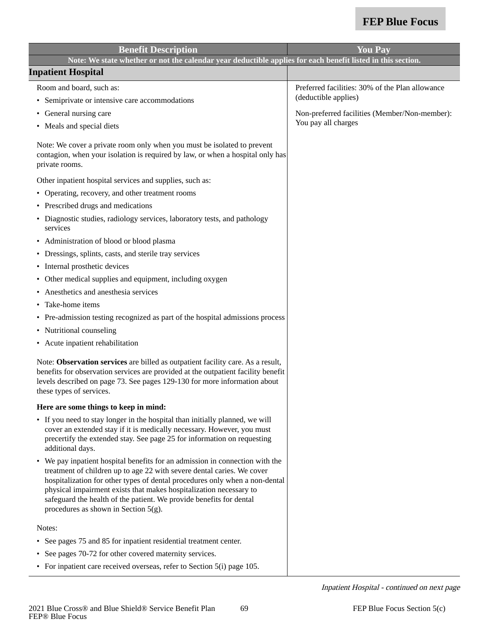| <b>Benefit Description</b>                                                                                                                                                                                                                                                                                                                                                                                                    | <b>You Pay</b>                                  |
|-------------------------------------------------------------------------------------------------------------------------------------------------------------------------------------------------------------------------------------------------------------------------------------------------------------------------------------------------------------------------------------------------------------------------------|-------------------------------------------------|
| Note: We state whether or not the calendar year deductible applies for each benefit listed in this section.                                                                                                                                                                                                                                                                                                                   |                                                 |
| <b>Inpatient Hospital</b>                                                                                                                                                                                                                                                                                                                                                                                                     |                                                 |
| Room and board, such as:                                                                                                                                                                                                                                                                                                                                                                                                      | Preferred facilities: 30% of the Plan allowance |
| Semiprivate or intensive care accommodations<br>٠                                                                                                                                                                                                                                                                                                                                                                             | (deductible applies)                            |
| • General nursing care                                                                                                                                                                                                                                                                                                                                                                                                        | Non-preferred facilities (Member/Non-member):   |
| • Meals and special diets                                                                                                                                                                                                                                                                                                                                                                                                     | You pay all charges                             |
| Note: We cover a private room only when you must be isolated to prevent<br>contagion, when your isolation is required by law, or when a hospital only has<br>private rooms.                                                                                                                                                                                                                                                   |                                                 |
| Other inpatient hospital services and supplies, such as:                                                                                                                                                                                                                                                                                                                                                                      |                                                 |
| Operating, recovery, and other treatment rooms<br>٠                                                                                                                                                                                                                                                                                                                                                                           |                                                 |
| Prescribed drugs and medications                                                                                                                                                                                                                                                                                                                                                                                              |                                                 |
| • Diagnostic studies, radiology services, laboratory tests, and pathology<br>services                                                                                                                                                                                                                                                                                                                                         |                                                 |
| • Administration of blood or blood plasma                                                                                                                                                                                                                                                                                                                                                                                     |                                                 |
| • Dressings, splints, casts, and sterile tray services                                                                                                                                                                                                                                                                                                                                                                        |                                                 |
| • Internal prosthetic devices                                                                                                                                                                                                                                                                                                                                                                                                 |                                                 |
| • Other medical supplies and equipment, including oxygen                                                                                                                                                                                                                                                                                                                                                                      |                                                 |
| Anesthetics and anesthesia services                                                                                                                                                                                                                                                                                                                                                                                           |                                                 |
| Take-home items                                                                                                                                                                                                                                                                                                                                                                                                               |                                                 |
| • Pre-admission testing recognized as part of the hospital admissions process                                                                                                                                                                                                                                                                                                                                                 |                                                 |
| • Nutritional counseling                                                                                                                                                                                                                                                                                                                                                                                                      |                                                 |
| • Acute inpatient rehabilitation                                                                                                                                                                                                                                                                                                                                                                                              |                                                 |
| Note: Observation services are billed as outpatient facility care. As a result,<br>benefits for observation services are provided at the outpatient facility benefit<br>levels described on page 73. See pages 129-130 for more information about<br>these types of services.                                                                                                                                                 |                                                 |
| Here are some things to keep in mind:                                                                                                                                                                                                                                                                                                                                                                                         |                                                 |
| • If you need to stay longer in the hospital than initially planned, we will<br>cover an extended stay if it is medically necessary. However, you must<br>precertify the extended stay. See page 25 for information on requesting<br>additional days.                                                                                                                                                                         |                                                 |
| • We pay inpatient hospital benefits for an admission in connection with the<br>treatment of children up to age 22 with severe dental caries. We cover<br>hospitalization for other types of dental procedures only when a non-dental<br>physical impairment exists that makes hospitalization necessary to<br>safeguard the health of the patient. We provide benefits for dental<br>procedures as shown in Section $5(g)$ . |                                                 |
| Notes:                                                                                                                                                                                                                                                                                                                                                                                                                        |                                                 |
| • See pages 75 and 85 for inpatient residential treatment center.                                                                                                                                                                                                                                                                                                                                                             |                                                 |
| • See pages 70-72 for other covered maternity services.                                                                                                                                                                                                                                                                                                                                                                       |                                                 |
| • For inpatient care received overseas, refer to Section 5(i) page 105.                                                                                                                                                                                                                                                                                                                                                       |                                                 |

Inpatient Hospital - continued on next page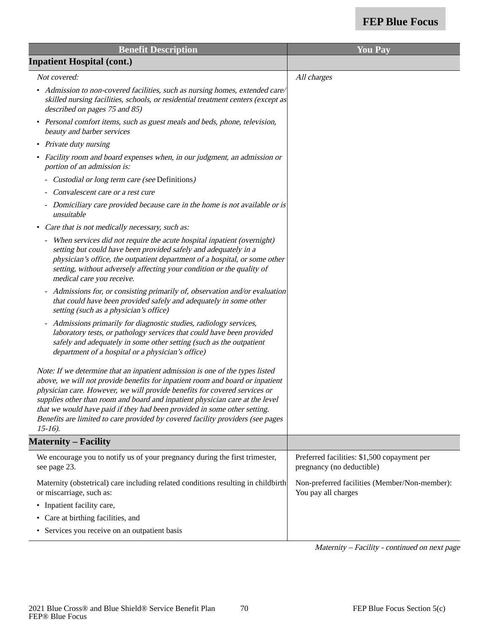| <b>Benefit Description</b>                                                                                                                                                                                                                                                                                                                                                                                                                                                                             | <b>You Pay</b>                                                           |
|--------------------------------------------------------------------------------------------------------------------------------------------------------------------------------------------------------------------------------------------------------------------------------------------------------------------------------------------------------------------------------------------------------------------------------------------------------------------------------------------------------|--------------------------------------------------------------------------|
| <b>Inpatient Hospital (cont.)</b>                                                                                                                                                                                                                                                                                                                                                                                                                                                                      |                                                                          |
| Not covered:                                                                                                                                                                                                                                                                                                                                                                                                                                                                                           | All charges                                                              |
| • Admission to non-covered facilities, such as nursing homes, extended care/<br>skilled nursing facilities, schools, or residential treatment centers (except as<br>described on pages 75 and 85)                                                                                                                                                                                                                                                                                                      |                                                                          |
| Personal comfort items, such as guest meals and beds, phone, television,<br>$\bullet$<br>beauty and barber services                                                                                                                                                                                                                                                                                                                                                                                    |                                                                          |
| • Private duty nursing                                                                                                                                                                                                                                                                                                                                                                                                                                                                                 |                                                                          |
| • Facility room and board expenses when, in our judgment, an admission or<br>portion of an admission is:                                                                                                                                                                                                                                                                                                                                                                                               |                                                                          |
| Custodial or long term care (see Definitions)                                                                                                                                                                                                                                                                                                                                                                                                                                                          |                                                                          |
| Convalescent care or a rest cure                                                                                                                                                                                                                                                                                                                                                                                                                                                                       |                                                                          |
| - Domiciliary care provided because care in the home is not available or is<br>unsuitable                                                                                                                                                                                                                                                                                                                                                                                                              |                                                                          |
| Care that is not medically necessary, such as:<br>٠                                                                                                                                                                                                                                                                                                                                                                                                                                                    |                                                                          |
| - When services did not require the acute hospital inpatient (overnight)<br>setting but could have been provided safely and adequately in a<br>physician's office, the outpatient department of a hospital, or some other<br>setting, without adversely affecting your condition or the quality of<br>medical care you receive.                                                                                                                                                                        |                                                                          |
| - Admissions for, or consisting primarily of, observation and/or evaluation<br>that could have been provided safely and adequately in some other<br>setting (such as a physician's office)                                                                                                                                                                                                                                                                                                             |                                                                          |
| Admissions primarily for diagnostic studies, radiology services,<br>$\blacksquare$<br>laboratory tests, or pathology services that could have been provided<br>safely and adequately in some other setting (such as the outpatient<br>department of a hospital or a physician's office)                                                                                                                                                                                                                |                                                                          |
| Note: If we determine that an inpatient admission is one of the types listed<br>above, we will not provide benefits for inpatient room and board or inpatient<br>physician care. However, we will provide benefits for covered services or<br>supplies other than room and board and inpatient physician care at the level<br>that we would have paid if they had been provided in some other setting.<br>Benefits are limited to care provided by covered facility providers (see pages<br>$15-16$ ). |                                                                          |
| <b>Maternity – Facility</b>                                                                                                                                                                                                                                                                                                                                                                                                                                                                            |                                                                          |
| We encourage you to notify us of your pregnancy during the first trimester,<br>see page 23.                                                                                                                                                                                                                                                                                                                                                                                                            | Preferred facilities: \$1,500 copayment per<br>pregnancy (no deductible) |
| Maternity (obstetrical) care including related conditions resulting in childbirth<br>or miscarriage, such as:                                                                                                                                                                                                                                                                                                                                                                                          | Non-preferred facilities (Member/Non-member):<br>You pay all charges     |
| • Inpatient facility care,                                                                                                                                                                                                                                                                                                                                                                                                                                                                             |                                                                          |
| • Care at birthing facilities, and                                                                                                                                                                                                                                                                                                                                                                                                                                                                     |                                                                          |
| • Services you receive on an outpatient basis                                                                                                                                                                                                                                                                                                                                                                                                                                                          |                                                                          |
|                                                                                                                                                                                                                                                                                                                                                                                                                                                                                                        |                                                                          |

Maternity – Facility - continued on next page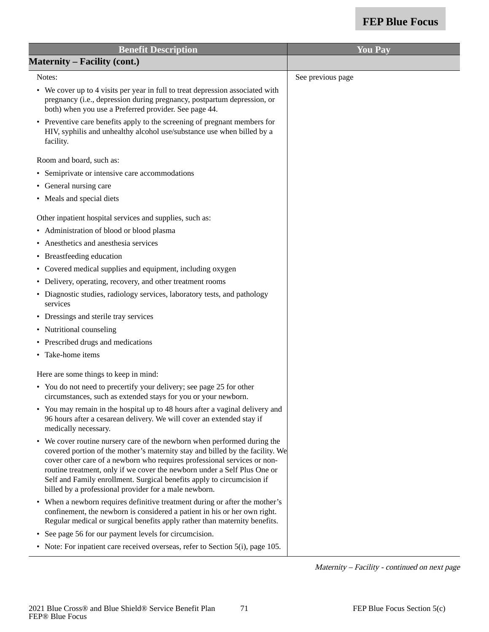| <b>Benefit Description</b>                                                                                                                                                                                                                                                                                                                                                                                                                           | <b>You Pay</b>    |
|------------------------------------------------------------------------------------------------------------------------------------------------------------------------------------------------------------------------------------------------------------------------------------------------------------------------------------------------------------------------------------------------------------------------------------------------------|-------------------|
| <b>Maternity – Facility (cont.)</b>                                                                                                                                                                                                                                                                                                                                                                                                                  |                   |
| Notes:                                                                                                                                                                                                                                                                                                                                                                                                                                               | See previous page |
| • We cover up to 4 visits per year in full to treat depression associated with<br>pregnancy (i.e., depression during pregnancy, postpartum depression, or<br>both) when you use a Preferred provider. See page 44.                                                                                                                                                                                                                                   |                   |
| • Preventive care benefits apply to the screening of pregnant members for<br>HIV, syphilis and unhealthy alcohol use/substance use when billed by a<br>facility.                                                                                                                                                                                                                                                                                     |                   |
| Room and board, such as:                                                                                                                                                                                                                                                                                                                                                                                                                             |                   |
| • Semiprivate or intensive care accommodations                                                                                                                                                                                                                                                                                                                                                                                                       |                   |
| • General nursing care                                                                                                                                                                                                                                                                                                                                                                                                                               |                   |
| • Meals and special diets                                                                                                                                                                                                                                                                                                                                                                                                                            |                   |
| Other inpatient hospital services and supplies, such as:                                                                                                                                                                                                                                                                                                                                                                                             |                   |
| • Administration of blood or blood plasma                                                                                                                                                                                                                                                                                                                                                                                                            |                   |
| Anesthetics and anesthesia services                                                                                                                                                                                                                                                                                                                                                                                                                  |                   |
| • Breastfeeding education                                                                                                                                                                                                                                                                                                                                                                                                                            |                   |
| • Covered medical supplies and equipment, including oxygen                                                                                                                                                                                                                                                                                                                                                                                           |                   |
| • Delivery, operating, recovery, and other treatment rooms                                                                                                                                                                                                                                                                                                                                                                                           |                   |
| • Diagnostic studies, radiology services, laboratory tests, and pathology<br>services                                                                                                                                                                                                                                                                                                                                                                |                   |
| • Dressings and sterile tray services                                                                                                                                                                                                                                                                                                                                                                                                                |                   |
| • Nutritional counseling                                                                                                                                                                                                                                                                                                                                                                                                                             |                   |
| • Prescribed drugs and medications                                                                                                                                                                                                                                                                                                                                                                                                                   |                   |
| Take-home items<br>$\bullet$                                                                                                                                                                                                                                                                                                                                                                                                                         |                   |
| Here are some things to keep in mind:                                                                                                                                                                                                                                                                                                                                                                                                                |                   |
| • You do not need to precertify your delivery; see page 25 for other<br>circumstances, such as extended stays for you or your newborn.                                                                                                                                                                                                                                                                                                               |                   |
| • You may remain in the hospital up to 48 hours after a vaginal delivery and<br>96 hours after a cesarean delivery. We will cover an extended stay if<br>medically necessary.                                                                                                                                                                                                                                                                        |                   |
| • We cover routine nursery care of the newborn when performed during the<br>covered portion of the mother's maternity stay and billed by the facility. We<br>cover other care of a newborn who requires professional services or non-<br>routine treatment, only if we cover the newborn under a Self Plus One or<br>Self and Family enrollment. Surgical benefits apply to circumcision if<br>billed by a professional provider for a male newborn. |                   |
| • When a newborn requires definitive treatment during or after the mother's<br>confinement, the newborn is considered a patient in his or her own right.<br>Regular medical or surgical benefits apply rather than maternity benefits.                                                                                                                                                                                                               |                   |
| • See page 56 for our payment levels for circumcision.                                                                                                                                                                                                                                                                                                                                                                                               |                   |
| • Note: For inpatient care received overseas, refer to Section 5(i), page 105.                                                                                                                                                                                                                                                                                                                                                                       |                   |

Maternity – Facility - continued on next page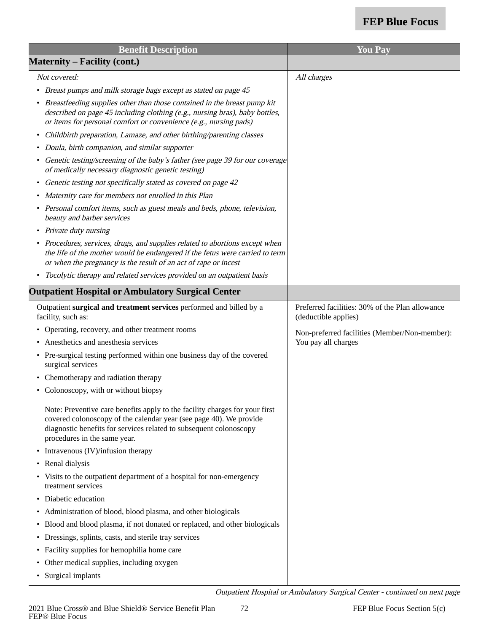| <b>Benefit Description</b>                                                                                                                                                                                                                              | <b>You Pay</b>                                                          |
|---------------------------------------------------------------------------------------------------------------------------------------------------------------------------------------------------------------------------------------------------------|-------------------------------------------------------------------------|
| <b>Maternity – Facility (cont.)</b>                                                                                                                                                                                                                     |                                                                         |
| Not covered:                                                                                                                                                                                                                                            | All charges                                                             |
| • Breast pumps and milk storage bags except as stated on page 45                                                                                                                                                                                        |                                                                         |
| • Breastfeeding supplies other than those contained in the breast pump kit<br>described on page 45 including clothing (e.g., nursing bras), baby bottles,<br>or items for personal comfort or convenience (e.g., nursing pads)                          |                                                                         |
| • Childbirth preparation, Lamaze, and other birthing/parenting classes                                                                                                                                                                                  |                                                                         |
| • Doula, birth companion, and similar supporter                                                                                                                                                                                                         |                                                                         |
| • Genetic testing/screening of the baby's father (see page 39 for our coverage<br>of medically necessary diagnostic genetic testing)                                                                                                                    |                                                                         |
| • Genetic testing not specifically stated as covered on page 42                                                                                                                                                                                         |                                                                         |
| • Maternity care for members not enrolled in this Plan                                                                                                                                                                                                  |                                                                         |
| • Personal comfort items, such as guest meals and beds, phone, television,<br>beauty and barber services                                                                                                                                                |                                                                         |
| • Private duty nursing                                                                                                                                                                                                                                  |                                                                         |
| • Procedures, services, drugs, and supplies related to abortions except when<br>the life of the mother would be endangered if the fetus were carried to term<br>or when the pregnancy is the result of an act of rape or incest                         |                                                                         |
| • Tocolytic therapy and related services provided on an outpatient basis                                                                                                                                                                                |                                                                         |
| <b>Outpatient Hospital or Ambulatory Surgical Center</b>                                                                                                                                                                                                |                                                                         |
| Outpatient surgical and treatment services performed and billed by a<br>facility, such as:                                                                                                                                                              | Preferred facilities: 30% of the Plan allowance<br>(deductible applies) |
| • Operating, recovery, and other treatment rooms                                                                                                                                                                                                        | Non-preferred facilities (Member/Non-member):                           |
| • Anesthetics and anesthesia services                                                                                                                                                                                                                   | You pay all charges                                                     |
| • Pre-surgical testing performed within one business day of the covered<br>surgical services                                                                                                                                                            |                                                                         |
| • Chemotherapy and radiation therapy                                                                                                                                                                                                                    |                                                                         |
| • Colonoscopy, with or without biopsy                                                                                                                                                                                                                   |                                                                         |
| Note: Preventive care benefits apply to the facility charges for your first<br>covered colonoscopy of the calendar year (see page 40). We provide<br>diagnostic benefits for services related to subsequent colonoscopy<br>procedures in the same year. |                                                                         |
| • Intravenous (IV)/infusion therapy                                                                                                                                                                                                                     |                                                                         |
| • Renal dialysis                                                                                                                                                                                                                                        |                                                                         |
| • Visits to the outpatient department of a hospital for non-emergency<br>treatment services                                                                                                                                                             |                                                                         |
| • Diabetic education                                                                                                                                                                                                                                    |                                                                         |
| • Administration of blood, blood plasma, and other biologicals                                                                                                                                                                                          |                                                                         |
| • Blood and blood plasma, if not donated or replaced, and other biologicals                                                                                                                                                                             |                                                                         |
| • Dressings, splints, casts, and sterile tray services                                                                                                                                                                                                  |                                                                         |
| • Facility supplies for hemophilia home care                                                                                                                                                                                                            |                                                                         |
| • Other medical supplies, including oxygen                                                                                                                                                                                                              |                                                                         |
| • Surgical implants                                                                                                                                                                                                                                     |                                                                         |

Outpatient Hospital or Ambulatory Surgical Center - continued on next page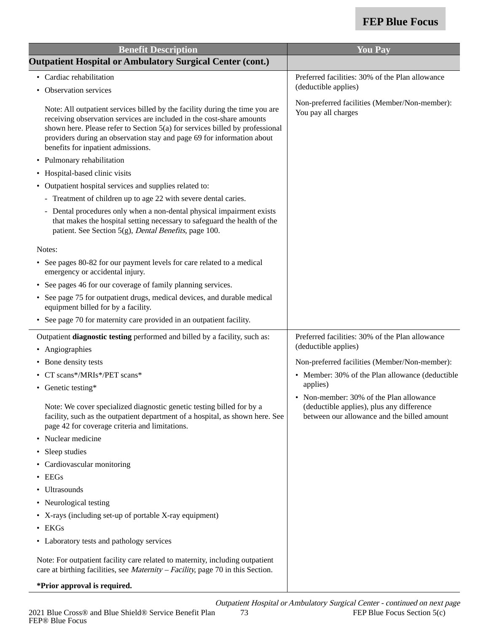| <b>Benefit Description</b>                                                                                                                                                                                                                                                                                                                            | <b>You Pay</b>                                                                                                                      |
|-------------------------------------------------------------------------------------------------------------------------------------------------------------------------------------------------------------------------------------------------------------------------------------------------------------------------------------------------------|-------------------------------------------------------------------------------------------------------------------------------------|
| <b>Outpatient Hospital or Ambulatory Surgical Center (cont.)</b>                                                                                                                                                                                                                                                                                      |                                                                                                                                     |
| Cardiac rehabilitation                                                                                                                                                                                                                                                                                                                                | Preferred facilities: 30% of the Plan allowance                                                                                     |
| Observation services                                                                                                                                                                                                                                                                                                                                  | (deductible applies)                                                                                                                |
| Note: All outpatient services billed by the facility during the time you are<br>receiving observation services are included in the cost-share amounts<br>shown here. Please refer to Section 5(a) for services billed by professional<br>providers during an observation stay and page 69 for information about<br>benefits for inpatient admissions. | Non-preferred facilities (Member/Non-member):<br>You pay all charges                                                                |
| Pulmonary rehabilitation<br>$\bullet$                                                                                                                                                                                                                                                                                                                 |                                                                                                                                     |
| Hospital-based clinic visits                                                                                                                                                                                                                                                                                                                          |                                                                                                                                     |
| Outpatient hospital services and supplies related to:                                                                                                                                                                                                                                                                                                 |                                                                                                                                     |
| - Treatment of children up to age 22 with severe dental caries.                                                                                                                                                                                                                                                                                       |                                                                                                                                     |
| - Dental procedures only when a non-dental physical impairment exists<br>that makes the hospital setting necessary to safeguard the health of the<br>patient. See Section 5(g), Dental Benefits, page 100.                                                                                                                                            |                                                                                                                                     |
| Notes:                                                                                                                                                                                                                                                                                                                                                |                                                                                                                                     |
| • See pages 80-82 for our payment levels for care related to a medical<br>emergency or accidental injury.                                                                                                                                                                                                                                             |                                                                                                                                     |
| See pages 46 for our coverage of family planning services.<br>$\bullet$                                                                                                                                                                                                                                                                               |                                                                                                                                     |
| See page 75 for outpatient drugs, medical devices, and durable medical<br>equipment billed for by a facility.                                                                                                                                                                                                                                         |                                                                                                                                     |
| • See page 70 for maternity care provided in an outpatient facility.                                                                                                                                                                                                                                                                                  |                                                                                                                                     |
| Outpatient diagnostic testing performed and billed by a facility, such as:                                                                                                                                                                                                                                                                            | Preferred facilities: 30% of the Plan allowance                                                                                     |
| Angiographies<br>٠                                                                                                                                                                                                                                                                                                                                    | (deductible applies)                                                                                                                |
| • Bone density tests                                                                                                                                                                                                                                                                                                                                  | Non-preferred facilities (Member/Non-member):                                                                                       |
| CT scans*/MRIs*/PET scans*                                                                                                                                                                                                                                                                                                                            | • Member: 30% of the Plan allowance (deductible                                                                                     |
| • Genetic testing*                                                                                                                                                                                                                                                                                                                                    | applies)                                                                                                                            |
| Note: We cover specialized diagnostic genetic testing billed for by a<br>facility, such as the outpatient department of a hospital, as shown here. See<br>page 42 for coverage criteria and limitations.                                                                                                                                              | • Non-member: 30% of the Plan allowance<br>(deductible applies), plus any difference<br>between our allowance and the billed amount |
| Nuclear medicine                                                                                                                                                                                                                                                                                                                                      |                                                                                                                                     |
| Sleep studies<br>٠                                                                                                                                                                                                                                                                                                                                    |                                                                                                                                     |
| Cardiovascular monitoring<br>٠                                                                                                                                                                                                                                                                                                                        |                                                                                                                                     |
| EEGs                                                                                                                                                                                                                                                                                                                                                  |                                                                                                                                     |
| Ultrasounds<br>$\bullet$                                                                                                                                                                                                                                                                                                                              |                                                                                                                                     |
| Neurological testing<br>$\bullet$                                                                                                                                                                                                                                                                                                                     |                                                                                                                                     |
| • X-rays (including set-up of portable X-ray equipment)                                                                                                                                                                                                                                                                                               |                                                                                                                                     |
| $\bullet$ EKGs                                                                                                                                                                                                                                                                                                                                        |                                                                                                                                     |
| • Laboratory tests and pathology services                                                                                                                                                                                                                                                                                                             |                                                                                                                                     |
| Note: For outpatient facility care related to maternity, including outpatient<br>care at birthing facilities, see <i>Maternity – Facility</i> , page 70 in this Section.                                                                                                                                                                              |                                                                                                                                     |
| *Prior approval is required.                                                                                                                                                                                                                                                                                                                          |                                                                                                                                     |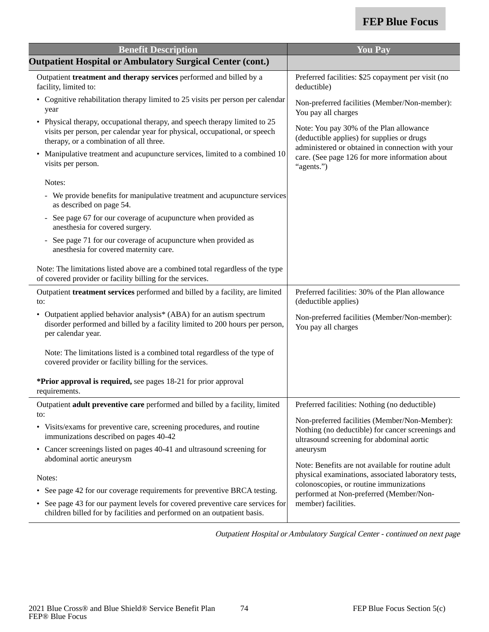| <b>Benefit Description</b>                                                                                                                                                                          | <b>You Pay</b>                                                                                                                                  |
|-----------------------------------------------------------------------------------------------------------------------------------------------------------------------------------------------------|-------------------------------------------------------------------------------------------------------------------------------------------------|
| <b>Outpatient Hospital or Ambulatory Surgical Center (cont.)</b>                                                                                                                                    |                                                                                                                                                 |
| Outpatient treatment and therapy services performed and billed by a<br>facility, limited to:                                                                                                        | Preferred facilities: \$25 copayment per visit (no<br>deductible)                                                                               |
| • Cognitive rehabilitation therapy limited to 25 visits per person per calendar<br>year                                                                                                             | Non-preferred facilities (Member/Non-member):<br>You pay all charges                                                                            |
| • Physical therapy, occupational therapy, and speech therapy limited to 25<br>visits per person, per calendar year for physical, occupational, or speech<br>therapy, or a combination of all three. | Note: You pay 30% of the Plan allowance<br>(deductible applies) for supplies or drugs<br>administered or obtained in connection with your       |
| Manipulative treatment and acupuncture services, limited to a combined 10<br>visits per person.                                                                                                     | care. (See page 126 for more information about<br>"agents.")                                                                                    |
| Notes:                                                                                                                                                                                              |                                                                                                                                                 |
| - We provide benefits for manipulative treatment and acupuncture services<br>as described on page 54.                                                                                               |                                                                                                                                                 |
| See page 67 for our coverage of acupuncture when provided as<br>$\blacksquare$<br>anesthesia for covered surgery.                                                                                   |                                                                                                                                                 |
| See page 71 for our coverage of acupuncture when provided as<br>anesthesia for covered maternity care.                                                                                              |                                                                                                                                                 |
| Note: The limitations listed above are a combined total regardless of the type<br>of covered provider or facility billing for the services.                                                         |                                                                                                                                                 |
| Outpatient treatment services performed and billed by a facility, are limited<br>to:                                                                                                                | Preferred facilities: 30% of the Plan allowance<br>(deductible applies)                                                                         |
| Outpatient applied behavior analysis <sup>*</sup> (ABA) for an autism spectrum<br>disorder performed and billed by a facility limited to 200 hours per person,<br>per calendar year.                | Non-preferred facilities (Member/Non-member):<br>You pay all charges                                                                            |
| Note: The limitations listed is a combined total regardless of the type of<br>covered provider or facility billing for the services.                                                                |                                                                                                                                                 |
| *Prior approval is required, see pages 18-21 for prior approval<br>requirements.                                                                                                                    |                                                                                                                                                 |
| Outpatient adult preventive care performed and billed by a facility, limited<br>to:                                                                                                                 | Preferred facilities: Nothing (no deductible)                                                                                                   |
| • Visits/exams for preventive care, screening procedures, and routine<br>immunizations described on pages 40-42                                                                                     | Non-preferred facilities (Member/Non-Member):<br>Nothing (no deductible) for cancer screenings and<br>ultrasound screening for abdominal aortic |
| • Cancer screenings listed on pages 40-41 and ultrasound screening for<br>abdominal aortic aneurysm                                                                                                 | aneurysm                                                                                                                                        |
| Notes:                                                                                                                                                                                              | Note: Benefits are not available for routine adult<br>physical examinations, associated laboratory tests,                                       |
| See page 42 for our coverage requirements for preventive BRCA testing.<br>$\bullet$                                                                                                                 | colonoscopies, or routine immunizations                                                                                                         |
| See page 43 for our payment levels for covered preventive care services for<br>children billed for by facilities and performed on an outpatient basis.                                              | performed at Non-preferred (Member/Non-<br>member) facilities.                                                                                  |

Outpatient Hospital or Ambulatory Surgical Center - continued on next page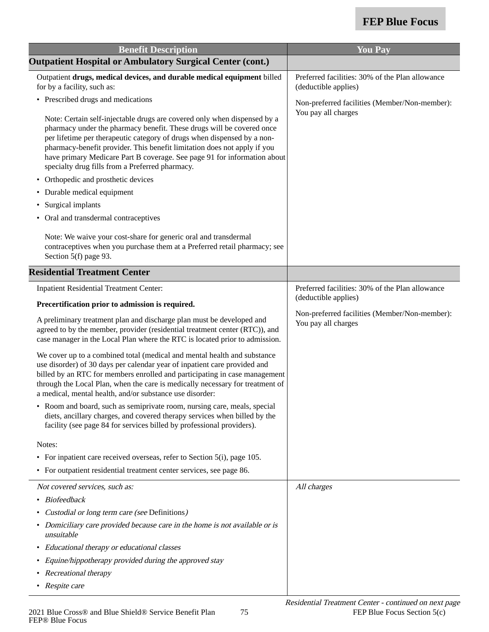| <b>Benefit Description</b>                                                                                                                                                                                                                                                                                                                                                                                                              | <b>You Pay</b>                                                          |
|-----------------------------------------------------------------------------------------------------------------------------------------------------------------------------------------------------------------------------------------------------------------------------------------------------------------------------------------------------------------------------------------------------------------------------------------|-------------------------------------------------------------------------|
| <b>Outpatient Hospital or Ambulatory Surgical Center (cont.)</b>                                                                                                                                                                                                                                                                                                                                                                        |                                                                         |
| Outpatient drugs, medical devices, and durable medical equipment billed<br>for by a facility, such as:                                                                                                                                                                                                                                                                                                                                  | Preferred facilities: 30% of the Plan allowance<br>(deductible applies) |
| • Prescribed drugs and medications                                                                                                                                                                                                                                                                                                                                                                                                      | Non-preferred facilities (Member/Non-member):<br>You pay all charges    |
| Note: Certain self-injectable drugs are covered only when dispensed by a<br>pharmacy under the pharmacy benefit. These drugs will be covered once<br>per lifetime per therapeutic category of drugs when dispensed by a non-<br>pharmacy-benefit provider. This benefit limitation does not apply if you<br>have primary Medicare Part B coverage. See page 91 for information about<br>specialty drug fills from a Preferred pharmacy. |                                                                         |
| • Orthopedic and prosthetic devices                                                                                                                                                                                                                                                                                                                                                                                                     |                                                                         |
| • Durable medical equipment                                                                                                                                                                                                                                                                                                                                                                                                             |                                                                         |
| Surgical implants<br>٠                                                                                                                                                                                                                                                                                                                                                                                                                  |                                                                         |
| Oral and transdermal contraceptives                                                                                                                                                                                                                                                                                                                                                                                                     |                                                                         |
| Note: We waive your cost-share for generic oral and transdermal<br>contraceptives when you purchase them at a Preferred retail pharmacy; see<br>Section 5(f) page 93.                                                                                                                                                                                                                                                                   |                                                                         |
| <b>Residential Treatment Center</b>                                                                                                                                                                                                                                                                                                                                                                                                     |                                                                         |
| <b>Inpatient Residential Treatment Center:</b>                                                                                                                                                                                                                                                                                                                                                                                          | Preferred facilities: 30% of the Plan allowance                         |
| Precertification prior to admission is required.                                                                                                                                                                                                                                                                                                                                                                                        | (deductible applies)                                                    |
| A preliminary treatment plan and discharge plan must be developed and<br>agreed to by the member, provider (residential treatment center (RTC)), and<br>case manager in the Local Plan where the RTC is located prior to admission.                                                                                                                                                                                                     | Non-preferred facilities (Member/Non-member):<br>You pay all charges    |
| We cover up to a combined total (medical and mental health and substance<br>use disorder) of 30 days per calendar year of inpatient care provided and<br>billed by an RTC for members enrolled and participating in case management<br>through the Local Plan, when the care is medically necessary for treatment of<br>a medical, mental health, and/or substance use disorder:                                                        |                                                                         |
| • Room and board, such as semiprivate room, nursing care, meals, special<br>diets, ancillary charges, and covered therapy services when billed by the<br>facility (see page 84 for services billed by professional providers).                                                                                                                                                                                                          |                                                                         |
| Notes:                                                                                                                                                                                                                                                                                                                                                                                                                                  |                                                                         |
| • For inpatient care received overseas, refer to Section 5(i), page 105.                                                                                                                                                                                                                                                                                                                                                                |                                                                         |
| • For outpatient residential treatment center services, see page 86.                                                                                                                                                                                                                                                                                                                                                                    |                                                                         |
| Not covered services, such as:                                                                                                                                                                                                                                                                                                                                                                                                          | All charges                                                             |
| <b>Biofeedback</b>                                                                                                                                                                                                                                                                                                                                                                                                                      |                                                                         |
| Custodial or long term care (see Definitions)                                                                                                                                                                                                                                                                                                                                                                                           |                                                                         |
| • Domiciliary care provided because care in the home is not available or is<br>unsuitable                                                                                                                                                                                                                                                                                                                                               |                                                                         |
| Educational therapy or educational classes                                                                                                                                                                                                                                                                                                                                                                                              |                                                                         |
| Equine/hippotherapy provided during the approved stay                                                                                                                                                                                                                                                                                                                                                                                   |                                                                         |
| Recreational therapy<br>٠                                                                                                                                                                                                                                                                                                                                                                                                               |                                                                         |
| • Respite care                                                                                                                                                                                                                                                                                                                                                                                                                          |                                                                         |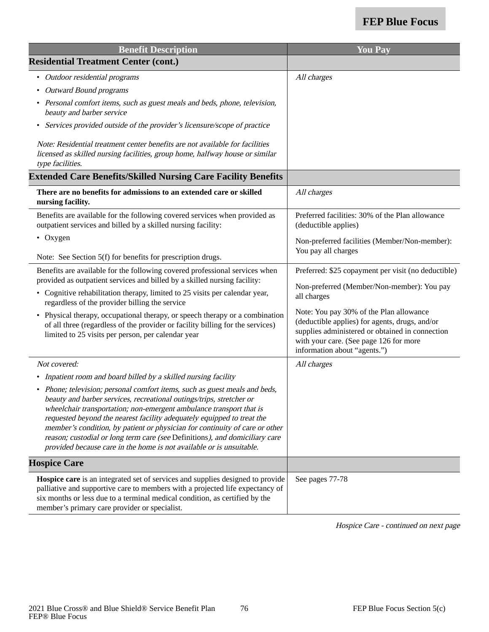| <b>Benefit Description</b>                                                                                                                                                                                                                                                                                                                                                                                                                                                                                                                | <b>You Pay</b>                                                                                                                                                                                                         |
|-------------------------------------------------------------------------------------------------------------------------------------------------------------------------------------------------------------------------------------------------------------------------------------------------------------------------------------------------------------------------------------------------------------------------------------------------------------------------------------------------------------------------------------------|------------------------------------------------------------------------------------------------------------------------------------------------------------------------------------------------------------------------|
| <b>Residential Treatment Center (cont.)</b>                                                                                                                                                                                                                                                                                                                                                                                                                                                                                               |                                                                                                                                                                                                                        |
| • Outdoor residential programs                                                                                                                                                                                                                                                                                                                                                                                                                                                                                                            | All charges                                                                                                                                                                                                            |
| • Outward Bound programs                                                                                                                                                                                                                                                                                                                                                                                                                                                                                                                  |                                                                                                                                                                                                                        |
| • Personal comfort items, such as guest meals and beds, phone, television,<br>beauty and barber service                                                                                                                                                                                                                                                                                                                                                                                                                                   |                                                                                                                                                                                                                        |
| • Services provided outside of the provider's licensure/scope of practice                                                                                                                                                                                                                                                                                                                                                                                                                                                                 |                                                                                                                                                                                                                        |
| Note: Residential treatment center benefits are not available for facilities<br>licensed as skilled nursing facilities, group home, halfway house or similar<br>type facilities.                                                                                                                                                                                                                                                                                                                                                          |                                                                                                                                                                                                                        |
| <b>Extended Care Benefits/Skilled Nursing Care Facility Benefits</b>                                                                                                                                                                                                                                                                                                                                                                                                                                                                      |                                                                                                                                                                                                                        |
| There are no benefits for admissions to an extended care or skilled<br>nursing facility.                                                                                                                                                                                                                                                                                                                                                                                                                                                  | All charges                                                                                                                                                                                                            |
| Benefits are available for the following covered services when provided as<br>outpatient services and billed by a skilled nursing facility:                                                                                                                                                                                                                                                                                                                                                                                               | Preferred facilities: 30% of the Plan allowance<br>(deductible applies)                                                                                                                                                |
| $\bullet$ Oxygen                                                                                                                                                                                                                                                                                                                                                                                                                                                                                                                          | Non-preferred facilities (Member/Non-member):<br>You pay all charges                                                                                                                                                   |
| Note: See Section 5(f) for benefits for prescription drugs.                                                                                                                                                                                                                                                                                                                                                                                                                                                                               |                                                                                                                                                                                                                        |
| Benefits are available for the following covered professional services when<br>provided as outpatient services and billed by a skilled nursing facility:                                                                                                                                                                                                                                                                                                                                                                                  | Preferred: \$25 copayment per visit (no deductible)                                                                                                                                                                    |
| • Cognitive rehabilitation therapy, limited to 25 visits per calendar year,<br>regardless of the provider billing the service                                                                                                                                                                                                                                                                                                                                                                                                             | Non-preferred (Member/Non-member): You pay<br>all charges                                                                                                                                                              |
| • Physical therapy, occupational therapy, or speech therapy or a combination<br>of all three (regardless of the provider or facility billing for the services)<br>limited to 25 visits per person, per calendar year                                                                                                                                                                                                                                                                                                                      | Note: You pay 30% of the Plan allowance<br>(deductible applies) for agents, drugs, and/or<br>supplies administered or obtained in connection<br>with your care. (See page 126 for more<br>information about "agents.") |
| Not covered:                                                                                                                                                                                                                                                                                                                                                                                                                                                                                                                              | All charges                                                                                                                                                                                                            |
| • Inpatient room and board billed by a skilled nursing facility                                                                                                                                                                                                                                                                                                                                                                                                                                                                           |                                                                                                                                                                                                                        |
| • Phone; television; personal comfort items, such as guest meals and beds,<br>beauty and barber services, recreational outings/trips, stretcher or<br>wheelchair transportation; non-emergent ambulance transport that is<br>requested beyond the nearest facility adequately equipped to treat the<br>member's condition, by patient or physician for continuity of care or other<br>reason; custodial or long term care (see Definitions), and domiciliary care<br>provided because care in the home is not available or is unsuitable. |                                                                                                                                                                                                                        |
| <b>Hospice Care</b>                                                                                                                                                                                                                                                                                                                                                                                                                                                                                                                       |                                                                                                                                                                                                                        |
| Hospice care is an integrated set of services and supplies designed to provide<br>palliative and supportive care to members with a projected life expectancy of<br>six months or less due to a terminal medical condition, as certified by the<br>member's primary care provider or specialist.                                                                                                                                                                                                                                           | See pages 77-78                                                                                                                                                                                                        |

Hospice Care - continued on next page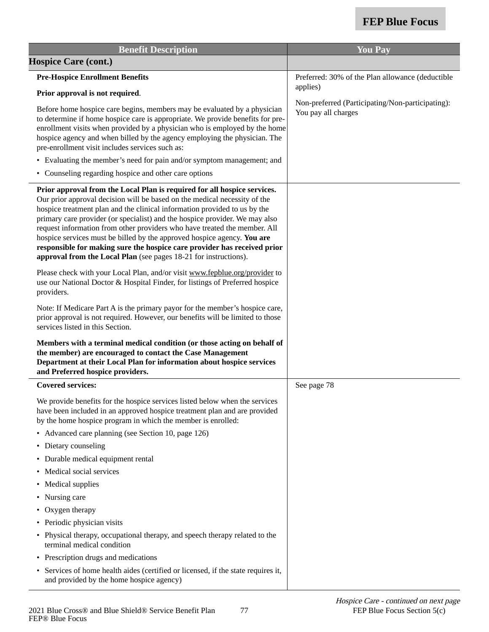| <b>Benefit Description</b>                                                                                                                                                                                                                                                                                                                                                                                                                                                                                                                                                                                                | <b>You Pay</b>                                                          |
|---------------------------------------------------------------------------------------------------------------------------------------------------------------------------------------------------------------------------------------------------------------------------------------------------------------------------------------------------------------------------------------------------------------------------------------------------------------------------------------------------------------------------------------------------------------------------------------------------------------------------|-------------------------------------------------------------------------|
| <b>Hospice Care (cont.)</b>                                                                                                                                                                                                                                                                                                                                                                                                                                                                                                                                                                                               |                                                                         |
| <b>Pre-Hospice Enrollment Benefits</b>                                                                                                                                                                                                                                                                                                                                                                                                                                                                                                                                                                                    | Preferred: 30% of the Plan allowance (deductible                        |
| Prior approval is not required.                                                                                                                                                                                                                                                                                                                                                                                                                                                                                                                                                                                           | applies)                                                                |
| Before home hospice care begins, members may be evaluated by a physician<br>to determine if home hospice care is appropriate. We provide benefits for pre-<br>enrollment visits when provided by a physician who is employed by the home<br>hospice agency and when billed by the agency employing the physician. The<br>pre-enrollment visit includes services such as:<br>• Evaluating the member's need for pain and/or symptom management; and<br>• Counseling regarding hospice and other care options                                                                                                               | Non-preferred (Participating/Non-participating):<br>You pay all charges |
| Prior approval from the Local Plan is required for all hospice services.<br>Our prior approval decision will be based on the medical necessity of the<br>hospice treatment plan and the clinical information provided to us by the<br>primary care provider (or specialist) and the hospice provider. We may also<br>request information from other providers who have treated the member. All<br>hospice services must be billed by the approved hospice agency. You are<br>responsible for making sure the hospice care provider has received prior<br>approval from the Local Plan (see pages 18-21 for instructions). |                                                                         |
| Please check with your Local Plan, and/or visit www.fepblue.org/provider to<br>use our National Doctor & Hospital Finder, for listings of Preferred hospice<br>providers.                                                                                                                                                                                                                                                                                                                                                                                                                                                 |                                                                         |
| Note: If Medicare Part A is the primary payor for the member's hospice care,<br>prior approval is not required. However, our benefits will be limited to those<br>services listed in this Section.                                                                                                                                                                                                                                                                                                                                                                                                                        |                                                                         |
| Members with a terminal medical condition (or those acting on behalf of<br>the member) are encouraged to contact the Case Management<br>Department at their Local Plan for information about hospice services<br>and Preferred hospice providers.                                                                                                                                                                                                                                                                                                                                                                         |                                                                         |
| <b>Covered services:</b>                                                                                                                                                                                                                                                                                                                                                                                                                                                                                                                                                                                                  | See page 78                                                             |
| We provide benefits for the hospice services listed below when the services<br>have been included in an approved hospice treatment plan and are provided<br>by the home hospice program in which the member is enrolled:                                                                                                                                                                                                                                                                                                                                                                                                  |                                                                         |
| • Advanced care planning (see Section 10, page 126)                                                                                                                                                                                                                                                                                                                                                                                                                                                                                                                                                                       |                                                                         |
| Dietary counseling<br>$\bullet$                                                                                                                                                                                                                                                                                                                                                                                                                                                                                                                                                                                           |                                                                         |
| • Durable medical equipment rental                                                                                                                                                                                                                                                                                                                                                                                                                                                                                                                                                                                        |                                                                         |
| Medical social services                                                                                                                                                                                                                                                                                                                                                                                                                                                                                                                                                                                                   |                                                                         |
| Medical supplies                                                                                                                                                                                                                                                                                                                                                                                                                                                                                                                                                                                                          |                                                                         |
| Nursing care<br>$\bullet$                                                                                                                                                                                                                                                                                                                                                                                                                                                                                                                                                                                                 |                                                                         |
| Oxygen therapy                                                                                                                                                                                                                                                                                                                                                                                                                                                                                                                                                                                                            |                                                                         |
| Periodic physician visits                                                                                                                                                                                                                                                                                                                                                                                                                                                                                                                                                                                                 |                                                                         |
| • Physical therapy, occupational therapy, and speech therapy related to the<br>terminal medical condition                                                                                                                                                                                                                                                                                                                                                                                                                                                                                                                 |                                                                         |
| Prescription drugs and medications<br>$\bullet$                                                                                                                                                                                                                                                                                                                                                                                                                                                                                                                                                                           |                                                                         |
| Services of home health aides (certified or licensed, if the state requires it,<br>and provided by the home hospice agency)                                                                                                                                                                                                                                                                                                                                                                                                                                                                                               |                                                                         |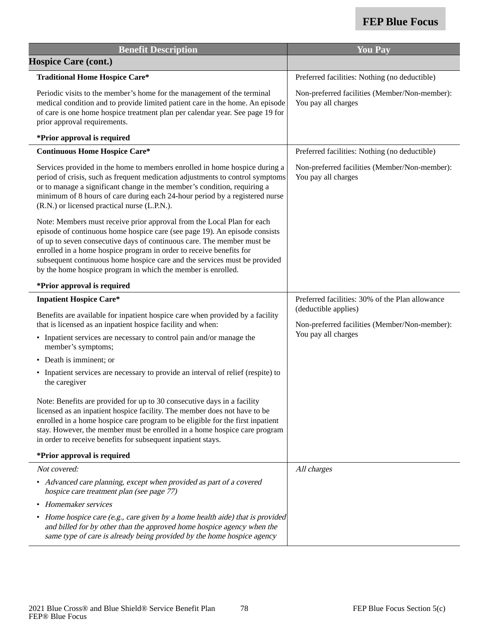| <b>Benefit Description</b>                                                                                                                                                                                                                                                                                                                                                                                                                         | <b>You Pay</b>                                                        |
|----------------------------------------------------------------------------------------------------------------------------------------------------------------------------------------------------------------------------------------------------------------------------------------------------------------------------------------------------------------------------------------------------------------------------------------------------|-----------------------------------------------------------------------|
| <b>Hospice Care (cont.)</b>                                                                                                                                                                                                                                                                                                                                                                                                                        |                                                                       |
| <b>Traditional Home Hospice Care*</b>                                                                                                                                                                                                                                                                                                                                                                                                              | Preferred facilities: Nothing (no deductible)                         |
| Periodic visits to the member's home for the management of the terminal<br>medical condition and to provide limited patient care in the home. An episode<br>of care is one home hospice treatment plan per calendar year. See page 19 for<br>prior approval requirements.                                                                                                                                                                          | Non-preferred facilities (Member/Non-member):<br>You pay all charges  |
| *Prior approval is required                                                                                                                                                                                                                                                                                                                                                                                                                        |                                                                       |
| <b>Continuous Home Hospice Care*</b>                                                                                                                                                                                                                                                                                                                                                                                                               | Preferred facilities: Nothing (no deductible)                         |
| Services provided in the home to members enrolled in home hospice during a<br>period of crisis, such as frequent medication adjustments to control symptoms<br>or to manage a significant change in the member's condition, requiring a<br>minimum of 8 hours of care during each 24-hour period by a registered nurse<br>(R.N.) or licensed practical nurse (L.P.N.).                                                                             | Non-preferred facilities (Member/Non-member):<br>You pay all charges  |
| Note: Members must receive prior approval from the Local Plan for each<br>episode of continuous home hospice care (see page 19). An episode consists<br>of up to seven consecutive days of continuous care. The member must be<br>enrolled in a home hospice program in order to receive benefits for<br>subsequent continuous home hospice care and the services must be provided<br>by the home hospice program in which the member is enrolled. |                                                                       |
| *Prior approval is required                                                                                                                                                                                                                                                                                                                                                                                                                        |                                                                       |
| <b>Inpatient Hospice Care*</b>                                                                                                                                                                                                                                                                                                                                                                                                                     | Preferred facilities: 30% of the Plan allowance                       |
| Benefits are available for inpatient hospice care when provided by a facility<br>that is licensed as an inpatient hospice facility and when:                                                                                                                                                                                                                                                                                                       | (deductible applies)<br>Non-preferred facilities (Member/Non-member): |
| • Inpatient services are necessary to control pain and/or manage the<br>member's symptoms;                                                                                                                                                                                                                                                                                                                                                         | You pay all charges                                                   |
| • Death is imminent; or                                                                                                                                                                                                                                                                                                                                                                                                                            |                                                                       |
| • Inpatient services are necessary to provide an interval of relief (respite) to<br>the caregiver                                                                                                                                                                                                                                                                                                                                                  |                                                                       |
| Note: Benefits are provided for up to 30 consecutive days in a facility<br>licensed as an inpatient hospice facility. The member does not have to be<br>enrolled in a home hospice care program to be eligible for the first inpatient<br>stay. However, the member must be enrolled in a home hospice care program<br>in order to receive benefits for subsequent inpatient stays.                                                                |                                                                       |
| *Prior approval is required                                                                                                                                                                                                                                                                                                                                                                                                                        |                                                                       |
| Not covered:                                                                                                                                                                                                                                                                                                                                                                                                                                       | All charges                                                           |
| • Advanced care planning, except when provided as part of a covered<br>hospice care treatment plan (see page 77)                                                                                                                                                                                                                                                                                                                                   |                                                                       |
| Homemaker services                                                                                                                                                                                                                                                                                                                                                                                                                                 |                                                                       |
| • Home hospice care (e.g., care given by a home health aide) that is provided<br>and billed for by other than the approved home hospice agency when the<br>same type of care is already being provided by the home hospice agency                                                                                                                                                                                                                  |                                                                       |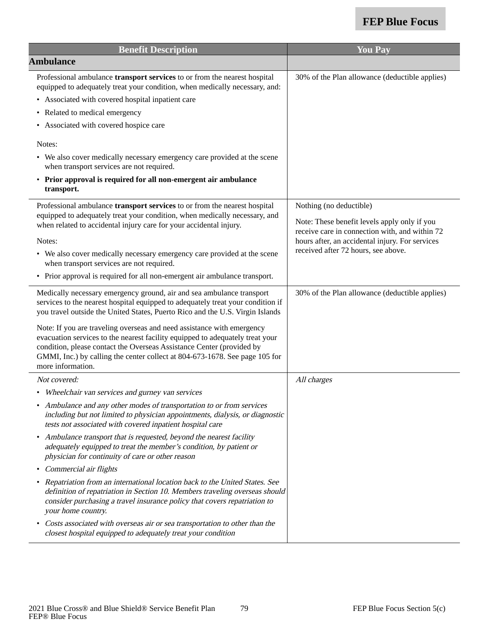| <b>Benefit Description</b>                                                                                                                                                                                                                                                                                                           | <b>You Pay</b>                                                                                    |
|--------------------------------------------------------------------------------------------------------------------------------------------------------------------------------------------------------------------------------------------------------------------------------------------------------------------------------------|---------------------------------------------------------------------------------------------------|
| <b>Ambulance</b>                                                                                                                                                                                                                                                                                                                     |                                                                                                   |
| Professional ambulance transport services to or from the nearest hospital<br>equipped to adequately treat your condition, when medically necessary, and:                                                                                                                                                                             | 30% of the Plan allowance (deductible applies)                                                    |
| • Associated with covered hospital inpatient care                                                                                                                                                                                                                                                                                    |                                                                                                   |
| Related to medical emergency                                                                                                                                                                                                                                                                                                         |                                                                                                   |
| • Associated with covered hospice care                                                                                                                                                                                                                                                                                               |                                                                                                   |
| Notes:                                                                                                                                                                                                                                                                                                                               |                                                                                                   |
| • We also cover medically necessary emergency care provided at the scene<br>when transport services are not required.                                                                                                                                                                                                                |                                                                                                   |
| • Prior approval is required for all non-emergent air ambulance<br>transport.                                                                                                                                                                                                                                                        |                                                                                                   |
| Professional ambulance transport services to or from the nearest hospital<br>equipped to adequately treat your condition, when medically necessary, and                                                                                                                                                                              | Nothing (no deductible)                                                                           |
| when related to accidental injury care for your accidental injury.                                                                                                                                                                                                                                                                   | Note: These benefit levels apply only if you                                                      |
| Notes:                                                                                                                                                                                                                                                                                                                               | receive care in connection with, and within 72<br>hours after, an accidental injury. For services |
| • We also cover medically necessary emergency care provided at the scene<br>when transport services are not required.                                                                                                                                                                                                                | received after 72 hours, see above.                                                               |
| • Prior approval is required for all non-emergent air ambulance transport.                                                                                                                                                                                                                                                           |                                                                                                   |
| Medically necessary emergency ground, air and sea ambulance transport<br>services to the nearest hospital equipped to adequately treat your condition if<br>you travel outside the United States, Puerto Rico and the U.S. Virgin Islands                                                                                            | 30% of the Plan allowance (deductible applies)                                                    |
| Note: If you are traveling overseas and need assistance with emergency<br>evacuation services to the nearest facility equipped to adequately treat your<br>condition, please contact the Overseas Assistance Center (provided by<br>GMMI, Inc.) by calling the center collect at 804-673-1678. See page 105 for<br>more information. |                                                                                                   |
| Not covered:                                                                                                                                                                                                                                                                                                                         | All charges                                                                                       |
| • Wheelchair van services and gurney van services                                                                                                                                                                                                                                                                                    |                                                                                                   |
| • Ambulance and any other modes of transportation to or from services<br>including but not limited to physician appointments, dialysis, or diagnostic<br>tests not associated with covered inpatient hospital care                                                                                                                   |                                                                                                   |
| Ambulance transport that is requested, beyond the nearest facility<br>adequately equipped to treat the member's condition, by patient or<br>physician for continuity of care or other reason                                                                                                                                         |                                                                                                   |
| Commercial air flights                                                                                                                                                                                                                                                                                                               |                                                                                                   |
| Repatriation from an international location back to the United States. See<br>definition of repatriation in Section 10. Members traveling overseas should<br>consider purchasing a travel insurance policy that covers repatriation to<br>your home country.                                                                         |                                                                                                   |
| Costs associated with overseas air or sea transportation to other than the<br>closest hospital equipped to adequately treat your condition                                                                                                                                                                                           |                                                                                                   |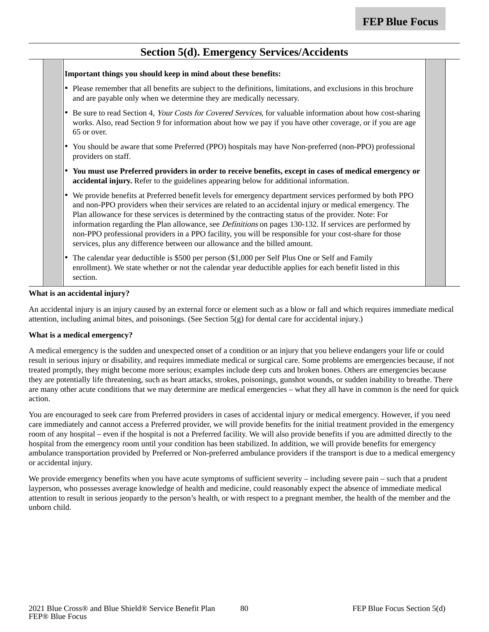### **Section 5(d). Emergency Services/Accidents**

**Important things you should keep in mind about these benefits:** • Please remember that all benefits are subject to the definitions, limitations, and exclusions in this brochure and are payable only when we determine they are medically necessary. • Be sure to read Section 4, Your Costs for Covered Services, for valuable information about how cost-sharing works. Also, read Section 9 for information about how we pay if you have other coverage, or if you are age 65 or over. • You should be aware that some Preferred (PPO) hospitals may have Non-preferred (non-PPO) professional providers on staff. • **You must use Preferred providers in order to receive benefits, except in cases of medical emergency or accidental injury.** Refer to the guidelines appearing below for additional information. • We provide benefits at Preferred benefit levels for emergency department services performed by both PPO and non-PPO providers when their services are related to an accidental injury or medical emergency. The Plan allowance for these services is determined by the contracting status of the provider. Note: For information regarding the Plan allowance, see *Definitions* on pages 130-132. If services are performed by non-PPO professional providers in a PPO facility, you will be responsible for your cost-share for those services, plus any difference between our allowance and the billed amount. • The calendar year deductible is \$500 per person (\$1,000 per Self Plus One or Self and Family enrollment). We state whether or not the calendar year deductible applies for each benefit listed in this section. **What is an accidental injury?**

An accidental injury is an injury caused by an external force or element such as a blow or fall and which requires immediate medical attention, including animal bites, and poisonings. (See Section 5(g) for dental care for accidental injury.)

#### **What is a medical emergency?**

A medical emergency is the sudden and unexpected onset of a condition or an injury that you believe endangers your life or could result in serious injury or disability, and requires immediate medical or surgical care. Some problems are emergencies because, if not treated promptly, they might become more serious; examples include deep cuts and broken bones. Others are emergencies because they are potentially life threatening, such as heart attacks, strokes, poisonings, gunshot wounds, or sudden inability to breathe. There are many other acute conditions that we may determine are medical emergencies – what they all have in common is the need for quick action.

You are encouraged to seek care from Preferred providers in cases of accidental injury or medical emergency. However, if you need care immediately and cannot access a Preferred provider, we will provide benefits for the initial treatment provided in the emergency room of any hospital – even if the hospital is not a Preferred facility. We will also provide benefits if you are admitted directly to the hospital from the emergency room until your condition has been stabilized. In addition, we will provide benefits for emergency ambulance transportation provided by Preferred or Non-preferred ambulance providers if the transport is due to a medical emergency or accidental injury.

We provide emergency benefits when you have acute symptoms of sufficient severity – including severe pain – such that a prudent layperson, who possesses average knowledge of health and medicine, could reasonably expect the absence of immediate medical attention to result in serious jeopardy to the person's health, or with respect to a pregnant member, the health of the member and the unborn child.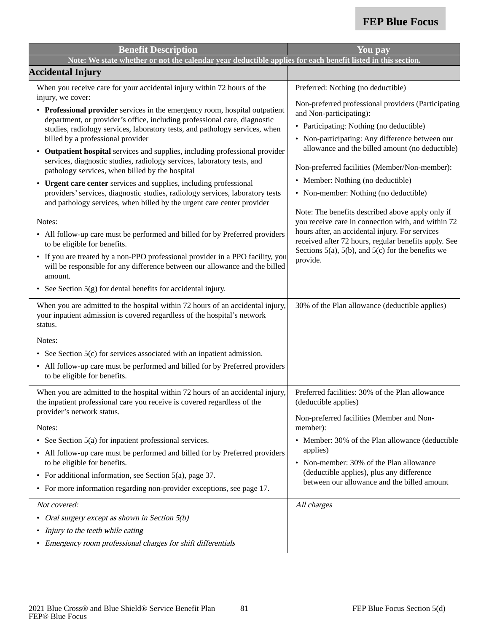| <b>Benefit Description</b>                                                                                                                                                                                                                                                                                                                                      | You pay                                                                                                                                                                                                                                                                                    |
|-----------------------------------------------------------------------------------------------------------------------------------------------------------------------------------------------------------------------------------------------------------------------------------------------------------------------------------------------------------------|--------------------------------------------------------------------------------------------------------------------------------------------------------------------------------------------------------------------------------------------------------------------------------------------|
| Note: We state whether or not the calendar year deductible applies for each benefit listed in this section.                                                                                                                                                                                                                                                     |                                                                                                                                                                                                                                                                                            |
| <b>Accidental Injury</b>                                                                                                                                                                                                                                                                                                                                        |                                                                                                                                                                                                                                                                                            |
| When you receive care for your accidental injury within 72 hours of the<br>injury, we cover:                                                                                                                                                                                                                                                                    | Preferred: Nothing (no deductible)                                                                                                                                                                                                                                                         |
| • Professional provider services in the emergency room, hospital outpatient<br>department, or provider's office, including professional care, diagnostic<br>studies, radiology services, laboratory tests, and pathology services, when<br>billed by a professional provider<br>Outpatient hospital services and supplies, including professional provider<br>٠ | Non-preferred professional providers (Participating<br>and Non-participating):<br>• Participating: Nothing (no deductible)<br>• Non-participating: Any difference between our<br>allowance and the billed amount (no deductible)                                                           |
| services, diagnostic studies, radiology services, laboratory tests, and<br>pathology services, when billed by the hospital                                                                                                                                                                                                                                      | Non-preferred facilities (Member/Non-member):                                                                                                                                                                                                                                              |
| Urgent care center services and supplies, including professional<br>$\bullet$<br>providers' services, diagnostic studies, radiology services, laboratory tests<br>and pathology services, when billed by the urgent care center provider                                                                                                                        | • Member: Nothing (no deductible)<br>• Non-member: Nothing (no deductible)                                                                                                                                                                                                                 |
| Notes:<br>• All follow-up care must be performed and billed for by Preferred providers<br>to be eligible for benefits.<br>• If you are treated by a non-PPO professional provider in a PPO facility, you<br>will be responsible for any difference between our allowance and the billed<br>amount.                                                              | Note: The benefits described above apply only if<br>you receive care in connection with, and within 72<br>hours after, an accidental injury. For services<br>received after 72 hours, regular benefits apply. See<br>Sections $5(a)$ , $5(b)$ , and $5(c)$ for the benefits we<br>provide. |
| • See Section $5(g)$ for dental benefits for accidental injury.                                                                                                                                                                                                                                                                                                 |                                                                                                                                                                                                                                                                                            |
| When you are admitted to the hospital within 72 hours of an accidental injury,<br>your inpatient admission is covered regardless of the hospital's network<br>status.                                                                                                                                                                                           | 30% of the Plan allowance (deductible applies)                                                                                                                                                                                                                                             |
| Notes:                                                                                                                                                                                                                                                                                                                                                          |                                                                                                                                                                                                                                                                                            |
| • See Section $5(c)$ for services associated with an inpatient admission.                                                                                                                                                                                                                                                                                       |                                                                                                                                                                                                                                                                                            |
| • All follow-up care must be performed and billed for by Preferred providers<br>to be eligible for benefits.                                                                                                                                                                                                                                                    |                                                                                                                                                                                                                                                                                            |
| When you are admitted to the hospital within 72 hours of an accidental injury,<br>the inpatient professional care you receive is covered regardless of the<br>provider's network status.<br>Notes:                                                                                                                                                              | Preferred facilities: 30% of the Plan allowance<br>(deductible applies)<br>Non-preferred facilities (Member and Non-<br>member):                                                                                                                                                           |
| • See Section 5(a) for inpatient professional services.                                                                                                                                                                                                                                                                                                         | • Member: 30% of the Plan allowance (deductible                                                                                                                                                                                                                                            |
| • All follow-up care must be performed and billed for by Preferred providers<br>to be eligible for benefits.<br>• For additional information, see Section $5(a)$ , page 37.                                                                                                                                                                                     | applies)<br>• Non-member: 30% of the Plan allowance<br>(deductible applies), plus any difference<br>between our allowance and the billed amount                                                                                                                                            |
| • For more information regarding non-provider exceptions, see page 17.                                                                                                                                                                                                                                                                                          |                                                                                                                                                                                                                                                                                            |
| Not covered:<br>Oral surgery except as shown in Section 5(b)<br>Injury to the teeth while eating<br>٠<br>• Emergency room professional charges for shift differentials                                                                                                                                                                                          | All charges                                                                                                                                                                                                                                                                                |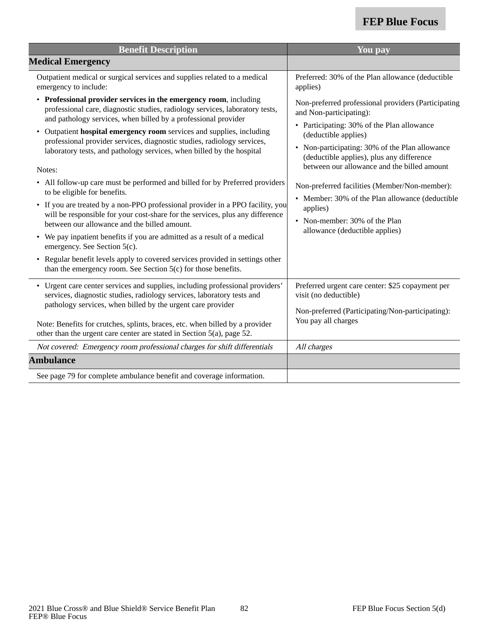| <b>Benefit Description</b>                                                                                                                                                                                                                                                                                                                                                                                                                                                                                                                                                                                                                                                                                                                                                                                                                                                                                                                                                                                                                                | You pay                                                                                                                                                                                                                                                                                                                                                                                                                                                                               |
|-----------------------------------------------------------------------------------------------------------------------------------------------------------------------------------------------------------------------------------------------------------------------------------------------------------------------------------------------------------------------------------------------------------------------------------------------------------------------------------------------------------------------------------------------------------------------------------------------------------------------------------------------------------------------------------------------------------------------------------------------------------------------------------------------------------------------------------------------------------------------------------------------------------------------------------------------------------------------------------------------------------------------------------------------------------|---------------------------------------------------------------------------------------------------------------------------------------------------------------------------------------------------------------------------------------------------------------------------------------------------------------------------------------------------------------------------------------------------------------------------------------------------------------------------------------|
| <b>Medical Emergency</b>                                                                                                                                                                                                                                                                                                                                                                                                                                                                                                                                                                                                                                                                                                                                                                                                                                                                                                                                                                                                                                  |                                                                                                                                                                                                                                                                                                                                                                                                                                                                                       |
| Outpatient medical or surgical services and supplies related to a medical<br>emergency to include:                                                                                                                                                                                                                                                                                                                                                                                                                                                                                                                                                                                                                                                                                                                                                                                                                                                                                                                                                        | Preferred: 30% of the Plan allowance (deductible<br>applies)                                                                                                                                                                                                                                                                                                                                                                                                                          |
| • Professional provider services in the emergency room, including<br>professional care, diagnostic studies, radiology services, laboratory tests,<br>and pathology services, when billed by a professional provider<br>Outpatient hospital emergency room services and supplies, including<br>professional provider services, diagnostic studies, radiology services,<br>laboratory tests, and pathology services, when billed by the hospital<br>Notes:<br>• All follow-up care must be performed and billed for by Preferred providers<br>to be eligible for benefits.<br>• If you are treated by a non-PPO professional provider in a PPO facility, you<br>will be responsible for your cost-share for the services, plus any difference<br>between our allowance and the billed amount.<br>• We pay inpatient benefits if you are admitted as a result of a medical<br>emergency. See Section 5(c).<br>• Regular benefit levels apply to covered services provided in settings other<br>than the emergency room. See Section 5(c) for those benefits. | Non-preferred professional providers (Participating<br>and Non-participating):<br>• Participating: 30% of the Plan allowance<br>(deductible applies)<br>• Non-participating: 30% of the Plan allowance<br>(deductible applies), plus any difference<br>between our allowance and the billed amount<br>Non-preferred facilities (Member/Non-member):<br>• Member: 30% of the Plan allowance (deductible<br>applies)<br>• Non-member: 30% of the Plan<br>allowance (deductible applies) |
| • Urgent care center services and supplies, including professional providers'<br>services, diagnostic studies, radiology services, laboratory tests and<br>pathology services, when billed by the urgent care provider<br>Note: Benefits for crutches, splints, braces, etc. when billed by a provider                                                                                                                                                                                                                                                                                                                                                                                                                                                                                                                                                                                                                                                                                                                                                    | Preferred urgent care center: \$25 copayment per<br>visit (no deductible)<br>Non-preferred (Participating/Non-participating):<br>You pay all charges                                                                                                                                                                                                                                                                                                                                  |
| other than the urgent care center are stated in Section 5(a), page 52.                                                                                                                                                                                                                                                                                                                                                                                                                                                                                                                                                                                                                                                                                                                                                                                                                                                                                                                                                                                    |                                                                                                                                                                                                                                                                                                                                                                                                                                                                                       |
| Not covered: Emergency room professional charges for shift differentials                                                                                                                                                                                                                                                                                                                                                                                                                                                                                                                                                                                                                                                                                                                                                                                                                                                                                                                                                                                  | All charges                                                                                                                                                                                                                                                                                                                                                                                                                                                                           |
| <b>Ambulance</b>                                                                                                                                                                                                                                                                                                                                                                                                                                                                                                                                                                                                                                                                                                                                                                                                                                                                                                                                                                                                                                          |                                                                                                                                                                                                                                                                                                                                                                                                                                                                                       |
| See page 79 for complete ambulance benefit and coverage information.                                                                                                                                                                                                                                                                                                                                                                                                                                                                                                                                                                                                                                                                                                                                                                                                                                                                                                                                                                                      |                                                                                                                                                                                                                                                                                                                                                                                                                                                                                       |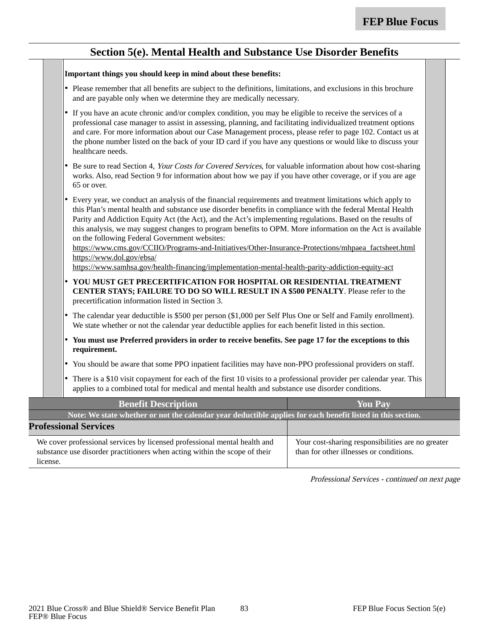### **Section 5(e). Mental Health and Substance Use Disorder Benefits**

#### **Important things you should keep in mind about these benefits:**

- • Please remember that all benefits are subject to the definitions, limitations, and exclusions in this brochure and are payable only when we determine they are medically necessary.
- • If you have an acute chronic and/or complex condition, you may be eligible to receive the services of a professional case manager to assist in assessing, planning, and facilitating individualized treatment options and care. For more information about our Case Management process, please refer to page 102. Contact us at the phone number listed on the back of your ID card if you have any questions or would like to discuss your healthcare needs.
- •Be sure to read Section 4, Your Costs for Covered Services, for valuable information about how cost-sharing works. Also, read Section 9 for information about how we pay if you have other coverage, or if you are age 65 or over.
- • Every year, we conduct an analysis of the financial requirements and treatment limitations which apply to this Plan's mental health and substance use disorder benefits in compliance with the federal Mental Health Parity and Addiction Equity Act (the Act), and the Act's implementing regulations. Based on the results of this analysis, we may suggest changes to program benefits to OPM. More information on the Act is available on the following Federal Government websites:

https://www.cms.gov/CCIIO/Programs-and-Initiatives/Other-Insurance-Protections/mhpaea\_factsheet.html https://www.dol.gov/ebsa/

https://www.samhsa.gov/health-financing/implementation-mental-health-parity-addiction-equity-act

- • **YOU MUST GET PRECERTIFICATION FOR HOSPITAL OR RESIDENTIAL TREATMENT CENTER STAYS; FAILURE TO DO SO WILL RESULT IN A \$500 PENALTY**. Please refer to the precertification information listed in Section 3.
- • The calendar year deductible is \$500 per person (\$1,000 per Self Plus One or Self and Family enrollment). We state whether or not the calendar year deductible applies for each benefit listed in this section.
- • **You must use Preferred providers in order to receive benefits. See page 17 for the exceptions to this requirement.**
- •You should be aware that some PPO inpatient facilities may have non-PPO professional providers on staff.
- • There is a \$10 visit copayment for each of the first 10 visits to a professional provider per calendar year. This applies to a combined total for medical and mental health and substance use disorder conditions.

| <b>Benefit Description</b>                                                                                                                                          | <b>You Pay</b>                                                                               |
|---------------------------------------------------------------------------------------------------------------------------------------------------------------------|----------------------------------------------------------------------------------------------|
| Note: We state whether or not the calendar year deductible applies for each benefit listed in this section.                                                         |                                                                                              |
| <b>Professional Services</b>                                                                                                                                        |                                                                                              |
| We cover professional services by licensed professional mental health and<br>substance use disorder practitioners when acting within the scope of their<br>license. | Your cost-sharing responsibilities are no greater<br>than for other illnesses or conditions. |

Professional Services - continued on next page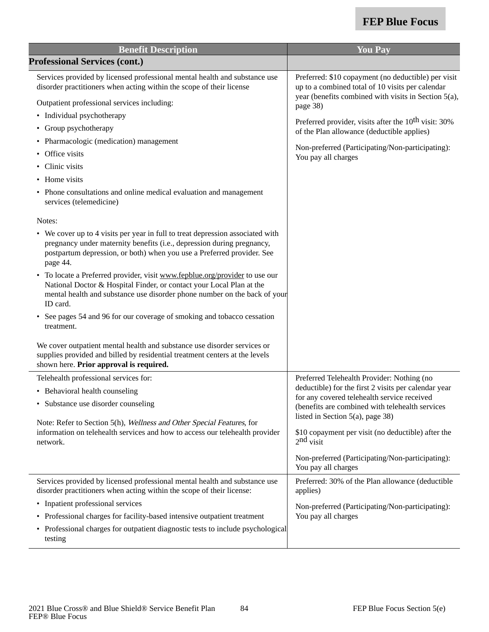| <b>Benefit Description</b>                                                                                                                                                                                                                     | <b>You Pay</b>                                                                                                                                                  |
|------------------------------------------------------------------------------------------------------------------------------------------------------------------------------------------------------------------------------------------------|-----------------------------------------------------------------------------------------------------------------------------------------------------------------|
| <b>Professional Services (cont.)</b>                                                                                                                                                                                                           |                                                                                                                                                                 |
| Services provided by licensed professional mental health and substance use<br>disorder practitioners when acting within the scope of their license                                                                                             | Preferred: \$10 copayment (no deductible) per visit<br>up to a combined total of 10 visits per calendar<br>year (benefits combined with visits in Section 5(a), |
| Outpatient professional services including:                                                                                                                                                                                                    | page 38)                                                                                                                                                        |
| • Individual psychotherapy                                                                                                                                                                                                                     | Preferred provider, visits after the 10 <sup>th</sup> visit: 30%                                                                                                |
| • Group psychotherapy                                                                                                                                                                                                                          | of the Plan allowance (deductible applies)                                                                                                                      |
| • Pharmacologic (medication) management<br>Office visits                                                                                                                                                                                       | Non-preferred (Participating/Non-participating):                                                                                                                |
| • Clinic visits                                                                                                                                                                                                                                | You pay all charges                                                                                                                                             |
| • Home visits                                                                                                                                                                                                                                  |                                                                                                                                                                 |
|                                                                                                                                                                                                                                                |                                                                                                                                                                 |
| • Phone consultations and online medical evaluation and management<br>services (telemedicine)                                                                                                                                                  |                                                                                                                                                                 |
| Notes:                                                                                                                                                                                                                                         |                                                                                                                                                                 |
| • We cover up to 4 visits per year in full to treat depression associated with<br>pregnancy under maternity benefits (i.e., depression during pregnancy,<br>postpartum depression, or both) when you use a Preferred provider. See<br>page 44. |                                                                                                                                                                 |
| • To locate a Preferred provider, visit www.fepblue.org/provider to use our<br>National Doctor & Hospital Finder, or contact your Local Plan at the<br>mental health and substance use disorder phone number on the back of your<br>ID card.   |                                                                                                                                                                 |
| • See pages 54 and 96 for our coverage of smoking and tobacco cessation<br>treatment.                                                                                                                                                          |                                                                                                                                                                 |
| We cover outpatient mental health and substance use disorder services or<br>supplies provided and billed by residential treatment centers at the levels<br>shown here. Prior approval is required.                                             |                                                                                                                                                                 |
| Telehealth professional services for:                                                                                                                                                                                                          | Preferred Telehealth Provider: Nothing (no                                                                                                                      |
| • Behavioral health counseling                                                                                                                                                                                                                 | deductible) for the first 2 visits per calendar year<br>for any covered telehealth service received                                                             |
| • Substance use disorder counseling                                                                                                                                                                                                            | (benefits are combined with telehealth services<br>listed in Section 5(a), page 38)                                                                             |
| Note: Refer to Section 5(h), Wellness and Other Special Features, for<br>information on telehealth services and how to access our telehealth provider<br>network.                                                                              | \$10 copayment per visit (no deductible) after the<br>$2nd$ visit                                                                                               |
|                                                                                                                                                                                                                                                | Non-preferred (Participating/Non-participating):<br>You pay all charges                                                                                         |
| Services provided by licensed professional mental health and substance use<br>disorder practitioners when acting within the scope of their license:                                                                                            | Preferred: 30% of the Plan allowance (deductible<br>applies)                                                                                                    |
| • Inpatient professional services                                                                                                                                                                                                              | Non-preferred (Participating/Non-participating):                                                                                                                |
| • Professional charges for facility-based intensive outpatient treatment                                                                                                                                                                       | You pay all charges                                                                                                                                             |
| • Professional charges for outpatient diagnostic tests to include psychological<br>testing                                                                                                                                                     |                                                                                                                                                                 |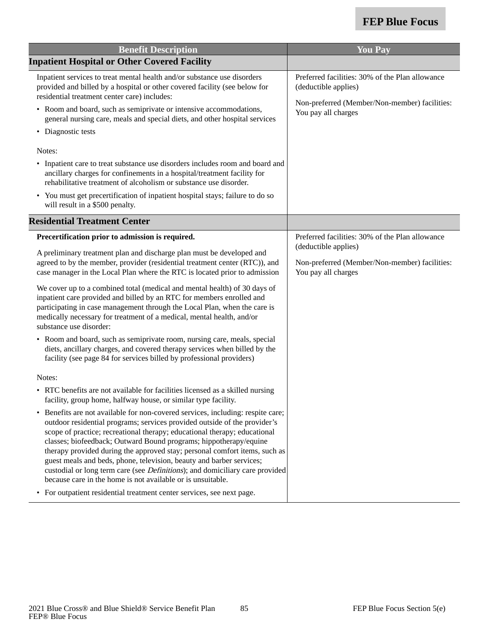| <b>Benefit Description</b>                                                                                                                                                                                                                                                                                                                                                                                                                                                                                                                                                                                                                                                                                       | <b>You Pay</b>                                                                               |
|------------------------------------------------------------------------------------------------------------------------------------------------------------------------------------------------------------------------------------------------------------------------------------------------------------------------------------------------------------------------------------------------------------------------------------------------------------------------------------------------------------------------------------------------------------------------------------------------------------------------------------------------------------------------------------------------------------------|----------------------------------------------------------------------------------------------|
| <b>Inpatient Hospital or Other Covered Facility</b>                                                                                                                                                                                                                                                                                                                                                                                                                                                                                                                                                                                                                                                              |                                                                                              |
| Inpatient services to treat mental health and/or substance use disorders<br>provided and billed by a hospital or other covered facility (see below for<br>residential treatment center care) includes:                                                                                                                                                                                                                                                                                                                                                                                                                                                                                                           | Preferred facilities: 30% of the Plan allowance<br>(deductible applies)                      |
| • Room and board, such as semiprivate or intensive accommodations,<br>general nursing care, meals and special diets, and other hospital services                                                                                                                                                                                                                                                                                                                                                                                                                                                                                                                                                                 | Non-preferred (Member/Non-member) facilities:<br>You pay all charges                         |
| • Diagnostic tests                                                                                                                                                                                                                                                                                                                                                                                                                                                                                                                                                                                                                                                                                               |                                                                                              |
| Notes:                                                                                                                                                                                                                                                                                                                                                                                                                                                                                                                                                                                                                                                                                                           |                                                                                              |
| • Inpatient care to treat substance use disorders includes room and board and<br>ancillary charges for confinements in a hospital/treatment facility for<br>rehabilitative treatment of alcoholism or substance use disorder.                                                                                                                                                                                                                                                                                                                                                                                                                                                                                    |                                                                                              |
| • You must get precertification of inpatient hospital stays; failure to do so<br>will result in a \$500 penalty.                                                                                                                                                                                                                                                                                                                                                                                                                                                                                                                                                                                                 |                                                                                              |
| <b>Residential Treatment Center</b>                                                                                                                                                                                                                                                                                                                                                                                                                                                                                                                                                                                                                                                                              |                                                                                              |
| Precertification prior to admission is required.                                                                                                                                                                                                                                                                                                                                                                                                                                                                                                                                                                                                                                                                 | Preferred facilities: 30% of the Plan allowance                                              |
| A preliminary treatment plan and discharge plan must be developed and<br>agreed to by the member, provider (residential treatment center (RTC)), and<br>case manager in the Local Plan where the RTC is located prior to admission                                                                                                                                                                                                                                                                                                                                                                                                                                                                               | (deductible applies)<br>Non-preferred (Member/Non-member) facilities:<br>You pay all charges |
| We cover up to a combined total (medical and mental health) of 30 days of<br>inpatient care provided and billed by an RTC for members enrolled and<br>participating in case management through the Local Plan, when the care is<br>medically necessary for treatment of a medical, mental health, and/or<br>substance use disorder:                                                                                                                                                                                                                                                                                                                                                                              |                                                                                              |
| • Room and board, such as semiprivate room, nursing care, meals, special<br>diets, ancillary charges, and covered therapy services when billed by the<br>facility (see page 84 for services billed by professional providers)                                                                                                                                                                                                                                                                                                                                                                                                                                                                                    |                                                                                              |
| Notes:                                                                                                                                                                                                                                                                                                                                                                                                                                                                                                                                                                                                                                                                                                           |                                                                                              |
| • RTC benefits are not available for facilities licensed as a skilled nursing<br>facility, group home, halfway house, or similar type facility.                                                                                                                                                                                                                                                                                                                                                                                                                                                                                                                                                                  |                                                                                              |
| Benefits are not available for non-covered services, including: respite care;<br>$\bullet$<br>outdoor residential programs; services provided outside of the provider's<br>scope of practice; recreational therapy; educational therapy; educational<br>classes; biofeedback; Outward Bound programs; hippotherapy/equine<br>therapy provided during the approved stay; personal comfort items, such as<br>guest meals and beds, phone, television, beauty and barber services;<br>custodial or long term care (see <i>Definitions</i> ); and domiciliary care provided<br>because care in the home is not available or is unsuitable.<br>• For outpatient residential treatment center services, see next page. |                                                                                              |
|                                                                                                                                                                                                                                                                                                                                                                                                                                                                                                                                                                                                                                                                                                                  |                                                                                              |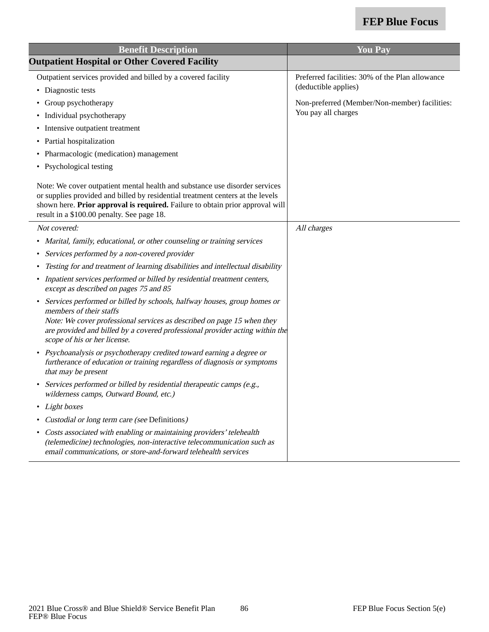| <b>Benefit Description</b>                                                                                                                                                                                                                                                                     | <b>You Pay</b>                                  |
|------------------------------------------------------------------------------------------------------------------------------------------------------------------------------------------------------------------------------------------------------------------------------------------------|-------------------------------------------------|
| <b>Outpatient Hospital or Other Covered Facility</b>                                                                                                                                                                                                                                           |                                                 |
| Outpatient services provided and billed by a covered facility                                                                                                                                                                                                                                  | Preferred facilities: 30% of the Plan allowance |
| • Diagnostic tests                                                                                                                                                                                                                                                                             | (deductible applies)                            |
| • Group psychotherapy                                                                                                                                                                                                                                                                          | Non-preferred (Member/Non-member) facilities:   |
| • Individual psychotherapy                                                                                                                                                                                                                                                                     | You pay all charges                             |
| • Intensive outpatient treatment                                                                                                                                                                                                                                                               |                                                 |
| • Partial hospitalization                                                                                                                                                                                                                                                                      |                                                 |
| • Pharmacologic (medication) management                                                                                                                                                                                                                                                        |                                                 |
| • Psychological testing                                                                                                                                                                                                                                                                        |                                                 |
| Note: We cover outpatient mental health and substance use disorder services<br>or supplies provided and billed by residential treatment centers at the levels<br>shown here. Prior approval is required. Failure to obtain prior approval will<br>result in a \$100.00 penalty. See page 18.   |                                                 |
| Not covered:                                                                                                                                                                                                                                                                                   | All charges                                     |
| • Marital, family, educational, or other counseling or training services                                                                                                                                                                                                                       |                                                 |
| • Services performed by a non-covered provider                                                                                                                                                                                                                                                 |                                                 |
| Testing for and treatment of learning disabilities and intellectual disability                                                                                                                                                                                                                 |                                                 |
| • Inpatient services performed or billed by residential treatment centers,<br>except as described on pages 75 and 85                                                                                                                                                                           |                                                 |
| • Services performed or billed by schools, halfway houses, group homes or<br>members of their staffs<br>Note: We cover professional services as described on page 15 when they<br>are provided and billed by a covered professional provider acting within the<br>scope of his or her license. |                                                 |
| • Psychoanalysis or psychotherapy credited toward earning a degree or<br>furtherance of education or training regardless of diagnosis or symptoms<br>that may be present                                                                                                                       |                                                 |
| • Services performed or billed by residential therapeutic camps (e.g.,<br>wilderness camps, Outward Bound, etc.)                                                                                                                                                                               |                                                 |
| • Light boxes                                                                                                                                                                                                                                                                                  |                                                 |
| • Custodial or long term care (see Definitions)                                                                                                                                                                                                                                                |                                                 |
| • Costs associated with enabling or maintaining providers' telehealth<br>(telemedicine) technologies, non-interactive telecommunication such as<br>email communications, or store-and-forward telehealth services                                                                              |                                                 |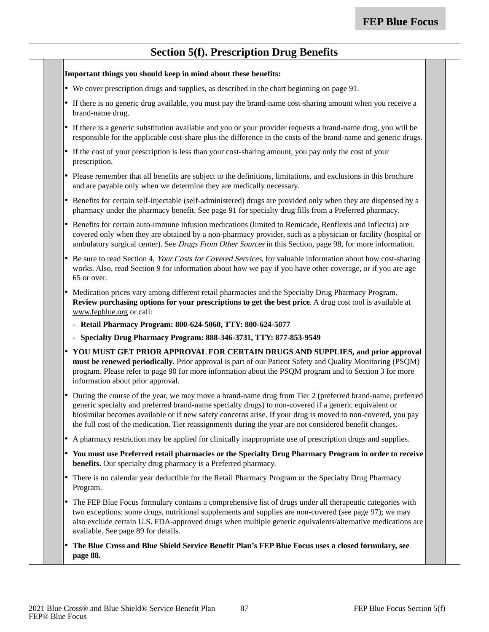### **Section 5(f). Prescription Drug Benefits**

#### **Important things you should keep in mind about these benefits:**

- •We cover prescription drugs and supplies, as described in the chart beginning on page 91.
- • If there is no generic drug available, you must pay the brand-name cost-sharing amount when you receive a brand-name drug.
- • If there is a generic substitution available and you or your provider requests a brand-name drug, you will be responsible for the applicable cost-share plus the difference in the costs of the brand-name and generic drugs.
- • If the cost of your prescription is less than your cost-sharing amount, you pay only the cost of your prescription.
- • Please remember that all benefits are subject to the definitions, limitations, and exclusions in this brochure and are payable only when we determine they are medically necessary.
- • Benefits for certain self-injectable (self-administered) drugs are provided only when they are dispensed by a pharmacy under the pharmacy benefit. See page 91 for specialty drug fills from a Preferred pharmacy.
- • Benefits for certain auto-immune infusion medications (limited to Remicade, Renflexis and Inflectra) are covered only when they are obtained by a non-pharmacy provider, such as a physician or facility (hospital or ambulatory surgical center). See Drugs From Other Sources in this Section, page 98, for more information.
- •Be sure to read Section 4, Your Costs for Covered Services, for valuable information about how cost-sharing works. Also, read Section 9 for information about how we pay if you have other coverage, or if you are age 65 or over.
- Medication prices vary among different retail pharmacies and the Specialty Drug Pharmacy Program. **Review purchasing options for your prescriptions to get the best price**. A drug cost tool is available at www.fepblue.org or call:
	- **Retail Pharmacy Program: 800-624-5060, TTY: 800-624-5077**
	- **Specialty Drug Pharmacy Program: 888-346-3731, TTY: 877-853-9549**
- • **YOU MUST GET PRIOR APPROVAL FOR CERTAIN DRUGS AND SUPPLIES, and prior approval must be renewed periodically**. Prior approval is part of our Patient Safety and Quality Monitoring (PSQM) program. Please refer to page 90 for more information about the PSQM program and to Section 3 for more information about prior approval.
- • During the course of the year, we may move a brand-name drug from Tier 2 (preferred brand-name, preferred generic specialty and preferred brand-name specialty drugs) to non-covered if a generic equivalent or biosimilar becomes available or if new safety concerns arise. If your drug is moved to non-covered, you pay the full cost of the medication. Tier reassignments during the year are not considered benefit changes.
- A pharmacy restriction may be applied for clinically inappropriate use of prescription drugs and supplies.
- **You must use Preferred retail pharmacies or the Specialty Drug Pharmacy Program in order to receive benefits.** Our specialty drug pharmacy is a Preferred pharmacy.
- • There is no calendar year deductible for the Retail Pharmacy Program or the Specialty Drug Pharmacy Program.
- The FEP Blue Focus formulary contains a comprehensive list of drugs under all therapeutic categories with two exceptions: some drugs, nutritional supplements and supplies are non-covered (see page 97); we may also exclude certain U.S. FDA-approved drugs when multiple generic equivalents/alternative medications are available. See page 89 for details.
- • **The Blue Cross and Blue Shield Service Benefit Plan's FEP Blue Focus uses a closed formulary, see page 88.**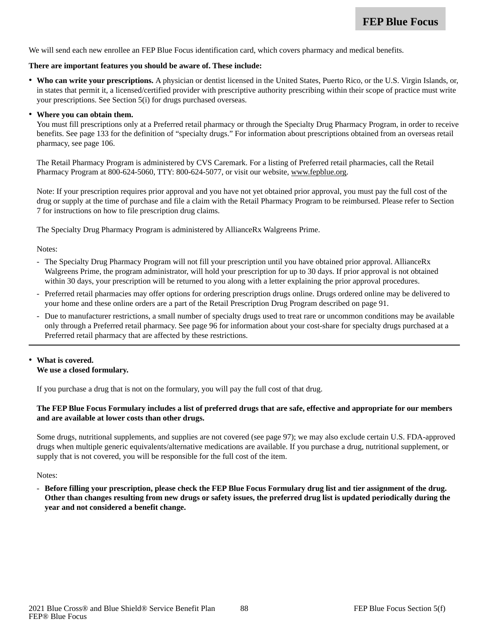We will send each new enrollee an FEP Blue Focus identification card, which covers pharmacy and medical benefits.

#### **There are important features you should be aware of. These include:**

• **Who can write your prescriptions.** A physician or dentist licensed in the United States, Puerto Rico, or the U.S. Virgin Islands, or, in states that permit it, a licensed/certified provider with prescriptive authority prescribing within their scope of practice must write your prescriptions. See Section 5(i) for drugs purchased overseas.

#### • **Where you can obtain them.**

You must fill prescriptions only at a Preferred retail pharmacy or through the Specialty Drug Pharmacy Program, in order to receive benefits. See page 133 for the definition of "specialty drugs." For information about prescriptions obtained from an overseas retail pharmacy, see page 106.

The Retail Pharmacy Program is administered by CVS Caremark. For a listing of Preferred retail pharmacies, call the Retail Pharmacy Program at 800-624-5060, TTY: 800-624-5077, or visit our website, www.fepblue.org.

Note: If your prescription requires prior approval and you have not yet obtained prior approval, you must pay the full cost of the drug or supply at the time of purchase and file a claim with the Retail Pharmacy Program to be reimbursed. Please refer to Section 7 for instructions on how to file prescription drug claims.

The Specialty Drug Pharmacy Program is administered by AllianceRx Walgreens Prime.

Notes:

- The Specialty Drug Pharmacy Program will not fill your prescription until you have obtained prior approval. AllianceRx Walgreens Prime, the program administrator, will hold your prescription for up to 30 days. If prior approval is not obtained within 30 days, your prescription will be returned to you along with a letter explaining the prior approval procedures.
- Preferred retail pharmacies may offer options for ordering prescription drugs online. Drugs ordered online may be delivered to your home and these online orders are a part of the Retail Prescription Drug Program described on page 91.
- Due to manufacturer restrictions, a small number of specialty drugs used to treat rare or uncommon conditions may be available only through a Preferred retail pharmacy. See page 96 for information about your cost-share for specialty drugs purchased at a Preferred retail pharmacy that are affected by these restrictions.

#### • **What is covered. We use a closed formulary.**

If you purchase a drug that is not on the formulary, you will pay the full cost of that drug.

### **The FEP Blue Focus Formulary includes a list of preferred drugs that are safe, effective and appropriate for our members and are available at lower costs than other drugs.**

Some drugs, nutritional supplements, and supplies are not covered (see page 97); we may also exclude certain U.S. FDA-approved drugs when multiple generic equivalents/alternative medications are available. If you purchase a drug, nutritional supplement, or supply that is not covered, you will be responsible for the full cost of the item.

Notes:

- **Before filling your prescription, please check the FEP Blue Focus Formulary drug list and tier assignment of the drug. Other than changes resulting from new drugs or safety issues, the preferred drug list is updated periodically during the year and not considered a benefit change.**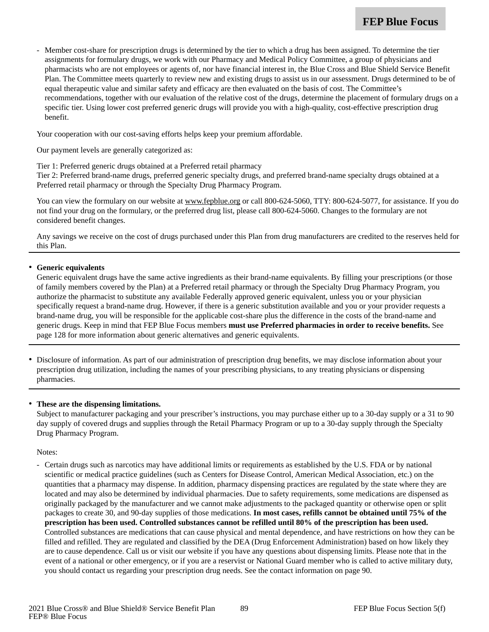Member cost-share for prescription drugs is determined by the tier to which a drug has been assigned. To determine the tier assignments for formulary drugs, we work with our Pharmacy and Medical Policy Committee, a group of physicians and pharmacists who are not employees or agents of, nor have financial interest in, the Blue Cross and Blue Shield Service Benefit Plan. The Committee meets quarterly to review new and existing drugs to assist us in our assessment. Drugs determined to be of equal therapeutic value and similar safety and efficacy are then evaluated on the basis of cost. The Committee's recommendations, together with our evaluation of the relative cost of the drugs, determine the placement of formulary drugs on a specific tier. Using lower cost preferred generic drugs will provide you with a high-quality, cost-effective prescription drug benefit.

Your cooperation with our cost-saving efforts helps keep your premium affordable.

Our payment levels are generally categorized as:

Tier 1: Preferred generic drugs obtained at a Preferred retail pharmacy

Tier 2: Preferred brand-name drugs, preferred generic specialty drugs, and preferred brand-name specialty drugs obtained at a Preferred retail pharmacy or through the Specialty Drug Pharmacy Program.

You can view the formulary on our website at www.fepblue.org or call 800-624-5060, TTY: 800-624-5077, for assistance. If you do not find your drug on the formulary, or the preferred drug list, please call 800-624-5060. Changes to the formulary are not considered benefit changes.

Any savings we receive on the cost of drugs purchased under this Plan from drug manufacturers are credited to the reserves held for this Plan.

#### •**Generic equivalents**

Generic equivalent drugs have the same active ingredients as their brand-name equivalents. By filling your prescriptions (or those of family members covered by the Plan) at a Preferred retail pharmacy or through the Specialty Drug Pharmacy Program, you authorize the pharmacist to substitute any available Federally approved generic equivalent, unless you or your physician specifically request a brand-name drug. However, if there is a generic substitution available and you or your provider requests a brand-name drug, you will be responsible for the applicable cost-share plus the difference in the costs of the brand-name and generic drugs. Keep in mind that FEP Blue Focus members **must use Preferred pharmacies in order to receive benefits.** See page 128 for more information about generic alternatives and generic equivalents.

• Disclosure of information. As part of our administration of prescription drug benefits, we may disclose information about your prescription drug utilization, including the names of your prescribing physicians, to any treating physicians or dispensing pharmacies.

#### • **These are the dispensing limitations.**

Subject to manufacturer packaging and your prescriber's instructions, you may purchase either up to a 30-day supply or a 31 to 90 day supply of covered drugs and supplies through the Retail Pharmacy Program or up to a 30-day supply through the Specialty Drug Pharmacy Program.

Notes:

- Certain drugs such as narcotics may have additional limits or requirements as established by the U.S. FDA or by national scientific or medical practice guidelines (such as Centers for Disease Control, American Medical Association, etc.) on the quantities that a pharmacy may dispense. In addition, pharmacy dispensing practices are regulated by the state where they are located and may also be determined by individual pharmacies. Due to safety requirements, some medications are dispensed as originally packaged by the manufacturer and we cannot make adjustments to the packaged quantity or otherwise open or split packages to create 30, and 90-day supplies of those medications. **In most cases, refills cannot be obtained until 75% of the prescription has been used. Controlled substances cannot be refilled until 80% of the prescription has been used.** Controlled substances are medications that can cause physical and mental dependence, and have restrictions on how they can be filled and refilled. They are regulated and classified by the DEA (Drug Enforcement Administration) based on how likely they are to cause dependence. Call us or visit our website if you have any questions about dispensing limits. Please note that in the event of a national or other emergency, or if you are a reservist or National Guard member who is called to active military duty, you should contact us regarding your prescription drug needs. See the contact information on page 90.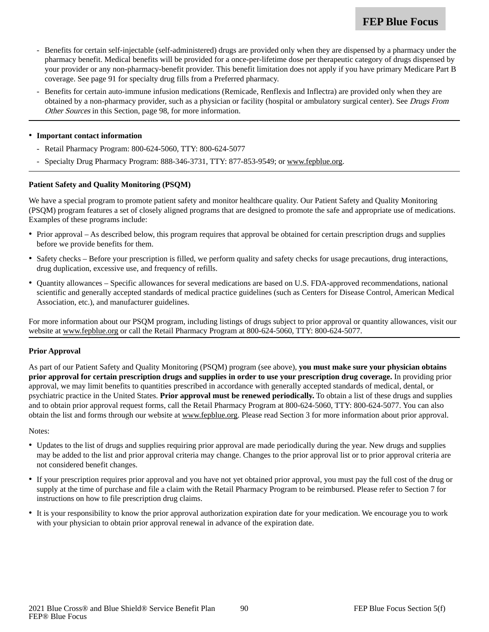- Benefits for certain self-injectable (self-administered) drugs are provided only when they are dispensed by a pharmacy under the pharmacy benefit. Medical benefits will be provided for a once-per-lifetime dose per therapeutic category of drugs dispensed by your provider or any non-pharmacy-benefit provider. This benefit limitation does not apply if you have primary Medicare Part B coverage. See page 91 for specialty drug fills from a Preferred pharmacy.
- Benefits for certain auto-immune infusion medications (Remicade, Renflexis and Inflectra) are provided only when they are obtained by a non-pharmacy provider, such as a physician or facility (hospital or ambulatory surgical center). See Drugs From Other Sources in this Section, page 98, for more information.

#### • **Important contact information**

- Retail Pharmacy Program: 800-624-5060, TTY: 800-624-5077
- Specialty Drug Pharmacy Program: 888-346-3731, TTY: 877-853-9549; or www.fepblue.org.

#### **Patient Safety and Quality Monitoring (PSQM)**

We have a special program to promote patient safety and monitor healthcare quality. Our Patient Safety and Quality Monitoring (PSQM) program features a set of closely aligned programs that are designed to promote the safe and appropriate use of medications. Examples of these programs include:

- Prior approval As described below, this program requires that approval be obtained for certain prescription drugs and supplies before we provide benefits for them.
- Safety checks Before your prescription is filled, we perform quality and safety checks for usage precautions, drug interactions, drug duplication, excessive use, and frequency of refills.
- Quantity allowances Specific allowances for several medications are based on U.S. FDA-approved recommendations, national scientific and generally accepted standards of medical practice guidelines (such as Centers for Disease Control, American Medical Association, etc.), and manufacturer guidelines.

For more information about our PSQM program, including listings of drugs subject to prior approval or quantity allowances, visit our website at www.fepblue.org or call the Retail Pharmacy Program at 800-624-5060, TTY: 800-624-5077.

#### **Prior Approval**

As part of our Patient Safety and Quality Monitoring (PSQM) program (see above), **you must make sure your physician obtains prior approval for certain prescription drugs and supplies in order to use your prescription drug coverage.** In providing prior approval, we may limit benefits to quantities prescribed in accordance with generally accepted standards of medical, dental, or psychiatric practice in the United States. **Prior approval must be renewed periodically.** To obtain a list of these drugs and supplies and to obtain prior approval request forms, call the Retail Pharmacy Program at 800-624-5060, TTY: 800-624-5077. You can also obtain the list and forms through our website at www.fepblue.org. Please read Section 3 for more information about prior approval.

Notes:

- Updates to the list of drugs and supplies requiring prior approval are made periodically during the year. New drugs and supplies may be added to the list and prior approval criteria may change. Changes to the prior approval list or to prior approval criteria are not considered benefit changes.
- If your prescription requires prior approval and you have not yet obtained prior approval, you must pay the full cost of the drug or supply at the time of purchase and file a claim with the Retail Pharmacy Program to be reimbursed. Please refer to Section 7 for instructions on how to file prescription drug claims.
- It is your responsibility to know the prior approval authorization expiration date for your medication. We encourage you to work with your physician to obtain prior approval renewal in advance of the expiration date.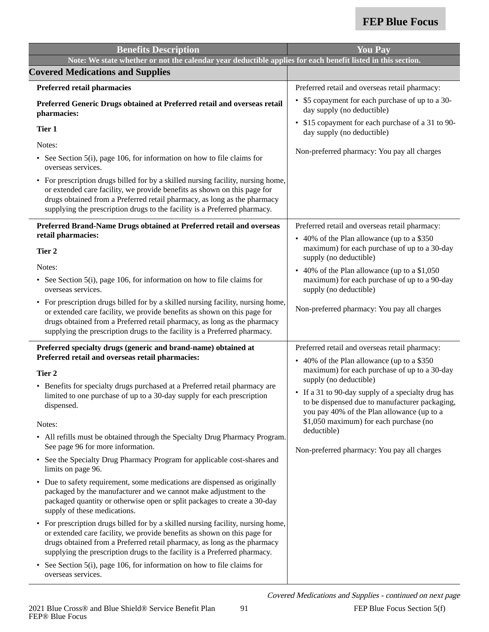| <b>Benefits Description</b>                                                                                                                                                                                                                                                                                                      | <b>You Pay</b>                                                                                                                                     |
|----------------------------------------------------------------------------------------------------------------------------------------------------------------------------------------------------------------------------------------------------------------------------------------------------------------------------------|----------------------------------------------------------------------------------------------------------------------------------------------------|
| Note: We state whether or not the calendar year deductible applies for each benefit listed in this section.                                                                                                                                                                                                                      |                                                                                                                                                    |
| <b>Covered Medications and Supplies</b>                                                                                                                                                                                                                                                                                          |                                                                                                                                                    |
| Preferred retail pharmacies                                                                                                                                                                                                                                                                                                      | Preferred retail and overseas retail pharmacy:                                                                                                     |
| Preferred Generic Drugs obtained at Preferred retail and overseas retail<br>pharmacies:                                                                                                                                                                                                                                          | • \$5 copayment for each purchase of up to a 30-<br>day supply (no deductible)                                                                     |
| Tier 1                                                                                                                                                                                                                                                                                                                           | • \$15 copayment for each purchase of a 31 to 90-<br>day supply (no deductible)                                                                    |
| Notes:                                                                                                                                                                                                                                                                                                                           | Non-preferred pharmacy: You pay all charges                                                                                                        |
| • See Section 5(i), page 106, for information on how to file claims for<br>overseas services.                                                                                                                                                                                                                                    |                                                                                                                                                    |
| • For prescription drugs billed for by a skilled nursing facility, nursing home,<br>or extended care facility, we provide benefits as shown on this page for<br>drugs obtained from a Preferred retail pharmacy, as long as the pharmacy<br>supplying the prescription drugs to the facility is a Preferred pharmacy.            |                                                                                                                                                    |
| Preferred Brand-Name Drugs obtained at Preferred retail and overseas                                                                                                                                                                                                                                                             | Preferred retail and overseas retail pharmacy:                                                                                                     |
| retail pharmacies:<br>Tier 2                                                                                                                                                                                                                                                                                                     | • 40% of the Plan allowance (up to a \$350<br>maximum) for each purchase of up to a 30-day                                                         |
| Notes:                                                                                                                                                                                                                                                                                                                           | supply (no deductible)<br>• 40% of the Plan allowance (up to a \$1,050                                                                             |
| • See Section 5(i), page 106, for information on how to file claims for<br>overseas services.                                                                                                                                                                                                                                    | maximum) for each purchase of up to a 90-day<br>supply (no deductible)                                                                             |
| • For prescription drugs billed for by a skilled nursing facility, nursing home,<br>or extended care facility, we provide benefits as shown on this page for<br>drugs obtained from a Preferred retail pharmacy, as long as the pharmacy<br>supplying the prescription drugs to the facility is a Preferred pharmacy.            | Non-preferred pharmacy: You pay all charges                                                                                                        |
| Preferred specialty drugs (generic and brand-name) obtained at                                                                                                                                                                                                                                                                   | Preferred retail and overseas retail pharmacy:                                                                                                     |
| Preferred retail and overseas retail pharmacies:                                                                                                                                                                                                                                                                                 | • 40% of the Plan allowance (up to a \$350<br>maximum) for each purchase of up to a 30-day                                                         |
| Tier 2                                                                                                                                                                                                                                                                                                                           | supply (no deductible)                                                                                                                             |
| • Benefits for specialty drugs purchased at a Preferred retail pharmacy are<br>limited to one purchase of up to a 30-day supply for each prescription<br>dispensed.                                                                                                                                                              | • If a 31 to 90-day supply of a specialty drug has<br>to be dispensed due to manufacturer packaging,<br>you pay 40% of the Plan allowance (up to a |
| Notes:                                                                                                                                                                                                                                                                                                                           | \$1,050 maximum) for each purchase (no                                                                                                             |
| • All refills must be obtained through the Specialty Drug Pharmacy Program.<br>See page 96 for more information.                                                                                                                                                                                                                 | deductible)<br>Non-preferred pharmacy: You pay all charges                                                                                         |
| See the Specialty Drug Pharmacy Program for applicable cost-shares and<br>$\bullet$<br>limits on page 96.                                                                                                                                                                                                                        |                                                                                                                                                    |
| • Due to safety requirement, some medications are dispensed as originally<br>packaged by the manufacturer and we cannot make adjustment to the<br>packaged quantity or otherwise open or split packages to create a 30-day<br>supply of these medications.                                                                       |                                                                                                                                                    |
| For prescription drugs billed for by a skilled nursing facility, nursing home,<br>$\bullet$<br>or extended care facility, we provide benefits as shown on this page for<br>drugs obtained from a Preferred retail pharmacy, as long as the pharmacy<br>supplying the prescription drugs to the facility is a Preferred pharmacy. |                                                                                                                                                    |
| See Section $5(i)$ , page 106, for information on how to file claims for<br>$\bullet$<br>overseas services.                                                                                                                                                                                                                      |                                                                                                                                                    |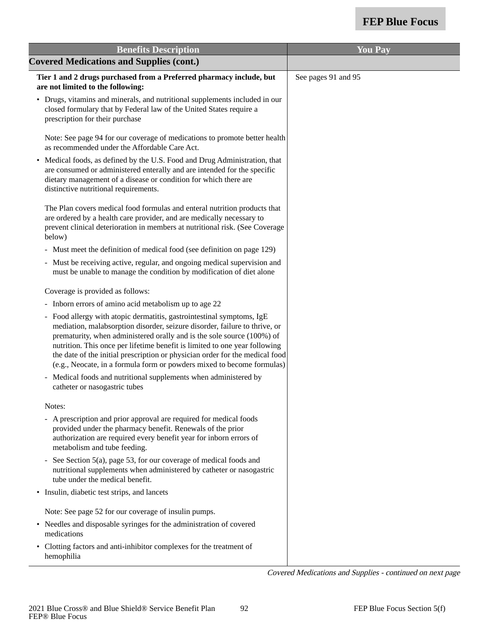| <b>Benefits Description</b>                                                                                                                                                                                                                                                                                                                                                                                                                                           | <b>You Pay</b>      |
|-----------------------------------------------------------------------------------------------------------------------------------------------------------------------------------------------------------------------------------------------------------------------------------------------------------------------------------------------------------------------------------------------------------------------------------------------------------------------|---------------------|
| <b>Covered Medications and Supplies (cont.)</b>                                                                                                                                                                                                                                                                                                                                                                                                                       |                     |
| Tier 1 and 2 drugs purchased from a Preferred pharmacy include, but<br>are not limited to the following:                                                                                                                                                                                                                                                                                                                                                              | See pages 91 and 95 |
| • Drugs, vitamins and minerals, and nutritional supplements included in our<br>closed formulary that by Federal law of the United States require a<br>prescription for their purchase                                                                                                                                                                                                                                                                                 |                     |
| Note: See page 94 for our coverage of medications to promote better health<br>as recommended under the Affordable Care Act.                                                                                                                                                                                                                                                                                                                                           |                     |
| • Medical foods, as defined by the U.S. Food and Drug Administration, that<br>are consumed or administered enterally and are intended for the specific<br>dietary management of a disease or condition for which there are<br>distinctive nutritional requirements.                                                                                                                                                                                                   |                     |
| The Plan covers medical food formulas and enteral nutrition products that<br>are ordered by a health care provider, and are medically necessary to<br>prevent clinical deterioration in members at nutritional risk. (See Coverage<br>below)                                                                                                                                                                                                                          |                     |
| - Must meet the definition of medical food (see definition on page 129)                                                                                                                                                                                                                                                                                                                                                                                               |                     |
| - Must be receiving active, regular, and ongoing medical supervision and<br>must be unable to manage the condition by modification of diet alone                                                                                                                                                                                                                                                                                                                      |                     |
| Coverage is provided as follows:                                                                                                                                                                                                                                                                                                                                                                                                                                      |                     |
| - Inborn errors of amino acid metabolism up to age 22                                                                                                                                                                                                                                                                                                                                                                                                                 |                     |
| - Food allergy with atopic dermatitis, gastrointestinal symptoms, IgE<br>mediation, malabsorption disorder, seizure disorder, failure to thrive, or<br>prematurity, when administered orally and is the sole source (100%) of<br>nutrition. This once per lifetime benefit is limited to one year following<br>the date of the initial prescription or physician order for the medical food<br>(e.g., Neocate, in a formula form or powders mixed to become formulas) |                     |
| Medical foods and nutritional supplements when administered by<br>catheter or nasogastric tubes                                                                                                                                                                                                                                                                                                                                                                       |                     |
| Notes:                                                                                                                                                                                                                                                                                                                                                                                                                                                                |                     |
| - A prescription and prior approval are required for medical foods<br>provided under the pharmacy benefit. Renewals of the prior<br>authorization are required every benefit year for inborn errors of<br>metabolism and tube feeding.                                                                                                                                                                                                                                |                     |
| See Section 5(a), page 53, for our coverage of medical foods and<br>nutritional supplements when administered by catheter or nasogastric<br>tube under the medical benefit.                                                                                                                                                                                                                                                                                           |                     |
| • Insulin, diabetic test strips, and lancets                                                                                                                                                                                                                                                                                                                                                                                                                          |                     |
| Note: See page 52 for our coverage of insulin pumps.                                                                                                                                                                                                                                                                                                                                                                                                                  |                     |
| • Needles and disposable syringes for the administration of covered<br>medications                                                                                                                                                                                                                                                                                                                                                                                    |                     |
| • Clotting factors and anti-inhibitor complexes for the treatment of<br>hemophilia                                                                                                                                                                                                                                                                                                                                                                                    |                     |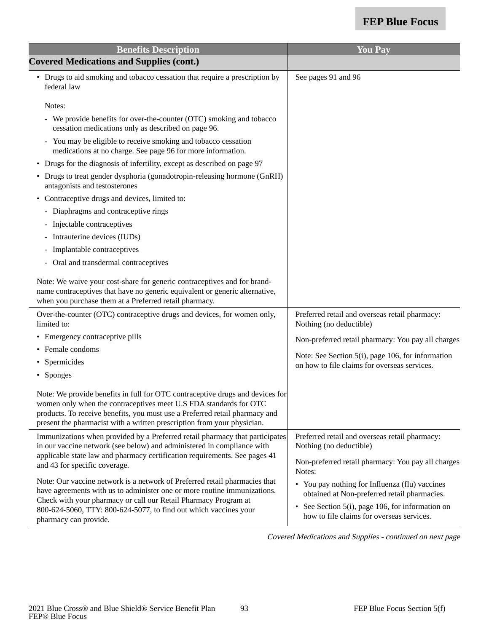| <b>Benefits Description</b>                                                                                                                                                                                                                                                                                  | <b>You Pay</b>                                                                                    |
|--------------------------------------------------------------------------------------------------------------------------------------------------------------------------------------------------------------------------------------------------------------------------------------------------------------|---------------------------------------------------------------------------------------------------|
| <b>Covered Medications and Supplies (cont.)</b>                                                                                                                                                                                                                                                              |                                                                                                   |
| • Drugs to aid smoking and tobacco cessation that require a prescription by<br>federal law                                                                                                                                                                                                                   | See pages 91 and 96                                                                               |
| Notes:                                                                                                                                                                                                                                                                                                       |                                                                                                   |
| - We provide benefits for over-the-counter (OTC) smoking and tobacco<br>cessation medications only as described on page 96.                                                                                                                                                                                  |                                                                                                   |
| - You may be eligible to receive smoking and tobacco cessation<br>medications at no charge. See page 96 for more information.                                                                                                                                                                                |                                                                                                   |
| • Drugs for the diagnosis of infertility, except as described on page 97                                                                                                                                                                                                                                     |                                                                                                   |
| Drugs to treat gender dysphoria (gonadotropin-releasing hormone (GnRH)<br>antagonists and testosterones                                                                                                                                                                                                      |                                                                                                   |
| Contraceptive drugs and devices, limited to:<br>٠                                                                                                                                                                                                                                                            |                                                                                                   |
| - Diaphragms and contraceptive rings                                                                                                                                                                                                                                                                         |                                                                                                   |
| - Injectable contraceptives                                                                                                                                                                                                                                                                                  |                                                                                                   |
| - Intrauterine devices (IUDs)                                                                                                                                                                                                                                                                                |                                                                                                   |
| - Implantable contraceptives                                                                                                                                                                                                                                                                                 |                                                                                                   |
| Oral and transdermal contraceptives<br>$\sim$                                                                                                                                                                                                                                                                |                                                                                                   |
| Note: We waive your cost-share for generic contraceptives and for brand-<br>name contraceptives that have no generic equivalent or generic alternative,<br>when you purchase them at a Preferred retail pharmacy.                                                                                            |                                                                                                   |
| Over-the-counter (OTC) contraceptive drugs and devices, for women only,<br>limited to:                                                                                                                                                                                                                       | Preferred retail and overseas retail pharmacy:<br>Nothing (no deductible)                         |
| • Emergency contraceptive pills                                                                                                                                                                                                                                                                              | Non-preferred retail pharmacy: You pay all charges                                                |
| • Female condoms                                                                                                                                                                                                                                                                                             |                                                                                                   |
| Spermicides                                                                                                                                                                                                                                                                                                  | Note: See Section 5(i), page 106, for information<br>on how to file claims for overseas services. |
| • Sponges                                                                                                                                                                                                                                                                                                    |                                                                                                   |
| Note: We provide benefits in full for OTC contraceptive drugs and devices for<br>women only when the contraceptives meet U.S FDA standards for OTC<br>products. To receive benefits, you must use a Preferred retail pharmacy and<br>present the pharmacist with a written prescription from your physician. |                                                                                                   |
| Immunizations when provided by a Preferred retail pharmacy that participates<br>in our vaccine network (see below) and administered in compliance with<br>applicable state law and pharmacy certification requirements. See pages 41<br>and 43 for specific coverage.                                        | Preferred retail and overseas retail pharmacy:<br>Nothing (no deductible)                         |
|                                                                                                                                                                                                                                                                                                              | Non-preferred retail pharmacy: You pay all charges<br>Notes:                                      |
| Note: Our vaccine network is a network of Preferred retail pharmacies that<br>have agreements with us to administer one or more routine immunizations.                                                                                                                                                       | • You pay nothing for Influenza (flu) vaccines<br>obtained at Non-preferred retail pharmacies.    |
| Check with your pharmacy or call our Retail Pharmacy Program at<br>800-624-5060, TTY: 800-624-5077, to find out which vaccines your<br>pharmacy can provide.                                                                                                                                                 | • See Section 5(i), page 106, for information on<br>how to file claims for overseas services.     |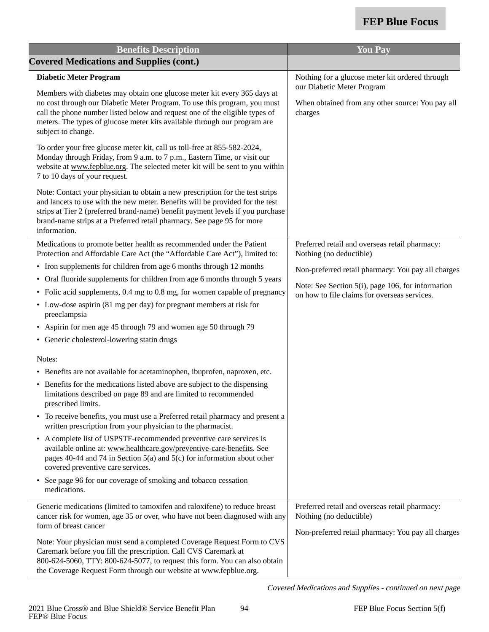| <b>Benefits Description</b>                                                                                                                                                                                                                                                                                                                | <b>You Pay</b>                                                                                    |
|--------------------------------------------------------------------------------------------------------------------------------------------------------------------------------------------------------------------------------------------------------------------------------------------------------------------------------------------|---------------------------------------------------------------------------------------------------|
| <b>Covered Medications and Supplies (cont.)</b>                                                                                                                                                                                                                                                                                            |                                                                                                   |
| <b>Diabetic Meter Program</b>                                                                                                                                                                                                                                                                                                              | Nothing for a glucose meter kit ordered through                                                   |
| Members with diabetes may obtain one glucose meter kit every 365 days at<br>no cost through our Diabetic Meter Program. To use this program, you must<br>call the phone number listed below and request one of the eligible types of<br>meters. The types of glucose meter kits available through our program are<br>subject to change.    | our Diabetic Meter Program<br>When obtained from any other source: You pay all<br>charges         |
| To order your free glucose meter kit, call us toll-free at 855-582-2024,<br>Monday through Friday, from 9 a.m. to 7 p.m., Eastern Time, or visit our<br>website at www.fepblue.org. The selected meter kit will be sent to you within<br>7 to 10 days of your request.                                                                     |                                                                                                   |
| Note: Contact your physician to obtain a new prescription for the test strips<br>and lancets to use with the new meter. Benefits will be provided for the test<br>strips at Tier 2 (preferred brand-name) benefit payment levels if you purchase<br>brand-name strips at a Preferred retail pharmacy. See page 95 for more<br>information. |                                                                                                   |
| Medications to promote better health as recommended under the Patient<br>Protection and Affordable Care Act (the "Affordable Care Act"), limited to:                                                                                                                                                                                       | Preferred retail and overseas retail pharmacy:<br>Nothing (no deductible)                         |
| • Iron supplements for children from age 6 months through 12 months                                                                                                                                                                                                                                                                        | Non-preferred retail pharmacy: You pay all charges                                                |
| • Oral fluoride supplements for children from age 6 months through 5 years                                                                                                                                                                                                                                                                 |                                                                                                   |
| • Folic acid supplements, 0.4 mg to 0.8 mg, for women capable of pregnancy                                                                                                                                                                                                                                                                 | Note: See Section 5(i), page 106, for information<br>on how to file claims for overseas services. |
| • Low-dose aspirin (81 mg per day) for pregnant members at risk for<br>preeclampsia                                                                                                                                                                                                                                                        |                                                                                                   |
| • Aspirin for men age 45 through 79 and women age 50 through 79                                                                                                                                                                                                                                                                            |                                                                                                   |
| • Generic cholesterol-lowering statin drugs                                                                                                                                                                                                                                                                                                |                                                                                                   |
| Notes:                                                                                                                                                                                                                                                                                                                                     |                                                                                                   |
| • Benefits are not available for acetaminophen, ibuprofen, naproxen, etc.                                                                                                                                                                                                                                                                  |                                                                                                   |
| • Benefits for the medications listed above are subject to the dispensing<br>limitations described on page 89 and are limited to recommended<br>prescribed limits.                                                                                                                                                                         |                                                                                                   |
| • To receive benefits, you must use a Preferred retail pharmacy and present a<br>written prescription from your physician to the pharmacist.                                                                                                                                                                                               |                                                                                                   |
| • A complete list of USPSTF-recommended preventive care services is<br>available online at: www.healthcare.gov/preventive-care-benefits. See<br>pages 40-44 and 74 in Section 5(a) and 5(c) for information about other<br>covered preventive care services.                                                                               |                                                                                                   |
| • See page 96 for our coverage of smoking and tobacco cessation<br>medications.                                                                                                                                                                                                                                                            |                                                                                                   |
| Generic medications (limited to tamoxifen and raloxifene) to reduce breast<br>cancer risk for women, age 35 or over, who have not been diagnosed with any<br>form of breast cancer                                                                                                                                                         | Preferred retail and overseas retail pharmacy:<br>Nothing (no deductible)                         |
| Note: Your physician must send a completed Coverage Request Form to CVS<br>Caremark before you fill the prescription. Call CVS Caremark at<br>800-624-5060, TTY: 800-624-5077, to request this form. You can also obtain<br>the Coverage Request Form through our website at www.fepblue.org.                                              | Non-preferred retail pharmacy: You pay all charges                                                |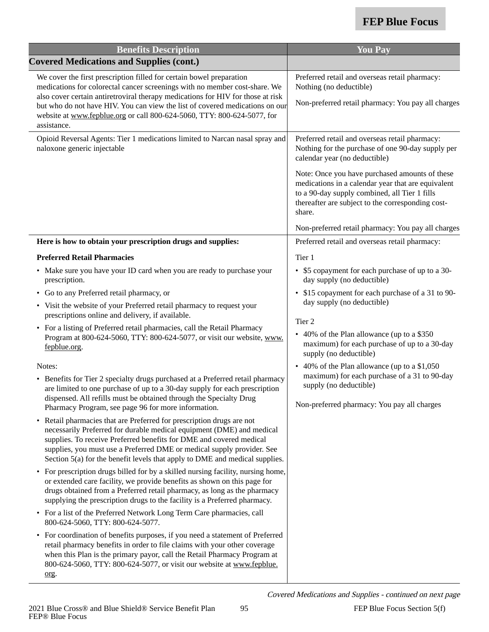| <b>Benefits Description</b>                                                                                                                                                                                                                                                                                                                                                                                                                                                                                                                                                                                                                                                                                                                                                                                                                                                                                                                                                                                                                                                                     | <b>You Pay</b>                                                                                                                                                                                                                                                                                                                                                                                                                                                                         |
|-------------------------------------------------------------------------------------------------------------------------------------------------------------------------------------------------------------------------------------------------------------------------------------------------------------------------------------------------------------------------------------------------------------------------------------------------------------------------------------------------------------------------------------------------------------------------------------------------------------------------------------------------------------------------------------------------------------------------------------------------------------------------------------------------------------------------------------------------------------------------------------------------------------------------------------------------------------------------------------------------------------------------------------------------------------------------------------------------|----------------------------------------------------------------------------------------------------------------------------------------------------------------------------------------------------------------------------------------------------------------------------------------------------------------------------------------------------------------------------------------------------------------------------------------------------------------------------------------|
| <b>Covered Medications and Supplies (cont.)</b>                                                                                                                                                                                                                                                                                                                                                                                                                                                                                                                                                                                                                                                                                                                                                                                                                                                                                                                                                                                                                                                 |                                                                                                                                                                                                                                                                                                                                                                                                                                                                                        |
| We cover the first prescription filled for certain bowel preparation<br>medications for colorectal cancer screenings with no member cost-share. We<br>also cover certain antiretroviral therapy medications for HIV for those at risk<br>but who do not have HIV. You can view the list of covered medications on our<br>website at www.fepblue.org or call 800-624-5060, TTY: 800-624-5077, for<br>assistance.                                                                                                                                                                                                                                                                                                                                                                                                                                                                                                                                                                                                                                                                                 | Preferred retail and overseas retail pharmacy:<br>Nothing (no deductible)<br>Non-preferred retail pharmacy: You pay all charges                                                                                                                                                                                                                                                                                                                                                        |
| Opioid Reversal Agents: Tier 1 medications limited to Narcan nasal spray and<br>naloxone generic injectable                                                                                                                                                                                                                                                                                                                                                                                                                                                                                                                                                                                                                                                                                                                                                                                                                                                                                                                                                                                     | Preferred retail and overseas retail pharmacy:<br>Nothing for the purchase of one 90-day supply per<br>calendar year (no deductible)<br>Note: Once you have purchased amounts of these<br>medications in a calendar year that are equivalent<br>to a 90-day supply combined, all Tier 1 fills<br>thereafter are subject to the corresponding cost-<br>share.<br>Non-preferred retail pharmacy: You pay all charges                                                                     |
| Here is how to obtain your prescription drugs and supplies:                                                                                                                                                                                                                                                                                                                                                                                                                                                                                                                                                                                                                                                                                                                                                                                                                                                                                                                                                                                                                                     | Preferred retail and overseas retail pharmacy:                                                                                                                                                                                                                                                                                                                                                                                                                                         |
| <b>Preferred Retail Pharmacies</b><br>• Make sure you have your ID card when you are ready to purchase your<br>prescription.<br>Go to any Preferred retail pharmacy, or<br>• Visit the website of your Preferred retail pharmacy to request your<br>prescriptions online and delivery, if available.<br>• For a listing of Preferred retail pharmacies, call the Retail Pharmacy<br>Program at 800-624-5060, TTY: 800-624-5077, or visit our website, www.<br>fepblue.org.<br>Notes:<br>• Benefits for Tier 2 specialty drugs purchased at a Preferred retail pharmacy<br>are limited to one purchase of up to a 30-day supply for each prescription<br>dispensed. All refills must be obtained through the Specialty Drug<br>Pharmacy Program, see page 96 for more information.<br>Retail pharmacies that are Preferred for prescription drugs are not<br>$\bullet$<br>necessarily Preferred for durable medical equipment (DME) and medical<br>supplies. To receive Preferred benefits for DME and covered medical<br>supplies, you must use a Preferred DME or medical supply provider. See | Tier 1<br>• \$5 copayment for each purchase of up to a 30-<br>day supply (no deductible)<br>• \$15 copayment for each purchase of a 31 to 90-<br>day supply (no deductible)<br>Tier 2<br>• 40% of the Plan allowance (up to a \$350<br>maximum) for each purchase of up to a 30-day<br>supply (no deductible)<br>• 40% of the Plan allowance (up to a \$1,050<br>maximum) for each purchase of a 31 to 90-day<br>supply (no deductible)<br>Non-preferred pharmacy: You pay all charges |
| Section 5(a) for the benefit levels that apply to DME and medical supplies.<br>For prescription drugs billed for by a skilled nursing facility, nursing home,<br>$\bullet$<br>or extended care facility, we provide benefits as shown on this page for<br>drugs obtained from a Preferred retail pharmacy, as long as the pharmacy<br>supplying the prescription drugs to the facility is a Preferred pharmacy.<br>• For a list of the Preferred Network Long Term Care pharmacies, call<br>800-624-5060, TTY: 800-624-5077.<br>For coordination of benefits purposes, if you need a statement of Preferred<br>$\bullet$<br>retail pharmacy benefits in order to file claims with your other coverage<br>when this Plan is the primary payor, call the Retail Pharmacy Program at<br>800-624-5060, TTY: 800-624-5077, or visit our website at www.fepblue.<br>org.                                                                                                                                                                                                                              |                                                                                                                                                                                                                                                                                                                                                                                                                                                                                        |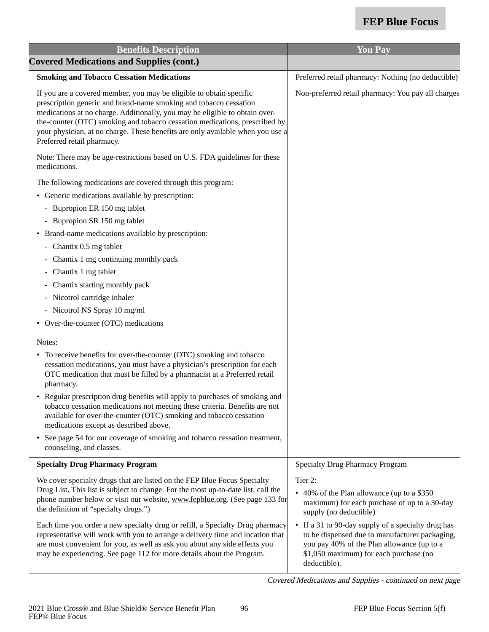| <b>Benefits Description</b>                                                                                                                                                                                                                                                                                                                                                                                           | <b>You Pay</b>                                                                                                                                                                                               |
|-----------------------------------------------------------------------------------------------------------------------------------------------------------------------------------------------------------------------------------------------------------------------------------------------------------------------------------------------------------------------------------------------------------------------|--------------------------------------------------------------------------------------------------------------------------------------------------------------------------------------------------------------|
| <b>Covered Medications and Supplies (cont.)</b>                                                                                                                                                                                                                                                                                                                                                                       |                                                                                                                                                                                                              |
| <b>Smoking and Tobacco Cessation Medications</b>                                                                                                                                                                                                                                                                                                                                                                      | Preferred retail pharmacy: Nothing (no deductible)                                                                                                                                                           |
| If you are a covered member, you may be eligible to obtain specific<br>prescription generic and brand-name smoking and tobacco cessation<br>medications at no charge. Additionally, you may be eligible to obtain over-<br>the-counter (OTC) smoking and tobacco cessation medications, prescribed by<br>your physician, at no charge. These benefits are only available when you use a<br>Preferred retail pharmacy. | Non-preferred retail pharmacy: You pay all charges                                                                                                                                                           |
| Note: There may be age-restrictions based on U.S. FDA guidelines for these<br>medications.                                                                                                                                                                                                                                                                                                                            |                                                                                                                                                                                                              |
| The following medications are covered through this program:                                                                                                                                                                                                                                                                                                                                                           |                                                                                                                                                                                                              |
| • Generic medications available by prescription:                                                                                                                                                                                                                                                                                                                                                                      |                                                                                                                                                                                                              |
| - Bupropion ER 150 mg tablet                                                                                                                                                                                                                                                                                                                                                                                          |                                                                                                                                                                                                              |
| - Bupropion SR 150 mg tablet                                                                                                                                                                                                                                                                                                                                                                                          |                                                                                                                                                                                                              |
| • Brand-name medications available by prescription:                                                                                                                                                                                                                                                                                                                                                                   |                                                                                                                                                                                                              |
| - Chantix 0.5 mg tablet                                                                                                                                                                                                                                                                                                                                                                                               |                                                                                                                                                                                                              |
| Chantix 1 mg continuing monthly pack                                                                                                                                                                                                                                                                                                                                                                                  |                                                                                                                                                                                                              |
| Chantix 1 mg tablet                                                                                                                                                                                                                                                                                                                                                                                                   |                                                                                                                                                                                                              |
| Chantix starting monthly pack                                                                                                                                                                                                                                                                                                                                                                                         |                                                                                                                                                                                                              |
| Nicotrol cartridge inhaler                                                                                                                                                                                                                                                                                                                                                                                            |                                                                                                                                                                                                              |
| - Nicotrol NS Spray 10 mg/ml                                                                                                                                                                                                                                                                                                                                                                                          |                                                                                                                                                                                                              |
| • Over-the-counter (OTC) medications                                                                                                                                                                                                                                                                                                                                                                                  |                                                                                                                                                                                                              |
| Notes:                                                                                                                                                                                                                                                                                                                                                                                                                |                                                                                                                                                                                                              |
| • To receive benefits for over-the-counter (OTC) smoking and tobacco<br>cessation medications, you must have a physician's prescription for each<br>OTC medication that must be filled by a pharmacist at a Preferred retail<br>pharmacy.                                                                                                                                                                             |                                                                                                                                                                                                              |
| • Regular prescription drug benefits will apply to purchases of smoking and<br>tobacco cessation medications not meeting these criteria. Benefits are not<br>available for over-the-counter (OTC) smoking and tobacco cessation<br>medications except as described above.                                                                                                                                             |                                                                                                                                                                                                              |
| • See page 54 for our coverage of smoking and tobacco cessation treatment,<br>counseling, and classes.                                                                                                                                                                                                                                                                                                                |                                                                                                                                                                                                              |
| <b>Specialty Drug Pharmacy Program</b>                                                                                                                                                                                                                                                                                                                                                                                | <b>Specialty Drug Pharmacy Program</b>                                                                                                                                                                       |
| We cover specialty drugs that are listed on the FEP Blue Focus Specialty<br>Drug List. This list is subject to change. For the most up-to-date list, call the<br>phone number below or visit our website, www.fepblue.org. (See page 133 for<br>the definition of "specialty drugs.")                                                                                                                                 | Tier 2:<br>• 40% of the Plan allowance (up to a \$350<br>maximum) for each purchase of up to a 30-day<br>supply (no deductible)                                                                              |
| Each time you order a new specialty drug or refill, a Specialty Drug pharmacy<br>representative will work with you to arrange a delivery time and location that<br>are most convenient for you, as well as ask you about any side effects you<br>may be experiencing. See page 112 for more details about the Program.                                                                                                | • If a 31 to 90-day supply of a specialty drug has<br>to be dispensed due to manufacturer packaging,<br>you pay 40% of the Plan allowance (up to a<br>\$1,050 maximum) for each purchase (no<br>deductible). |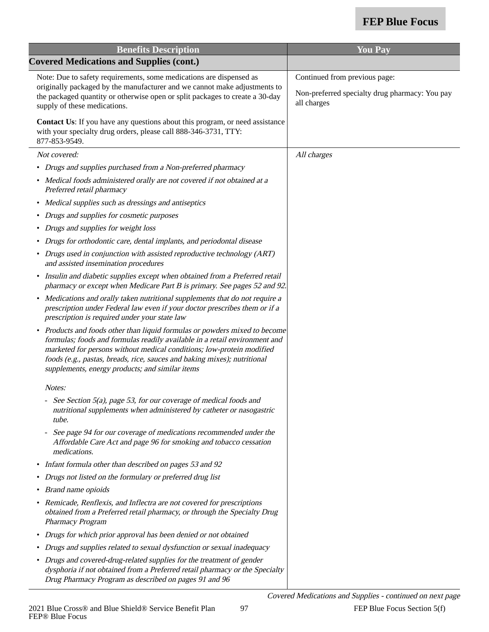| <b>Benefits Description</b>                                                                                                                                                                                                                                                                                                                                         | <b>You Pay</b>                                                                                 |
|---------------------------------------------------------------------------------------------------------------------------------------------------------------------------------------------------------------------------------------------------------------------------------------------------------------------------------------------------------------------|------------------------------------------------------------------------------------------------|
| <b>Covered Medications and Supplies (cont.)</b>                                                                                                                                                                                                                                                                                                                     |                                                                                                |
| Note: Due to safety requirements, some medications are dispensed as<br>originally packaged by the manufacturer and we cannot make adjustments to<br>the packaged quantity or otherwise open or split packages to create a 30-day<br>supply of these medications.                                                                                                    | Continued from previous page:<br>Non-preferred specialty drug pharmacy: You pay<br>all charges |
| <b>Contact Us:</b> If you have any questions about this program, or need assistance<br>with your specialty drug orders, please call 888-346-3731, TTY:<br>877-853-9549.                                                                                                                                                                                             |                                                                                                |
| Not covered:                                                                                                                                                                                                                                                                                                                                                        | All charges                                                                                    |
| • Drugs and supplies purchased from a Non-preferred pharmacy                                                                                                                                                                                                                                                                                                        |                                                                                                |
| • Medical foods administered orally are not covered if not obtained at a<br>Preferred retail pharmacy                                                                                                                                                                                                                                                               |                                                                                                |
| • Medical supplies such as dressings and antiseptics                                                                                                                                                                                                                                                                                                                |                                                                                                |
| Drugs and supplies for cosmetic purposes                                                                                                                                                                                                                                                                                                                            |                                                                                                |
| Drugs and supplies for weight loss                                                                                                                                                                                                                                                                                                                                  |                                                                                                |
| • Drugs for orthodontic care, dental implants, and periodontal disease                                                                                                                                                                                                                                                                                              |                                                                                                |
| Drugs used in conjunction with assisted reproductive technology (ART)<br>and assisted insemination procedures                                                                                                                                                                                                                                                       |                                                                                                |
| • Insulin and diabetic supplies except when obtained from a Preferred retail<br>pharmacy or except when Medicare Part B is primary. See pages 52 and 92.                                                                                                                                                                                                            |                                                                                                |
| Medications and orally taken nutritional supplements that do not require a<br>$\bullet$<br>prescription under Federal law even if your doctor prescribes them or if a<br>prescription is required under your state law                                                                                                                                              |                                                                                                |
| Products and foods other than liquid formulas or powders mixed to become<br>٠<br>formulas; foods and formulas readily available in a retail environment and<br>marketed for persons without medical conditions; low-protein modified<br>foods (e.g., pastas, breads, rice, sauces and baking mixes); nutritional<br>supplements, energy products; and similar items |                                                                                                |
| Notes:                                                                                                                                                                                                                                                                                                                                                              |                                                                                                |
| See Section 5(a), page 53, for our coverage of medical foods and<br>nutritional supplements when administered by catheter or nasogastric<br>tube.                                                                                                                                                                                                                   |                                                                                                |
| See page 94 for our coverage of medications recommended under the<br>Affordable Care Act and page 96 for smoking and tobacco cessation<br>medications.                                                                                                                                                                                                              |                                                                                                |
| Infant formula other than described on pages 53 and 92<br>$\bullet$                                                                                                                                                                                                                                                                                                 |                                                                                                |
| Drugs not listed on the formulary or preferred drug list<br>٠                                                                                                                                                                                                                                                                                                       |                                                                                                |
| Brand name opioids                                                                                                                                                                                                                                                                                                                                                  |                                                                                                |
| • Remicade, Renflexis, and Inflectra are not covered for prescriptions<br>obtained from a Preferred retail pharmacy, or through the Specialty Drug<br>Pharmacy Program                                                                                                                                                                                              |                                                                                                |
| Drugs for which prior approval has been denied or not obtained<br>$\bullet$                                                                                                                                                                                                                                                                                         |                                                                                                |
| Drugs and supplies related to sexual dysfunction or sexual inadequacy                                                                                                                                                                                                                                                                                               |                                                                                                |
| • Drugs and covered-drug-related supplies for the treatment of gender<br>dysphoria if not obtained from a Preferred retail pharmacy or the Specialty<br>Drug Pharmacy Program as described on pages 91 and 96                                                                                                                                                       |                                                                                                |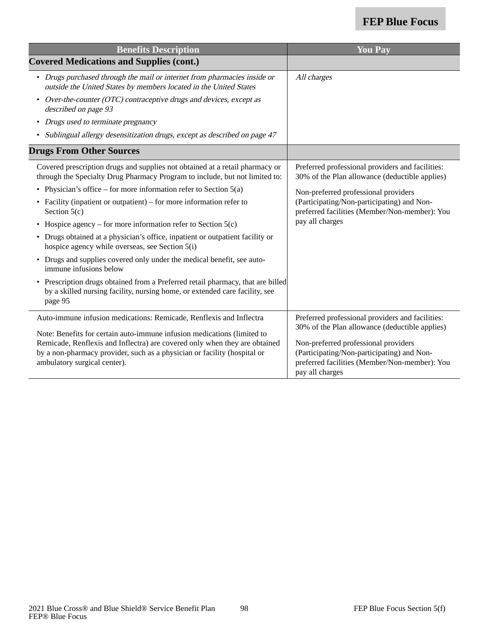| <b>Benefits Description</b>                                                                                                                                             | <b>You Pay</b>                                                                                                 |
|-------------------------------------------------------------------------------------------------------------------------------------------------------------------------|----------------------------------------------------------------------------------------------------------------|
| <b>Covered Medications and Supplies (cont.)</b>                                                                                                                         |                                                                                                                |
| • Drugs purchased through the mail or internet from pharmacies inside or<br>outside the United States by members located in the United States                           | All charges                                                                                                    |
| Over-the-counter (OTC) contraceptive drugs and devices, except as<br>$\bullet$<br>described on page 93                                                                  |                                                                                                                |
| • Drugs used to terminate pregnancy                                                                                                                                     |                                                                                                                |
| • Sublingual allergy desensitization drugs, except as described on page 47                                                                                              |                                                                                                                |
| <b>Drugs From Other Sources</b>                                                                                                                                         |                                                                                                                |
| Covered prescription drugs and supplies not obtained at a retail pharmacy or<br>through the Specialty Drug Pharmacy Program to include, but not limited to:             | Preferred professional providers and facilities:<br>30% of the Plan allowance (deductible applies)             |
| Physician's office – for more information refer to Section $5(a)$<br>$\bullet$                                                                                          | Non-preferred professional providers                                                                           |
| • Facility (inpatient or outpatient) – for more information refer to<br>Section $5(c)$                                                                                  | (Participating/Non-participating) and Non-<br>preferred facilities (Member/Non-member): You                    |
| Hospice agency – for more information refer to Section $5(c)$<br>$\bullet$                                                                                              | pay all charges                                                                                                |
| • Drugs obtained at a physician's office, inpatient or outpatient facility or<br>hospice agency while overseas, see Section 5(i)                                        |                                                                                                                |
| • Drugs and supplies covered only under the medical benefit, see auto-<br>immune infusions below                                                                        |                                                                                                                |
| Prescription drugs obtained from a Preferred retail pharmacy, that are billed<br>by a skilled nursing facility, nursing home, or extended care facility, see<br>page 95 |                                                                                                                |
| Auto-immune infusion medications: Remicade, Renflexis and Inflectra                                                                                                     | Preferred professional providers and facilities:                                                               |
| Note: Benefits for certain auto-immune infusion medications (limited to                                                                                                 | 30% of the Plan allowance (deductible applies)                                                                 |
| Remicade, Renflexis and Inflectra) are covered only when they are obtained                                                                                              | Non-preferred professional providers                                                                           |
| by a non-pharmacy provider, such as a physician or facility (hospital or<br>ambulatory surgical center).                                                                | (Participating/Non-participating) and Non-<br>preferred facilities (Member/Non-member): You<br>pay all charges |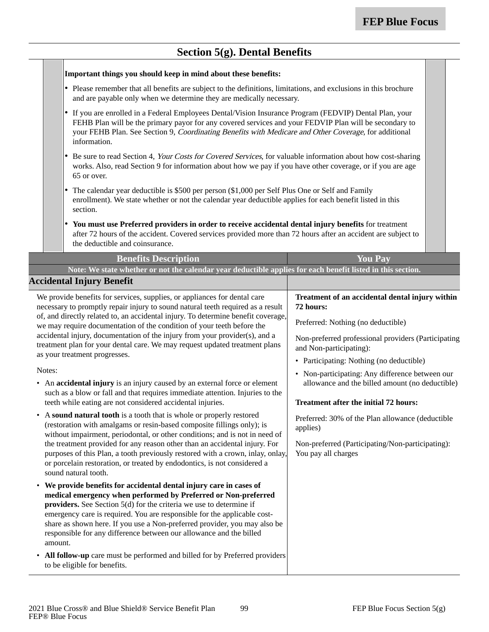### **Section 5(g). Dental Benefits**

#### **Important things you should keep in mind about these benefits:**

- • Please remember that all benefits are subject to the definitions, limitations, and exclusions in this brochure and are payable only when we determine they are medically necessary.
- If you are enrolled in a Federal Employees Dental/Vision Insurance Program (FEDVIP) Dental Plan, your FEHB Plan will be the primary payor for any covered services and your FEDVIP Plan will be secondary to your FEHB Plan. See Section 9, Coordinating Benefits with Medicare and Other Coverage, for additional information.
- • Be sure to read Section 4, Your Costs for Covered Services, for valuable information about how cost-sharing works. Also, read Section 9 for information about how we pay if you have other coverage, or if you are age 65 or over.
- • The calendar year deductible is \$500 per person (\$1,000 per Self Plus One or Self and Family enrollment). We state whether or not the calendar year deductible applies for each benefit listed in this section.
- **You must use Preferred providers in order to receive accidental dental injury benefits** for treatment after 72 hours of the accident. Covered services provided more than 72 hours after an accident are subject to the deductible and coinsurance.

| <b>Benefits Description</b>                                                                                                                                                                                                                                                                                                                                                                                                                             | <b>You Pay</b>                                                                                     |
|---------------------------------------------------------------------------------------------------------------------------------------------------------------------------------------------------------------------------------------------------------------------------------------------------------------------------------------------------------------------------------------------------------------------------------------------------------|----------------------------------------------------------------------------------------------------|
| Note: We state whether or not the calendar year deductible applies for each benefit listed in this section.                                                                                                                                                                                                                                                                                                                                             |                                                                                                    |
| <b>Accidental Injury Benefit</b>                                                                                                                                                                                                                                                                                                                                                                                                                        |                                                                                                    |
| We provide benefits for services, supplies, or appliances for dental care<br>necessary to promptly repair injury to sound natural teeth required as a result                                                                                                                                                                                                                                                                                            | Treatment of an accidental dental injury within<br>72 hours:                                       |
| of, and directly related to, an accidental injury. To determine benefit coverage,<br>we may require documentation of the condition of your teeth before the                                                                                                                                                                                                                                                                                             | Preferred: Nothing (no deductible)                                                                 |
| accidental injury, documentation of the injury from your provider(s), and a<br>treatment plan for your dental care. We may request updated treatment plans<br>as your treatment progresses.                                                                                                                                                                                                                                                             | Non-preferred professional providers (Participating<br>and Non-participating):                     |
|                                                                                                                                                                                                                                                                                                                                                                                                                                                         | • Participating: Nothing (no deductible)                                                           |
| Notes:<br>• An accidental injury is an injury caused by an external force or element                                                                                                                                                                                                                                                                                                                                                                    | • Non-participating: Any difference between our<br>allowance and the billed amount (no deductible) |
| such as a blow or fall and that requires immediate attention. Injuries to the<br>teeth while eating are not considered accidental injuries.                                                                                                                                                                                                                                                                                                             | <b>Treatment after the initial 72 hours:</b>                                                       |
| • A sound natural tooth is a tooth that is whole or properly restored<br>(restoration with amalgams or resin-based composite fillings only); is<br>without impairment, periodontal, or other conditions; and is not in need of                                                                                                                                                                                                                          | Preferred: 30% of the Plan allowance (deductible<br>applies)                                       |
| the treatment provided for any reason other than an accidental injury. For<br>purposes of this Plan, a tooth previously restored with a crown, inlay, onlay,<br>or porcelain restoration, or treated by endodontics, is not considered a<br>sound natural tooth.                                                                                                                                                                                        | Non-preferred (Participating/Non-participating):<br>You pay all charges                            |
| • We provide benefits for accidental dental injury care in cases of<br>medical emergency when performed by Preferred or Non-preferred<br>providers. See Section 5(d) for the criteria we use to determine if<br>emergency care is required. You are responsible for the applicable cost-<br>share as shown here. If you use a Non-preferred provider, you may also be<br>responsible for any difference between our allowance and the billed<br>amount. |                                                                                                    |
| • All follow-up care must be performed and billed for by Preferred providers<br>to be eligible for benefits.                                                                                                                                                                                                                                                                                                                                            |                                                                                                    |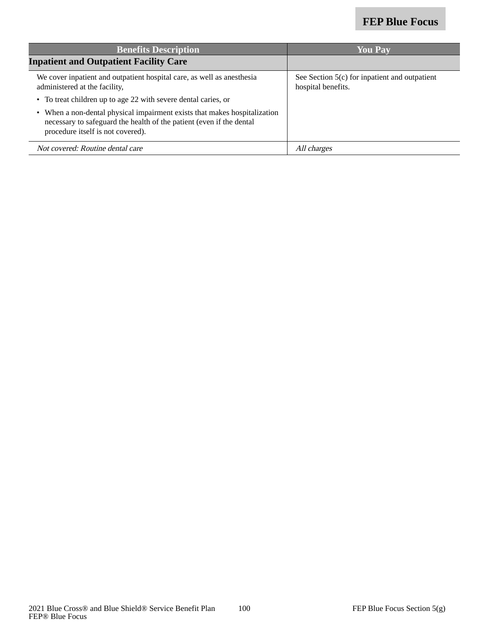| <b>Benefits Description</b>                                                                                                                                                            | <b>You Pay</b>                                                        |
|----------------------------------------------------------------------------------------------------------------------------------------------------------------------------------------|-----------------------------------------------------------------------|
| <b>Inpatient and Outpatient Facility Care</b>                                                                                                                                          |                                                                       |
| We cover inpatient and outpatient hospital care, as well as an esthesia<br>administered at the facility,                                                                               | See Section $5(c)$ for inpatient and outpatient<br>hospital benefits. |
| • To treat children up to age 22 with severe dental caries, or                                                                                                                         |                                                                       |
| • When a non-dental physical impairment exists that makes hospitalization<br>necessary to safeguard the health of the patient (even if the dental<br>procedure itself is not covered). |                                                                       |
| Not covered: Routine dental care                                                                                                                                                       | All charges                                                           |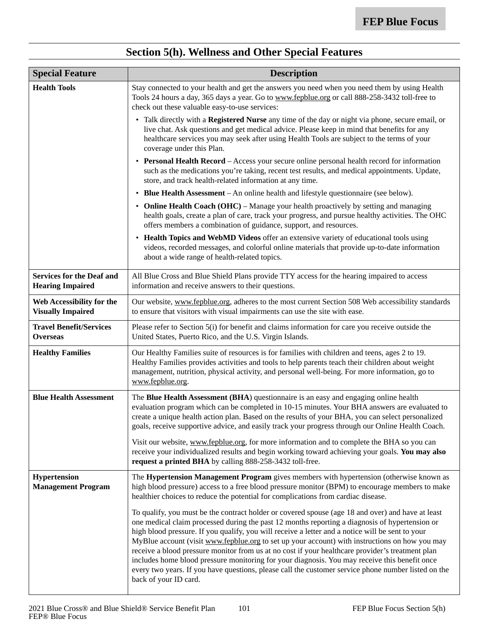| <b>Special Feature</b>                                      | <b>Description</b>                                                                                                                                                                                                                                                                                                                                                                                                                                                                                                                                                                                                                                                                                                                             |
|-------------------------------------------------------------|------------------------------------------------------------------------------------------------------------------------------------------------------------------------------------------------------------------------------------------------------------------------------------------------------------------------------------------------------------------------------------------------------------------------------------------------------------------------------------------------------------------------------------------------------------------------------------------------------------------------------------------------------------------------------------------------------------------------------------------------|
| <b>Health Tools</b>                                         | Stay connected to your health and get the answers you need when you need them by using Health<br>Tools 24 hours a day, 365 days a year. Go to www.fepblue.org or call 888-258-3432 toll-free to<br>check out these valuable easy-to-use services:                                                                                                                                                                                                                                                                                                                                                                                                                                                                                              |
|                                                             | • Talk directly with a <b>Registered Nurse</b> any time of the day or night via phone, secure email, or<br>live chat. Ask questions and get medical advice. Please keep in mind that benefits for any<br>healthcare services you may seek after using Health Tools are subject to the terms of your<br>coverage under this Plan.                                                                                                                                                                                                                                                                                                                                                                                                               |
|                                                             | • Personal Health Record - Access your secure online personal health record for information<br>such as the medications you're taking, recent test results, and medical appointments. Update,<br>store, and track health-related information at any time.                                                                                                                                                                                                                                                                                                                                                                                                                                                                                       |
|                                                             | <b>Blue Health Assessment</b> – An online health and lifestyle questionnaire (see below).                                                                                                                                                                                                                                                                                                                                                                                                                                                                                                                                                                                                                                                      |
|                                                             | • Online Health Coach (OHC) – Manage your health proactively by setting and managing<br>health goals, create a plan of care, track your progress, and pursue healthy activities. The OHC<br>offers members a combination of guidance, support, and resources.                                                                                                                                                                                                                                                                                                                                                                                                                                                                                  |
|                                                             | • Health Topics and WebMD Videos offer an extensive variety of educational tools using<br>videos, recorded messages, and colorful online materials that provide up-to-date information<br>about a wide range of health-related topics.                                                                                                                                                                                                                                                                                                                                                                                                                                                                                                         |
| <b>Services for the Deaf and</b><br><b>Hearing Impaired</b> | All Blue Cross and Blue Shield Plans provide TTY access for the hearing impaired to access<br>information and receive answers to their questions.                                                                                                                                                                                                                                                                                                                                                                                                                                                                                                                                                                                              |
| Web Accessibility for the<br><b>Visually Impaired</b>       | Our website, www.fepblue.org, adheres to the most current Section 508 Web accessibility standards<br>to ensure that visitors with visual impairments can use the site with ease.                                                                                                                                                                                                                                                                                                                                                                                                                                                                                                                                                               |
| <b>Travel Benefit/Services</b><br><b>Overseas</b>           | Please refer to Section 5(i) for benefit and claims information for care you receive outside the<br>United States, Puerto Rico, and the U.S. Virgin Islands.                                                                                                                                                                                                                                                                                                                                                                                                                                                                                                                                                                                   |
| <b>Healthy Families</b>                                     | Our Healthy Families suite of resources is for families with children and teens, ages 2 to 19.<br>Healthy Families provides activities and tools to help parents teach their children about weight<br>management, nutrition, physical activity, and personal well-being. For more information, go to<br>www.fepblue.org.                                                                                                                                                                                                                                                                                                                                                                                                                       |
| <b>Blue Health Assessment</b>                               | The Blue Health Assessment (BHA) questionnaire is an easy and engaging online health<br>evaluation program which can be completed in 10-15 minutes. Your BHA answers are evaluated to<br>create a unique health action plan. Based on the results of your BHA, you can select personalized<br>goals, receive supportive advice, and easily track your progress through our Online Health Coach.                                                                                                                                                                                                                                                                                                                                                |
|                                                             | Visit our website, www.fepblue.org, for more information and to complete the BHA so you can<br>receive your individualized results and begin working toward achieving your goals. You may also<br>request a printed BHA by calling 888-258-3432 toll-free.                                                                                                                                                                                                                                                                                                                                                                                                                                                                                     |
| <b>Hypertension</b><br><b>Management Program</b>            | The Hypertension Management Program gives members with hypertension (otherwise known as<br>high blood pressure) access to a free blood pressure monitor (BPM) to encourage members to make<br>healthier choices to reduce the potential for complications from cardiac disease.                                                                                                                                                                                                                                                                                                                                                                                                                                                                |
|                                                             | To qualify, you must be the contract holder or covered spouse (age 18 and over) and have at least<br>one medical claim processed during the past 12 months reporting a diagnosis of hypertension or<br>high blood pressure. If you qualify, you will receive a letter and a notice will be sent to your<br>MyBlue account (visit www.fepblue.org to set up your account) with instructions on how you may<br>receive a blood pressure monitor from us at no cost if your healthcare provider's treatment plan<br>includes home blood pressure monitoring for your diagnosis. You may receive this benefit once<br>every two years. If you have questions, please call the customer service phone number listed on the<br>back of your ID card. |

# **Section 5(h). Wellness and Other Special Features**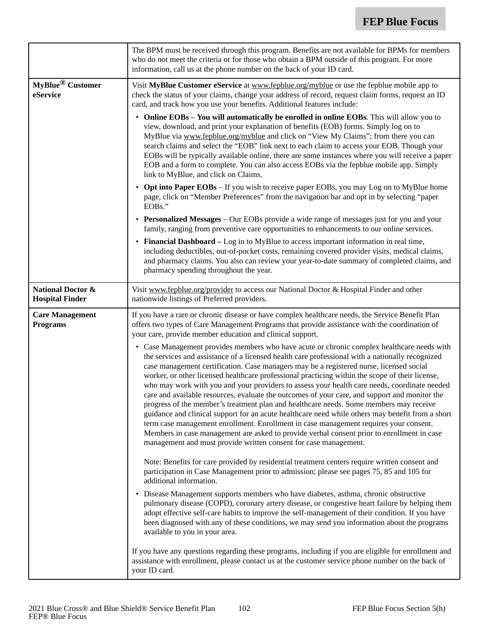|                                                        | The BPM must be received through this program. Benefits are not available for BPMs for members<br>who do not meet the criteria or for those who obtain a BPM outside of this program. For more<br>information, call us at the phone number on the back of your ID card.                                                                                                                                                                                                                                                                                                                                                                                                                                                                                                                                                                                                                                                                                                                                                                               |
|--------------------------------------------------------|-------------------------------------------------------------------------------------------------------------------------------------------------------------------------------------------------------------------------------------------------------------------------------------------------------------------------------------------------------------------------------------------------------------------------------------------------------------------------------------------------------------------------------------------------------------------------------------------------------------------------------------------------------------------------------------------------------------------------------------------------------------------------------------------------------------------------------------------------------------------------------------------------------------------------------------------------------------------------------------------------------------------------------------------------------|
| MyBlue <sup>®</sup> Customer<br>eService               | Visit MyBlue Customer eService at www.fepblue.org/myblue or use the fepblue mobile app to<br>check the status of your claims, change your address of record, request claim forms, request an ID<br>card, and track how you use your benefits. Additional features include:                                                                                                                                                                                                                                                                                                                                                                                                                                                                                                                                                                                                                                                                                                                                                                            |
|                                                        | • Online EOBs - You will automatically be enrolled in online EOBs. This will allow you to<br>view, download, and print your explanation of benefits (EOB) forms. Simply log on to<br>MyBlue via www.fepblue.org/myblue and click on "View My Claims"; from there you can<br>search claims and select the "EOB" link next to each claim to access your EOB. Though your<br>EOBs will be typically available online, there are some instances where you will receive a paper<br>EOB and a form to complete. You can also access EOBs via the fepblue mobile app. Simply<br>link to MyBlue, and click on Claims.                                                                                                                                                                                                                                                                                                                                                                                                                                         |
|                                                        | • Opt into Paper EOBs – If you wish to receive paper EOBs, you may Log on to MyBlue home<br>page, click on "Member Preferences" from the navigation bar and opt in by selecting "paper<br>EOBs."                                                                                                                                                                                                                                                                                                                                                                                                                                                                                                                                                                                                                                                                                                                                                                                                                                                      |
|                                                        | • Personalized Messages – Our EOBs provide a wide range of messages just for you and your<br>family, ranging from preventive care opportunities to enhancements to our online services.                                                                                                                                                                                                                                                                                                                                                                                                                                                                                                                                                                                                                                                                                                                                                                                                                                                               |
|                                                        | • Financial Dashboard – Log in to MyBlue to access important information in real time,<br>including deductibles, out-of-pocket costs, remaining covered provider visits, medical claims,<br>and pharmacy claims. You also can review your year-to-date summary of completed claims, and<br>pharmacy spending throughout the year.                                                                                                                                                                                                                                                                                                                                                                                                                                                                                                                                                                                                                                                                                                                     |
| <b>National Doctor &amp;</b><br><b>Hospital Finder</b> | Visit www.fepblue.org/provider to access our National Doctor & Hospital Finder and other<br>nationwide listings of Preferred providers.                                                                                                                                                                                                                                                                                                                                                                                                                                                                                                                                                                                                                                                                                                                                                                                                                                                                                                               |
| <b>Care Management</b><br><b>Programs</b>              | If you have a rare or chronic disease or have complex healthcare needs, the Service Benefit Plan<br>offers two types of Care Management Programs that provide assistance with the coordination of<br>your care, provide member education and clinical support.                                                                                                                                                                                                                                                                                                                                                                                                                                                                                                                                                                                                                                                                                                                                                                                        |
|                                                        | • Case Management provides members who have acute or chronic complex healthcare needs with<br>the services and assistance of a licensed health care professional with a nationally recognized<br>case management certification. Case managers may be a registered nurse, licensed social<br>worker, or other licensed healthcare professional practicing within the scope of their license,<br>who may work with you and your providers to assess your health care needs, coordinate needed<br>care and available resources, evaluate the outcomes of your care, and support and monitor the<br>progress of the member's treatment plan and healthcare needs. Some members may receive<br>guidance and clinical support for an acute healthcare need while others may benefit from a short<br>term case management enrollment. Enrollment in case management requires your consent.<br>Members in case management are asked to provide verbal consent prior to enrollment in case<br>management and must provide written consent for case management. |
|                                                        | Note: Benefits for care provided by residential treatment centers require written consent and<br>participation in Case Management prior to admission; please see pages 75, 85 and 105 for<br>additional information.                                                                                                                                                                                                                                                                                                                                                                                                                                                                                                                                                                                                                                                                                                                                                                                                                                  |
|                                                        | • Disease Management supports members who have diabetes, asthma, chronic obstructive<br>pulmonary disease (COPD), coronary artery disease, or congestive heart failure by helping them<br>adopt effective self-care habits to improve the self-management of their condition. If you have<br>been diagnosed with any of these conditions, we may send you information about the programs<br>available to you in your area.                                                                                                                                                                                                                                                                                                                                                                                                                                                                                                                                                                                                                            |
|                                                        | If you have any questions regarding these programs, including if you are eligible for enrollment and<br>assistance with enrollment, please contact us at the customer service phone number on the back of<br>your ID card.                                                                                                                                                                                                                                                                                                                                                                                                                                                                                                                                                                                                                                                                                                                                                                                                                            |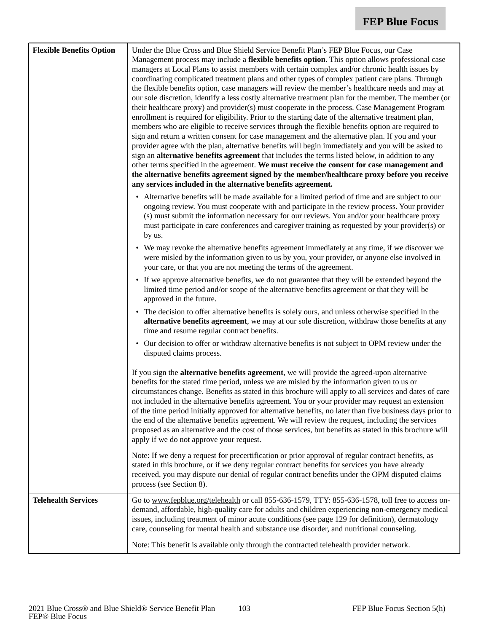| <b>Flexible Benefits Option</b> | Under the Blue Cross and Blue Shield Service Benefit Plan's FEP Blue Focus, our Case<br>Management process may include a flexible benefits option. This option allows professional case<br>managers at Local Plans to assist members with certain complex and/or chronic health issues by<br>coordinating complicated treatment plans and other types of complex patient care plans. Through<br>the flexible benefits option, case managers will review the member's healthcare needs and may at<br>our sole discretion, identify a less costly alternative treatment plan for the member. The member (or<br>their healthcare proxy) and provider(s) must cooperate in the process. Case Management Program<br>enrollment is required for eligibility. Prior to the starting date of the alternative treatment plan,<br>members who are eligible to receive services through the flexible benefits option are required to<br>sign and return a written consent for case management and the alternative plan. If you and your<br>provider agree with the plan, alternative benefits will begin immediately and you will be asked to<br>sign an alternative benefits agreement that includes the terms listed below, in addition to any<br>other terms specified in the agreement. We must receive the consent for case management and<br>the alternative benefits agreement signed by the member/healthcare proxy before you receive<br>any services included in the alternative benefits agreement. |
|---------------------------------|-----------------------------------------------------------------------------------------------------------------------------------------------------------------------------------------------------------------------------------------------------------------------------------------------------------------------------------------------------------------------------------------------------------------------------------------------------------------------------------------------------------------------------------------------------------------------------------------------------------------------------------------------------------------------------------------------------------------------------------------------------------------------------------------------------------------------------------------------------------------------------------------------------------------------------------------------------------------------------------------------------------------------------------------------------------------------------------------------------------------------------------------------------------------------------------------------------------------------------------------------------------------------------------------------------------------------------------------------------------------------------------------------------------------------------------------------------------------------------------------------------|
|                                 | • Alternative benefits will be made available for a limited period of time and are subject to our<br>ongoing review. You must cooperate with and participate in the review process. Your provider<br>(s) must submit the information necessary for our reviews. You and/or your healthcare proxy<br>must participate in care conferences and caregiver training as requested by your provider(s) or<br>by us.                                                                                                                                                                                                                                                                                                                                                                                                                                                                                                                                                                                                                                                                                                                                                                                                                                                                                                                                                                                                                                                                                       |
|                                 | • We may revoke the alternative benefits agreement immediately at any time, if we discover we<br>were misled by the information given to us by you, your provider, or anyone else involved in<br>your care, or that you are not meeting the terms of the agreement.                                                                                                                                                                                                                                                                                                                                                                                                                                                                                                                                                                                                                                                                                                                                                                                                                                                                                                                                                                                                                                                                                                                                                                                                                                 |
|                                 | • If we approve alternative benefits, we do not guarantee that they will be extended beyond the<br>limited time period and/or scope of the alternative benefits agreement or that they will be<br>approved in the future.                                                                                                                                                                                                                                                                                                                                                                                                                                                                                                                                                                                                                                                                                                                                                                                                                                                                                                                                                                                                                                                                                                                                                                                                                                                                           |
|                                 | • The decision to offer alternative benefits is solely ours, and unless otherwise specified in the<br>alternative benefits agreement, we may at our sole discretion, withdraw those benefits at any<br>time and resume regular contract benefits.                                                                                                                                                                                                                                                                                                                                                                                                                                                                                                                                                                                                                                                                                                                                                                                                                                                                                                                                                                                                                                                                                                                                                                                                                                                   |
|                                 | • Our decision to offer or withdraw alternative benefits is not subject to OPM review under the<br>disputed claims process.                                                                                                                                                                                                                                                                                                                                                                                                                                                                                                                                                                                                                                                                                                                                                                                                                                                                                                                                                                                                                                                                                                                                                                                                                                                                                                                                                                         |
|                                 | If you sign the <b>alternative benefits agreement</b> , we will provide the agreed-upon alternative<br>benefits for the stated time period, unless we are misled by the information given to us or<br>circumstances change. Benefits as stated in this brochure will apply to all services and dates of care<br>not included in the alternative benefits agreement. You or your provider may request an extension<br>of the time period initially approved for alternative benefits, no later than five business days prior to<br>the end of the alternative benefits agreement. We will review the request, including the services<br>proposed as an alternative and the cost of those services, but benefits as stated in this brochure will<br>apply if we do not approve your request.                                                                                                                                                                                                                                                                                                                                                                                                                                                                                                                                                                                                                                                                                                          |
|                                 | Note: If we deny a request for precertification or prior approval of regular contract benefits, as<br>stated in this brochure, or if we deny regular contract benefits for services you have already<br>received, you may dispute our denial of regular contract benefits under the OPM disputed claims<br>process (see Section 8).                                                                                                                                                                                                                                                                                                                                                                                                                                                                                                                                                                                                                                                                                                                                                                                                                                                                                                                                                                                                                                                                                                                                                                 |
| <b>Telehealth Services</b>      | Go to www.fepblue.org/telehealth or call 855-636-1579, TTY: 855-636-1578, toll free to access on-<br>demand, affordable, high-quality care for adults and children experiencing non-emergency medical<br>issues, including treatment of minor acute conditions (see page 129 for definition), dermatology<br>care, counseling for mental health and substance use disorder, and nutritional counseling.                                                                                                                                                                                                                                                                                                                                                                                                                                                                                                                                                                                                                                                                                                                                                                                                                                                                                                                                                                                                                                                                                             |
|                                 | Note: This benefit is available only through the contracted telehealth provider network.                                                                                                                                                                                                                                                                                                                                                                                                                                                                                                                                                                                                                                                                                                                                                                                                                                                                                                                                                                                                                                                                                                                                                                                                                                                                                                                                                                                                            |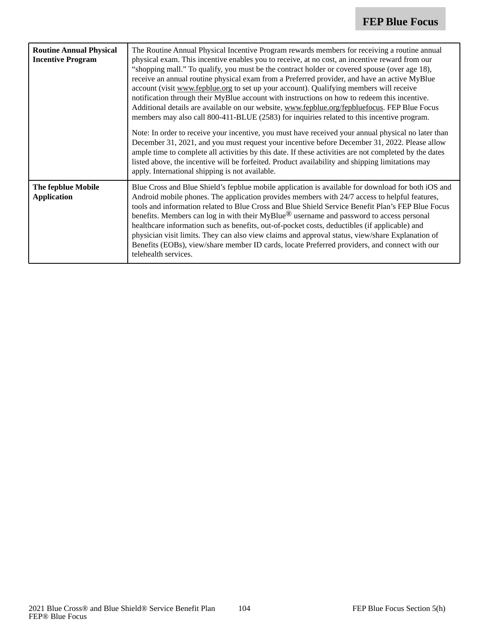| <b>Routine Annual Physical</b><br><b>Incentive Program</b> | The Routine Annual Physical Incentive Program rewards members for receiving a routine annual<br>physical exam. This incentive enables you to receive, at no cost, an incentive reward from our<br>"shopping mall." To qualify, you must be the contract holder or covered spouse (over age 18),<br>receive an annual routine physical exam from a Preferred provider, and have an active MyBlue<br>account (visit www.fepblue.org to set up your account). Qualifying members will receive<br>notification through their MyBlue account with instructions on how to redeem this incentive.<br>Additional details are available on our website, www.fepblue.org/fepbluefocus. FEP Blue Focus<br>members may also call 800-411-BLUE (2583) for inquiries related to this incentive program.<br>Note: In order to receive your incentive, you must have received your annual physical no later than<br>December 31, 2021, and you must request your incentive before December 31, 2022. Please allow<br>ample time to complete all activities by this date. If these activities are not completed by the dates<br>listed above, the incentive will be forfeited. Product availability and shipping limitations may<br>apply. International shipping is not available. |
|------------------------------------------------------------|--------------------------------------------------------------------------------------------------------------------------------------------------------------------------------------------------------------------------------------------------------------------------------------------------------------------------------------------------------------------------------------------------------------------------------------------------------------------------------------------------------------------------------------------------------------------------------------------------------------------------------------------------------------------------------------------------------------------------------------------------------------------------------------------------------------------------------------------------------------------------------------------------------------------------------------------------------------------------------------------------------------------------------------------------------------------------------------------------------------------------------------------------------------------------------------------------------------------------------------------------------------------|
| The fepblue Mobile<br><b>Application</b>                   | Blue Cross and Blue Shield's fepblue mobile application is available for download for both iOS and<br>Android mobile phones. The application provides members with 24/7 access to helpful features,<br>tools and information related to Blue Cross and Blue Shield Service Benefit Plan's FEP Blue Focus<br>benefits. Members can log in with their MyBlue <sup>®</sup> username and password to access personal<br>healthcare information such as benefits, out-of-pocket costs, deductibles (if applicable) and<br>physician visit limits. They can also view claims and approval status, view/share Explanation of<br>Benefits (EOBs), view/share member ID cards, locate Preferred providers, and connect with our<br>telehealth services.                                                                                                                                                                                                                                                                                                                                                                                                                                                                                                                     |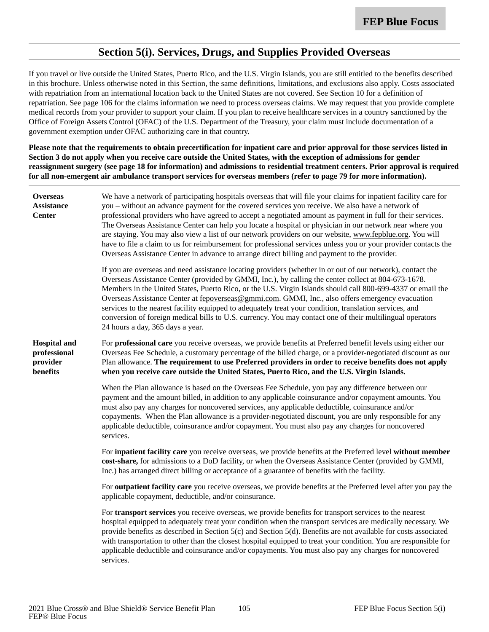### **Section 5(i). Services, Drugs, and Supplies Provided Overseas**

If you travel or live outside the United States, Puerto Rico, and the U.S. Virgin Islands, you are still entitled to the benefits described in this brochure. Unless otherwise noted in this Section, the same definitions, limitations, and exclusions also apply. Costs associated with repatriation from an international location back to the United States are not covered. See Section 10 for a definition of repatriation. See page 106 for the claims information we need to process overseas claims. We may request that you provide complete medical records from your provider to support your claim. If you plan to receive healthcare services in a country sanctioned by the Office of Foreign Assets Control (OFAC) of the U.S. Department of the Treasury, your claim must include documentation of a government exemption under OFAC authorizing care in that country.

**Please note that the requirements to obtain precertification for inpatient care and prior approval for those services listed in Section 3 do not apply when you receive care outside the United States, with the exception of admissions for gender reassignment surgery (see page 18 for information) and admissions to residential treatment centers. Prior approval is required for all non-emergent air ambulance transport services for overseas members (refer to page 79 for more information).**

| <b>Overseas</b><br><b>Assistance</b><br><b>Center</b>       | We have a network of participating hospitals overseas that will file your claims for inpatient facility care for<br>you - without an advance payment for the covered services you receive. We also have a network of<br>professional providers who have agreed to accept a negotiated amount as payment in full for their services.<br>The Overseas Assistance Center can help you locate a hospital or physician in our network near where you<br>are staying. You may also view a list of our network providers on our website, www.fepblue.org. You will<br>have to file a claim to us for reimbursement for professional services unless you or your provider contacts the<br>Overseas Assistance Center in advance to arrange direct billing and payment to the provider. |
|-------------------------------------------------------------|--------------------------------------------------------------------------------------------------------------------------------------------------------------------------------------------------------------------------------------------------------------------------------------------------------------------------------------------------------------------------------------------------------------------------------------------------------------------------------------------------------------------------------------------------------------------------------------------------------------------------------------------------------------------------------------------------------------------------------------------------------------------------------|
|                                                             | If you are overseas and need assistance locating providers (whether in or out of our network), contact the<br>Overseas Assistance Center (provided by GMMI, Inc.), by calling the center collect at 804-673-1678.<br>Members in the United States, Puerto Rico, or the U.S. Virgin Islands should call 800-699-4337 or email the<br>Overseas Assistance Center at fepoverseas@gmmi.com. GMMI, Inc., also offers emergency evacuation<br>services to the nearest facility equipped to adequately treat your condition, translation services, and<br>conversion of foreign medical bills to U.S. currency. You may contact one of their multilingual operators<br>24 hours a day, 365 days a year.                                                                               |
| <b>Hospital and</b><br>professional<br>provider<br>benefits | For professional care you receive overseas, we provide benefits at Preferred benefit levels using either our<br>Overseas Fee Schedule, a customary percentage of the billed charge, or a provider-negotiated discount as our<br>Plan allowance. The requirement to use Preferred providers in order to receive benefits does not apply<br>when you receive care outside the United States, Puerto Rico, and the U.S. Virgin Islands.                                                                                                                                                                                                                                                                                                                                           |
|                                                             | When the Plan allowance is based on the Overseas Fee Schedule, you pay any difference between our<br>payment and the amount billed, in addition to any applicable coinsurance and/or copayment amounts. You<br>must also pay any charges for noncovered services, any applicable deductible, coinsurance and/or<br>copayments. When the Plan allowance is a provider-negotiated discount, you are only responsible for any<br>applicable deductible, coinsurance and/or copayment. You must also pay any charges for noncovered<br>services.                                                                                                                                                                                                                                   |
|                                                             | For inpatient facility care you receive overseas, we provide benefits at the Preferred level without member<br>cost-share, for admissions to a DoD facility, or when the Overseas Assistance Center (provided by GMMI,<br>Inc.) has arranged direct billing or acceptance of a guarantee of benefits with the facility.                                                                                                                                                                                                                                                                                                                                                                                                                                                        |
|                                                             | For outpatient facility care you receive overseas, we provide benefits at the Preferred level after you pay the<br>applicable copayment, deductible, and/or coinsurance.                                                                                                                                                                                                                                                                                                                                                                                                                                                                                                                                                                                                       |
|                                                             | For transport services you receive overseas, we provide benefits for transport services to the nearest<br>hospital equipped to adequately treat your condition when the transport services are medically necessary. We<br>provide benefits as described in Section 5(c) and Section 5(d). Benefits are not available for costs associated<br>with transportation to other than the closest hospital equipped to treat your condition. You are responsible for<br>applicable deductible and coinsurance and/or copayments. You must also pay any charges for noncovered<br>services.                                                                                                                                                                                            |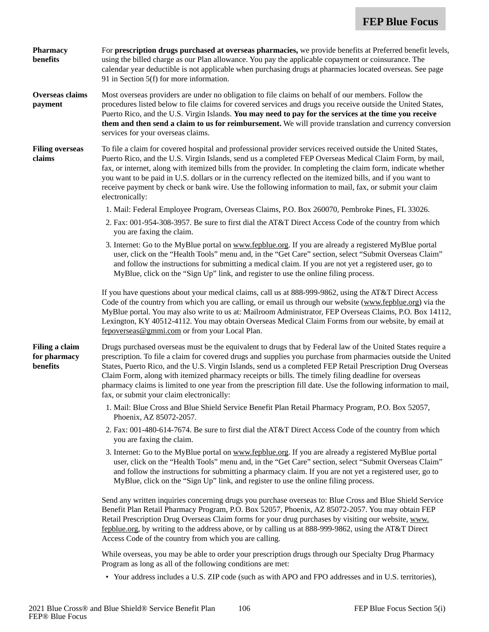| <b>Pharmacy</b><br>benefits                | For prescription drugs purchased at overseas pharmacies, we provide benefits at Preferred benefit levels,<br>using the billed charge as our Plan allowance. You pay the applicable copayment or coinsurance. The<br>calendar year deductible is not applicable when purchasing drugs at pharmacies located overseas. See page<br>91 in Section 5(f) for more information.                                                                                                                                                                                                                                        |
|--------------------------------------------|------------------------------------------------------------------------------------------------------------------------------------------------------------------------------------------------------------------------------------------------------------------------------------------------------------------------------------------------------------------------------------------------------------------------------------------------------------------------------------------------------------------------------------------------------------------------------------------------------------------|
| Overseas claims<br>payment                 | Most overseas providers are under no obligation to file claims on behalf of our members. Follow the<br>procedures listed below to file claims for covered services and drugs you receive outside the United States,<br>Puerto Rico, and the U.S. Virgin Islands. You may need to pay for the services at the time you receive<br>them and then send a claim to us for reimbursement. We will provide translation and currency conversion<br>services for your overseas claims.                                                                                                                                   |
| <b>Filing overseas</b><br>claims           | To file a claim for covered hospital and professional provider services received outside the United States,<br>Puerto Rico, and the U.S. Virgin Islands, send us a completed FEP Overseas Medical Claim Form, by mail,<br>fax, or internet, along with itemized bills from the provider. In completing the claim form, indicate whether<br>you want to be paid in U.S. dollars or in the currency reflected on the itemized bills, and if you want to<br>receive payment by check or bank wire. Use the following information to mail, fax, or submit your claim<br>electronically:                              |
|                                            | 1. Mail: Federal Employee Program, Overseas Claims, P.O. Box 260070, Pembroke Pines, FL 33026.                                                                                                                                                                                                                                                                                                                                                                                                                                                                                                                   |
|                                            | 2. Fax: 001-954-308-3957. Be sure to first dial the AT&T Direct Access Code of the country from which<br>you are faxing the claim.                                                                                                                                                                                                                                                                                                                                                                                                                                                                               |
|                                            | 3. Internet: Go to the MyBlue portal on www.fepblue.org. If you are already a registered MyBlue portal<br>user, click on the "Health Tools" menu and, in the "Get Care" section, select "Submit Overseas Claim"<br>and follow the instructions for submitting a medical claim. If you are not yet a registered user, go to<br>MyBlue, click on the "Sign Up" link, and register to use the online filing process.                                                                                                                                                                                                |
|                                            | If you have questions about your medical claims, call us at 888-999-9862, using the AT&T Direct Access<br>Code of the country from which you are calling, or email us through our website (www.fepblue.org) via the<br>MyBlue portal. You may also write to us at: Mailroom Administrator, FEP Overseas Claims, P.O. Box 14112,<br>Lexington, KY 40512-4112. You may obtain Overseas Medical Claim Forms from our website, by email at<br>fepoverseas@gmmi.com or from your Local Plan.                                                                                                                          |
| Filing a claim<br>for pharmacy<br>benefits | Drugs purchased overseas must be the equivalent to drugs that by Federal law of the United States require a<br>prescription. To file a claim for covered drugs and supplies you purchase from pharmacies outside the United<br>States, Puerto Rico, and the U.S. Virgin Islands, send us a completed FEP Retail Prescription Drug Overseas<br>Claim Form, along with itemized pharmacy receipts or bills. The timely filing deadline for overseas<br>pharmacy claims is limited to one year from the prescription fill date. Use the following information to mail,<br>fax, or submit your claim electronically: |
|                                            | 1. Mail: Blue Cross and Blue Shield Service Benefit Plan Retail Pharmacy Program, P.O. Box 52057,<br>Phoenix, AZ 85072-2057.                                                                                                                                                                                                                                                                                                                                                                                                                                                                                     |
|                                            | 2. Fax: 001-480-614-7674. Be sure to first dial the AT&T Direct Access Code of the country from which<br>you are faxing the claim.                                                                                                                                                                                                                                                                                                                                                                                                                                                                               |
|                                            | 3. Internet: Go to the MyBlue portal on www.fepblue.org. If you are already a registered MyBlue portal<br>user, click on the "Health Tools" menu and, in the "Get Care" section, select "Submit Overseas Claim"<br>and follow the instructions for submitting a pharmacy claim. If you are not yet a registered user, go to<br>MyBlue, click on the "Sign Up" link, and register to use the online filing process.                                                                                                                                                                                               |
|                                            | Send any written inquiries concerning drugs you purchase overseas to: Blue Cross and Blue Shield Service<br>Benefit Plan Retail Pharmacy Program, P.O. Box 52057, Phoenix, AZ 85072-2057. You may obtain FEP<br>Retail Prescription Drug Overseas Claim forms for your drug purchases by visiting our website, www.<br>fepblue.org, by writing to the address above, or by calling us at 888-999-9862, using the AT&T Direct<br>Access Code of the country from which you are calling.                                                                                                                           |
|                                            | While overseas, you may be able to order your prescription drugs through our Specialty Drug Pharmacy<br>Program as long as all of the following conditions are met:                                                                                                                                                                                                                                                                                                                                                                                                                                              |

• Your address includes a U.S. ZIP code (such as with APO and FPO addresses and in U.S. territories),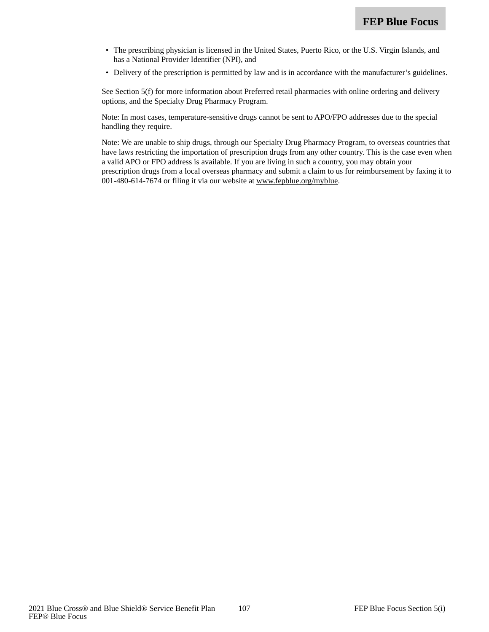- The prescribing physician is licensed in the United States, Puerto Rico, or the U.S. Virgin Islands, and has a National Provider Identifier (NPI), and
- Delivery of the prescription is permitted by law and is in accordance with the manufacturer's guidelines.

See Section 5(f) for more information about Preferred retail pharmacies with online ordering and delivery options, and the Specialty Drug Pharmacy Program.

Note: In most cases, temperature-sensitive drugs cannot be sent to APO/FPO addresses due to the special handling they require.

Note: We are unable to ship drugs, through our Specialty Drug Pharmacy Program, to overseas countries that have laws restricting the importation of prescription drugs from any other country. This is the case even when a valid APO or FPO address is available. If you are living in such a country, you may obtain your prescription drugs from a local overseas pharmacy and submit a claim to us for reimbursement by faxing it to 001-480-614-7674 or filing it via our website at www.fepblue.org/myblue.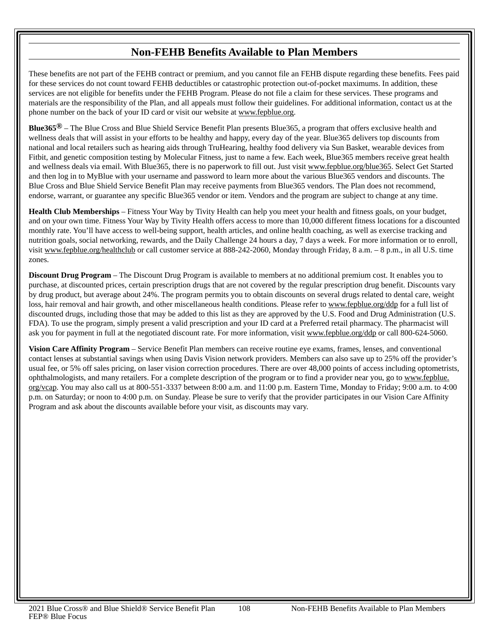# **Non-FEHB Benefits Available to Plan Members**

These benefits are not part of the FEHB contract or premium, and you cannot file an FEHB dispute regarding these benefits. Fees paid for these services do not count toward FEHB deductibles or catastrophic protection out-of-pocket maximums. In addition, these services are not eligible for benefits under the FEHB Program. Please do not file a claim for these services. These programs and materials are the responsibility of the Plan, and all appeals must follow their guidelines. For additional information, contact us at the phone number on the back of your ID card or visit our website at www.fepblue.org.

**Blue365®** – The Blue Cross and Blue Shield Service Benefit Plan presents Blue365, a program that offers exclusive health and wellness deals that will assist in your efforts to be healthy and happy, every day of the year. Blue365 delivers top discounts from national and local retailers such as hearing aids through TruHearing, healthy food delivery via Sun Basket, wearable devices from Fitbit, and genetic composition testing by Molecular Fitness, just to name a few. Each week, Blue365 members receive great health and wellness deals via email. With Blue365, there is no paperwork to fill out. Just visit www.fepblue.org/blue365. Select Get Started and then log in to MyBlue with your username and password to learn more about the various Blue365 vendors and discounts. The Blue Cross and Blue Shield Service Benefit Plan may receive payments from Blue365 vendors. The Plan does not recommend, endorse, warrant, or guarantee any specific Blue365 vendor or item. Vendors and the program are subject to change at any time.

**Health Club Memberships** – Fitness Your Way by Tivity Health can help you meet your health and fitness goals, on your budget, and on your own time. Fitness Your Way by Tivity Health offers access to more than 10,000 different fitness locations for a discounted monthly rate. You'll have access to well-being support, health articles, and online health coaching, as well as exercise tracking and nutrition goals, social networking, rewards, and the Daily Challenge 24 hours a day, 7 days a week. For more information or to enroll, visit www.fepblue.org/healthclub or call customer service at 888-242-2060, Monday through Friday, 8 a.m. - 8 p.m., in all U.S. time zones.

**Discount Drug Program** – The Discount Drug Program is available to members at no additional premium cost. It enables you to purchase, at discounted prices, certain prescription drugs that are not covered by the regular prescription drug benefit. Discounts vary by drug product, but average about 24%. The program permits you to obtain discounts on several drugs related to dental care, weight loss, hair removal and hair growth, and other miscellaneous health conditions. Please refer to www.fepblue.org/ddp for a full list of discounted drugs, including those that may be added to this list as they are approved by the U.S. Food and Drug Administration (U.S. FDA). To use the program, simply present a valid prescription and your ID card at a Preferred retail pharmacy. The pharmacist will ask you for payment in full at the negotiated discount rate. For more information, visit www.fepblue.org/ddp or call 800-624-5060.

**Vision Care Affinity Program** – Service Benefit Plan members can receive routine eye exams, frames, lenses, and conventional contact lenses at substantial savings when using Davis Vision network providers. Members can also save up to 25% off the provider's usual fee, or 5% off sales pricing, on laser vision correction procedures. There are over 48,000 points of access including optometrists, ophthalmologists, and many retailers. For a complete description of the program or to find a provider near you, go to www.fepblue. org/vcap. You may also call us at 800-551-3337 between 8:00 a.m. and 11:00 p.m. Eastern Time, Monday to Friday; 9:00 a.m. to 4:00 p.m. on Saturday; or noon to 4:00 p.m. on Sunday. Please be sure to verify that the provider participates in our Vision Care Affinity Program and ask about the discounts available before your visit, as discounts may vary.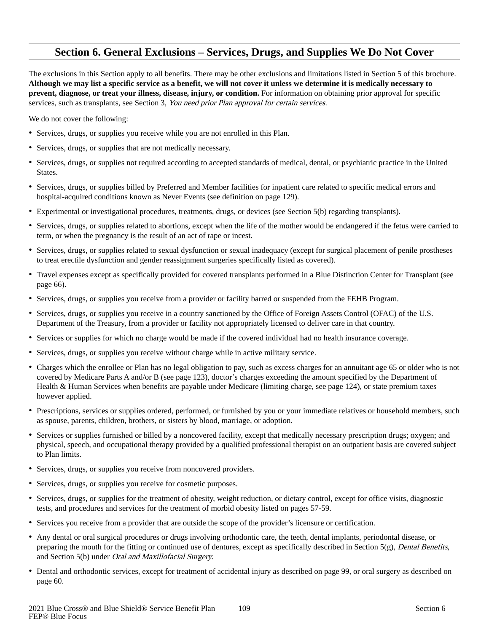## **Section 6. General Exclusions – Services, Drugs, and Supplies We Do Not Cover**

The exclusions in this Section apply to all benefits. There may be other exclusions and limitations listed in Section 5 of this brochure. **Although we may list a specific service as a benefit, we will not cover it unless we determine it is medically necessary to prevent, diagnose, or treat your illness, disease, injury, or condition.** For information on obtaining prior approval for specific services, such as transplants, see Section 3, You need prior Plan approval for certain services.

We do not cover the following:

- Services, drugs, or supplies you receive while you are not enrolled in this Plan.
- Services, drugs, or supplies that are not medically necessary.
- Services, drugs, or supplies not required according to accepted standards of medical, dental, or psychiatric practice in the United States.
- Services, drugs, or supplies billed by Preferred and Member facilities for inpatient care related to specific medical errors and hospital-acquired conditions known as Never Events (see definition on page 129).
- Experimental or investigational procedures, treatments, drugs, or devices (see Section 5(b) regarding transplants).
- Services, drugs, or supplies related to abortions, except when the life of the mother would be endangered if the fetus were carried to term, or when the pregnancy is the result of an act of rape or incest.
- Services, drugs, or supplies related to sexual dysfunction or sexual inadequacy (except for surgical placement of penile prostheses to treat erectile dysfunction and gender reassignment surgeries specifically listed as covered).
- Travel expenses except as specifically provided for covered transplants performed in a Blue Distinction Center for Transplant (see page 66).
- Services, drugs, or supplies you receive from a provider or facility barred or suspended from the FEHB Program.
- Services, drugs, or supplies you receive in a country sanctioned by the Office of Foreign Assets Control (OFAC) of the U.S. Department of the Treasury, from a provider or facility not appropriately licensed to deliver care in that country.
- Services or supplies for which no charge would be made if the covered individual had no health insurance coverage.
- Services, drugs, or supplies you receive without charge while in active military service.
- Charges which the enrollee or Plan has no legal obligation to pay, such as excess charges for an annuitant age 65 or older who is not covered by Medicare Parts A and/or B (see page 123), doctor's charges exceeding the amount specified by the Department of Health & Human Services when benefits are payable under Medicare (limiting charge, see page 124), or state premium taxes however applied.
- Prescriptions, services or supplies ordered, performed, or furnished by you or your immediate relatives or household members, such as spouse, parents, children, brothers, or sisters by blood, marriage, or adoption.
- Services or supplies furnished or billed by a noncovered facility, except that medically necessary prescription drugs; oxygen; and physical, speech, and occupational therapy provided by a qualified professional therapist on an outpatient basis are covered subject to Plan limits.
- Services, drugs, or supplies you receive from noncovered providers.
- Services, drugs, or supplies you receive for cosmetic purposes.
- Services, drugs, or supplies for the treatment of obesity, weight reduction, or dietary control, except for office visits, diagnostic tests, and procedures and services for the treatment of morbid obesity listed on pages 57-59.
- Services you receive from a provider that are outside the scope of the provider's licensure or certification.
- Any dental or oral surgical procedures or drugs involving orthodontic care, the teeth, dental implants, periodontal disease, or preparing the mouth for the fitting or continued use of dentures, except as specifically described in Section 5(g), Dental Benefits, and Section 5(b) under Oral and Maxillofacial Surgery.
- Dental and orthodontic services, except for treatment of accidental injury as described on page 99, or oral surgery as described on page 60.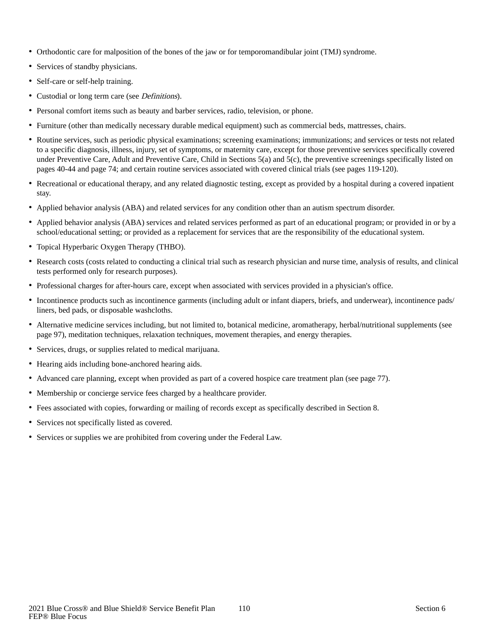- Orthodontic care for malposition of the bones of the jaw or for temporomandibular joint (TMJ) syndrome.
- Services of standby physicians.
- Self-care or self-help training.
- Custodial or long term care (see *Definitions*).
- Personal comfort items such as beauty and barber services, radio, television, or phone.
- Furniture (other than medically necessary durable medical equipment) such as commercial beds, mattresses, chairs.
- Routine services, such as periodic physical examinations; screening examinations; immunizations; and services or tests not related to a specific diagnosis, illness, injury, set of symptoms, or maternity care, except for those preventive services specifically covered under Preventive Care, Adult and Preventive Care, Child in Sections 5(a) and 5(c), the preventive screenings specifically listed on pages 40-44 and page 74; and certain routine services associated with covered clinical trials (see pages 119-120).
- Recreational or educational therapy, and any related diagnostic testing, except as provided by a hospital during a covered inpatient stay.
- Applied behavior analysis (ABA) and related services for any condition other than an autism spectrum disorder.
- Applied behavior analysis (ABA) services and related services performed as part of an educational program; or provided in or by a school/educational setting; or provided as a replacement for services that are the responsibility of the educational system.
- Topical Hyperbaric Oxygen Therapy (THBO).
- Research costs (costs related to conducting a clinical trial such as research physician and nurse time, analysis of results, and clinical tests performed only for research purposes).
- Professional charges for after-hours care, except when associated with services provided in a physician's office.
- Incontinence products such as incontinence garments (including adult or infant diapers, briefs, and underwear), incontinence pads/ liners, bed pads, or disposable washcloths.
- Alternative medicine services including, but not limited to, botanical medicine, aromatherapy, herbal/nutritional supplements (see page 97), meditation techniques, relaxation techniques, movement therapies, and energy therapies.
- Services, drugs, or supplies related to medical marijuana.
- Hearing aids including bone-anchored hearing aids.
- Advanced care planning, except when provided as part of a covered hospice care treatment plan (see page 77).
- Membership or concierge service fees charged by a healthcare provider.
- Fees associated with copies, forwarding or mailing of records except as specifically described in Section 8.
- Services not specifically listed as covered.
- Services or supplies we are prohibited from covering under the Federal Law.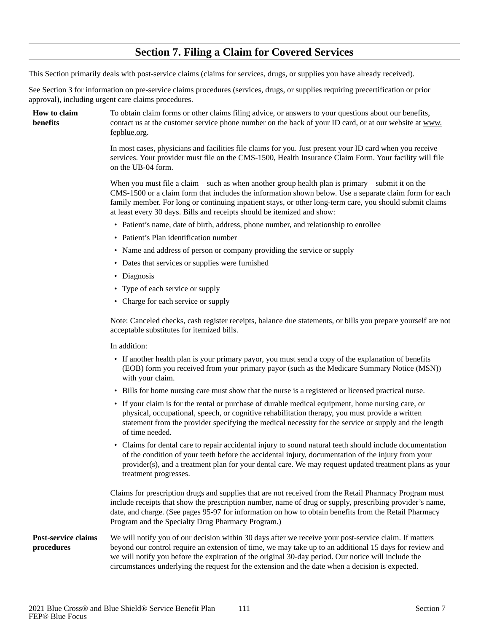## **Section 7. Filing a Claim for Covered Services**

This Section primarily deals with post-service claims (claims for services, drugs, or supplies you have already received).

See Section 3 for information on pre-service claims procedures (services, drugs, or supplies requiring precertification or prior approval), including urgent care claims procedures.

**How to claim benefits**

To obtain claim forms or other claims filing advice, or answers to your questions about our benefits, contact us at the customer service phone number on the back of your ID card, or at our website at www. fepblue.org.

In most cases, physicians and facilities file claims for you. Just present your ID card when you receive services. Your provider must file on the CMS-1500, Health Insurance Claim Form. Your facility will file on the UB-04 form.

When you must file a claim – such as when another group health plan is primary – submit it on the CMS-1500 or a claim form that includes the information shown below. Use a separate claim form for each family member. For long or continuing inpatient stays, or other long-term care, you should submit claims at least every 30 days. Bills and receipts should be itemized and show:

- Patient's name, date of birth, address, phone number, and relationship to enrollee
- Patient's Plan identification number
- Name and address of person or company providing the service or supply
- Dates that services or supplies were furnished
- Diagnosis
- Type of each service or supply
- Charge for each service or supply

Note: Canceled checks, cash register receipts, balance due statements, or bills you prepare yourself are not acceptable substitutes for itemized bills.

In addition:

- If another health plan is your primary payor, you must send a copy of the explanation of benefits (EOB) form you received from your primary payor (such as the Medicare Summary Notice (MSN)) with your claim.
- Bills for home nursing care must show that the nurse is a registered or licensed practical nurse.
- If your claim is for the rental or purchase of durable medical equipment, home nursing care, or physical, occupational, speech, or cognitive rehabilitation therapy, you must provide a written statement from the provider specifying the medical necessity for the service or supply and the length of time needed.
- Claims for dental care to repair accidental injury to sound natural teeth should include documentation of the condition of your teeth before the accidental injury, documentation of the injury from your provider(s), and a treatment plan for your dental care. We may request updated treatment plans as your treatment progresses.

Claims for prescription drugs and supplies that are not received from the Retail Pharmacy Program must include receipts that show the prescription number, name of drug or supply, prescribing provider's name, date, and charge. (See pages 95-97 for information on how to obtain benefits from the Retail Pharmacy Program and the Specialty Drug Pharmacy Program.)

#### We will notify you of our decision within 30 days after we receive your post-service claim. If matters beyond our control require an extension of time, we may take up to an additional 15 days for review and we will notify you before the expiration of the original 30-day period. Our notice will include the circumstances underlying the request for the extension and the date when a decision is expected. **Post-service claims procedures**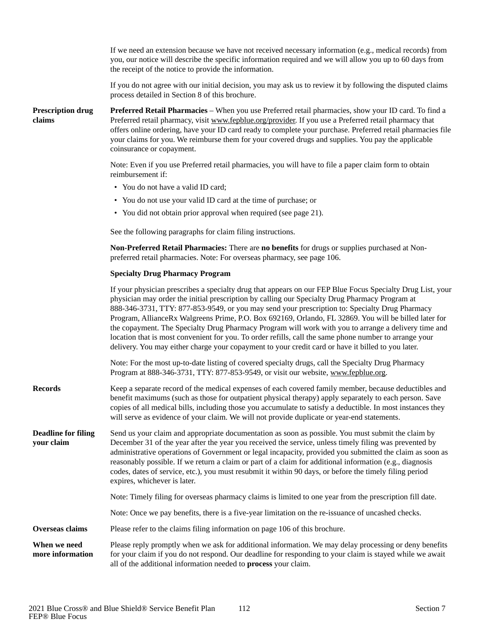|                                          | If we need an extension because we have not received necessary information (e.g., medical records) from<br>you, our notice will describe the specific information required and we will allow you up to 60 days from<br>the receipt of the notice to provide the information.                                                                                                                                                                                                                                                                                                                                                                                                                                                                    |
|------------------------------------------|-------------------------------------------------------------------------------------------------------------------------------------------------------------------------------------------------------------------------------------------------------------------------------------------------------------------------------------------------------------------------------------------------------------------------------------------------------------------------------------------------------------------------------------------------------------------------------------------------------------------------------------------------------------------------------------------------------------------------------------------------|
|                                          | If you do not agree with our initial decision, you may ask us to review it by following the disputed claims<br>process detailed in Section 8 of this brochure.                                                                                                                                                                                                                                                                                                                                                                                                                                                                                                                                                                                  |
| <b>Prescription drug</b><br>claims       | Preferred Retail Pharmacies - When you use Preferred retail pharmacies, show your ID card. To find a<br>Preferred retail pharmacy, visit www.fepblue.org/provider. If you use a Preferred retail pharmacy that<br>offers online ordering, have your ID card ready to complete your purchase. Preferred retail pharmacies file<br>your claims for you. We reimburse them for your covered drugs and supplies. You pay the applicable<br>coinsurance or copayment.                                                                                                                                                                                                                                                                                |
|                                          | Note: Even if you use Preferred retail pharmacies, you will have to file a paper claim form to obtain<br>reimbursement if:                                                                                                                                                                                                                                                                                                                                                                                                                                                                                                                                                                                                                      |
|                                          | • You do not have a valid ID card;                                                                                                                                                                                                                                                                                                                                                                                                                                                                                                                                                                                                                                                                                                              |
|                                          | • You do not use your valid ID card at the time of purchase; or                                                                                                                                                                                                                                                                                                                                                                                                                                                                                                                                                                                                                                                                                 |
|                                          | • You did not obtain prior approval when required (see page 21).                                                                                                                                                                                                                                                                                                                                                                                                                                                                                                                                                                                                                                                                                |
|                                          | See the following paragraphs for claim filing instructions.                                                                                                                                                                                                                                                                                                                                                                                                                                                                                                                                                                                                                                                                                     |
|                                          | Non-Preferred Retail Pharmacies: There are no benefits for drugs or supplies purchased at Non-<br>preferred retail pharmacies. Note: For overseas pharmacy, see page 106.                                                                                                                                                                                                                                                                                                                                                                                                                                                                                                                                                                       |
|                                          | <b>Specialty Drug Pharmacy Program</b>                                                                                                                                                                                                                                                                                                                                                                                                                                                                                                                                                                                                                                                                                                          |
|                                          | If your physician prescribes a specialty drug that appears on our FEP Blue Focus Specialty Drug List, your<br>physician may order the initial prescription by calling our Specialty Drug Pharmacy Program at<br>888-346-3731, TTY: 877-853-9549, or you may send your prescription to: Specialty Drug Pharmacy<br>Program, AllianceRx Walgreens Prime, P.O. Box 692169, Orlando, FL 32869. You will be billed later for<br>the copayment. The Specialty Drug Pharmacy Program will work with you to arrange a delivery time and<br>location that is most convenient for you. To order refills, call the same phone number to arrange your<br>delivery. You may either charge your copayment to your credit card or have it billed to you later. |
|                                          | Note: For the most up-to-date listing of covered specialty drugs, call the Specialty Drug Pharmacy<br>Program at 888-346-3731, TTY: 877-853-9549, or visit our website, www.fepblue.org.                                                                                                                                                                                                                                                                                                                                                                                                                                                                                                                                                        |
| <b>Records</b>                           | Keep a separate record of the medical expenses of each covered family member, because deductibles and<br>benefit maximums (such as those for outpatient physical therapy) apply separately to each person. Save<br>copies of all medical bills, including those you accumulate to satisfy a deductible. In most instances they<br>will serve as evidence of your claim. We will not provide duplicate or year-end statements.                                                                                                                                                                                                                                                                                                                   |
| <b>Deadline for filing</b><br>your claim | Send us your claim and appropriate documentation as soon as possible. You must submit the claim by<br>December 31 of the year after the year you received the service, unless timely filing was prevented by<br>administrative operations of Government or legal incapacity, provided you submitted the claim as soon as<br>reasonably possible. If we return a claim or part of a claim for additional information (e.g., diagnosis<br>codes, dates of service, etc.), you must resubmit it within 90 days, or before the timely filing period<br>expires, whichever is later.                                                                                                                                                                 |
|                                          | Note: Timely filing for overseas pharmacy claims is limited to one year from the prescription fill date.                                                                                                                                                                                                                                                                                                                                                                                                                                                                                                                                                                                                                                        |
|                                          | Note: Once we pay benefits, there is a five-year limitation on the re-issuance of uncashed checks.                                                                                                                                                                                                                                                                                                                                                                                                                                                                                                                                                                                                                                              |
| Overseas claims                          | Please refer to the claims filing information on page 106 of this brochure.                                                                                                                                                                                                                                                                                                                                                                                                                                                                                                                                                                                                                                                                     |
| When we need<br>more information         | Please reply promptly when we ask for additional information. We may delay processing or deny benefits<br>for your claim if you do not respond. Our deadline for responding to your claim is stayed while we await<br>all of the additional information needed to process your claim.                                                                                                                                                                                                                                                                                                                                                                                                                                                           |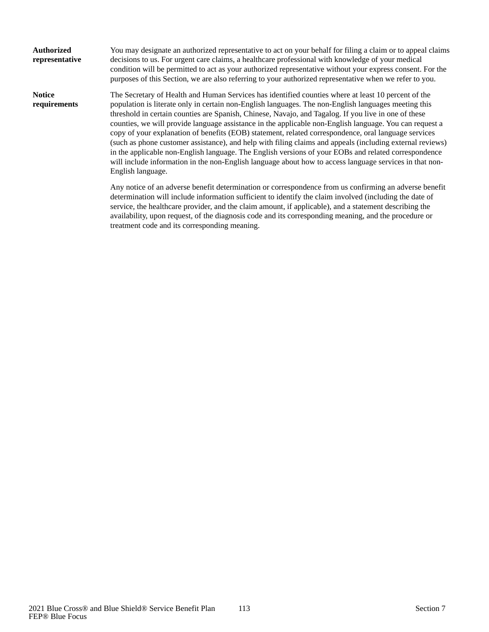| <b>Authorized</b><br>representative | You may designate an authorized representative to act on your behalf for filing a claim or to appeal claims<br>decisions to us. For urgent care claims, a healthcare professional with knowledge of your medical<br>condition will be permitted to act as your authorized representative without your express consent. For the<br>purposes of this Section, we are also referring to your authorized representative when we refer to you.                                                                                                                                                                                                                                                                                                                                                                                                                                                   |
|-------------------------------------|---------------------------------------------------------------------------------------------------------------------------------------------------------------------------------------------------------------------------------------------------------------------------------------------------------------------------------------------------------------------------------------------------------------------------------------------------------------------------------------------------------------------------------------------------------------------------------------------------------------------------------------------------------------------------------------------------------------------------------------------------------------------------------------------------------------------------------------------------------------------------------------------|
| <b>Notice</b><br>requirements       | The Secretary of Health and Human Services has identified counties where at least 10 percent of the<br>population is literate only in certain non-English languages. The non-English languages meeting this<br>threshold in certain counties are Spanish, Chinese, Navajo, and Tagalog. If you live in one of these<br>counties, we will provide language assistance in the applicable non-English language. You can request a<br>copy of your explanation of benefits (EOB) statement, related correspondence, oral language services<br>(such as phone customer assistance), and help with filing claims and appeals (including external reviews)<br>in the applicable non-English language. The English versions of your EOBs and related correspondence<br>will include information in the non-English language about how to access language services in that non-<br>English language. |
|                                     | Any notice of an adverse benefit determination or correspondence from us confirming an adverse benefit<br>determination will include information sufficient to identify the claim involved (including the date of<br>service, the healthcare provider, and the claim amount, if applicable), and a statement describing the<br>availability, upon request, of the diagnosis code and its corresponding meaning, and the procedure or                                                                                                                                                                                                                                                                                                                                                                                                                                                        |

treatment code and its corresponding meaning.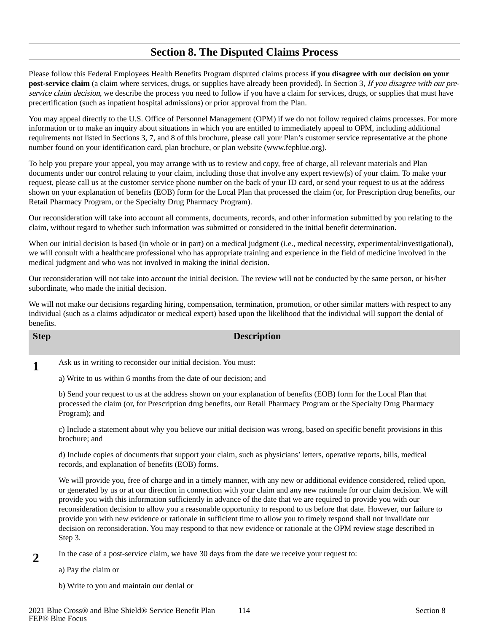## **Section 8. The Disputed Claims Process**

Please follow this Federal Employees Health Benefits Program disputed claims process **if you disagree with our decision on your post-service claim** (a claim where services, drugs, or supplies have already been provided). In Section 3, If you disagree with our preservice claim decision, we describe the process you need to follow if you have a claim for services, drugs, or supplies that must have precertification (such as inpatient hospital admissions) or prior approval from the Plan.

You may appeal directly to the U.S. Office of Personnel Management (OPM) if we do not follow required claims processes. For more information or to make an inquiry about situations in which you are entitled to immediately appeal to OPM, including additional requirements not listed in Sections 3, 7, and 8 of this brochure, please call your Plan's customer service representative at the phone number found on your identification card, plan brochure, or plan website (www.fepblue.org).

To help you prepare your appeal, you may arrange with us to review and copy, free of charge, all relevant materials and Plan documents under our control relating to your claim, including those that involve any expert review(s) of your claim. To make your request, please call us at the customer service phone number on the back of your ID card, or send your request to us at the address shown on your explanation of benefits (EOB) form for the Local Plan that processed the claim (or, for Prescription drug benefits, our Retail Pharmacy Program, or the Specialty Drug Pharmacy Program).

Our reconsideration will take into account all comments, documents, records, and other information submitted by you relating to the claim, without regard to whether such information was submitted or considered in the initial benefit determination.

When our initial decision is based (in whole or in part) on a medical judgment (i.e., medical necessity, experimental/investigational), we will consult with a healthcare professional who has appropriate training and experience in the field of medicine involved in the medical judgment and who was not involved in making the initial decision.

Our reconsideration will not take into account the initial decision. The review will not be conducted by the same person, or his/her subordinate, who made the initial decision.

We will not make our decisions regarding hiring, compensation, termination, promotion, or other similar matters with respect to any individual (such as a claims adjudicator or medical expert) based upon the likelihood that the individual will support the denial of benefits.

## **Step Description**

**1**

Ask us in writing to reconsider our initial decision. You must: a) Write to us within 6 months from the date of our decision; and

b) Send your request to us at the address shown on your explanation of benefits (EOB) form for the Local Plan that processed the claim (or, for Prescription drug benefits, our Retail Pharmacy Program or the Specialty Drug Pharmacy Program); and

c) Include a statement about why you believe our initial decision was wrong, based on specific benefit provisions in this brochure; and

d) Include copies of documents that support your claim, such as physicians' letters, operative reports, bills, medical records, and explanation of benefits (EOB) forms.

We will provide you, free of charge and in a timely manner, with any new or additional evidence considered, relied upon, or generated by us or at our direction in connection with your claim and any new rationale for our claim decision. We will provide you with this information sufficiently in advance of the date that we are required to provide you with our reconsideration decision to allow you a reasonable opportunity to respond to us before that date. However, our failure to provide you with new evidence or rationale in sufficient time to allow you to timely respond shall not invalidate our decision on reconsideration. You may respond to that new evidence or rationale at the OPM review stage described in Step 3.

- In the case of a post-service claim, we have 30 days from the date we receive your request to: **2**
	- a) Pay the claim or
	- b) Write to you and maintain our denial or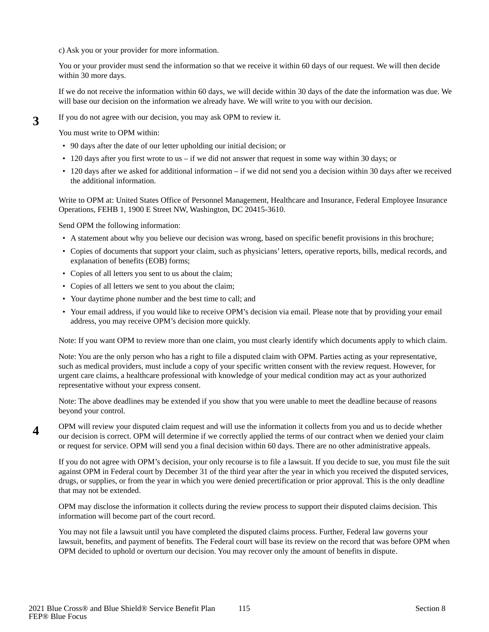c) Ask you or your provider for more information.

You or your provider must send the information so that we receive it within 60 days of our request. We will then decide within 30 more days.

If we do not receive the information within 60 days, we will decide within 30 days of the date the information was due. We will base our decision on the information we already have. We will write to you with our decision.

If you do not agree with our decision, you may ask OPM to review it.

You must write to OPM within:

- 90 days after the date of our letter upholding our initial decision; or
- 120 days after you first wrote to us if we did not answer that request in some way within 30 days; or
- 120 days after we asked for additional information if we did not send you a decision within 30 days after we received the additional information.

Write to OPM at: United States Office of Personnel Management, Healthcare and Insurance, Federal Employee Insurance Operations, FEHB 1, 1900 E Street NW, Washington, DC 20415-3610.

Send OPM the following information:

- A statement about why you believe our decision was wrong, based on specific benefit provisions in this brochure;
- Copies of documents that support your claim, such as physicians' letters, operative reports, bills, medical records, and explanation of benefits (EOB) forms;
- Copies of all letters you sent to us about the claim;
- Copies of all letters we sent to you about the claim;
- Your daytime phone number and the best time to call; and
- Your email address, if you would like to receive OPM's decision via email. Please note that by providing your email address, you may receive OPM's decision more quickly.

Note: If you want OPM to review more than one claim, you must clearly identify which documents apply to which claim.

Note: You are the only person who has a right to file a disputed claim with OPM. Parties acting as your representative, such as medical providers, must include a copy of your specific written consent with the review request. However, for urgent care claims, a healthcare professional with knowledge of your medical condition may act as your authorized representative without your express consent.

Note: The above deadlines may be extended if you show that you were unable to meet the deadline because of reasons beyond your control.

OPM will review your disputed claim request and will use the information it collects from you and us to decide whether our decision is correct. OPM will determine if we correctly applied the terms of our contract when we denied your claim or request for service. OPM will send you a final decision within 60 days. There are no other administrative appeals. **4**

If you do not agree with OPM's decision, your only recourse is to file a lawsuit. If you decide to sue, you must file the suit against OPM in Federal court by December 31 of the third year after the year in which you received the disputed services, drugs, or supplies, or from the year in which you were denied precertification or prior approval. This is the only deadline that may not be extended.

OPM may disclose the information it collects during the review process to support their disputed claims decision. This information will become part of the court record.

You may not file a lawsuit until you have completed the disputed claims process. Further, Federal law governs your lawsuit, benefits, and payment of benefits. The Federal court will base its review on the record that was before OPM when OPM decided to uphold or overturn our decision. You may recover only the amount of benefits in dispute.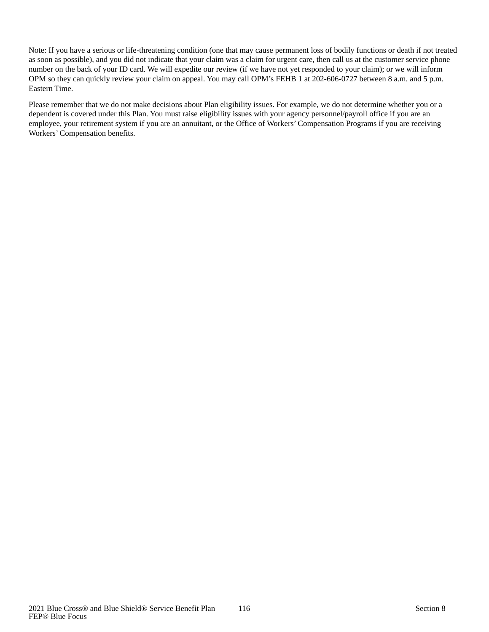Note: If you have a serious or life-threatening condition (one that may cause permanent loss of bodily functions or death if not treated as soon as possible), and you did not indicate that your claim was a claim for urgent care, then call us at the customer service phone number on the back of your ID card. We will expedite our review (if we have not yet responded to your claim); or we will inform OPM so they can quickly review your claim on appeal. You may call OPM's FEHB 1 at 202-606-0727 between 8 a.m. and 5 p.m. Eastern Time.

Please remember that we do not make decisions about Plan eligibility issues. For example, we do not determine whether you or a dependent is covered under this Plan. You must raise eligibility issues with your agency personnel/payroll office if you are an employee, your retirement system if you are an annuitant, or the Office of Workers' Compensation Programs if you are receiving Workers' Compensation benefits.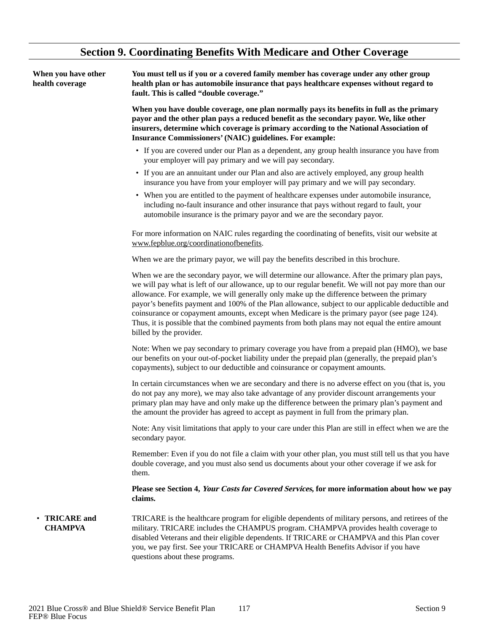# **Section 9. Coordinating Benefits With Medicare and Other Coverage**

| When you have other<br>health coverage | You must tell us if you or a covered family member has coverage under any other group<br>health plan or has automobile insurance that pays healthcare expenses without regard to<br>fault. This is called "double coverage."                                                                                                                                                                                                                                                                                                                                                                                                         |  |
|----------------------------------------|--------------------------------------------------------------------------------------------------------------------------------------------------------------------------------------------------------------------------------------------------------------------------------------------------------------------------------------------------------------------------------------------------------------------------------------------------------------------------------------------------------------------------------------------------------------------------------------------------------------------------------------|--|
|                                        | When you have double coverage, one plan normally pays its benefits in full as the primary<br>payor and the other plan pays a reduced benefit as the secondary payor. We, like other<br>insurers, determine which coverage is primary according to the National Association of<br><b>Insurance Commissioners' (NAIC) guidelines. For example:</b>                                                                                                                                                                                                                                                                                     |  |
|                                        | • If you are covered under our Plan as a dependent, any group health insurance you have from<br>your employer will pay primary and we will pay secondary.                                                                                                                                                                                                                                                                                                                                                                                                                                                                            |  |
|                                        | • If you are an annuitant under our Plan and also are actively employed, any group health<br>insurance you have from your employer will pay primary and we will pay secondary.                                                                                                                                                                                                                                                                                                                                                                                                                                                       |  |
|                                        | • When you are entitled to the payment of healthcare expenses under automobile insurance,<br>including no-fault insurance and other insurance that pays without regard to fault, your<br>automobile insurance is the primary payor and we are the secondary payor.                                                                                                                                                                                                                                                                                                                                                                   |  |
|                                        | For more information on NAIC rules regarding the coordinating of benefits, visit our website at<br>www.fepblue.org/coordinationofbenefits.                                                                                                                                                                                                                                                                                                                                                                                                                                                                                           |  |
|                                        | When we are the primary payor, we will pay the benefits described in this brochure.                                                                                                                                                                                                                                                                                                                                                                                                                                                                                                                                                  |  |
|                                        | When we are the secondary payor, we will determine our allowance. After the primary plan pays,<br>we will pay what is left of our allowance, up to our regular benefit. We will not pay more than our<br>allowance. For example, we will generally only make up the difference between the primary<br>payor's benefits payment and 100% of the Plan allowance, subject to our applicable deductible and<br>coinsurance or copayment amounts, except when Medicare is the primary payor (see page 124).<br>Thus, it is possible that the combined payments from both plans may not equal the entire amount<br>billed by the provider. |  |
|                                        | Note: When we pay secondary to primary coverage you have from a prepaid plan (HMO), we base<br>our benefits on your out-of-pocket liability under the prepaid plan (generally, the prepaid plan's<br>copayments), subject to our deductible and coinsurance or copayment amounts.                                                                                                                                                                                                                                                                                                                                                    |  |
|                                        | In certain circumstances when we are secondary and there is no adverse effect on you (that is, you<br>do not pay any more), we may also take advantage of any provider discount arrangements your<br>primary plan may have and only make up the difference between the primary plan's payment and<br>the amount the provider has agreed to accept as payment in full from the primary plan.                                                                                                                                                                                                                                          |  |
|                                        | Note: Any visit limitations that apply to your care under this Plan are still in effect when we are the<br>secondary payor.                                                                                                                                                                                                                                                                                                                                                                                                                                                                                                          |  |
|                                        | Remember: Even if you do not file a claim with your other plan, you must still tell us that you have<br>double coverage, and you must also send us documents about your other coverage if we ask for<br>them.                                                                                                                                                                                                                                                                                                                                                                                                                        |  |
|                                        | Please see Section 4, Your Costs for Covered Services, for more information about how we pay<br>claims.                                                                                                                                                                                                                                                                                                                                                                                                                                                                                                                              |  |
| <b>TRICARE</b> and<br><b>CHAMPVA</b>   | TRICARE is the healthcare program for eligible dependents of military persons, and retirees of the<br>military. TRICARE includes the CHAMPUS program. CHAMPVA provides health coverage to<br>disabled Veterans and their eligible dependents. If TRICARE or CHAMPVA and this Plan cover<br>you, we pay first. See your TRICARE or CHAMPVA Health Benefits Advisor if you have<br>questions about these programs.                                                                                                                                                                                                                     |  |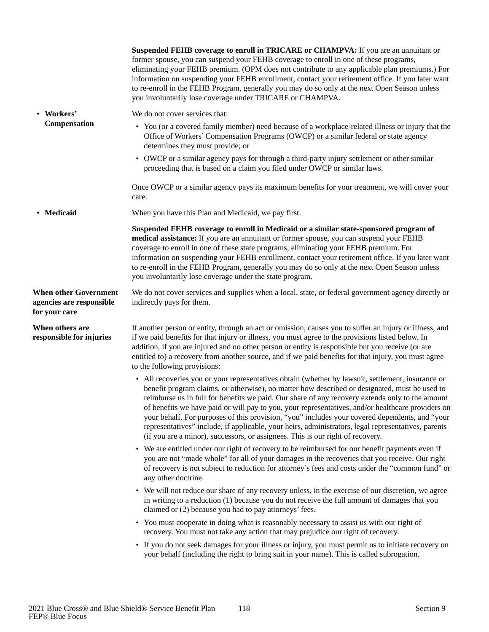|                                                                           | Suspended FEHB coverage to enroll in TRICARE or CHAMPVA: If you are an annuitant or<br>former spouse, you can suspend your FEHB coverage to enroll in one of these programs,<br>eliminating your FEHB premium. (OPM does not contribute to any applicable plan premiums.) For<br>information on suspending your FEHB enrollment, contact your retirement office. If you later want<br>to re-enroll in the FEHB Program, generally you may do so only at the next Open Season unless<br>you involuntarily lose coverage under TRICARE or CHAMPVA.                                                                                                                                                      |
|---------------------------------------------------------------------------|-------------------------------------------------------------------------------------------------------------------------------------------------------------------------------------------------------------------------------------------------------------------------------------------------------------------------------------------------------------------------------------------------------------------------------------------------------------------------------------------------------------------------------------------------------------------------------------------------------------------------------------------------------------------------------------------------------|
| • Workers'                                                                | We do not cover services that:                                                                                                                                                                                                                                                                                                                                                                                                                                                                                                                                                                                                                                                                        |
| Compensation                                                              | • You (or a covered family member) need because of a workplace-related illness or injury that the<br>Office of Workers' Compensation Programs (OWCP) or a similar federal or state agency<br>determines they must provide; or                                                                                                                                                                                                                                                                                                                                                                                                                                                                         |
|                                                                           | • OWCP or a similar agency pays for through a third-party injury settlement or other similar<br>proceeding that is based on a claim you filed under OWCP or similar laws.                                                                                                                                                                                                                                                                                                                                                                                                                                                                                                                             |
|                                                                           | Once OWCP or a similar agency pays its maximum benefits for your treatment, we will cover your<br>care.                                                                                                                                                                                                                                                                                                                                                                                                                                                                                                                                                                                               |
| • Medicaid                                                                | When you have this Plan and Medicaid, we pay first.                                                                                                                                                                                                                                                                                                                                                                                                                                                                                                                                                                                                                                                   |
|                                                                           | Suspended FEHB coverage to enroll in Medicaid or a similar state-sponsored program of<br>medical assistance: If you are an annuitant or former spouse, you can suspend your FEHB<br>coverage to enroll in one of these state programs, eliminating your FEHB premium. For<br>information on suspending your FEHB enrollment, contact your retirement office. If you later want<br>to re-enroll in the FEHB Program, generally you may do so only at the next Open Season unless<br>you involuntarily lose coverage under the state program.                                                                                                                                                           |
| <b>When other Government</b><br>agencies are responsible<br>for your care | We do not cover services and supplies when a local, state, or federal government agency directly or<br>indirectly pays for them.                                                                                                                                                                                                                                                                                                                                                                                                                                                                                                                                                                      |
| When others are<br>responsible for injuries                               | If another person or entity, through an act or omission, causes you to suffer an injury or illness, and<br>if we paid benefits for that injury or illness, you must agree to the provisions listed below. In<br>addition, if you are injured and no other person or entity is responsible but you receive (or are<br>entitled to) a recovery from another source, and if we paid benefits for that injury, you must agree<br>to the following provisions:                                                                                                                                                                                                                                             |
|                                                                           | • All recoveries you or your representatives obtain (whether by lawsuit, settlement, insurance or<br>benefit program claims, or otherwise), no matter how described or designated, must be used to<br>reimburse us in full for benefits we paid. Our share of any recovery extends only to the amount<br>of benefits we have paid or will pay to you, your representatives, and/or healthcare providers on<br>your behalf. For purposes of this provision, "you" includes your covered dependents, and "your<br>representatives" include, if applicable, your heirs, administrators, legal representatives, parents<br>(if you are a minor), successors, or assignees. This is our right of recovery. |
|                                                                           | • We are entitled under our right of recovery to be reimbursed for our benefit payments even if<br>you are not "made whole" for all of your damages in the recoveries that you receive. Our right<br>of recovery is not subject to reduction for attorney's fees and costs under the "common fund" or<br>any other doctrine.                                                                                                                                                                                                                                                                                                                                                                          |
|                                                                           | • We will not reduce our share of any recovery unless, in the exercise of our discretion, we agree<br>in writing to a reduction (1) because you do not receive the full amount of damages that you<br>claimed or (2) because you had to pay attorneys' fees.                                                                                                                                                                                                                                                                                                                                                                                                                                          |
|                                                                           | • You must cooperate in doing what is reasonably necessary to assist us with our right of<br>recovery. You must not take any action that may prejudice our right of recovery.                                                                                                                                                                                                                                                                                                                                                                                                                                                                                                                         |
|                                                                           | • If you do not seek damages for your illness or injury, you must permit us to initiate recovery on<br>your behalf (including the right to bring suit in your name). This is called subrogation.                                                                                                                                                                                                                                                                                                                                                                                                                                                                                                      |
|                                                                           |                                                                                                                                                                                                                                                                                                                                                                                                                                                                                                                                                                                                                                                                                                       |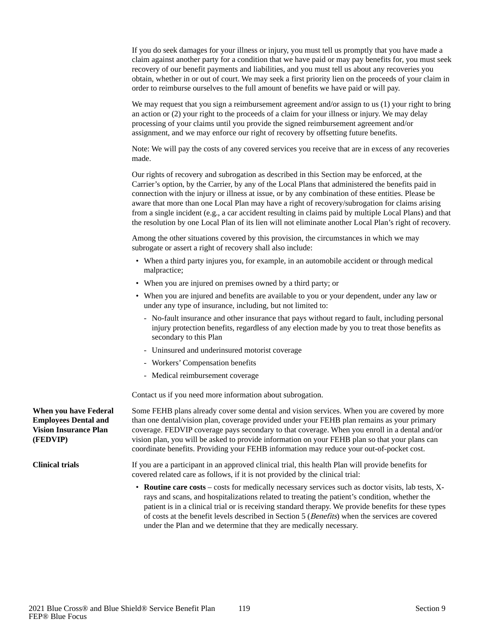If you do seek damages for your illness or injury, you must tell us promptly that you have made a claim against another party for a condition that we have paid or may pay benefits for, you must seek recovery of our benefit payments and liabilities, and you must tell us about any recoveries you obtain, whether in or out of court. We may seek a first priority lien on the proceeds of your claim in order to reimburse ourselves to the full amount of benefits we have paid or will pay.

We may request that you sign a reimbursement agreement and/or assign to us (1) your right to bring an action or (2) your right to the proceeds of a claim for your illness or injury. We may delay processing of your claims until you provide the signed reimbursement agreement and/or assignment, and we may enforce our right of recovery by offsetting future benefits.

Note: We will pay the costs of any covered services you receive that are in excess of any recoveries made.

Our rights of recovery and subrogation as described in this Section may be enforced, at the Carrier's option, by the Carrier, by any of the Local Plans that administered the benefits paid in connection with the injury or illness at issue, or by any combination of these entities. Please be aware that more than one Local Plan may have a right of recovery/subrogation for claims arising from a single incident (e.g., a car accident resulting in claims paid by multiple Local Plans) and that the resolution by one Local Plan of its lien will not eliminate another Local Plan's right of recovery.

Among the other situations covered by this provision, the circumstances in which we may subrogate or assert a right of recovery shall also include:

- When a third party injures you, for example, in an automobile accident or through medical malpractice;
- When you are injured on premises owned by a third party; or
- When you are injured and benefits are available to you or your dependent, under any law or under any type of insurance, including, but not limited to:
	- No-fault insurance and other insurance that pays without regard to fault, including personal injury protection benefits, regardless of any election made by you to treat those benefits as secondary to this Plan
	- Uninsured and underinsured motorist coverage
	- Workers' Compensation benefits
	- Medical reimbursement coverage

Contact us if you need more information about subrogation.

**When you have Federal Employees Dental and Vision Insurance Plan (FEDVIP)**

**Clinical trials**

than one dental/vision plan, coverage provided under your FEHB plan remains as your primary coverage. FEDVIP coverage pays secondary to that coverage. When you enroll in a dental and/or vision plan, you will be asked to provide information on your FEHB plan so that your plans can coordinate benefits. Providing your FEHB information may reduce your out-of-pocket cost.

Some FEHB plans already cover some dental and vision services. When you are covered by more

If you are a participant in an approved clinical trial, this health Plan will provide benefits for covered related care as follows, if it is not provided by the clinical trial:

• **Routine care costs** – costs for medically necessary services such as doctor visits, lab tests, Xrays and scans, and hospitalizations related to treating the patient's condition, whether the patient is in a clinical trial or is receiving standard therapy. We provide benefits for these types of costs at the benefit levels described in Section 5 (Benefits) when the services are covered under the Plan and we determine that they are medically necessary.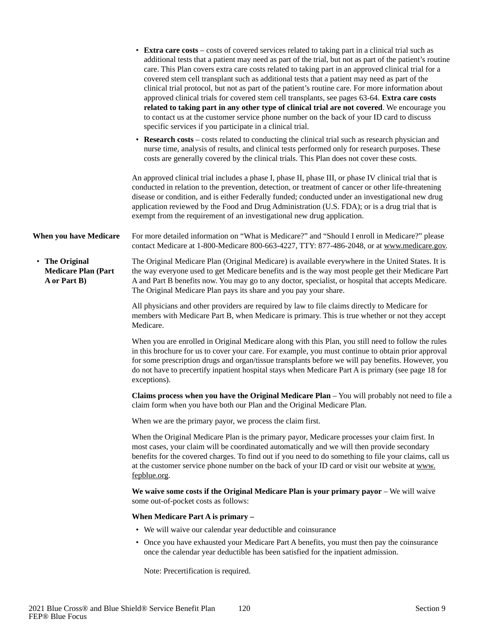|                                                              | • Extra care costs – costs of covered services related to taking part in a clinical trial such as<br>additional tests that a patient may need as part of the trial, but not as part of the patient's routine<br>care. This Plan covers extra care costs related to taking part in an approved clinical trial for a<br>covered stem cell transplant such as additional tests that a patient may need as part of the<br>clinical trial protocol, but not as part of the patient's routine care. For more information about<br>approved clinical trials for covered stem cell transplants, see pages 63-64. Extra care costs<br>related to taking part in any other type of clinical trial are not covered. We encourage you<br>to contact us at the customer service phone number on the back of your ID card to discuss<br>specific services if you participate in a clinical trial. |
|--------------------------------------------------------------|-------------------------------------------------------------------------------------------------------------------------------------------------------------------------------------------------------------------------------------------------------------------------------------------------------------------------------------------------------------------------------------------------------------------------------------------------------------------------------------------------------------------------------------------------------------------------------------------------------------------------------------------------------------------------------------------------------------------------------------------------------------------------------------------------------------------------------------------------------------------------------------|
|                                                              | • Research costs – costs related to conducting the clinical trial such as research physician and<br>nurse time, analysis of results, and clinical tests performed only for research purposes. These<br>costs are generally covered by the clinical trials. This Plan does not cover these costs.                                                                                                                                                                                                                                                                                                                                                                                                                                                                                                                                                                                    |
|                                                              | An approved clinical trial includes a phase I, phase II, phase III, or phase IV clinical trial that is<br>conducted in relation to the prevention, detection, or treatment of cancer or other life-threatening<br>disease or condition, and is either Federally funded; conducted under an investigational new drug<br>application reviewed by the Food and Drug Administration (U.S. FDA); or is a drug trial that is<br>exempt from the requirement of an investigational new drug application.                                                                                                                                                                                                                                                                                                                                                                                   |
| When you have Medicare                                       | For more detailed information on "What is Medicare?" and "Should I enroll in Medicare?" please<br>contact Medicare at 1-800-Medicare 800-663-4227, TTY: 877-486-2048, or at www.medicare.gov.                                                                                                                                                                                                                                                                                                                                                                                                                                                                                                                                                                                                                                                                                       |
| • The Original<br><b>Medicare Plan (Part</b><br>A or Part B) | The Original Medicare Plan (Original Medicare) is available everywhere in the United States. It is<br>the way everyone used to get Medicare benefits and is the way most people get their Medicare Part<br>A and Part B benefits now. You may go to any doctor, specialist, or hospital that accepts Medicare.<br>The Original Medicare Plan pays its share and you pay your share.                                                                                                                                                                                                                                                                                                                                                                                                                                                                                                 |
|                                                              | All physicians and other providers are required by law to file claims directly to Medicare for<br>members with Medicare Part B, when Medicare is primary. This is true whether or not they accept<br>Medicare.                                                                                                                                                                                                                                                                                                                                                                                                                                                                                                                                                                                                                                                                      |
|                                                              | When you are enrolled in Original Medicare along with this Plan, you still need to follow the rules<br>in this brochure for us to cover your care. For example, you must continue to obtain prior approval<br>for some prescription drugs and organ/tissue transplants before we will pay benefits. However, you<br>do not have to precertify inpatient hospital stays when Medicare Part A is primary (see page 18 for<br>exceptions).                                                                                                                                                                                                                                                                                                                                                                                                                                             |
|                                                              | Claims process when you have the Original Medicare Plan - You will probably not need to file a<br>claim form when you have both our Plan and the Original Medicare Plan.                                                                                                                                                                                                                                                                                                                                                                                                                                                                                                                                                                                                                                                                                                            |
|                                                              | When we are the primary payor, we process the claim first.                                                                                                                                                                                                                                                                                                                                                                                                                                                                                                                                                                                                                                                                                                                                                                                                                          |
|                                                              | When the Original Medicare Plan is the primary payor, Medicare processes your claim first. In<br>most cases, your claim will be coordinated automatically and we will then provide secondary<br>benefits for the covered charges. To find out if you need to do something to file your claims, call us<br>at the customer service phone number on the back of your ID card or visit our website at www.<br>fepblue.org.                                                                                                                                                                                                                                                                                                                                                                                                                                                             |
|                                                              | We waive some costs if the Original Medicare Plan is your primary payor - We will waive<br>some out-of-pocket costs as follows:                                                                                                                                                                                                                                                                                                                                                                                                                                                                                                                                                                                                                                                                                                                                                     |
|                                                              | When Medicare Part A is primary -                                                                                                                                                                                                                                                                                                                                                                                                                                                                                                                                                                                                                                                                                                                                                                                                                                                   |
|                                                              | • We will waive our calendar year deductible and coinsurance                                                                                                                                                                                                                                                                                                                                                                                                                                                                                                                                                                                                                                                                                                                                                                                                                        |
|                                                              | • Once you have exhausted your Medicare Part A benefits, you must then pay the coinsurance<br>once the calendar year deductible has been satisfied for the inpatient admission.                                                                                                                                                                                                                                                                                                                                                                                                                                                                                                                                                                                                                                                                                                     |
|                                                              | Note: Precertification is required.                                                                                                                                                                                                                                                                                                                                                                                                                                                                                                                                                                                                                                                                                                                                                                                                                                                 |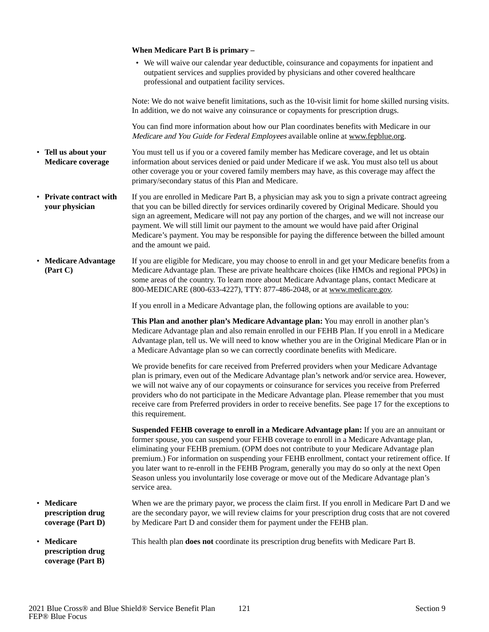|                                                                        | When Medicare Part B is primary -                                                                                                                                                                                                                                                                                                                                                                                                                                                                                                                                                                       |
|------------------------------------------------------------------------|---------------------------------------------------------------------------------------------------------------------------------------------------------------------------------------------------------------------------------------------------------------------------------------------------------------------------------------------------------------------------------------------------------------------------------------------------------------------------------------------------------------------------------------------------------------------------------------------------------|
|                                                                        | • We will waive our calendar year deductible, coinsurance and copayments for inpatient and<br>outpatient services and supplies provided by physicians and other covered healthcare<br>professional and outpatient facility services.                                                                                                                                                                                                                                                                                                                                                                    |
|                                                                        | Note: We do not waive benefit limitations, such as the 10-visit limit for home skilled nursing visits.<br>In addition, we do not waive any coinsurance or copayments for prescription drugs.                                                                                                                                                                                                                                                                                                                                                                                                            |
|                                                                        | You can find more information about how our Plan coordinates benefits with Medicare in our<br>Medicare and You Guide for Federal Employees available online at www.fepblue.org.                                                                                                                                                                                                                                                                                                                                                                                                                         |
| • Tell us about your<br><b>Medicare coverage</b>                       | You must tell us if you or a covered family member has Medicare coverage, and let us obtain<br>information about services denied or paid under Medicare if we ask. You must also tell us about<br>other coverage you or your covered family members may have, as this coverage may affect the<br>primary/secondary status of this Plan and Medicare.                                                                                                                                                                                                                                                    |
| • Private contract with<br>your physician                              | If you are enrolled in Medicare Part B, a physician may ask you to sign a private contract agreeing<br>that you can be billed directly for services ordinarily covered by Original Medicare. Should you<br>sign an agreement, Medicare will not pay any portion of the charges, and we will not increase our<br>payment. We will still limit our payment to the amount we would have paid after Original<br>Medicare's payment. You may be responsible for paying the difference between the billed amount<br>and the amount we paid.                                                                   |
| • Medicare Advantage<br>(Part C)                                       | If you are eligible for Medicare, you may choose to enroll in and get your Medicare benefits from a<br>Medicare Advantage plan. These are private healthcare choices (like HMOs and regional PPOs) in<br>some areas of the country. To learn more about Medicare Advantage plans, contact Medicare at<br>800-MEDICARE (800-633-4227), TTY: 877-486-2048, or at www.medicare.gov.                                                                                                                                                                                                                        |
|                                                                        | If you enroll in a Medicare Advantage plan, the following options are available to you:                                                                                                                                                                                                                                                                                                                                                                                                                                                                                                                 |
|                                                                        | This Plan and another plan's Medicare Advantage plan: You may enroll in another plan's<br>Medicare Advantage plan and also remain enrolled in our FEHB Plan. If you enroll in a Medicare<br>Advantage plan, tell us. We will need to know whether you are in the Original Medicare Plan or in<br>a Medicare Advantage plan so we can correctly coordinate benefits with Medicare.                                                                                                                                                                                                                       |
|                                                                        | We provide benefits for care received from Preferred providers when your Medicare Advantage<br>plan is primary, even out of the Medicare Advantage plan's network and/or service area. However,<br>we will not waive any of our copayments or coinsurance for services you receive from Preferred<br>providers who do not participate in the Medicare Advantage plan. Please remember that you must<br>receive care from Preferred providers in order to receive benefits. See page 17 for the exceptions to<br>this requirement.                                                                       |
|                                                                        | Suspended FEHB coverage to enroll in a Medicare Advantage plan: If you are an annuitant or<br>former spouse, you can suspend your FEHB coverage to enroll in a Medicare Advantage plan,<br>eliminating your FEHB premium. (OPM does not contribute to your Medicare Advantage plan<br>premium.) For information on suspending your FEHB enrollment, contact your retirement office. If<br>you later want to re-enroll in the FEHB Program, generally you may do so only at the next Open<br>Season unless you involuntarily lose coverage or move out of the Medicare Advantage plan's<br>service area. |
| <b>Medicare</b><br>$\bullet$<br>prescription drug<br>coverage (Part D) | When we are the primary payor, we process the claim first. If you enroll in Medicare Part D and we<br>are the secondary payor, we will review claims for your prescription drug costs that are not covered<br>by Medicare Part D and consider them for payment under the FEHB plan.                                                                                                                                                                                                                                                                                                                     |
| • Medicare<br>prescription drug<br>coverage (Part B)                   | This health plan <b>does not</b> coordinate its prescription drug benefits with Medicare Part B.                                                                                                                                                                                                                                                                                                                                                                                                                                                                                                        |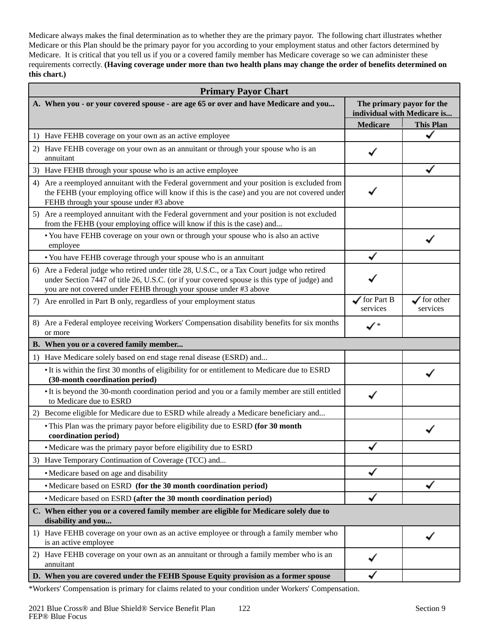Medicare always makes the final determination as to whether they are the primary payor. The following chart illustrates whether Medicare or this Plan should be the primary payor for you according to your employment status and other factors determined by Medicare. It is critical that you tell us if you or a covered family member has Medicare coverage so we can administer these requirements correctly. **(Having coverage under more than two health plans may change the order of benefits determined on this chart.)** 

| <b>Primary Payor Chart</b>                                                                                                                                                                                                                                       |                                    |                                                          |  |
|------------------------------------------------------------------------------------------------------------------------------------------------------------------------------------------------------------------------------------------------------------------|------------------------------------|----------------------------------------------------------|--|
| A. When you - or your covered spouse - are age 65 or over and have Medicare and you                                                                                                                                                                              |                                    | The primary payor for the<br>individual with Medicare is |  |
|                                                                                                                                                                                                                                                                  | <b>Medicare</b>                    | <b>This Plan</b>                                         |  |
| 1) Have FEHB coverage on your own as an active employee                                                                                                                                                                                                          |                                    |                                                          |  |
| 2) Have FEHB coverage on your own as an annuitant or through your spouse who is an<br>annuitant                                                                                                                                                                  |                                    |                                                          |  |
| 3) Have FEHB through your spouse who is an active employee                                                                                                                                                                                                       |                                    |                                                          |  |
| 4) Are a reemployed annuitant with the Federal government and your position is excluded from<br>the FEHB (your employing office will know if this is the case) and you are not covered under<br>FEHB through your spouse under #3 above                          |                                    |                                                          |  |
| 5) Are a reemployed annuitant with the Federal government and your position is not excluded<br>from the FEHB (your employing office will know if this is the case) and                                                                                           |                                    |                                                          |  |
| • You have FEHB coverage on your own or through your spouse who is also an active<br>employee                                                                                                                                                                    |                                    |                                                          |  |
| • You have FEHB coverage through your spouse who is an annuitant                                                                                                                                                                                                 |                                    |                                                          |  |
| 6) Are a Federal judge who retired under title 28, U.S.C., or a Tax Court judge who retired<br>under Section 7447 of title 26, U.S.C. (or if your covered spouse is this type of judge) and<br>you are not covered under FEHB through your spouse under #3 above |                                    |                                                          |  |
| 7) Are enrolled in Part B only, regardless of your employment status                                                                                                                                                                                             | $\sqrt{\ }$ for Part B<br>services | $\sqrt{\ }$ for other<br>services                        |  |
| 8) Are a Federal employee receiving Workers' Compensation disability benefits for six months<br>or more                                                                                                                                                          | $\checkmark$                       |                                                          |  |
| B. When you or a covered family member                                                                                                                                                                                                                           |                                    |                                                          |  |
| 1) Have Medicare solely based on end stage renal disease (ESRD) and                                                                                                                                                                                              |                                    |                                                          |  |
| • It is within the first 30 months of eligibility for or entitlement to Medicare due to ESRD<br>(30-month coordination period)                                                                                                                                   |                                    |                                                          |  |
| • It is beyond the 30-month coordination period and you or a family member are still entitled<br>to Medicare due to ESRD                                                                                                                                         |                                    |                                                          |  |
| Become eligible for Medicare due to ESRD while already a Medicare beneficiary and<br>2)                                                                                                                                                                          |                                    |                                                          |  |
| • This Plan was the primary payor before eligibility due to ESRD (for 30 month<br>coordination period)                                                                                                                                                           |                                    |                                                          |  |
| • Medicare was the primary payor before eligibility due to ESRD                                                                                                                                                                                                  |                                    |                                                          |  |
| 3) Have Temporary Continuation of Coverage (TCC) and                                                                                                                                                                                                             |                                    |                                                          |  |
| • Medicare based on age and disability                                                                                                                                                                                                                           |                                    |                                                          |  |
| • Medicare based on ESRD (for the 30 month coordination period)                                                                                                                                                                                                  |                                    |                                                          |  |
| • Medicare based on ESRD (after the 30 month coordination period)                                                                                                                                                                                                |                                    |                                                          |  |
| C. When either you or a covered family member are eligible for Medicare solely due to<br>disability and you                                                                                                                                                      |                                    |                                                          |  |
| 1) Have FEHB coverage on your own as an active employee or through a family member who<br>is an active employee                                                                                                                                                  |                                    |                                                          |  |
| 2) Have FEHB coverage on your own as an annuitant or through a family member who is an<br>annuitant                                                                                                                                                              |                                    |                                                          |  |
| D. When you are covered under the FEHB Spouse Equity provision as a former spouse                                                                                                                                                                                |                                    |                                                          |  |

\*Workers' Compensation is primary for claims related to your condition under Workers' Compensation.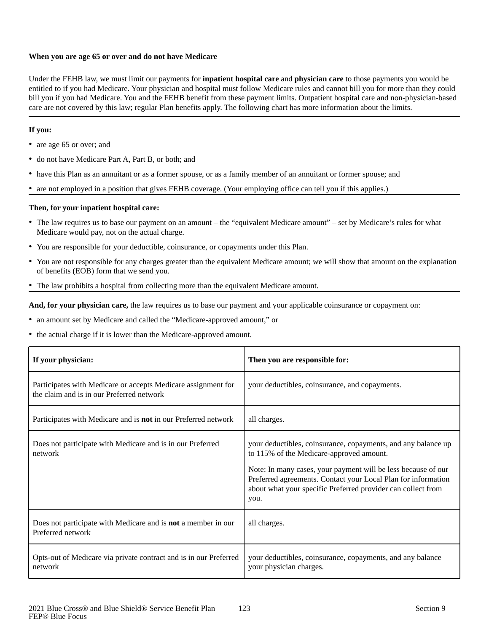## **When you are age 65 or over and do not have Medicare**

Under the FEHB law, we must limit our payments for **inpatient hospital care** and **physician care** to those payments you would be entitled to if you had Medicare. Your physician and hospital must follow Medicare rules and cannot bill you for more than they could bill you if you had Medicare. You and the FEHB benefit from these payment limits. Outpatient hospital care and non-physician-based care are not covered by this law; regular Plan benefits apply. The following chart has more information about the limits.

## **If you:**

- are age 65 or over; and
- do not have Medicare Part A, Part B, or both; and
- have this Plan as an annuitant or as a former spouse, or as a family member of an annuitant or former spouse; and
- are not employed in a position that gives FEHB coverage. (Your employing office can tell you if this applies.)

## **Then, for your inpatient hospital care:**

- The law requires us to base our payment on an amount the "equivalent Medicare amount" set by Medicare's rules for what Medicare would pay, not on the actual charge.
- You are responsible for your deductible, coinsurance, or copayments under this Plan.
- You are not responsible for any charges greater than the equivalent Medicare amount; we will show that amount on the explanation of benefits (EOB) form that we send you.
- The law prohibits a hospital from collecting more than the equivalent Medicare amount.

**And, for your physician care,** the law requires us to base our payment and your applicable coinsurance or copayment on:

- an amount set by Medicare and called the "Medicare-approved amount," or
- the actual charge if it is lower than the Medicare-approved amount.

| If your physician:                                                                                         | Then you are responsible for:                                                                                                                                                                                                                                                                                       |
|------------------------------------------------------------------------------------------------------------|---------------------------------------------------------------------------------------------------------------------------------------------------------------------------------------------------------------------------------------------------------------------------------------------------------------------|
| Participates with Medicare or accepts Medicare assignment for<br>the claim and is in our Preferred network | your deductibles, coinsurance, and copayments.                                                                                                                                                                                                                                                                      |
| Participates with Medicare and is <b>not</b> in our Preferred network                                      | all charges.                                                                                                                                                                                                                                                                                                        |
| Does not participate with Medicare and is in our Preferred<br>network                                      | your deductibles, coinsurance, copayments, and any balance up<br>to 115% of the Medicare-approved amount.<br>Note: In many cases, your payment will be less because of our<br>Preferred agreements. Contact your Local Plan for information<br>about what your specific Preferred provider can collect from<br>you. |
| Does not participate with Medicare and is <b>not</b> a member in our<br>Preferred network                  | all charges.                                                                                                                                                                                                                                                                                                        |
| Opts-out of Medicare via private contract and is in our Preferred<br>network                               | your deductibles, coinsurance, copayments, and any balance<br>your physician charges.                                                                                                                                                                                                                               |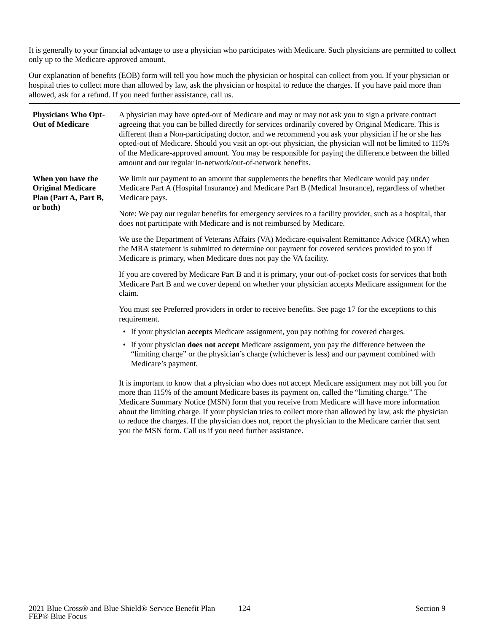It is generally to your financial advantage to use a physician who participates with Medicare. Such physicians are permitted to collect only up to the Medicare-approved amount.

Our explanation of benefits (EOB) form will tell you how much the physician or hospital can collect from you. If your physician or hospital tries to collect more than allowed by law, ask the physician or hospital to reduce the charges. If you have paid more than allowed, ask for a refund. If you need further assistance, call us.

| <b>Physicians Who Opt-</b><br><b>Out of Medicare</b>                               | A physician may have opted-out of Medicare and may or may not ask you to sign a private contract<br>agreeing that you can be billed directly for services ordinarily covered by Original Medicare. This is<br>different than a Non-participating doctor, and we recommend you ask your physician if he or she has<br>opted-out of Medicare. Should you visit an opt-out physician, the physician will not be limited to 115%<br>of the Medicare-approved amount. You may be responsible for paying the difference between the billed<br>amount and our regular in-network/out-of-network benefits. |
|------------------------------------------------------------------------------------|----------------------------------------------------------------------------------------------------------------------------------------------------------------------------------------------------------------------------------------------------------------------------------------------------------------------------------------------------------------------------------------------------------------------------------------------------------------------------------------------------------------------------------------------------------------------------------------------------|
| When you have the<br><b>Original Medicare</b><br>Plan (Part A, Part B,<br>or both) | We limit our payment to an amount that supplements the benefits that Medicare would pay under<br>Medicare Part A (Hospital Insurance) and Medicare Part B (Medical Insurance), regardless of whether<br>Medicare pays.                                                                                                                                                                                                                                                                                                                                                                             |
|                                                                                    | Note: We pay our regular benefits for emergency services to a facility provider, such as a hospital, that<br>does not participate with Medicare and is not reimbursed by Medicare.                                                                                                                                                                                                                                                                                                                                                                                                                 |
|                                                                                    | We use the Department of Veterans Affairs (VA) Medicare-equivalent Remittance Advice (MRA) when<br>the MRA statement is submitted to determine our payment for covered services provided to you if<br>Medicare is primary, when Medicare does not pay the VA facility.                                                                                                                                                                                                                                                                                                                             |
|                                                                                    | If you are covered by Medicare Part B and it is primary, your out-of-pocket costs for services that both<br>Medicare Part B and we cover depend on whether your physician accepts Medicare assignment for the<br>claim.                                                                                                                                                                                                                                                                                                                                                                            |
|                                                                                    | You must see Preferred providers in order to receive benefits. See page 17 for the exceptions to this<br>requirement.                                                                                                                                                                                                                                                                                                                                                                                                                                                                              |
|                                                                                    | • If your physician <b>accepts</b> Medicare assignment, you pay nothing for covered charges.                                                                                                                                                                                                                                                                                                                                                                                                                                                                                                       |
|                                                                                    | • If your physician does not accept Medicare assignment, you pay the difference between the<br>"limiting charge" or the physician's charge (whichever is less) and our payment combined with<br>Medicare's payment.                                                                                                                                                                                                                                                                                                                                                                                |
|                                                                                    | It is important to know that a physician who does not accept Medicare assignment may not bill you for<br>more than 115% of the amount Medicare bases its payment on, called the "limiting charge." The<br>Medicare Summary Notice (MSN) form that you receive from Medicare will have more information<br>about the limiting charge. If your physician tries to collect more than allowed by law, ask the physician                                                                                                                                                                                |

you the MSN form. Call us if you need further assistance.

to reduce the charges. If the physician does not, report the physician to the Medicare carrier that sent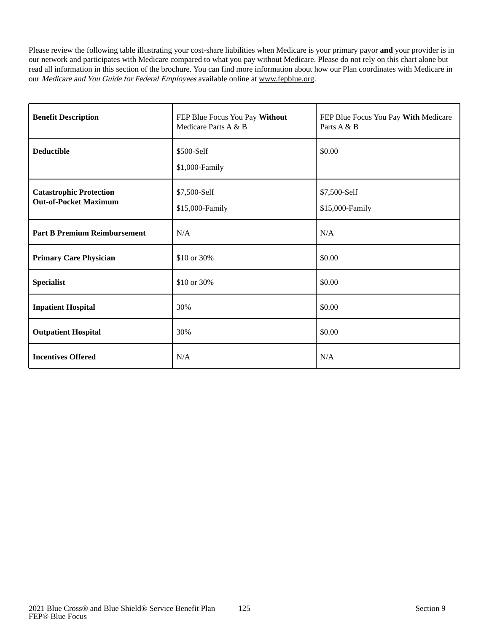Please review the following table illustrating your cost-share liabilities when Medicare is your primary payor **and** your provider is in our network and participates with Medicare compared to what you pay without Medicare. Please do not rely on this chart alone but read all information in this section of the brochure. You can find more information about how our Plan coordinates with Medicare in our Medicare and You Guide for Federal Employees available online at www.fepblue.org.

| <b>Benefit Description</b>                                     | FEP Blue Focus You Pay Without<br>Medicare Parts A & B | FEP Blue Focus You Pay With Medicare<br>Parts A & B |
|----------------------------------------------------------------|--------------------------------------------------------|-----------------------------------------------------|
| <b>Deductible</b>                                              | \$500-Self<br>\$1,000-Family                           | \$0.00                                              |
| <b>Catastrophic Protection</b><br><b>Out-of-Pocket Maximum</b> | \$7,500-Self<br>\$15,000-Family                        | \$7,500-Self<br>\$15,000-Family                     |
| <b>Part B Premium Reimbursement</b>                            | N/A                                                    | N/A                                                 |
| <b>Primary Care Physician</b>                                  | \$10 or 30%                                            | \$0.00                                              |
| <b>Specialist</b>                                              | \$10 or 30%                                            | \$0.00                                              |
| <b>Inpatient Hospital</b>                                      | 30%                                                    | \$0.00                                              |
| <b>Outpatient Hospital</b>                                     | 30%                                                    | \$0.00                                              |
| <b>Incentives Offered</b>                                      | N/A                                                    | N/A                                                 |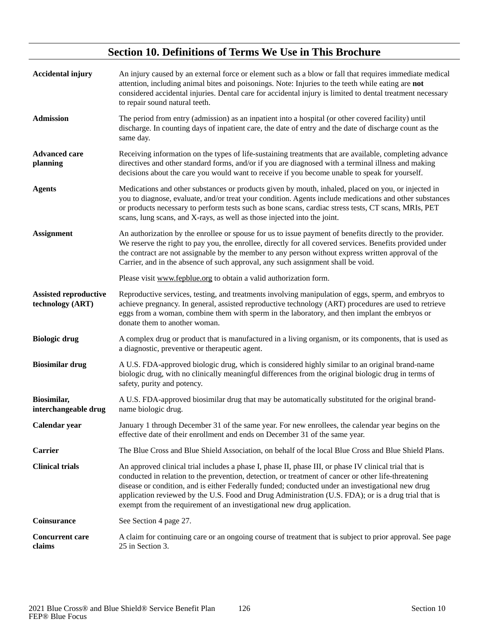# **Section 10. Definitions of Terms We Use in This Brochure**

| <b>Accidental injury</b>                         | An injury caused by an external force or element such as a blow or fall that requires immediate medical<br>attention, including animal bites and poisonings. Note: Injuries to the teeth while eating are not<br>considered accidental injuries. Dental care for accidental injury is limited to dental treatment necessary<br>to repair sound natural teeth.                                                                                                                                          |
|--------------------------------------------------|--------------------------------------------------------------------------------------------------------------------------------------------------------------------------------------------------------------------------------------------------------------------------------------------------------------------------------------------------------------------------------------------------------------------------------------------------------------------------------------------------------|
| <b>Admission</b>                                 | The period from entry (admission) as an inpatient into a hospital (or other covered facility) until<br>discharge. In counting days of inpatient care, the date of entry and the date of discharge count as the<br>same day.                                                                                                                                                                                                                                                                            |
| <b>Advanced care</b><br>planning                 | Receiving information on the types of life-sustaining treatments that are available, completing advance<br>directives and other standard forms, and/or if you are diagnosed with a terminal illness and making<br>decisions about the care you would want to receive if you become unable to speak for yourself.                                                                                                                                                                                       |
| <b>Agents</b>                                    | Medications and other substances or products given by mouth, inhaled, placed on you, or injected in<br>you to diagnose, evaluate, and/or treat your condition. Agents include medications and other substances<br>or products necessary to perform tests such as bone scans, cardiac stress tests, CT scans, MRIs, PET<br>scans, lung scans, and X-rays, as well as those injected into the joint.                                                                                                     |
| <b>Assignment</b>                                | An authorization by the enrollee or spouse for us to issue payment of benefits directly to the provider.<br>We reserve the right to pay you, the enrollee, directly for all covered services. Benefits provided under<br>the contract are not assignable by the member to any person without express written approval of the<br>Carrier, and in the absence of such approval, any such assignment shall be void.                                                                                       |
|                                                  | Please visit www.fepblue.org to obtain a valid authorization form.                                                                                                                                                                                                                                                                                                                                                                                                                                     |
| <b>Assisted reproductive</b><br>technology (ART) | Reproductive services, testing, and treatments involving manipulation of eggs, sperm, and embryos to<br>achieve pregnancy. In general, assisted reproductive technology (ART) procedures are used to retrieve<br>eggs from a woman, combine them with sperm in the laboratory, and then implant the embryos or<br>donate them to another woman.                                                                                                                                                        |
| <b>Biologic drug</b>                             | A complex drug or product that is manufactured in a living organism, or its components, that is used as<br>a diagnostic, preventive or therapeutic agent.                                                                                                                                                                                                                                                                                                                                              |
| <b>Biosimilar drug</b>                           | A U.S. FDA-approved biologic drug, which is considered highly similar to an original brand-name<br>biologic drug, with no clinically meaningful differences from the original biologic drug in terms of<br>safety, purity and potency.                                                                                                                                                                                                                                                                 |
| Biosimilar,<br>interchangeable drug              | A U.S. FDA-approved biosimilar drug that may be automatically substituted for the original brand-<br>name biologic drug.                                                                                                                                                                                                                                                                                                                                                                               |
| Calendar year                                    | January 1 through December 31 of the same year. For new enrollees, the calendar year begins on the<br>effective date of their enrollment and ends on December 31 of the same year.                                                                                                                                                                                                                                                                                                                     |
| <b>Carrier</b>                                   | The Blue Cross and Blue Shield Association, on behalf of the local Blue Cross and Blue Shield Plans.                                                                                                                                                                                                                                                                                                                                                                                                   |
| <b>Clinical trials</b>                           | An approved clinical trial includes a phase I, phase II, phase III, or phase IV clinical trial that is<br>conducted in relation to the prevention, detection, or treatment of cancer or other life-threatening<br>disease or condition, and is either Federally funded; conducted under an investigational new drug<br>application reviewed by the U.S. Food and Drug Administration (U.S. FDA); or is a drug trial that is<br>exempt from the requirement of an investigational new drug application. |
| <b>Coinsurance</b>                               | See Section 4 page 27.                                                                                                                                                                                                                                                                                                                                                                                                                                                                                 |
| <b>Concurrent care</b><br>claims                 | A claim for continuing care or an ongoing course of treatment that is subject to prior approval. See page<br>25 in Section 3.                                                                                                                                                                                                                                                                                                                                                                          |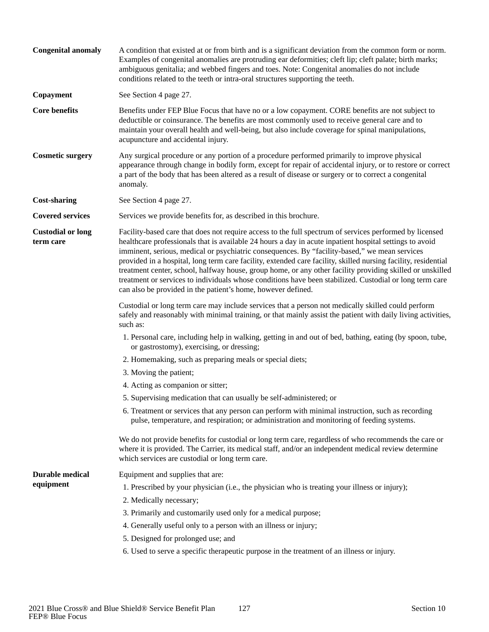| <b>Congenital anomaly</b>             | A condition that existed at or from birth and is a significant deviation from the common form or norm.<br>Examples of congenital anomalies are protruding ear deformities; cleft lip; cleft palate; birth marks;<br>ambiguous genitalia; and webbed fingers and toes. Note: Congenital anomalies do not include<br>conditions related to the teeth or intra-oral structures supporting the teeth.                                                                                                                                                                                                                                                                                                                             |
|---------------------------------------|-------------------------------------------------------------------------------------------------------------------------------------------------------------------------------------------------------------------------------------------------------------------------------------------------------------------------------------------------------------------------------------------------------------------------------------------------------------------------------------------------------------------------------------------------------------------------------------------------------------------------------------------------------------------------------------------------------------------------------|
| Copayment                             | See Section 4 page 27.                                                                                                                                                                                                                                                                                                                                                                                                                                                                                                                                                                                                                                                                                                        |
| <b>Core benefits</b>                  | Benefits under FEP Blue Focus that have no or a low copayment. CORE benefits are not subject to<br>deductible or coinsurance. The benefits are most commonly used to receive general care and to<br>maintain your overall health and well-being, but also include coverage for spinal manipulations,<br>acupuncture and accidental injury.                                                                                                                                                                                                                                                                                                                                                                                    |
| <b>Cosmetic surgery</b>               | Any surgical procedure or any portion of a procedure performed primarily to improve physical<br>appearance through change in bodily form, except for repair of accidental injury, or to restore or correct<br>a part of the body that has been altered as a result of disease or surgery or to correct a congenital<br>anomaly.                                                                                                                                                                                                                                                                                                                                                                                               |
| <b>Cost-sharing</b>                   | See Section 4 page 27.                                                                                                                                                                                                                                                                                                                                                                                                                                                                                                                                                                                                                                                                                                        |
| <b>Covered services</b>               | Services we provide benefits for, as described in this brochure.                                                                                                                                                                                                                                                                                                                                                                                                                                                                                                                                                                                                                                                              |
| <b>Custodial or long</b><br>term care | Facility-based care that does not require access to the full spectrum of services performed by licensed<br>healthcare professionals that is available 24 hours a day in acute inpatient hospital settings to avoid<br>imminent, serious, medical or psychiatric consequences. By "facility-based," we mean services<br>provided in a hospital, long term care facility, extended care facility, skilled nursing facility, residential<br>treatment center, school, halfway house, group home, or any other facility providing skilled or unskilled<br>treatment or services to individuals whose conditions have been stabilized. Custodial or long term care<br>can also be provided in the patient's home, however defined. |
|                                       | Custodial or long term care may include services that a person not medically skilled could perform<br>safely and reasonably with minimal training, or that mainly assist the patient with daily living activities,<br>such as:                                                                                                                                                                                                                                                                                                                                                                                                                                                                                                |
|                                       | 1. Personal care, including help in walking, getting in and out of bed, bathing, eating (by spoon, tube,<br>or gastrostomy), exercising, or dressing;                                                                                                                                                                                                                                                                                                                                                                                                                                                                                                                                                                         |
|                                       | 2. Homemaking, such as preparing meals or special diets;                                                                                                                                                                                                                                                                                                                                                                                                                                                                                                                                                                                                                                                                      |
|                                       | 3. Moving the patient;                                                                                                                                                                                                                                                                                                                                                                                                                                                                                                                                                                                                                                                                                                        |
|                                       | 4. Acting as companion or sitter;                                                                                                                                                                                                                                                                                                                                                                                                                                                                                                                                                                                                                                                                                             |
|                                       | 5. Supervising medication that can usually be self-administered; or                                                                                                                                                                                                                                                                                                                                                                                                                                                                                                                                                                                                                                                           |
|                                       | 6. Treatment or services that any person can perform with minimal instruction, such as recording<br>pulse, temperature, and respiration; or administration and monitoring of feeding systems.                                                                                                                                                                                                                                                                                                                                                                                                                                                                                                                                 |
|                                       | We do not provide benefits for custodial or long term care, regardless of who recommends the care or<br>where it is provided. The Carrier, its medical staff, and/or an independent medical review determine<br>which services are custodial or long term care.                                                                                                                                                                                                                                                                                                                                                                                                                                                               |
| <b>Durable medical</b>                | Equipment and supplies that are:                                                                                                                                                                                                                                                                                                                                                                                                                                                                                                                                                                                                                                                                                              |
| equipment                             | 1. Prescribed by your physician (i.e., the physician who is treating your illness or injury);                                                                                                                                                                                                                                                                                                                                                                                                                                                                                                                                                                                                                                 |
|                                       | 2. Medically necessary;                                                                                                                                                                                                                                                                                                                                                                                                                                                                                                                                                                                                                                                                                                       |
|                                       | 3. Primarily and customarily used only for a medical purpose;                                                                                                                                                                                                                                                                                                                                                                                                                                                                                                                                                                                                                                                                 |
|                                       | 4. Generally useful only to a person with an illness or injury;                                                                                                                                                                                                                                                                                                                                                                                                                                                                                                                                                                                                                                                               |
|                                       | 5. Designed for prolonged use; and                                                                                                                                                                                                                                                                                                                                                                                                                                                                                                                                                                                                                                                                                            |
|                                       | 6. Used to serve a specific therapeutic purpose in the treatment of an illness or injury.                                                                                                                                                                                                                                                                                                                                                                                                                                                                                                                                                                                                                                     |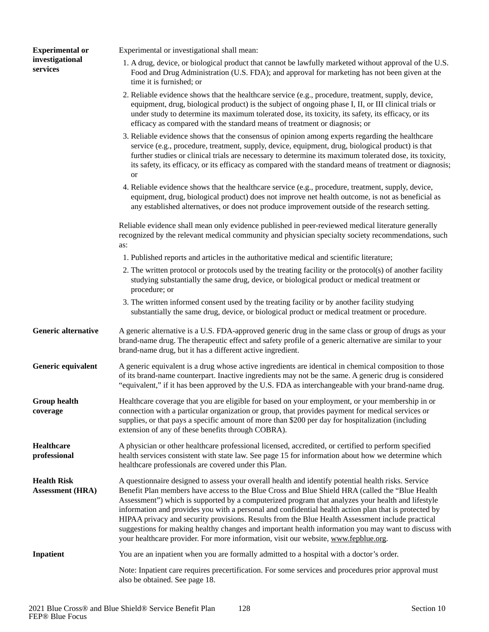| <b>Experimental or</b>                        | Experimental or investigational shall mean:                                                                                                                                                                                                                                                                                                                                                                                                                                                                                                                                                                                                                                                                              |  |
|-----------------------------------------------|--------------------------------------------------------------------------------------------------------------------------------------------------------------------------------------------------------------------------------------------------------------------------------------------------------------------------------------------------------------------------------------------------------------------------------------------------------------------------------------------------------------------------------------------------------------------------------------------------------------------------------------------------------------------------------------------------------------------------|--|
| investigational<br>services                   | 1. A drug, device, or biological product that cannot be lawfully marketed without approval of the U.S.<br>Food and Drug Administration (U.S. FDA); and approval for marketing has not been given at the<br>time it is furnished; or                                                                                                                                                                                                                                                                                                                                                                                                                                                                                      |  |
|                                               | 2. Reliable evidence shows that the healthcare service (e.g., procedure, treatment, supply, device,<br>equipment, drug, biological product) is the subject of ongoing phase I, II, or III clinical trials or<br>under study to determine its maximum tolerated dose, its toxicity, its safety, its efficacy, or its<br>efficacy as compared with the standard means of treatment or diagnosis; or                                                                                                                                                                                                                                                                                                                        |  |
|                                               | 3. Reliable evidence shows that the consensus of opinion among experts regarding the healthcare<br>service (e.g., procedure, treatment, supply, device, equipment, drug, biological product) is that<br>further studies or clinical trials are necessary to determine its maximum tolerated dose, its toxicity,<br>its safety, its efficacy, or its efficacy as compared with the standard means of treatment or diagnosis;<br><b>or</b>                                                                                                                                                                                                                                                                                 |  |
|                                               | 4. Reliable evidence shows that the healthcare service (e.g., procedure, treatment, supply, device,<br>equipment, drug, biological product) does not improve net health outcome, is not as beneficial as<br>any established alternatives, or does not produce improvement outside of the research setting.                                                                                                                                                                                                                                                                                                                                                                                                               |  |
|                                               | Reliable evidence shall mean only evidence published in peer-reviewed medical literature generally<br>recognized by the relevant medical community and physician specialty society recommendations, such<br>as:                                                                                                                                                                                                                                                                                                                                                                                                                                                                                                          |  |
|                                               | 1. Published reports and articles in the authoritative medical and scientific literature;                                                                                                                                                                                                                                                                                                                                                                                                                                                                                                                                                                                                                                |  |
|                                               | 2. The written protocol or protocols used by the treating facility or the protocol(s) of another facility<br>studying substantially the same drug, device, or biological product or medical treatment or<br>procedure; or                                                                                                                                                                                                                                                                                                                                                                                                                                                                                                |  |
|                                               | 3. The written informed consent used by the treating facility or by another facility studying<br>substantially the same drug, device, or biological product or medical treatment or procedure.                                                                                                                                                                                                                                                                                                                                                                                                                                                                                                                           |  |
| <b>Generic alternative</b>                    | A generic alternative is a U.S. FDA-approved generic drug in the same class or group of drugs as your<br>brand-name drug. The therapeutic effect and safety profile of a generic alternative are similar to your<br>brand-name drug, but it has a different active ingredient.                                                                                                                                                                                                                                                                                                                                                                                                                                           |  |
| Generic equivalent                            | A generic equivalent is a drug whose active ingredients are identical in chemical composition to those<br>of its brand-name counterpart. Inactive ingredients may not be the same. A generic drug is considered<br>"equivalent," if it has been approved by the U.S. FDA as interchangeable with your brand-name drug.                                                                                                                                                                                                                                                                                                                                                                                                   |  |
| <b>Group health</b><br>coverage               | Healthcare coverage that you are eligible for based on your employment, or your membership in or<br>connection with a particular organization or group, that provides payment for medical services or<br>supplies, or that pays a specific amount of more than \$200 per day for hospitalization (including<br>extension of any of these benefits through COBRA).                                                                                                                                                                                                                                                                                                                                                        |  |
| <b>Healthcare</b><br>professional             | A physician or other healthcare professional licensed, accredited, or certified to perform specified<br>health services consistent with state law. See page 15 for information about how we determine which<br>healthcare professionals are covered under this Plan.                                                                                                                                                                                                                                                                                                                                                                                                                                                     |  |
| <b>Health Risk</b><br><b>Assessment (HRA)</b> | A questionnaire designed to assess your overall health and identify potential health risks. Service<br>Benefit Plan members have access to the Blue Cross and Blue Shield HRA (called the "Blue Health"<br>Assessment") which is supported by a computerized program that analyzes your health and lifestyle<br>information and provides you with a personal and confidential health action plan that is protected by<br>HIPAA privacy and security provisions. Results from the Blue Health Assessment include practical<br>suggestions for making healthy changes and important health information you may want to discuss with<br>your healthcare provider. For more information, visit our website, www.fepblue.org. |  |
| <b>Inpatient</b>                              | You are an inpatient when you are formally admitted to a hospital with a doctor's order.                                                                                                                                                                                                                                                                                                                                                                                                                                                                                                                                                                                                                                 |  |
|                                               | Note: Inpatient care requires precertification. For some services and procedures prior approval must<br>also be obtained. See page 18.                                                                                                                                                                                                                                                                                                                                                                                                                                                                                                                                                                                   |  |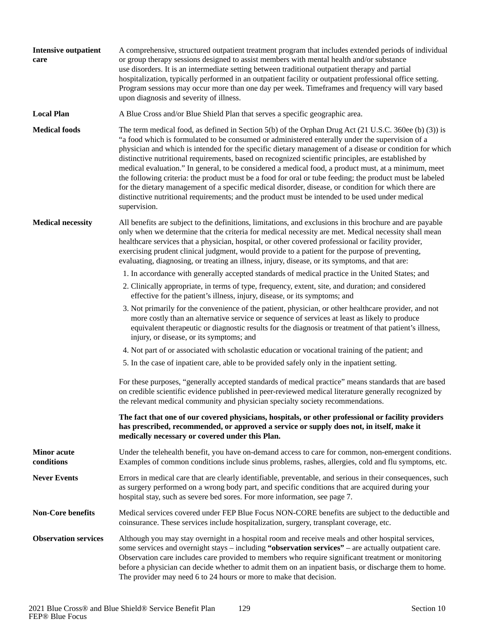| <b>Intensive outpatient</b><br>care                                                                                                                                                                                                                                                                                                                                                                                                                                                                                                                        | A comprehensive, structured outpatient treatment program that includes extended periods of individual<br>or group therapy sessions designed to assist members with mental health and/or substance<br>use disorders. It is an intermediate setting between traditional outpatient therapy and partial<br>hospitalization, typically performed in an outpatient facility or outpatient professional office setting.<br>Program sessions may occur more than one day per week. Timeframes and frequency will vary based<br>upon diagnosis and severity of illness.                                                                                                                                                                                                                                                                                                             |  |
|------------------------------------------------------------------------------------------------------------------------------------------------------------------------------------------------------------------------------------------------------------------------------------------------------------------------------------------------------------------------------------------------------------------------------------------------------------------------------------------------------------------------------------------------------------|-----------------------------------------------------------------------------------------------------------------------------------------------------------------------------------------------------------------------------------------------------------------------------------------------------------------------------------------------------------------------------------------------------------------------------------------------------------------------------------------------------------------------------------------------------------------------------------------------------------------------------------------------------------------------------------------------------------------------------------------------------------------------------------------------------------------------------------------------------------------------------|--|
| <b>Local Plan</b>                                                                                                                                                                                                                                                                                                                                                                                                                                                                                                                                          | A Blue Cross and/or Blue Shield Plan that serves a specific geographic area.                                                                                                                                                                                                                                                                                                                                                                                                                                                                                                                                                                                                                                                                                                                                                                                                |  |
| <b>Medical foods</b>                                                                                                                                                                                                                                                                                                                                                                                                                                                                                                                                       | The term medical food, as defined in Section $5(b)$ of the Orphan Drug Act (21 U.S.C. 360ee (b) (3)) is<br>"a food which is formulated to be consumed or administered enterally under the supervision of a<br>physician and which is intended for the specific dietary management of a disease or condition for which<br>distinctive nutritional requirements, based on recognized scientific principles, are established by<br>medical evaluation." In general, to be considered a medical food, a product must, at a minimum, meet<br>the following criteria: the product must be a food for oral or tube feeding; the product must be labeled<br>for the dietary management of a specific medical disorder, disease, or condition for which there are<br>distinctive nutritional requirements; and the product must be intended to be used under medical<br>supervision. |  |
| <b>Medical necessity</b><br>All benefits are subject to the definitions, limitations, and exclusions in this brochure and are payable<br>only when we determine that the criteria for medical necessity are met. Medical necessity shall mean<br>healthcare services that a physician, hospital, or other covered professional or facility provider,<br>exercising prudent clinical judgment, would provide to a patient for the purpose of preventing,<br>evaluating, diagnosing, or treating an illness, injury, disease, or its symptoms, and that are: |                                                                                                                                                                                                                                                                                                                                                                                                                                                                                                                                                                                                                                                                                                                                                                                                                                                                             |  |
|                                                                                                                                                                                                                                                                                                                                                                                                                                                                                                                                                            | 1. In accordance with generally accepted standards of medical practice in the United States; and                                                                                                                                                                                                                                                                                                                                                                                                                                                                                                                                                                                                                                                                                                                                                                            |  |
|                                                                                                                                                                                                                                                                                                                                                                                                                                                                                                                                                            | 2. Clinically appropriate, in terms of type, frequency, extent, site, and duration; and considered<br>effective for the patient's illness, injury, disease, or its symptoms; and                                                                                                                                                                                                                                                                                                                                                                                                                                                                                                                                                                                                                                                                                            |  |
|                                                                                                                                                                                                                                                                                                                                                                                                                                                                                                                                                            | 3. Not primarily for the convenience of the patient, physician, or other healthcare provider, and not<br>more costly than an alternative service or sequence of services at least as likely to produce<br>equivalent therapeutic or diagnostic results for the diagnosis or treatment of that patient's illness,<br>injury, or disease, or its symptoms; and                                                                                                                                                                                                                                                                                                                                                                                                                                                                                                                |  |
|                                                                                                                                                                                                                                                                                                                                                                                                                                                                                                                                                            | 4. Not part of or associated with scholastic education or vocational training of the patient; and                                                                                                                                                                                                                                                                                                                                                                                                                                                                                                                                                                                                                                                                                                                                                                           |  |
|                                                                                                                                                                                                                                                                                                                                                                                                                                                                                                                                                            | 5. In the case of inpatient care, able to be provided safely only in the inpatient setting.                                                                                                                                                                                                                                                                                                                                                                                                                                                                                                                                                                                                                                                                                                                                                                                 |  |
|                                                                                                                                                                                                                                                                                                                                                                                                                                                                                                                                                            | For these purposes, "generally accepted standards of medical practice" means standards that are based<br>on credible scientific evidence published in peer-reviewed medical literature generally recognized by<br>the relevant medical community and physician specialty society recommendations.                                                                                                                                                                                                                                                                                                                                                                                                                                                                                                                                                                           |  |
|                                                                                                                                                                                                                                                                                                                                                                                                                                                                                                                                                            | The fact that one of our covered physicians, hospitals, or other professional or facility providers<br>has prescribed, recommended, or approved a service or supply does not, in itself, make it<br>medically necessary or covered under this Plan.                                                                                                                                                                                                                                                                                                                                                                                                                                                                                                                                                                                                                         |  |
| <b>Minor</b> acute<br>conditions                                                                                                                                                                                                                                                                                                                                                                                                                                                                                                                           | Under the telehealth benefit, you have on-demand access to care for common, non-emergent conditions.<br>Examples of common conditions include sinus problems, rashes, allergies, cold and flu symptoms, etc.                                                                                                                                                                                                                                                                                                                                                                                                                                                                                                                                                                                                                                                                |  |
| <b>Never Events</b>                                                                                                                                                                                                                                                                                                                                                                                                                                                                                                                                        | Errors in medical care that are clearly identifiable, preventable, and serious in their consequences, such<br>as surgery performed on a wrong body part, and specific conditions that are acquired during your<br>hospital stay, such as severe bed sores. For more information, see page 7.                                                                                                                                                                                                                                                                                                                                                                                                                                                                                                                                                                                |  |
| <b>Non-Core benefits</b>                                                                                                                                                                                                                                                                                                                                                                                                                                                                                                                                   | Medical services covered under FEP Blue Focus NON-CORE benefits are subject to the deductible and<br>coinsurance. These services include hospitalization, surgery, transplant coverage, etc.                                                                                                                                                                                                                                                                                                                                                                                                                                                                                                                                                                                                                                                                                |  |
| <b>Observation services</b>                                                                                                                                                                                                                                                                                                                                                                                                                                                                                                                                | Although you may stay overnight in a hospital room and receive meals and other hospital services,<br>some services and overnight stays - including "observation services" - are actually outpatient care.<br>Observation care includes care provided to members who require significant treatment or monitoring<br>before a physician can decide whether to admit them on an inpatient basis, or discharge them to home.<br>The provider may need 6 to 24 hours or more to make that decision.                                                                                                                                                                                                                                                                                                                                                                              |  |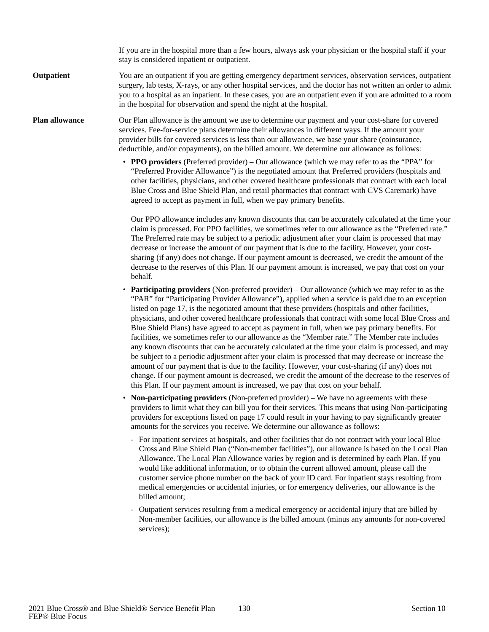If you are in the hospital more than a few hours, always ask your physician or the hospital staff if your stay is considered inpatient or outpatient.

#### You are an outpatient if you are getting emergency department services, observation services, outpatient surgery, lab tests, X-rays, or any other hospital services, and the doctor has not written an order to admit you to a hospital as an inpatient. In these cases, you are an outpatient even if you are admitted to a room in the hospital for observation and spend the night at the hospital. **Outpatient**

#### Our Plan allowance is the amount we use to determine our payment and your cost-share for covered services. Fee-for-service plans determine their allowances in different ways. If the amount your provider bills for covered services is less than our allowance, we base your share (coinsurance, deductible, and/or copayments), on the billed amount. We determine our allowance as follows: **Plan allowance**

• **PPO providers** (Preferred provider) – Our allowance (which we may refer to as the "PPA" for "Preferred Provider Allowance") is the negotiated amount that Preferred providers (hospitals and other facilities, physicians, and other covered healthcare professionals that contract with each local Blue Cross and Blue Shield Plan, and retail pharmacies that contract with CVS Caremark) have agreed to accept as payment in full, when we pay primary benefits.

Our PPO allowance includes any known discounts that can be accurately calculated at the time your claim is processed. For PPO facilities, we sometimes refer to our allowance as the "Preferred rate." The Preferred rate may be subject to a periodic adjustment after your claim is processed that may decrease or increase the amount of our payment that is due to the facility. However, your costsharing (if any) does not change. If our payment amount is decreased, we credit the amount of the decrease to the reserves of this Plan. If our payment amount is increased, we pay that cost on your behalf.

- **Participating providers** (Non-preferred provider) Our allowance (which we may refer to as the "PAR" for "Participating Provider Allowance"), applied when a service is paid due to an exception listed on page 17, is the negotiated amount that these providers (hospitals and other facilities, physicians, and other covered healthcare professionals that contract with some local Blue Cross and Blue Shield Plans) have agreed to accept as payment in full, when we pay primary benefits. For facilities, we sometimes refer to our allowance as the "Member rate." The Member rate includes any known discounts that can be accurately calculated at the time your claim is processed, and may be subject to a periodic adjustment after your claim is processed that may decrease or increase the amount of our payment that is due to the facility. However, your cost-sharing (if any) does not change. If our payment amount is decreased, we credit the amount of the decrease to the reserves of this Plan. If our payment amount is increased, we pay that cost on your behalf.
- **Non-participating providers** (Non-preferred provider) We have no agreements with these providers to limit what they can bill you for their services. This means that using Non-participating providers for exceptions listed on page 17 could result in your having to pay significantly greater amounts for the services you receive. We determine our allowance as follows:
	- For inpatient services at hospitals, and other facilities that do not contract with your local Blue Cross and Blue Shield Plan ("Non-member facilities"), our allowance is based on the Local Plan Allowance. The Local Plan Allowance varies by region and is determined by each Plan. If you would like additional information, or to obtain the current allowed amount, please call the customer service phone number on the back of your ID card. For inpatient stays resulting from medical emergencies or accidental injuries, or for emergency deliveries, our allowance is the billed amount;
	- Outpatient services resulting from a medical emergency or accidental injury that are billed by Non-member facilities, our allowance is the billed amount (minus any amounts for non-covered services);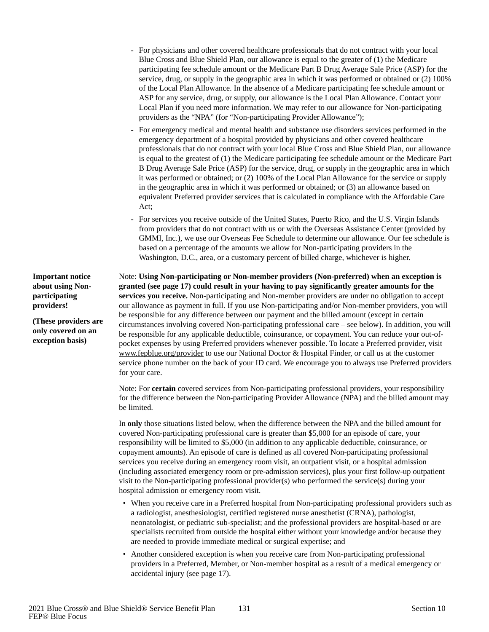- For physicians and other covered healthcare professionals that do not contract with your local Blue Cross and Blue Shield Plan, our allowance is equal to the greater of (1) the Medicare participating fee schedule amount or the Medicare Part B Drug Average Sale Price (ASP) for the service, drug, or supply in the geographic area in which it was performed or obtained or (2) 100% of the Local Plan Allowance. In the absence of a Medicare participating fee schedule amount or ASP for any service, drug, or supply, our allowance is the Local Plan Allowance. Contact your Local Plan if you need more information. We may refer to our allowance for Non-participating providers as the "NPA" (for "Non-participating Provider Allowance");
- For emergency medical and mental health and substance use disorders services performed in the emergency department of a hospital provided by physicians and other covered healthcare professionals that do not contract with your local Blue Cross and Blue Shield Plan, our allowance is equal to the greatest of (1) the Medicare participating fee schedule amount or the Medicare Part B Drug Average Sale Price (ASP) for the service, drug, or supply in the geographic area in which it was performed or obtained; or (2) 100% of the Local Plan Allowance for the service or supply in the geographic area in which it was performed or obtained; or (3) an allowance based on equivalent Preferred provider services that is calculated in compliance with the Affordable Care Act;
- For services you receive outside of the United States, Puerto Rico, and the U.S. Virgin Islands from providers that do not contract with us or with the Overseas Assistance Center (provided by GMMI, Inc.), we use our Overseas Fee Schedule to determine our allowance. Our fee schedule is based on a percentage of the amounts we allow for Non-participating providers in the Washington, D.C., area, or a customary percent of billed charge, whichever is higher.

Note: **Using Non-participating or Non-member providers (Non-preferred) when an exception is granted (see page 17) could result in your having to pay significantly greater amounts for the services you receive.** Non-participating and Non-member providers are under no obligation to accept our allowance as payment in full. If you use Non-participating and/or Non-member providers, you will be responsible for any difference between our payment and the billed amount (except in certain circumstances involving covered Non-participating professional care – see below). In addition, you will be responsible for any applicable deductible, coinsurance, or copayment. You can reduce your out-ofpocket expenses by using Preferred providers whenever possible. To locate a Preferred provider, visit www.fepblue.org/provider to use our National Doctor & Hospital Finder, or call us at the customer service phone number on the back of your ID card. We encourage you to always use Preferred providers for your care.

Note: For **certain** covered services from Non-participating professional providers, your responsibility for the difference between the Non-participating Provider Allowance (NPA) and the billed amount may be limited.

In **only** those situations listed below, when the difference between the NPA and the billed amount for covered Non-participating professional care is greater than \$5,000 for an episode of care, your responsibility will be limited to \$5,000 (in addition to any applicable deductible, coinsurance, or copayment amounts). An episode of care is defined as all covered Non-participating professional services you receive during an emergency room visit, an outpatient visit, or a hospital admission (including associated emergency room or pre-admission services), plus your first follow-up outpatient visit to the Non-participating professional provider(s) who performed the service(s) during your hospital admission or emergency room visit.

- When you receive care in a Preferred hospital from Non-participating professional providers such as a radiologist, anesthesiologist, certified registered nurse anesthetist (CRNA), pathologist, neonatologist, or pediatric sub-specialist; and the professional providers are hospital-based or are specialists recruited from outside the hospital either without your knowledge and/or because they are needed to provide immediate medical or surgical expertise; and
- Another considered exception is when you receive care from Non-participating professional providers in a Preferred, Member, or Non-member hospital as a result of a medical emergency or accidental injury (see page 17).

**Important notice about using Nonparticipating providers!**

**(These providers are only covered on an exception basis)**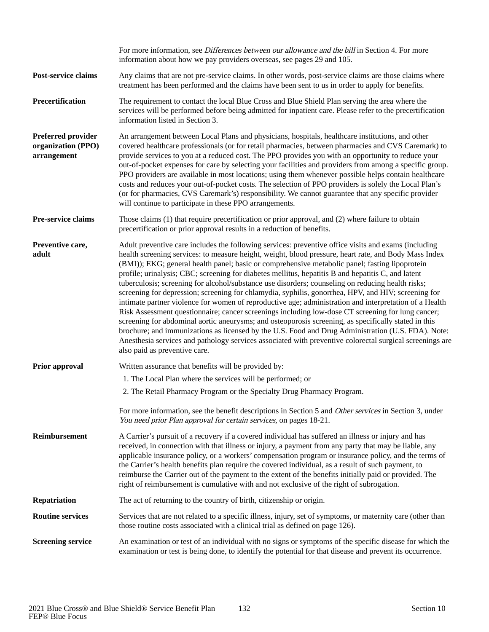|                                                         | For more information, see <i>Differences between our allowance and the bill</i> in Section 4. For more<br>information about how we pay providers overseas, see pages 29 and 105.                                                                                                                                                                                                                                                                                                                                                                                                                                                                                                                                                                                                                                                                                                                                                                                                                                                                                                                                                                                                                            |  |
|---------------------------------------------------------|-------------------------------------------------------------------------------------------------------------------------------------------------------------------------------------------------------------------------------------------------------------------------------------------------------------------------------------------------------------------------------------------------------------------------------------------------------------------------------------------------------------------------------------------------------------------------------------------------------------------------------------------------------------------------------------------------------------------------------------------------------------------------------------------------------------------------------------------------------------------------------------------------------------------------------------------------------------------------------------------------------------------------------------------------------------------------------------------------------------------------------------------------------------------------------------------------------------|--|
| Post-service claims                                     | Any claims that are not pre-service claims. In other words, post-service claims are those claims where<br>treatment has been performed and the claims have been sent to us in order to apply for benefits.                                                                                                                                                                                                                                                                                                                                                                                                                                                                                                                                                                                                                                                                                                                                                                                                                                                                                                                                                                                                  |  |
| Precertification                                        | The requirement to contact the local Blue Cross and Blue Shield Plan serving the area where the<br>services will be performed before being admitted for inpatient care. Please refer to the precertification<br>information listed in Section 3.                                                                                                                                                                                                                                                                                                                                                                                                                                                                                                                                                                                                                                                                                                                                                                                                                                                                                                                                                            |  |
| Preferred provider<br>organization (PPO)<br>arrangement | An arrangement between Local Plans and physicians, hospitals, healthcare institutions, and other<br>covered healthcare professionals (or for retail pharmacies, between pharmacies and CVS Caremark) to<br>provide services to you at a reduced cost. The PPO provides you with an opportunity to reduce your<br>out-of-pocket expenses for care by selecting your facilities and providers from among a specific group.<br>PPO providers are available in most locations; using them whenever possible helps contain healthcare<br>costs and reduces your out-of-pocket costs. The selection of PPO providers is solely the Local Plan's<br>(or for pharmacies, CVS Caremark's) responsibility. We cannot guarantee that any specific provider<br>will continue to participate in these PPO arrangements.                                                                                                                                                                                                                                                                                                                                                                                                  |  |
| Pre-service claims                                      | Those claims (1) that require precertification or prior approval, and (2) where failure to obtain<br>precertification or prior approval results in a reduction of benefits.                                                                                                                                                                                                                                                                                                                                                                                                                                                                                                                                                                                                                                                                                                                                                                                                                                                                                                                                                                                                                                 |  |
| Preventive care,<br>adult                               | Adult preventive care includes the following services: preventive office visits and exams (including<br>health screening services: to measure height, weight, blood pressure, heart rate, and Body Mass Index<br>(BMI)); EKG; general health panel; basic or comprehensive metabolic panel; fasting lipoprotein<br>profile; urinalysis; CBC; screening for diabetes mellitus, hepatitis B and hepatitis C, and latent<br>tuberculosis; screening for alcohol/substance use disorders; counseling on reducing health risks;<br>screening for depression; screening for chlamydia, syphilis, gonorrhea, HPV, and HIV; screening for<br>intimate partner violence for women of reproductive age; administration and interpretation of a Health<br>Risk Assessment questionnaire; cancer screenings including low-dose CT screening for lung cancer;<br>screening for abdominal aortic aneurysms; and osteoporosis screening, as specifically stated in this<br>brochure; and immunizations as licensed by the U.S. Food and Drug Administration (U.S. FDA). Note:<br>Anesthesia services and pathology services associated with preventive colorectal surgical screenings are<br>also paid as preventive care. |  |
| Prior approval                                          | Written assurance that benefits will be provided by:                                                                                                                                                                                                                                                                                                                                                                                                                                                                                                                                                                                                                                                                                                                                                                                                                                                                                                                                                                                                                                                                                                                                                        |  |
|                                                         | 1. The Local Plan where the services will be performed; or                                                                                                                                                                                                                                                                                                                                                                                                                                                                                                                                                                                                                                                                                                                                                                                                                                                                                                                                                                                                                                                                                                                                                  |  |
|                                                         | 2. The Retail Pharmacy Program or the Specialty Drug Pharmacy Program.                                                                                                                                                                                                                                                                                                                                                                                                                                                                                                                                                                                                                                                                                                                                                                                                                                                                                                                                                                                                                                                                                                                                      |  |
|                                                         | For more information, see the benefit descriptions in Section 5 and Other services in Section 3, under<br>You need prior Plan approval for certain services, on pages 18-21.                                                                                                                                                                                                                                                                                                                                                                                                                                                                                                                                                                                                                                                                                                                                                                                                                                                                                                                                                                                                                                |  |
| Reimbursement                                           | A Carrier's pursuit of a recovery if a covered individual has suffered an illness or injury and has<br>received, in connection with that illness or injury, a payment from any party that may be liable, any<br>applicable insurance policy, or a workers' compensation program or insurance policy, and the terms of<br>the Carrier's health benefits plan require the covered individual, as a result of such payment, to<br>reimburse the Carrier out of the payment to the extent of the benefits initially paid or provided. The<br>right of reimbursement is cumulative with and not exclusive of the right of subrogation.                                                                                                                                                                                                                                                                                                                                                                                                                                                                                                                                                                           |  |
| Repatriation                                            | The act of returning to the country of birth, citizenship or origin.                                                                                                                                                                                                                                                                                                                                                                                                                                                                                                                                                                                                                                                                                                                                                                                                                                                                                                                                                                                                                                                                                                                                        |  |
| <b>Routine services</b>                                 | Services that are not related to a specific illness, injury, set of symptoms, or maternity care (other than<br>those routine costs associated with a clinical trial as defined on page 126).                                                                                                                                                                                                                                                                                                                                                                                                                                                                                                                                                                                                                                                                                                                                                                                                                                                                                                                                                                                                                |  |
| <b>Screening service</b>                                | An examination or test of an individual with no signs or symptoms of the specific disease for which the<br>examination or test is being done, to identify the potential for that disease and prevent its occurrence.                                                                                                                                                                                                                                                                                                                                                                                                                                                                                                                                                                                                                                                                                                                                                                                                                                                                                                                                                                                        |  |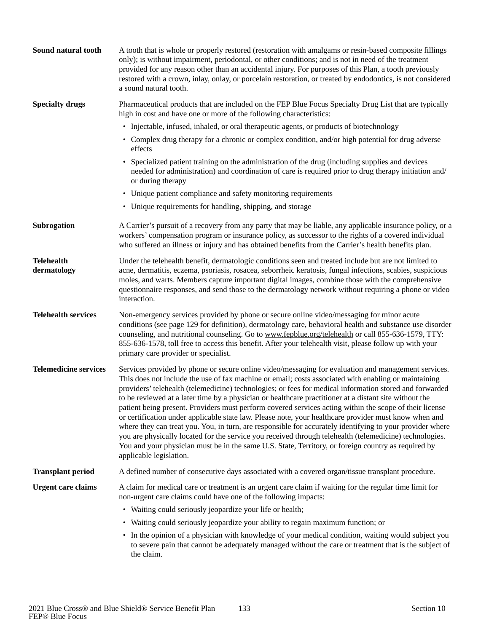| Sound natural tooth              | A tooth that is whole or properly restored (restoration with amalgams or resin-based composite fillings<br>only); is without impairment, periodontal, or other conditions; and is not in need of the treatment<br>provided for any reason other than an accidental injury. For purposes of this Plan, a tooth previously<br>restored with a crown, inlay, onlay, or porcelain restoration, or treated by endodontics, is not considered<br>a sound natural tooth.                                                                                                                                                                                                                                                                                                                                                                                                                                                                                                                                              |
|----------------------------------|----------------------------------------------------------------------------------------------------------------------------------------------------------------------------------------------------------------------------------------------------------------------------------------------------------------------------------------------------------------------------------------------------------------------------------------------------------------------------------------------------------------------------------------------------------------------------------------------------------------------------------------------------------------------------------------------------------------------------------------------------------------------------------------------------------------------------------------------------------------------------------------------------------------------------------------------------------------------------------------------------------------|
| <b>Specialty drugs</b>           | Pharmaceutical products that are included on the FEP Blue Focus Specialty Drug List that are typically<br>high in cost and have one or more of the following characteristics:                                                                                                                                                                                                                                                                                                                                                                                                                                                                                                                                                                                                                                                                                                                                                                                                                                  |
|                                  | • Injectable, infused, inhaled, or oral therapeutic agents, or products of biotechnology                                                                                                                                                                                                                                                                                                                                                                                                                                                                                                                                                                                                                                                                                                                                                                                                                                                                                                                       |
|                                  | • Complex drug therapy for a chronic or complex condition, and/or high potential for drug adverse<br>effects                                                                                                                                                                                                                                                                                                                                                                                                                                                                                                                                                                                                                                                                                                                                                                                                                                                                                                   |
|                                  | • Specialized patient training on the administration of the drug (including supplies and devices<br>needed for administration) and coordination of care is required prior to drug therapy initiation and/<br>or during therapy                                                                                                                                                                                                                                                                                                                                                                                                                                                                                                                                                                                                                                                                                                                                                                                 |
|                                  | • Unique patient compliance and safety monitoring requirements                                                                                                                                                                                                                                                                                                                                                                                                                                                                                                                                                                                                                                                                                                                                                                                                                                                                                                                                                 |
|                                  | • Unique requirements for handling, shipping, and storage                                                                                                                                                                                                                                                                                                                                                                                                                                                                                                                                                                                                                                                                                                                                                                                                                                                                                                                                                      |
| Subrogation                      | A Carrier's pursuit of a recovery from any party that may be liable, any applicable insurance policy, or a<br>workers' compensation program or insurance policy, as successor to the rights of a covered individual<br>who suffered an illness or injury and has obtained benefits from the Carrier's health benefits plan.                                                                                                                                                                                                                                                                                                                                                                                                                                                                                                                                                                                                                                                                                    |
| <b>Telehealth</b><br>dermatology | Under the telehealth benefit, dermatologic conditions seen and treated include but are not limited to<br>acne, dermatitis, eczema, psoriasis, rosacea, seborrheic keratosis, fungal infections, scabies, suspicious<br>moles, and warts. Members capture important digital images, combine those with the comprehensive<br>questionnaire responses, and send those to the dermatology network without requiring a phone or video<br>interaction.                                                                                                                                                                                                                                                                                                                                                                                                                                                                                                                                                               |
| <b>Telehealth services</b>       | Non-emergency services provided by phone or secure online video/messaging for minor acute<br>conditions (see page 129 for definition), dermatology care, behavioral health and substance use disorder<br>counseling, and nutritional counseling. Go to www.fepblue.org/telehealth or call 855-636-1579, TTY:<br>855-636-1578, toll free to access this benefit. After your telehealth visit, please follow up with your<br>primary care provider or specialist.                                                                                                                                                                                                                                                                                                                                                                                                                                                                                                                                                |
| <b>Telemedicine services</b>     | Services provided by phone or secure online video/messaging for evaluation and management services.<br>This does not include the use of fax machine or email; costs associated with enabling or maintaining<br>providers' telehealth (telemedicine) technologies; or fees for medical information stored and forwarded<br>to be reviewed at a later time by a physician or healthcare practitioner at a distant site without the<br>patient being present. Providers must perform covered services acting within the scope of their license<br>or certification under applicable state law. Please note, your healthcare provider must know when and<br>where they can treat you. You, in turn, are responsible for accurately identifying to your provider where<br>you are physically located for the service you received through telehealth (telemedicine) technologies.<br>You and your physician must be in the same U.S. State, Territory, or foreign country as required by<br>applicable legislation. |
| <b>Transplant period</b>         | A defined number of consecutive days associated with a covered organ/tissue transplant procedure.                                                                                                                                                                                                                                                                                                                                                                                                                                                                                                                                                                                                                                                                                                                                                                                                                                                                                                              |
| <b>Urgent care claims</b>        | A claim for medical care or treatment is an urgent care claim if waiting for the regular time limit for<br>non-urgent care claims could have one of the following impacts:                                                                                                                                                                                                                                                                                                                                                                                                                                                                                                                                                                                                                                                                                                                                                                                                                                     |
|                                  | • Waiting could seriously jeopardize your life or health;                                                                                                                                                                                                                                                                                                                                                                                                                                                                                                                                                                                                                                                                                                                                                                                                                                                                                                                                                      |
|                                  | • Waiting could seriously jeopardize your ability to regain maximum function; or                                                                                                                                                                                                                                                                                                                                                                                                                                                                                                                                                                                                                                                                                                                                                                                                                                                                                                                               |
|                                  | • In the opinion of a physician with knowledge of your medical condition, waiting would subject you<br>to severe pain that cannot be adequately managed without the care or treatment that is the subject of<br>the claim.                                                                                                                                                                                                                                                                                                                                                                                                                                                                                                                                                                                                                                                                                                                                                                                     |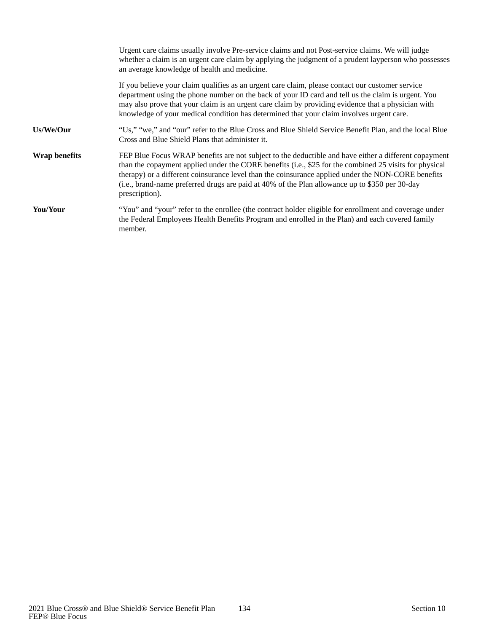|                      | Urgent care claims usually involve Pre-service claims and not Post-service claims. We will judge<br>whether a claim is an urgent care claim by applying the judgment of a prudent layperson who possesses<br>an average knowledge of health and medicine.                                                                                                                                                                                |
|----------------------|------------------------------------------------------------------------------------------------------------------------------------------------------------------------------------------------------------------------------------------------------------------------------------------------------------------------------------------------------------------------------------------------------------------------------------------|
|                      | If you believe your claim qualifies as an urgent care claim, please contact our customer service<br>department using the phone number on the back of your ID card and tell us the claim is urgent. You<br>may also prove that your claim is an urgent care claim by providing evidence that a physician with<br>knowledge of your medical condition has determined that your claim involves urgent care.                                 |
| Us/We/Our            | "Us," "we," and "our" refer to the Blue Cross and Blue Shield Service Benefit Plan, and the local Blue<br>Cross and Blue Shield Plans that administer it.                                                                                                                                                                                                                                                                                |
| <b>Wrap benefits</b> | FEP Blue Focus WRAP benefits are not subject to the deductible and have either a different copayment<br>than the copayment applied under the CORE benefits (i.e., \$25 for the combined 25 visits for physical<br>therapy) or a different coinsurance level than the coinsurance applied under the NON-CORE benefits<br>(i.e., brand-name preferred drugs are paid at 40% of the Plan allowance up to \$350 per 30-day<br>prescription). |
| You/Your             | "You" and "your" refer to the enrollee (the contract holder eligible for enrollment and coverage under<br>the Federal Employees Health Benefits Program and enrolled in the Plan) and each covered family<br>member.                                                                                                                                                                                                                     |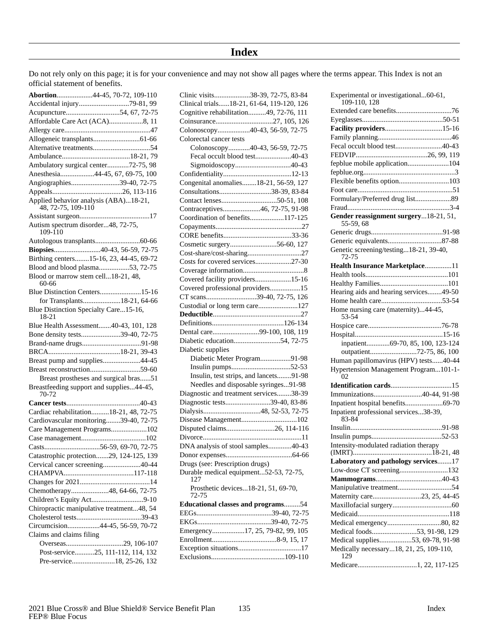## **Index**

Do not rely only on this page; it is for your convenience and may not show all pages where the terms appear. This Index is not an official statement of benefits.

| Abortion44-45, 70-72, 109-110                               |
|-------------------------------------------------------------|
| Accidental injury79-81, 99                                  |
|                                                             |
| Affordable Care Act (ACA)8, 11                              |
|                                                             |
|                                                             |
|                                                             |
|                                                             |
| Ambulatory surgical center72-75, 98                         |
| Anesthesia44-45, 67, 69-75, 100                             |
| Angiographies39-40, 72-75                                   |
|                                                             |
| Applied behavior analysis (ABA)18-21,<br>48, 72-75, 109-110 |
|                                                             |
| Autism spectrum disorder48, 72-75,<br>109-110               |
|                                                             |
| Biopsies40-43, 56-59, 72-75                                 |
| Birthing centers15-16, 23, 44-45, 69-72                     |
| Blood and blood plasma53, 72-75                             |
| Blood or marrow stem cell18-21, 48,<br>60-66                |
| Blue Distinction Centers15-16                               |
| for Transplants18-21, 64-66                                 |
| Blue Distinction Specialty Care15-16,<br>18-21              |
| Blue Health Assessment40-43, 101, 128                       |
| Bone density tests39-40, 72-75                              |
|                                                             |
|                                                             |
| Breast pump and supplies44-45                               |
|                                                             |
| Breast prostheses and surgical bras51                       |
| Breastfeeding support and supplies44-45,<br>70-72           |
|                                                             |
| Cardiac rehabilitation18-21, 48, 72-75                      |
| Cardiovascular monitoring39-40, 72-75                       |
| Care Management Programs102                                 |
|                                                             |
|                                                             |
| Catastrophic protection29, 124-125, 139                     |
| Cervical cancer screening40-44                              |
|                                                             |
|                                                             |
| Chemotherapy48, 64-66, 72-75                                |
|                                                             |
| Chiropractic manipulative treatment48, 54                   |
|                                                             |
| Circumcision44-45, 56-59, 70-72                             |
| Claims and claims filing                                    |
|                                                             |
| Post-service25, 111-112, 114, 132                           |
| Pre-service18, 25-26, 132                                   |

| Clinic visits38-39, 72-75, 83-84             |
|----------------------------------------------|
| Clinical trials18-21, 61-64, 119-120, 126    |
| Cognitive rehabilitation49, 72-76, 111       |
|                                              |
| Colonoscopy40-43, 56-59, 72-75               |
| Colorectal cancer tests                      |
| Colonoscopy40-43, 56-59, 72-75               |
| Fecal occult blood test40-43                 |
| Sigmoidoscopy40-43                           |
|                                              |
| Congenital anomalies18-21, 56-59, 127        |
| Consultations38-39, 83-84                    |
|                                              |
| Contraceptives46, 72-75, 91-98               |
| Coordination of benefits117-125              |
|                                              |
|                                              |
|                                              |
| Cosmetic surgery56-60, 127                   |
|                                              |
| Costs for covered services27-30              |
|                                              |
| Covered facility providers15-16              |
| Covered professional providers15             |
| CT scans39-40, 72-75, 126                    |
| Custodial or long term care127               |
|                                              |
|                                              |
| Dental care99-100, 108, 119                  |
| Diabetic education54, 72-75                  |
| Diabetic supplies                            |
| Diabetic Meter Program91-98                  |
|                                              |
| Insulin, test strips, and lancets91-98       |
| Needles and disposable syringes91-98         |
| Diagnostic and treatment services38-39       |
| Diagnostic tests39-40, 83-86                 |
|                                              |
|                                              |
|                                              |
|                                              |
| DNA analysis of stool samples40-43           |
|                                              |
| Drugs (see: Prescription drugs)              |
| Durable medical equipment52-53, 72-75,       |
| 127                                          |
| Prosthetic devices18-21, 51, 69-70,<br>72-75 |
| <b>Educational classes and programs54</b>    |
|                                              |
|                                              |
| Emergency17, 25, 79-82, 99, 105              |
|                                              |
|                                              |
|                                              |
|                                              |

| Experimental or investigational60-61,<br>109-110, 128 |
|-------------------------------------------------------|
|                                                       |
|                                                       |
| Facility providers15-16                               |
|                                                       |
| Fecal occult blood test40-43                          |
|                                                       |
| fepblue mobile application104                         |
|                                                       |
| Flexible benefits option103                           |
|                                                       |
| Formulary/Preferred drug list89                       |
|                                                       |
| Gender reassignment surgery18-21, 51,                 |
| 55-59, 68                                             |
|                                                       |
|                                                       |
| Genetic screening/testing18-21, 39-40,                |
| 72-75                                                 |
| Health Insurance Marketplace11                        |
|                                                       |
|                                                       |
| Hearing aids and hearing services49-50                |
|                                                       |
| Home nursing care (maternity)44-45,<br>53-54          |
|                                                       |
|                                                       |
| inpatient69-70, 85, 100, 123-124                      |
| outpatient72-75, 86, 100                              |
| Human papillomavirus (HPV) tests40-44                 |
| Hypertension Management Program101-1-                 |
| 02                                                    |
|                                                       |
| Immunizations40-44, 91-98                             |
| Inpatient hospital benefits69-70                      |
| Inpatient professional services38-39,<br>83-84        |
|                                                       |
|                                                       |
| Intensity-modulated radiation therapy                 |
|                                                       |
| Laboratory and pathology services17                   |
| Low-dose CT screening132                              |
|                                                       |
|                                                       |
| Maternity care23, 25, 44-45                           |
|                                                       |
|                                                       |
|                                                       |
| Medical foods53, 91-98, 129                           |
| Medical supplies53, 69-78, 91-98                      |
| Medically necessary18, 21, 25, 109-110,<br>129        |
| Medicare1, 22, 117-125                                |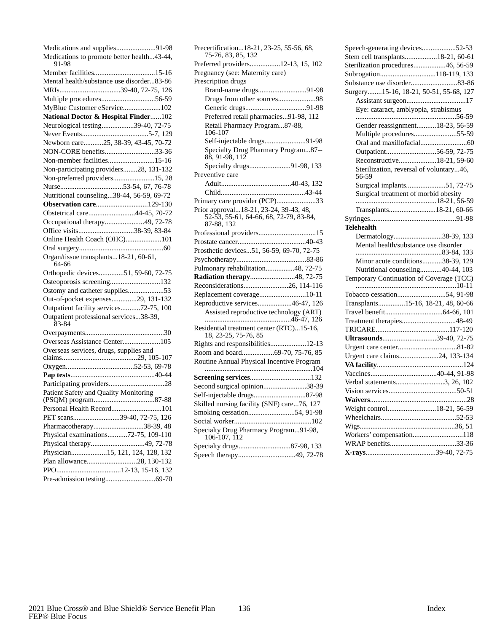| Medications and supplies91-98<br>Medications to promote better health43-44, |
|-----------------------------------------------------------------------------|
| 91-98                                                                       |
|                                                                             |
| Mental health/substance use disorder83-86                                   |
| MRIs39-40, 72-75, 126                                                       |
| Multiple procedures56-59                                                    |
| MyBlue Customer eService102                                                 |
| National Doctor & Hospital Finder102                                        |
| Neurological testing39-40, 72-75                                            |
|                                                                             |
| Newborn care25, 38-39, 43-45, 70-72                                         |
| NON-CORE benefits33-36                                                      |
| Non-member facilities15-16                                                  |
| Non-participating providers28, 131-132                                      |
| Non-preferred providers15, 28                                               |
|                                                                             |
| Nutritional counseling38-44, 56-59, 69-72                                   |
| Observation care129-130                                                     |
| Obstetrical care44-45, 70-72                                                |
| Occupational therapy49, 72-78                                               |
| Office visits38-39, 83-84                                                   |
| Online Health Coach (OHC)101                                                |
|                                                                             |
| Organ/tissue transplants18-21, 60-61,                                       |
| 64-66                                                                       |
| Orthopedic devices51, 59-60, 72-75                                          |
| Osteoporosis screening132                                                   |
| Ostomy and catheter supplies53                                              |
| Out-of-pocket expenses29, 131-132                                           |
| Outpatient facility services72-75, 100                                      |
| Outpatient professional services38-39,<br>83-84                             |
|                                                                             |
| Overseas Assistance Center105                                               |
| Overseas services, drugs, supplies and                                      |
|                                                                             |
|                                                                             |
|                                                                             |
|                                                                             |
|                                                                             |
| Personal Health Record101                                                   |
| PET scans39-40, 72-75, 126                                                  |
| Pharmacotherapy38-39, 48                                                    |
| Physical examinations72-75, 109-110                                         |
| Physical therapy49, 72-78                                                   |
| Physician15, 121, 124, 128, 132                                             |
| Plan allowance28, 130-132                                                   |
|                                                                             |
|                                                                             |

| Precertification18-21, 23-25, 55-56, 68,<br>75-76, 83, 85, 132   |  |  |  |
|------------------------------------------------------------------|--|--|--|
| Preferred providers12-13, 15, 102                                |  |  |  |
| Pregnancy (see: Maternity care)                                  |  |  |  |
| Prescription drugs                                               |  |  |  |
| Brand-name drugs91-98                                            |  |  |  |
| Drugs from other sources98                                       |  |  |  |
|                                                                  |  |  |  |
| Preferred retail pharmacies91-98, 112                            |  |  |  |
| Retail Pharmacy Program87-88,                                    |  |  |  |
| 106-107                                                          |  |  |  |
| Self-injectable drugs91-98                                       |  |  |  |
| Specialty Drug Pharmacy Program87--<br>88, 91-98, 112            |  |  |  |
| Specialty drugs91-98, 133                                        |  |  |  |
| Preventive care                                                  |  |  |  |
|                                                                  |  |  |  |
|                                                                  |  |  |  |
| Primary care provider (PCP)33                                    |  |  |  |
| Prior approval18-21, 23-24, 39-43, 48,                           |  |  |  |
| 52-53, 55-61, 64-66, 68, 72-79, 83-84,                           |  |  |  |
| 87-88, 132                                                       |  |  |  |
| Professional providers15                                         |  |  |  |
|                                                                  |  |  |  |
| Prosthetic devices51, 56-59, 69-70, 72-75                        |  |  |  |
|                                                                  |  |  |  |
| Pulmonary rehabilitation48, 72-75                                |  |  |  |
| Radiation therapy48, 72-75                                       |  |  |  |
| Reconsiderations26, 114-116                                      |  |  |  |
| Replacement coverage10-11                                        |  |  |  |
| Reproductive services46-47, 126                                  |  |  |  |
| Assisted reproductive technology (ART)                           |  |  |  |
| Residential treatment center (RTC)15-16,<br>18, 23-25, 75-76, 85 |  |  |  |
| Rights and responsibilities12-13                                 |  |  |  |
| Room and board69-70, 75-76, 85                                   |  |  |  |
| Routine Annual Physical Incentive Program                        |  |  |  |
|                                                                  |  |  |  |
| Second surgical opinion38-39                                     |  |  |  |
|                                                                  |  |  |  |
| Skilled nursing facility (SNF) care76, 127                       |  |  |  |
| Smoking cessation54, 91-98                                       |  |  |  |
|                                                                  |  |  |  |
| Specialty Drug Pharmacy Program91-98,<br>106-107, 112            |  |  |  |
|                                                                  |  |  |  |
|                                                                  |  |  |  |
|                                                                  |  |  |  |

| Speech-generating devices52-53                   |
|--------------------------------------------------|
| Stem cell transplants18-21, 60-61                |
| Sterilization procedures46, 56-59                |
| Subrogation118-119, 133                          |
|                                                  |
| Surgery15-16, 18-21, 50-51, 55-68, 127           |
|                                                  |
| Eye: cataract, amblyopia, strabismus             |
|                                                  |
| Gender reassignment18-23, 56-59                  |
| Multiple procedures55-59                         |
|                                                  |
| Outpatient56-59, 72-75                           |
| Reconstructive18-21, 59-60                       |
| Sterilization, reversal of voluntary46,<br>56-59 |
| Surgical implants51, 72-75                       |
| Surgical treatment of morbid obesity             |
|                                                  |
| Transplants18-21, 60-66                          |
|                                                  |
| <b>Telehealth</b>                                |
| Dermatology38-39, 133                            |
| Mental health/substance use disorder             |
| Minor acute conditions38-39, 129                 |
| Nutritional counseling40-44, 103                 |
| Temporary Continuation of Coverage (TCC)         |
|                                                  |
|                                                  |
| Transplants15-16, 18-21, 48, 60-66               |
|                                                  |
|                                                  |
|                                                  |
| Ultrasounds39-40, 72-75                          |
|                                                  |
| Urgent care claims24, 133-134                    |
|                                                  |
|                                                  |
| Verbal statements3, 26, 102                      |
|                                                  |
|                                                  |
| Weight control18-21, 56-59                       |
|                                                  |
|                                                  |
| Workers' compensation118                         |
|                                                  |
|                                                  |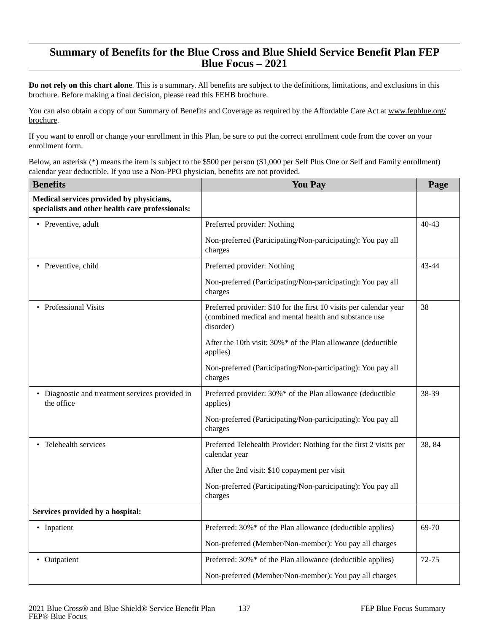## **Summary of Benefits for the Blue Cross and Blue Shield Service Benefit Plan FEP Blue Focus – 2021**

**Do not rely on this chart alone**. This is a summary. All benefits are subject to the definitions, limitations, and exclusions in this brochure. Before making a final decision, please read this FEHB brochure.

You can also obtain a copy of our Summary of Benefits and Coverage as required by the Affordable Care Act at www.fepblue.org/ brochure.

If you want to enroll or change your enrollment in this Plan, be sure to put the correct enrollment code from the cover on your enrollment form.

Below, an asterisk (\*) means the item is subject to the \$500 per person (\$1,000 per Self Plus One or Self and Family enrollment) calendar year deductible. If you use a Non-PPO physician, benefits are not provided.

| <b>Benefits</b>                                                                              | <b>You Pay</b>                                                                                                                           | Page      |
|----------------------------------------------------------------------------------------------|------------------------------------------------------------------------------------------------------------------------------------------|-----------|
| Medical services provided by physicians,<br>specialists and other health care professionals: |                                                                                                                                          |           |
| • Preventive, adult                                                                          | Preferred provider: Nothing                                                                                                              | $40 - 43$ |
|                                                                                              | Non-preferred (Participating/Non-participating): You pay all<br>charges                                                                  |           |
| • Preventive, child                                                                          | Preferred provider: Nothing                                                                                                              | 43-44     |
|                                                                                              | Non-preferred (Participating/Non-participating): You pay all<br>charges                                                                  |           |
| • Professional Visits                                                                        | Preferred provider: \$10 for the first 10 visits per calendar year<br>(combined medical and mental health and substance use<br>disorder) | 38        |
|                                                                                              | After the 10th visit: 30%* of the Plan allowance (deductible<br>applies)                                                                 |           |
|                                                                                              | Non-preferred (Participating/Non-participating): You pay all<br>charges                                                                  |           |
| • Diagnostic and treatment services provided in<br>the office                                | Preferred provider: 30%* of the Plan allowance (deductible<br>applies)                                                                   | 38-39     |
|                                                                                              | Non-preferred (Participating/Non-participating): You pay all<br>charges                                                                  |           |
| • Telehealth services                                                                        | Preferred Telehealth Provider: Nothing for the first 2 visits per<br>calendar year                                                       | 38, 84    |
|                                                                                              | After the 2nd visit: \$10 copayment per visit                                                                                            |           |
|                                                                                              | Non-preferred (Participating/Non-participating): You pay all<br>charges                                                                  |           |
| Services provided by a hospital:                                                             |                                                                                                                                          |           |
| • Inpatient                                                                                  | Preferred: 30%* of the Plan allowance (deductible applies)                                                                               | 69-70     |
|                                                                                              | Non-preferred (Member/Non-member): You pay all charges                                                                                   |           |
| • Outpatient                                                                                 | Preferred: 30%* of the Plan allowance (deductible applies)                                                                               | 72-75     |
|                                                                                              | Non-preferred (Member/Non-member): You pay all charges                                                                                   |           |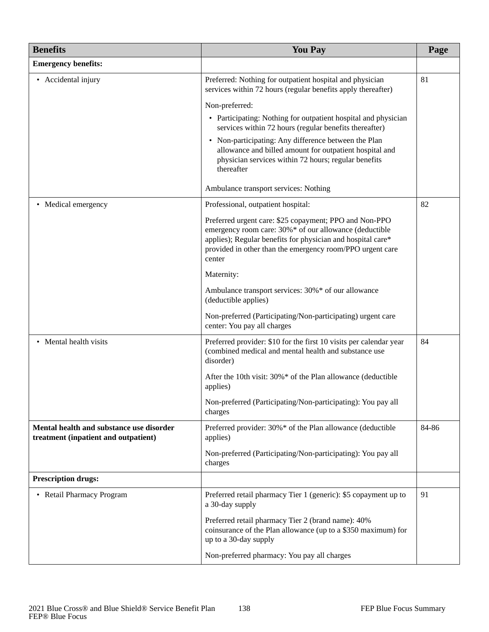| <b>Benefits</b>                                                                  | <b>You Pay</b>                                                                                                                                                                                                                                         | Page  |
|----------------------------------------------------------------------------------|--------------------------------------------------------------------------------------------------------------------------------------------------------------------------------------------------------------------------------------------------------|-------|
| <b>Emergency benefits:</b>                                                       |                                                                                                                                                                                                                                                        |       |
| • Accidental injury                                                              | Preferred: Nothing for outpatient hospital and physician<br>services within 72 hours (regular benefits apply thereafter)                                                                                                                               | 81    |
|                                                                                  | Non-preferred:                                                                                                                                                                                                                                         |       |
|                                                                                  | • Participating: Nothing for outpatient hospital and physician<br>services within 72 hours (regular benefits thereafter)                                                                                                                               |       |
|                                                                                  | • Non-participating: Any difference between the Plan<br>allowance and billed amount for outpatient hospital and<br>physician services within 72 hours; regular benefits<br>thereafter                                                                  |       |
|                                                                                  | Ambulance transport services: Nothing                                                                                                                                                                                                                  |       |
| • Medical emergency                                                              | Professional, outpatient hospital:                                                                                                                                                                                                                     | 82    |
|                                                                                  | Preferred urgent care: \$25 copayment; PPO and Non-PPO<br>emergency room care: 30%* of our allowance (deductible<br>applies); Regular benefits for physician and hospital care*<br>provided in other than the emergency room/PPO urgent care<br>center |       |
|                                                                                  | Maternity:                                                                                                                                                                                                                                             |       |
|                                                                                  | Ambulance transport services: 30%* of our allowance<br>(deductible applies)                                                                                                                                                                            |       |
|                                                                                  | Non-preferred (Participating/Non-participating) urgent care<br>center: You pay all charges                                                                                                                                                             |       |
| • Mental health visits                                                           | Preferred provider: \$10 for the first 10 visits per calendar year<br>(combined medical and mental health and substance use<br>disorder)                                                                                                               | 84    |
|                                                                                  | After the 10th visit: 30%* of the Plan allowance (deductible<br>applies)                                                                                                                                                                               |       |
|                                                                                  | Non-preferred (Participating/Non-participating): You pay all<br>charges                                                                                                                                                                                |       |
| Mental health and substance use disorder<br>treatment (inpatient and outpatient) | Preferred provider: 30%* of the Plan allowance (deductible<br>applies)                                                                                                                                                                                 | 84-86 |
|                                                                                  | Non-preferred (Participating/Non-participating): You pay all<br>charges                                                                                                                                                                                |       |
| <b>Prescription drugs:</b>                                                       |                                                                                                                                                                                                                                                        |       |
| • Retail Pharmacy Program                                                        | Preferred retail pharmacy Tier 1 (generic): \$5 copayment up to<br>a 30-day supply                                                                                                                                                                     | 91    |
|                                                                                  | Preferred retail pharmacy Tier 2 (brand name): 40%<br>coinsurance of the Plan allowance (up to a \$350 maximum) for<br>up to a 30-day supply                                                                                                           |       |
|                                                                                  | Non-preferred pharmacy: You pay all charges                                                                                                                                                                                                            |       |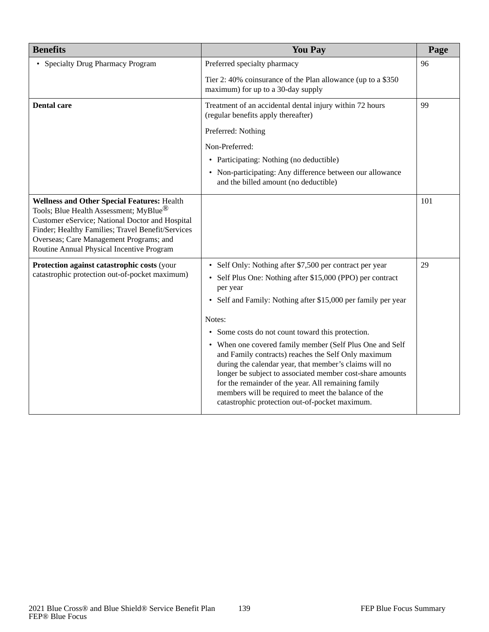| <b>Benefits</b>                                                                                                                                                                                                                                                                                          | <b>You Pay</b>                                                                                                                                                                                                                                                                                                                                                                                                                                                                                                                                                                                                                                                               | Page |
|----------------------------------------------------------------------------------------------------------------------------------------------------------------------------------------------------------------------------------------------------------------------------------------------------------|------------------------------------------------------------------------------------------------------------------------------------------------------------------------------------------------------------------------------------------------------------------------------------------------------------------------------------------------------------------------------------------------------------------------------------------------------------------------------------------------------------------------------------------------------------------------------------------------------------------------------------------------------------------------------|------|
| • Specialty Drug Pharmacy Program                                                                                                                                                                                                                                                                        | Preferred specialty pharmacy                                                                                                                                                                                                                                                                                                                                                                                                                                                                                                                                                                                                                                                 | 96   |
|                                                                                                                                                                                                                                                                                                          | Tier 2: 40% coinsurance of the Plan allowance (up to a \$350<br>maximum) for up to a 30-day supply                                                                                                                                                                                                                                                                                                                                                                                                                                                                                                                                                                           |      |
| <b>Dental care</b>                                                                                                                                                                                                                                                                                       | Treatment of an accidental dental injury within 72 hours<br>(regular benefits apply thereafter)                                                                                                                                                                                                                                                                                                                                                                                                                                                                                                                                                                              | 99   |
|                                                                                                                                                                                                                                                                                                          | Preferred: Nothing                                                                                                                                                                                                                                                                                                                                                                                                                                                                                                                                                                                                                                                           |      |
|                                                                                                                                                                                                                                                                                                          | Non-Preferred:                                                                                                                                                                                                                                                                                                                                                                                                                                                                                                                                                                                                                                                               |      |
|                                                                                                                                                                                                                                                                                                          | • Participating: Nothing (no deductible)                                                                                                                                                                                                                                                                                                                                                                                                                                                                                                                                                                                                                                     |      |
|                                                                                                                                                                                                                                                                                                          | • Non-participating: Any difference between our allowance<br>and the billed amount (no deductible)                                                                                                                                                                                                                                                                                                                                                                                                                                                                                                                                                                           |      |
| <b>Wellness and Other Special Features: Health</b><br>Tools; Blue Health Assessment; MyBlue <sup>®</sup><br>Customer eService; National Doctor and Hospital<br>Finder; Healthy Families; Travel Benefit/Services<br>Overseas; Care Management Programs; and<br>Routine Annual Physical Incentive Program |                                                                                                                                                                                                                                                                                                                                                                                                                                                                                                                                                                                                                                                                              | 101  |
| Protection against catastrophic costs (your<br>catastrophic protection out-of-pocket maximum)                                                                                                                                                                                                            | • Self Only: Nothing after \$7,500 per contract per year<br>• Self Plus One: Nothing after \$15,000 (PPO) per contract<br>per year<br>• Self and Family: Nothing after \$15,000 per family per year<br>Notes:<br>• Some costs do not count toward this protection.<br>• When one covered family member (Self Plus One and Self<br>and Family contracts) reaches the Self Only maximum<br>during the calendar year, that member's claims will no<br>longer be subject to associated member cost-share amounts<br>for the remainder of the year. All remaining family<br>members will be required to meet the balance of the<br>catastrophic protection out-of-pocket maximum. | 29   |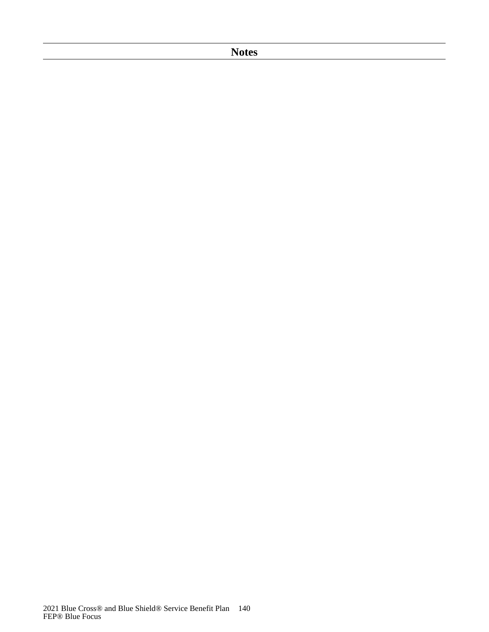## **Notes**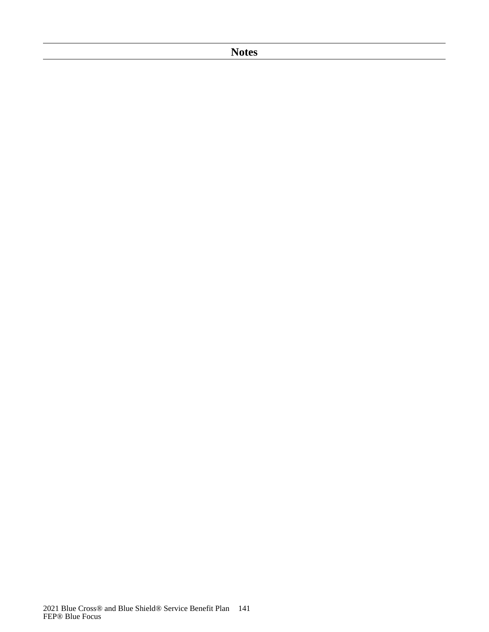**Notes**